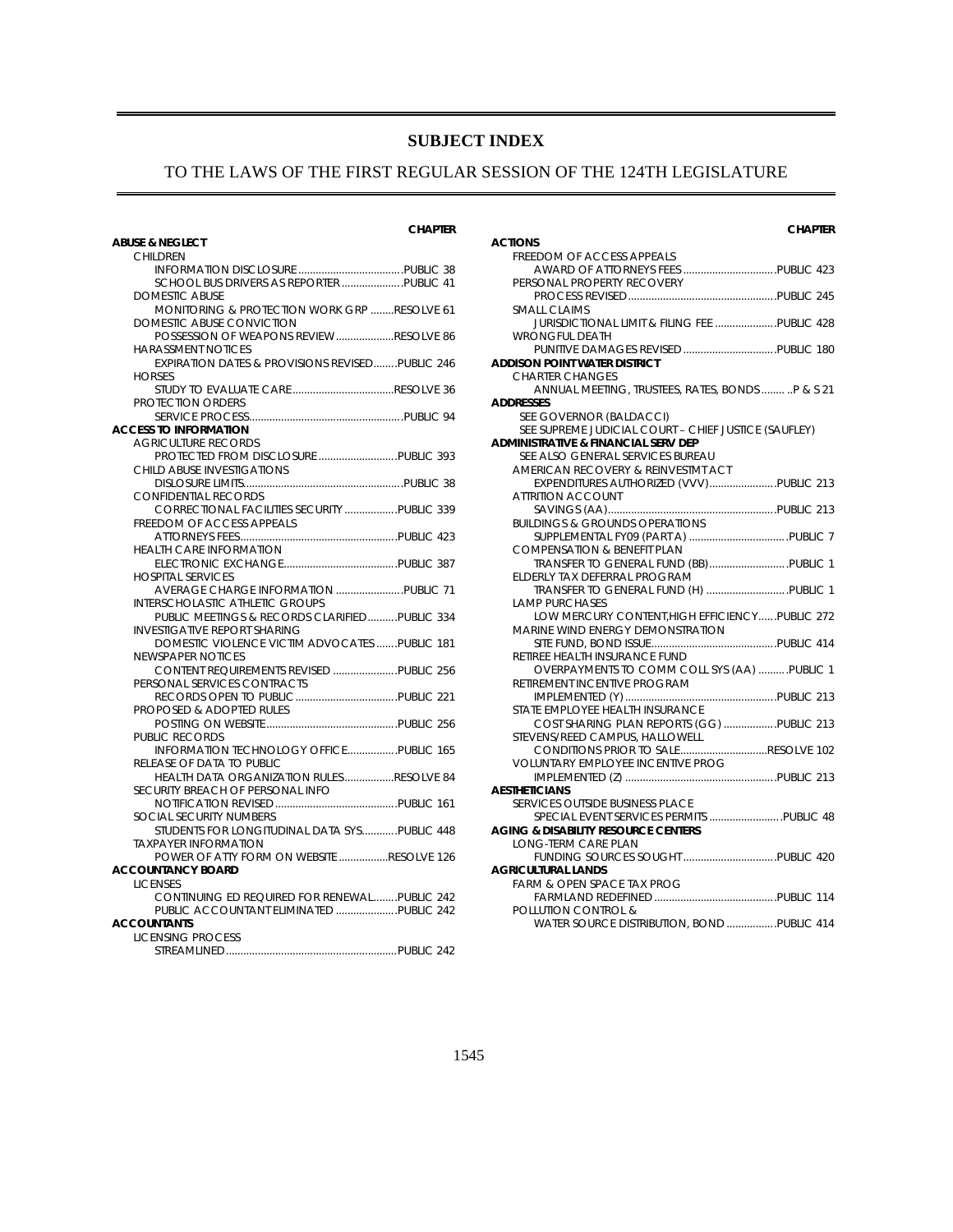# TO THE LAWS OF THE FIRST REGULAR SESSION OF THE 124TH LEGISLATURE

#### **CHAPTER**

| <b>ABUSE &amp; NEGLECT</b>                      | UNAPIER |
|-------------------------------------------------|---------|
| <b>CHILDREN</b>                                 |         |
|                                                 |         |
| SCHOOL BUS DRIVERS AS REPORTER  PUBLIC 41       |         |
| <b>DOMESTIC ABUSE</b>                           |         |
| MONITORING & PROTECTION WORK GRP RESOLVE 61     |         |
| <b>DOMESTIC ABUSE CONVICTION</b>                |         |
| POSSESSION OF WEAPONS REVIEWRESOLVE 86          |         |
| <b>HARASSMENT NOTICES</b>                       |         |
| EXPIRATION DATES & PROVISIONS REVISEDPUBLIC 246 |         |
| <b>HORSES</b>                                   |         |
|                                                 |         |
| PROTECTION ORDERS                               |         |
|                                                 |         |
| <b>ACCESS TO INFORMATION</b>                    |         |
| <b>AGRICULTURE RECORDS</b>                      |         |
| PROTECTED FROM DISCLOSURE  PUBLIC 393           |         |
| CHILD ABUSE INVESTIGATIONS                      |         |
|                                                 |         |
| <b>CONFIDENTIAL RECORDS</b>                     |         |
| CORRECTIONAL FACILITIES SECURITY  PUBLIC 339    |         |
| FREEDOM OF ACCESS APPEALS                       |         |
|                                                 |         |
| <b>HEALTH CARE INFORMATION</b>                  |         |
|                                                 |         |
| <b>HOSPITAL SERVICES</b>                        |         |
| AVERAGE CHARGE INFORMATION  PUBLIC 71           |         |
| <b>INTERSCHOLASTIC ATHLETIC GROUPS</b>          |         |
| PUBLIC MEETINGS & RECORDS CLARIFIEDPUBLIC 334   |         |
| <b>INVESTIGATIVE REPORT SHARING</b>             |         |
| DOMESTIC VIOLENCE VICTIM ADVOCATES PUBLIC 181   |         |
| <b>NEWSPAPER NOTICES</b>                        |         |
| CONTENT REQUIREMENTS REVISED  PUBLIC 256        |         |
| PERSONAL SERVICES CONTRACTS                     |         |
|                                                 |         |
| PROPOSED & ADOPTED RULES                        |         |
|                                                 |         |
| PUBLIC RECORDS                                  |         |
| <b>INFORMATION TECHNOLOGY OFFICE PUBLIC 165</b> |         |
| RELEASE OF DATA TO PUBLIC                       |         |
| <b>HEALTH DATA ORGANIZATION RULESRESOLVE 84</b> |         |
| SECURITY BREACH OF PERSONAL INFO                |         |
|                                                 |         |
| SOCIAL SECURITY NUMBERS                         |         |
| STUDENTS FOR LONGITUDINAL DATA SYS PUBLIC 448   |         |
| <b>TAXPAYER INFORMATION</b>                     |         |
| POWER OF ATTY FORM ON WEBSITE RESOLVE 126       |         |
| <b>ACCOUNTANCY BOARD</b>                        |         |
| <b>LICENSES</b>                                 |         |
| CONTINUING ED REQUIRED FOR RENEWAL PUBLIC 242   |         |
| PUBLIC ACCOUNTANT ELIMINATED  PUBLIC 242        |         |
| <b>ACCOUNTANTS</b>                              |         |
| <b>LICENSING PROCESS</b>                        |         |
|                                                 |         |
|                                                 |         |

|                                                      | <b>CHAPTER</b> |
|------------------------------------------------------|----------------|
| <b>ACTIONS</b>                                       |                |
| <b>FREEDOM OF ACCESS APPEALS</b>                     |                |
|                                                      |                |
| PERSONAL PROPERTY RECOVERY                           |                |
|                                                      |                |
| <b>SMALL CLAIMS</b>                                  |                |
| JURISDICTIONAL LIMIT & FILING FEE  PUBLIC 428        |                |
| <b>WRONGFUL DEATH</b>                                |                |
|                                                      |                |
| <b>ADDISON POINT WATER DISTRICT</b>                  |                |
| <b>CHARTER CHANGES</b>                               |                |
| ANNUAL MEETING, TRUSTEES, RATES, BONDS   P & S 21    |                |
| <b>ADDRESSES</b>                                     |                |
|                                                      |                |
| SEE GOVERNOR (BALDACCI)                              |                |
| SEE SUPREME JUDICIAL COURT - CHIEF JUSTICE (SAUFLEY) |                |
| <b>ADMINISTRATIVE &amp; FINANCIAL SERV DEP</b>       |                |
| SEE ALSO GENERAL SERVICES BUREAU                     |                |
| AMERICAN RECOVERY & REINVESTMT ACT                   |                |
|                                                      |                |
| ATTRITION ACCOUNT                                    |                |
|                                                      |                |
| <b>BUILDINGS &amp; GROUNDS OPERATIONS</b>            |                |
|                                                      |                |
| <b>COMPENSATION &amp; BENEFIT PLAN</b>               |                |
| TRANSFER TO GENERAL FUND (BB) PUBLIC 1               |                |
| ELDERLY TAX DEFERRAL PROGRAM                         |                |
|                                                      |                |
| <b>LAMP PURCHASES</b>                                |                |
| LOW MERCURY CONTENT, HIGH EFFICIENCY PUBLIC 272      |                |
| MARINE WIND ENERGY DEMONSTRATION                     |                |
|                                                      |                |
| RETIREE HEALTH INSURANCE FUND                        |                |
| OVERPAYMENTS TO COMM COLL SYS (AA)  PUBLIC 1         |                |
| RETIREMENT INCENTIVE PROGRAM                         |                |
|                                                      |                |
| STATE EMPLOYEE HEALTH INSURANCE                      |                |
| COST SHARING PLAN REPORTS (GG)  PUBLIC 213           |                |
| STEVENS/REED CAMPUS, HALLOWELL                       |                |
|                                                      |                |
| <b>VOLUNTARY EMPLOYEE INCENTIVE PROG</b>             |                |
|                                                      |                |
|                                                      |                |
| <b>AESTHETICIANS</b>                                 |                |
| SERVICES OUTSIDE BUSINESS PLACE                      |                |
| SPECIAL EVENT SERVICES PERMITS  PUBLIC 48            |                |
| <b>AGING &amp; DISABILITY RESOURCE CENTERS</b>       |                |
| <b>LONG-TERM CARE PLAN</b>                           |                |
|                                                      |                |
| <b>AGRICULTURAL LANDS</b>                            |                |
| <b>FARM &amp; OPEN SPACE TAX PROG</b>                |                |
|                                                      |                |
| POLLUTION CONTROL &                                  |                |
| WATER SOURCE DISTRIBUTION, BOND  PUBLIC 414          |                |
|                                                      |                |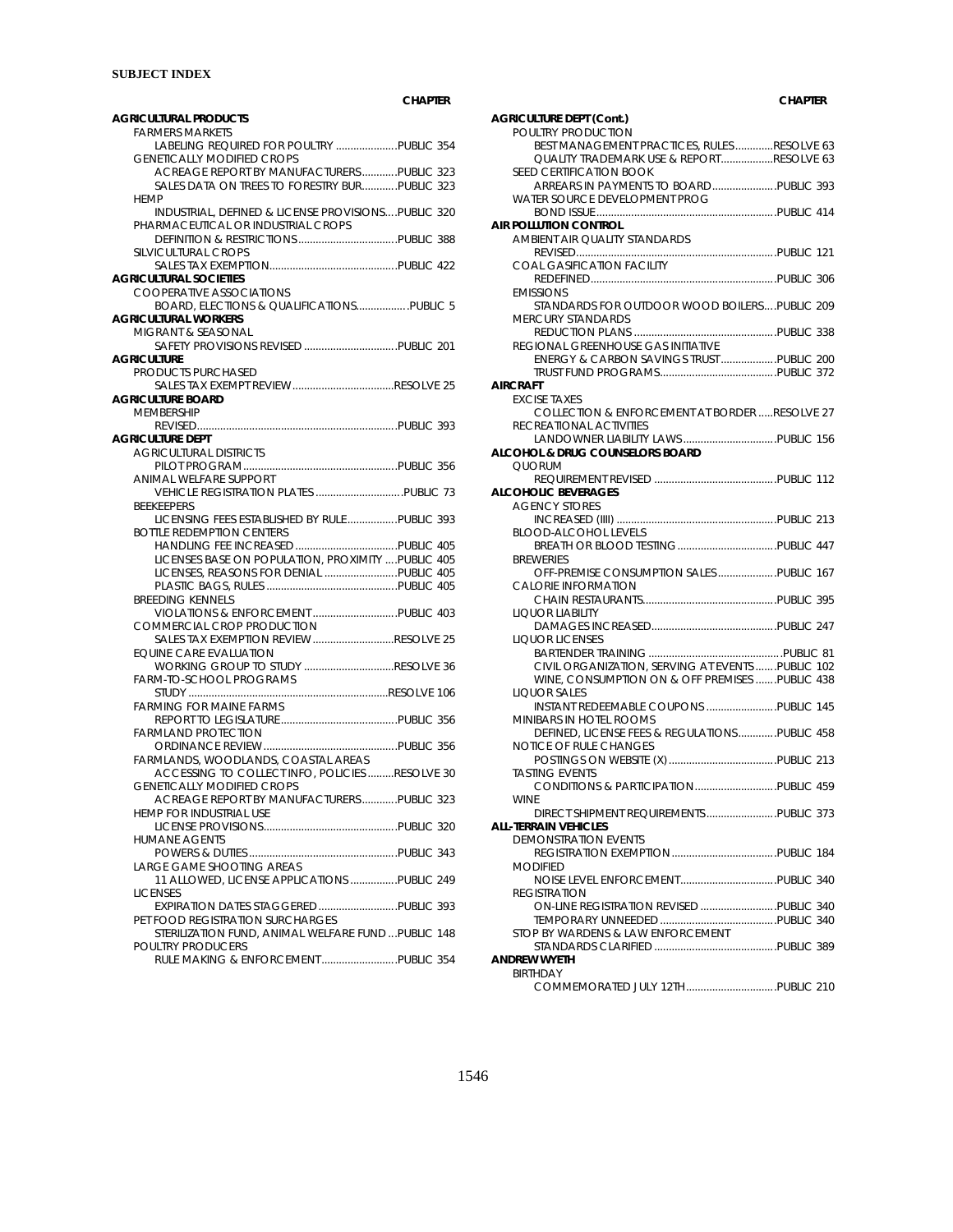| <b>AGRICULTURAL PRODUCTS</b>                                                   |  |
|--------------------------------------------------------------------------------|--|
| <b>FARMERS MARKETS</b>                                                         |  |
| LABELING REQUIRED FOR POULTRY  PUBLIC 354<br><b>GENETICALLY MODIFIED CROPS</b> |  |
| ACREAGE REPORT BY MANUFACTURERS PUBLIC 323                                     |  |
| SALES DATA ON TREES TO FORESTRY BUR PUBLIC 323                                 |  |
| HEMP                                                                           |  |
| INDUSTRIAL, DEFINED & LICENSE PROVISIONSPUBLIC 320                             |  |
| PHARMACEUTICAL OR INDUSTRIAL CROPS                                             |  |
| SILVICULTURAL CROPS                                                            |  |
|                                                                                |  |
| <b>AGRICULTURAL SOCIETIES</b>                                                  |  |
| <b>COOPERATIVE ASSOCIATIONS</b>                                                |  |
| BOARD, ELECTIONS & QUALIFICATIONS PUBLIC 5                                     |  |
| <b>AGRICULTURAL WORKERS</b>                                                    |  |
| <b>MIGRANT &amp; SEASONAL</b>                                                  |  |
| <b>AGRICULTURE</b>                                                             |  |
| PRODUCTS PURCHASED                                                             |  |
|                                                                                |  |
| <b>AGRICULTURE BOARD</b>                                                       |  |
| <b>MEMBERSHIP</b>                                                              |  |
|                                                                                |  |
| <b>AGRICULTURE DEPT</b><br><b>AGRICULTURAL DISTRICTS</b>                       |  |
|                                                                                |  |
| ANIMAL WELFARE SUPPORT                                                         |  |
| VEHICLE REGISTRATION PLATES  PUBLIC 73                                         |  |
| <b>BEEKEEPERS</b>                                                              |  |
| LICENSING FEES ESTABLISHED BY RULE PUBLIC 393                                  |  |
| <b>BOTTLE REDEMPTION CENTERS</b>                                               |  |
| LICENSES BASE ON POPULATION, PROXIMITY  PUBLIC 405                             |  |
| LICENSES, REASONS FOR DENIAL  PUBLIC 405                                       |  |
|                                                                                |  |
| <b>BREEDING KENNELS</b>                                                        |  |
| VIOLATIONS & ENFORCEMENT  PUBLIC 403                                           |  |
| COMMERCIAL CROP PRODUCTION                                                     |  |
| SALES TAX EXEMPTION REVIEW  RESOLVE 25<br><b>EQUINE CARE EVALUATION</b>        |  |
| WORKING GROUP TO STUDY RESOLVE 36                                              |  |
| FARM-TO-SCHOOL PROGRAMS                                                        |  |
|                                                                                |  |
| <b>FARMING FOR MAINE FARMS</b>                                                 |  |
|                                                                                |  |
| <b>FARMLAND PROTECTION</b>                                                     |  |
| FARMLANDS, WOODLANDS, COASTAL AREAS                                            |  |
| ACCESSING TO COLLECT INFO, POLICIES RESOLVE 30                                 |  |
| <b>GENETICALLY MODIFIED CROPS</b>                                              |  |
| ACREAGE REPORT BY MANUFACTURERS PUBLIC 323                                     |  |
| HEMP FOR INDUSTRIAL USE                                                        |  |
| <b>HUMANE AGENTS</b>                                                           |  |
|                                                                                |  |
| LARGE GAME SHOOTING AREAS                                                      |  |
| 11 ALLOWED, LICENSE APPLICATIONS  PUBLIC 249                                   |  |
| <b>LICENSES</b>                                                                |  |
|                                                                                |  |
| PET FOOD REGISTRATION SURCHARGES                                               |  |
| STERILIZATION FUND, ANIMAL WELFARE FUND  PUBLIC 148<br>POULTRY PRODUCERS       |  |
| RULE MAKING & ENFORCEMENT PUBLIC 354                                           |  |
|                                                                                |  |

| <b>CHAPTER</b> | <b>CHAPTER</b> |
|----------------|----------------|
|                |                |

| <b>AGRICULTURE DEPT (Cont.)</b>                                           |  |
|---------------------------------------------------------------------------|--|
| POULTRY PRODUCTION                                                        |  |
| BEST MANAGEMENT PRACTICES, RULES RESOLVE 63                               |  |
| QUALITY TRADEMARK USE & REPORTRESOLVE 63                                  |  |
| <b>SEED CERTIFICATION BOOK</b><br>ARREARS IN PAYMENTS TO BOARD PUBLIC 393 |  |
| WATER SOURCE DEVELOPMENT PROG                                             |  |
|                                                                           |  |
| <b>AIR POLLUTION CONTROL</b>                                              |  |
| AMBIENT AIR QUALITY STANDARDS                                             |  |
|                                                                           |  |
| <b>COAL GASIFICATION FACILITY</b>                                         |  |
|                                                                           |  |
| <b>EMISSIONS</b>                                                          |  |
| STANDARDS FOR OUTDOOR WOOD BOILERS PUBLIC 209                             |  |
| <b>MERCURY STANDARDS</b>                                                  |  |
|                                                                           |  |
| REGIONAL GREENHOUSE GAS INITIATIVE                                        |  |
| ENERGY & CARBON SAVINGS TRUST  PUBLIC 200                                 |  |
|                                                                           |  |
| <b>AIRCRAFT</b>                                                           |  |
| <b>EXCISE TAXES</b><br>COLLECTION & ENFORCEMENT AT BORDER RESOLVE 27      |  |
| RECREATIONAL ACTIVITIES                                                   |  |
| LANDOWNER LIABILITY LAWS  PUBLIC 156                                      |  |
| ALCOHOL & DRUG COUNSELORS BOARD                                           |  |
| QUORUM                                                                    |  |
|                                                                           |  |
| <b>ALCOHOLIC BEVERAGES</b>                                                |  |
| <b>AGENCY STORES</b>                                                      |  |
|                                                                           |  |
| <b>BLOOD-ALCOHOL LEVELS</b>                                               |  |
|                                                                           |  |
| <b>BREWERIES</b>                                                          |  |
| OFF-PREMISE CONSUMPTION SALES PUBLIC 167                                  |  |
| <b>CALORIE INFORMATION</b>                                                |  |
| <b>LIQUOR LIABILITY</b>                                                   |  |
|                                                                           |  |
| LIQUOR LICENSES                                                           |  |
|                                                                           |  |
| CIVIL ORGANIZATION, SERVING AT EVENTS  PUBLIC 102                         |  |
| WINE, CONSUMPTION ON & OFF PREMISES  PUBLIC 438                           |  |
| <b>LIQUOR SALES</b>                                                       |  |
| INSTANT REDEEMABLE COUPONS  PUBLIC 145                                    |  |
| MINIBARS IN HOTEL ROOMS                                                   |  |
| DEFINED, LICENSE FEES & REGULATIONS PUBLIC 458                            |  |
| NOTICE OF RULE CHANGES                                                    |  |
|                                                                           |  |
| <b>TASTING EVENTS</b>                                                     |  |
| <b>WINF</b>                                                               |  |
| DIRECT SHIPMENT REQUIREMENTS PUBLIC 373                                   |  |
| <b>ALL-TERRAIN VEHICLES</b>                                               |  |
| <b>DEMONSTRATION EVENTS</b>                                               |  |
|                                                                           |  |
| <b>MODIFIED</b>                                                           |  |
|                                                                           |  |
| <b>REGISTRATION</b>                                                       |  |
| ON-LINE REGISTRATION REVISED  PUBLIC 340                                  |  |
|                                                                           |  |
| STOP BY WARDENS & LAW ENFORCEMENT                                         |  |
|                                                                           |  |
| <b>ANDREW WYETH</b><br><b>BIRTHDAY</b>                                    |  |
|                                                                           |  |
|                                                                           |  |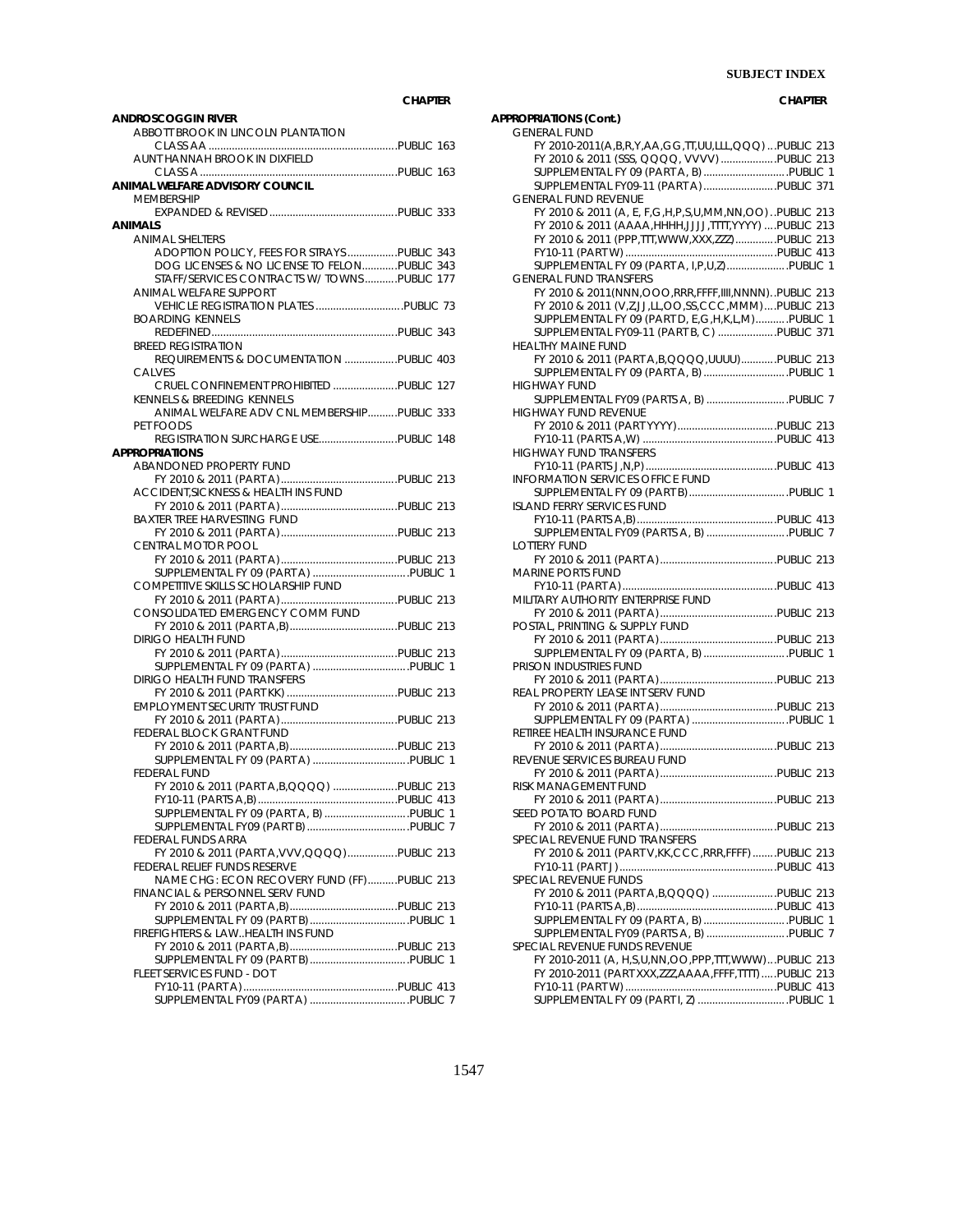| <b>ANDROSCOGGIN RIVER</b>                      |  |
|------------------------------------------------|--|
| <b>ABBOTT BROOK IN LINCOLN PLANTATION</b>      |  |
|                                                |  |
| AUNT HANNAH BROOK IN DIXFIFI D                 |  |
|                                                |  |
| ANIMAL WELFARE ADVISORY COUNCIL                |  |
| <b>MEMBERSHIP</b>                              |  |
|                                                |  |
|                                                |  |
| <b>ANIMALS</b>                                 |  |
| <b>ANIMAL SHELTERS</b>                         |  |
| ADOPTION POLICY, FEES FOR STRAYS PUBLIC 343    |  |
| DOG LICENSES & NO LICENSE TO FELON PUBLIC 343  |  |
| STAFF/SERVICES CONTRACTS W/ TOWNS PUBLIC 177   |  |
| ANIMAL WELFARE SUPPORT                         |  |
|                                                |  |
| <b>BOARDING KENNELS</b>                        |  |
|                                                |  |
| <b>BREED REGISTRATION</b>                      |  |
| REQUIREMENTS & DOCUMENTATION  PUBLIC 403       |  |
| <b>CALVES</b>                                  |  |
| CRUEL CONFINEMENT PROHIBITED  PUBLIC 127       |  |
| KENNELS & BREEDING KENNELS                     |  |
|                                                |  |
| ANIMAL WELFARE ADV CNL MEMBERSHIP PUBLIC 333   |  |
| PET FOODS                                      |  |
| REGISTRATION SURCHARGE USE PUBLIC 148          |  |
| <b>APPROPRIATIONS</b>                          |  |
| <b>ABANDONED PROPERTY FUND</b>                 |  |
|                                                |  |
| ACCIDENT, SICKNESS & HEALTH INS FUND           |  |
|                                                |  |
| BAXTER TREE HARVESTING FUND                    |  |
|                                                |  |
| CENTRAL MOTOR POOL                             |  |
|                                                |  |
|                                                |  |
| COMPETITIVE SKILLS SCHOLARSHIP FUND            |  |
|                                                |  |
| CONSOLIDATED EMERGENCY COMM FUND               |  |
|                                                |  |
|                                                |  |
| DIRIGO HEALTH FUND                             |  |
|                                                |  |
|                                                |  |
| DIRIGO HEALTH FUND TRANSFERS                   |  |
|                                                |  |
| <b>EMPLOYMENT SECURITY TRUST FUND</b>          |  |
|                                                |  |
| FEDERAL BLOCK GRANT FUND                       |  |
|                                                |  |
|                                                |  |
| <b>FEDERAL FUND</b>                            |  |
| FY 2010 & 2011 (PART A,B,QQQQ)  PUBLIC 213     |  |
|                                                |  |
| SUPPLEMENTAL FY 09 (PART A, B)  PUBLIC 1       |  |
|                                                |  |
| FEDERAL FUNDS ARRA                             |  |
| FY 2010 & 2011 (PART A, VVV, QQQQ)  PUBLIC 213 |  |
| FEDERAL RELIEF FUNDS RESERVE                   |  |
|                                                |  |
| NAME CHG: ECON RECOVERY FUND (FF)PUBLIC 213    |  |
| FINANCIAL & PERSONNEL SERV FUND                |  |
|                                                |  |
|                                                |  |
| FIREFIGHTERS & LAW. HEALTH INS FUND            |  |
|                                                |  |
|                                                |  |
| FLEET SERVICES FUND - DOT                      |  |

FY10-11 (PART A).....................................................PUBLIC 413 SUPPLEMENTAL FY09 (PART A) ..................................PUBLIC 7

| <b>GENERAL FUND</b>                                             |  |
|-----------------------------------------------------------------|--|
| FY 2010-2011(A,B,R,Y,AA,GG,TT,UU,LLL,QQQ) PUBLIC 213            |  |
| FY 2010 & 2011 (SSS, QQQQ, VVVV)  PUBLIC 213                    |  |
| SUPPLEMENTAL FY 09 (PART A, B)  PUBLIC 1                        |  |
| SUPPLEMENTAL FY09-11 (PART A)  PUBLIC 371                       |  |
| <b>GENERAL FUND REVENUE</b>                                     |  |
| FY 2010 & 2011 (A, E, F, G, H, P, S, U, MM, NN, OO). PUBLIC 213 |  |
|                                                                 |  |
| FY 2010 & 2011 (AAAA, HHHH, JJJJ, TTTT, YYYY)  PUBLIC 213       |  |
| FY 2010 & 2011 (PPP,TTT, WWW, XXX, ZZZ)  PUBLIC 213             |  |
|                                                                 |  |
| SUPPLEMENTAL FY 09 (PART A, I, P, U, Z)  PUBLIC 1               |  |
| <b>GENERAL FUND TRANSFERS</b>                                   |  |
| FY 2010 & 2011 (NNN, OOO, RRR, FFFF, IIII, NNNN). . PUBLIC 213  |  |
| FY 2010 & 2011 (V,Z,JJ,LL,OO,SS,CCC,MMM)PUBLIC 213              |  |
| SUPPLEMENTAL FY 09 (PART D, E, G, H, K, L, M) PUBLIC 1          |  |
| SUPPLEMENTAL FY09-11 (PART B, C)  PUBLIC 371                    |  |
| <b>HEALTHY MAINE FUND</b>                                       |  |
| FY 2010 & 2011 (PART A, B, QQQQ, UUUU) PUBLIC 213               |  |
|                                                                 |  |
| SUPPLEMENTAL FY 09 (PART A, B)  PUBLIC 1                        |  |
| <b>HIGHWAY FUND</b>                                             |  |
| SUPPLEMENTAL FY09 (PARTS A, B)  PUBLIC 7                        |  |
| <b>HIGHWAY FUND REVENUE</b>                                     |  |
|                                                                 |  |
|                                                                 |  |
| <b>HIGHWAY FUND TRANSFERS</b>                                   |  |
|                                                                 |  |
| <b>INFORMATION SERVICES OFFICE FUND</b>                         |  |
|                                                                 |  |
| <b>ISLAND FERRY SERVICES FUND</b>                               |  |
|                                                                 |  |
| SUPPLEMENTAL FY09 (PARTS A, B)  PUBLIC 7                        |  |
|                                                                 |  |
| <b>LOTTERY FUND</b>                                             |  |
|                                                                 |  |
| <b>MARINE PORTS FUND</b>                                        |  |
|                                                                 |  |
| MILITARY AUTHORITY ENTERPRISE FUND                              |  |
|                                                                 |  |
| POSTAL, PRINTING & SUPPLY FUND                                  |  |
|                                                                 |  |
| SUPPLEMENTAL FY 09 (PART A, B)  PUBLIC 1                        |  |
| PRISON INDUSTRIES FUND                                          |  |
|                                                                 |  |
| REAL PROPERTY LEASE INT SERV FUND                               |  |
|                                                                 |  |
|                                                                 |  |
|                                                                 |  |
| RETIREE HEALTH INSURANCE FUND                                   |  |
|                                                                 |  |
| REVENUE SERVICES BUREAU FUND                                    |  |
|                                                                 |  |
| RISK MANAGEMENT FUND                                            |  |
|                                                                 |  |
| SEED POTATO BOARD FUND                                          |  |
|                                                                 |  |
| SPECIAL REVENUE FUND TRANSFERS                                  |  |
|                                                                 |  |
|                                                                 |  |
| SPECIAL REVENUE FUNDS                                           |  |
| FY 2010 & 2011 (PART A, B, QQQQ)  PUBLIC 213                    |  |
|                                                                 |  |
|                                                                 |  |

SUPPLEMENTAL FY 09 (PART A, B).............................PUBLIC 1 SUPPLEMENTAL FY09 (PARTS A, B) ............................PUBLIC 7

FY 2010-2011 (A, H,S,U,NN,OO,PPP,TTT,WWW)...PUBLIC 213 FY 2010-2011 (PART XXX,ZZZ,AAAA,FFFF,TTTT).....PUBLIC 213 FY10-11 (PART W) ....................................................PUBLIC 413 SUPPLEMENTAL FY 09 (PART I, Z) ...............................PUBLIC 1

SPECIAL REVENUE FUNDS REVENUE

 **CHAPTER CHAPTER** 

**APPROPRIATIONS (Cont.)**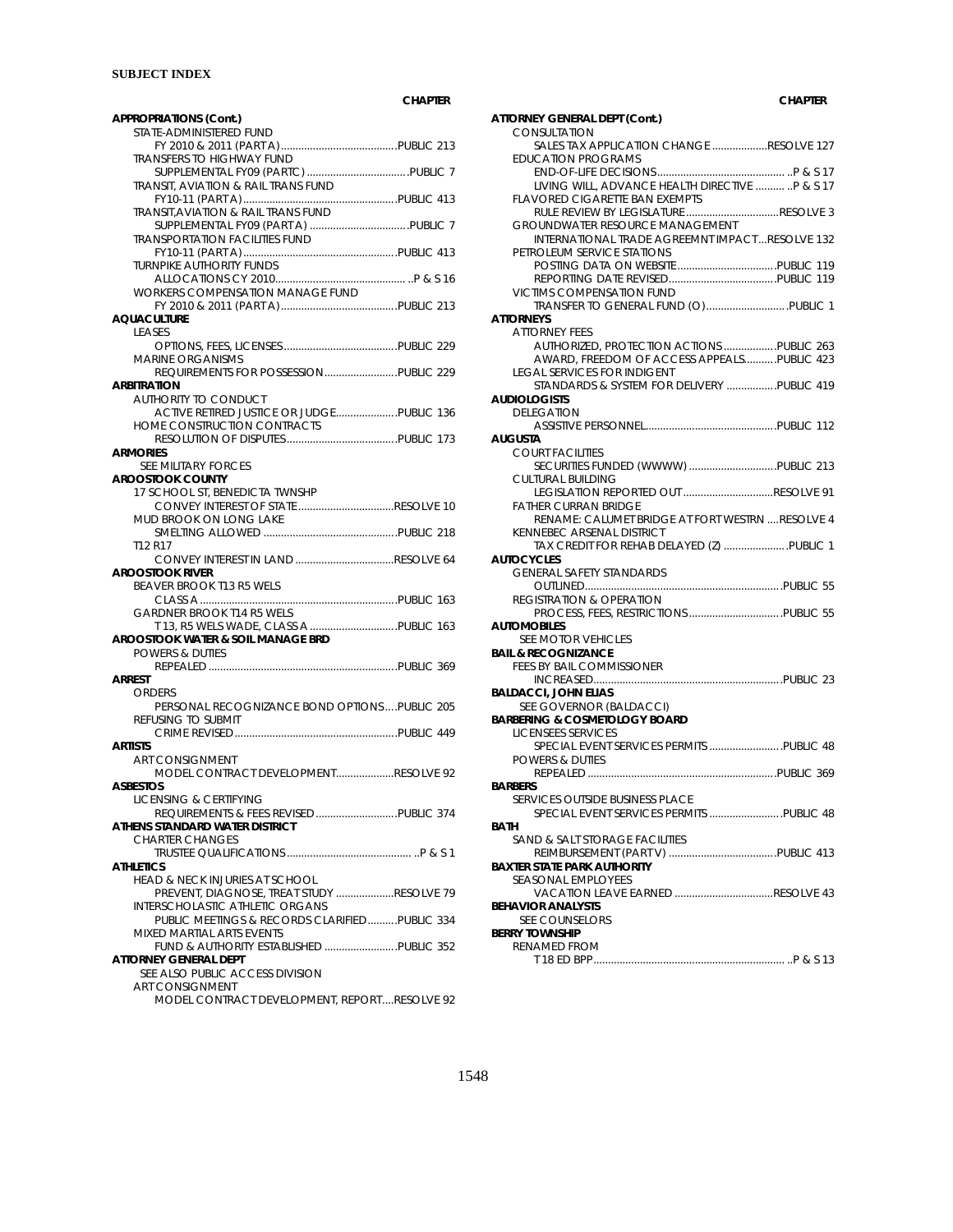|                                                    | <b>CHAPTER</b> |                                                          | <b>CHAPTER</b> |
|----------------------------------------------------|----------------|----------------------------------------------------------|----------------|
| <b>APPROPRIATIONS (Cont.)</b>                      |                | ATTORNEY GENERAL DEPT (Cont.)                            |                |
| STATE-ADMINISTERED FUND                            |                | CONSULTATION                                             |                |
|                                                    |                | SALES TAX APPLICATION CHANGE RESOLVE 12                  |                |
| <b>TRANSFERS TO HIGHWAY FUND</b>                   |                | <b>EDUCATION PROGRAMS</b>                                |                |
|                                                    |                |                                                          |                |
| TRANSIT, AVIATION & RAIL TRANS FUND                |                | LIVING WILL, ADVANCE HEALTH DIRECTIVE  P & S 1           |                |
|                                                    |                | FLAVORED CIGARETTE BAN EXEMPTS                           |                |
| TRANSIT, AVIATION & RAIL TRANS FUND                |                |                                                          |                |
|                                                    |                | <b>GROUNDWATER RESOURCE MANAGEMENT</b>                   |                |
| <b>TRANSPORTATION FACILITIES FUND</b>              |                | INTERNATIONAL TRADE AGREEMNT IMPACTRESOLVE 13            |                |
| <b>TURNPIKE AUTHORITY FUNDS</b>                    |                | PETROLEUM SERVICE STATIONS                               |                |
|                                                    |                |                                                          |                |
| WORKERS COMPENSATION MANAGE FUND                   |                | <b>VICTIMS COMPENSATION FUND</b>                         |                |
|                                                    |                |                                                          |                |
| <b>AQUACULTURE</b>                                 |                | <b>ATTORNEYS</b>                                         |                |
| LEASES                                             |                | <b>ATTORNEY FEES</b>                                     |                |
|                                                    |                | AUTHORIZED, PROTECTION ACTIONS  PUBLIC 26                |                |
| <b>MARINE ORGANISMS</b>                            |                | AWARD, FREEDOM OF ACCESS APPEALS PUBLIC 42               |                |
| REQUIREMENTS FOR POSSESSION PUBLIC 229             |                | <b>LEGAL SERVICES FOR INDIGENT</b>                       |                |
| <b>ARBITRATION</b>                                 |                | STANDARDS & SYSTEM FOR DELIVERY  PUBLIC 41               |                |
| AUTHORITY TO CONDUCT                               |                | <b>AUDIOLOGISTS</b>                                      |                |
| ACTIVE RETIRED JUSTICE OR JUDGE PUBLIC 136         |                | <b>DELEGATION</b>                                        |                |
| HOME CONSTRUCTION CONTRACTS                        |                |                                                          |                |
|                                                    |                | <b>AUGUSTA</b>                                           |                |
| <b>ARMORIES</b>                                    |                | <b>COURT FACILITIES</b>                                  |                |
| SEE MILITARY FORCES                                |                |                                                          |                |
| <b>AROOSTOOK COUNTY</b>                            |                | CULTURAL BUILDING                                        |                |
| 17 SCHOOL ST, BENEDICTA TWNSHP                     |                |                                                          |                |
|                                                    |                | <b>FATHER CURRAN BRIDGE</b>                              |                |
| MUD BROOK ON LONG LAKE                             |                | RENAME: CALUMET BRIDGE AT FORT WESTRN RESOLVE            |                |
|                                                    |                | <b>KENNEBEC ARSENAL DISTRICT</b>                         |                |
| T12 R17                                            |                | TAX CREDIT FOR REHAB DELAYED (Z)  PUBLIC                 |                |
|                                                    |                | <b>AUTOCYCLES</b>                                        |                |
| <b>AROOSTOOK RIVER</b>                             |                | <b>GENERAL SAFETY STANDARDS</b>                          |                |
| BEAVER BROOK T13 R5 WELS                           |                | REGISTRATION & OPERATION                                 |                |
| <b>GARDNER BROOK T14 R5 WELS</b>                   |                |                                                          |                |
|                                                    |                | <b>AUTOMOBILES</b>                                       |                |
| AROOSTOOK WATER & SOIL MANAGE BRD                  |                | SEE MOTOR VEHICLES                                       |                |
| POWERS & DUTIES                                    |                | <b>BAIL &amp; RECOGNIZANCE</b>                           |                |
|                                                    |                | FEES BY BAIL COMMISSIONER                                |                |
| <b>ARREST</b>                                      |                |                                                          |                |
| <b>ORDERS</b>                                      |                | <b>BALDACCI, JOHN ELIAS</b>                              |                |
| PERSONAL RECOGNIZANCE BOND OPTIONS  PUBLIC 205     |                | SEE GOVERNOR (BALDACCI)                                  |                |
| REFUSING TO SUBMIT                                 |                | <b>BARBERING &amp; COSMETOLOGY BOARD</b>                 |                |
|                                                    |                | LICENSEES SERVICES                                       |                |
| <b>ARTISTS</b>                                     |                | SPECIAL EVENT SERVICES PERMITS  PUBLIC 4                 |                |
| <b>ART CONSIGNMENT</b>                             |                | <b>POWERS &amp; DUTIES</b>                               |                |
| MODEL CONTRACT DEVELOPMENTRESOLVE 92               |                |                                                          |                |
| <b>ASBESTOS</b>                                    |                | <b>BARBERS</b>                                           |                |
| LICENSING & CERTIFYING                             |                | SERVICES OUTSIDE BUSINESS PLACE                          |                |
| REQUIREMENTS & FEES REVISED PUBLIC 374             |                | SPECIAL EVENT SERVICES PERMITS  PUBLIC 4                 |                |
| ATHENS STANDARD WATER DISTRICT                     |                | <b>BATH</b>                                              |                |
| <b>CHARTER CHANGES</b>                             |                | SAND & SALT STORAGE FACILITIES                           |                |
|                                                    |                |                                                          |                |
| <b>ATHLETICS</b><br>HEAD & NECK INJURIES AT SCHOOL |                | <b>BAXTER STATE PARK AUTHORITY</b><br>SEASONAL EMPLOYEES |                |
| PREVENT, DIAGNOSE, TREAT STUDY RESOLVE 79          |                |                                                          |                |
| INTERSCHOLASTIC ATHLETIC ORGANS                    |                | <b>BEHAVIOR ANALYSTS</b>                                 |                |
| PUBLIC MEETINGS & RECORDS CLARIFIED PUBLIC 334     |                | SEE COUNSELORS                                           |                |
| MIXED MARTIAL ARTS EVENTS                          |                | <b>BERRY TOWNSHIP</b>                                    |                |
|                                                    |                | RENAMED FROM                                             |                |
| ATTORNEY GENERAL DEPT                              |                |                                                          |                |
| SEE ALSO PUBLIC ACCESS DIVISION                    |                |                                                          |                |
| <b>ART CONSIGNMENT</b>                             |                |                                                          |                |
| MODEL CONTRACT DEVELOPMENT, REPORTRESOLVE 92       |                |                                                          |                |

| ATTORNEY GENERAL DEPT (Cont.)                                         |  |
|-----------------------------------------------------------------------|--|
| CONSULTATION                                                          |  |
| SALES TAX APPLICATION CHANGE RESOLVE 127<br><b>EDUCATION PROGRAMS</b> |  |
|                                                                       |  |
| LIVING WILL, ADVANCE HEALTH DIRECTIVE   P & S 17                      |  |
| <b>FLAVORED CIGARETTE BAN EXEMPTS</b>                                 |  |
| RULE REVIEW BY LEGISLATURE  RESOLVE 3                                 |  |
| <b>GROUNDWATER RESOURCE MANAGEMENT</b>                                |  |
| INTERNATIONAL TRADE AGREEMNT IMPACT  RESOLVE 132                      |  |
| PETROLEUM SERVICE STATIONS                                            |  |
|                                                                       |  |
| <b>VICTIMS COMPENSATION FUND</b>                                      |  |
|                                                                       |  |
| <b>ATTORNEYS</b>                                                      |  |
| <b>ATTORNEY FFFS</b>                                                  |  |
| AUTHORIZED, PROTECTION ACTIONS  PUBLIC 263                            |  |
| AWARD, FREEDOM OF ACCESS APPEALS PUBLIC 423                           |  |
| <b>LEGAL SERVICES FOR INDIGENT</b>                                    |  |
| STANDARDS & SYSTEM FOR DELIVERY  PUBLIC 419                           |  |
| <b>AUDIOLOGISTS</b>                                                   |  |
| <b>DELEGATION</b>                                                     |  |
| <b>AUGUSTA</b>                                                        |  |
| <b>COURT FACILITIES</b>                                               |  |
|                                                                       |  |
| <b>CULTURAL BUILDING</b>                                              |  |
|                                                                       |  |
| <b>FATHER CURRAN BRIDGE</b>                                           |  |
| RENAME: CALUMET BRIDGE AT FORT WESTRN RESOLVE 4                       |  |
| <b>KENNEBEC ARSENAL DISTRICT</b>                                      |  |
| TAX CREDIT FOR REHAB DELAYED (Z)  PUBLIC 1                            |  |
| <b>AUTOCYCLES</b>                                                     |  |
| <b>GENERAL SAFETY STANDARDS</b>                                       |  |
| <b>REGISTRATION &amp; OPERATION</b>                                   |  |
|                                                                       |  |
| <b>AUTOMOBILES</b>                                                    |  |
| SEE MOTOR VEHICLES                                                    |  |
| <b>BAIL &amp; RECOGNIZANCE</b>                                        |  |
| FEES BY BAIL COMMISSIONER                                             |  |
|                                                                       |  |
| <b>BALDACCI, JOHN ELIAS</b>                                           |  |
| SEE GOVERNOR (BALDACCI)                                               |  |
| <b>BARBERING &amp; COSMETOLOGY BOARD</b><br><b>LICENSEES SERVICES</b> |  |
| SPECIAL EVENT SERVICES PERMITS  PUBLIC 48                             |  |
| <b>POWERS &amp; DUTIES</b>                                            |  |
|                                                                       |  |
| <b>BARBERS</b>                                                        |  |
| SERVICES OUTSIDE BUSINESS PLACE                                       |  |
|                                                                       |  |
| <b>BATH</b>                                                           |  |
| SAND & SALT STORAGE FACILITIES                                        |  |
|                                                                       |  |
| <b>BAXTER STATE PARK AUTHORITY</b>                                    |  |
| SEASONAL EMPLOYEES                                                    |  |
| <b>BEHAVIOR ANALYSTS</b>                                              |  |
| <b>SEE COUNSELORS</b>                                                 |  |
| <b>BERRY TOWNSHIP</b>                                                 |  |
| RENAMED FROM                                                          |  |
|                                                                       |  |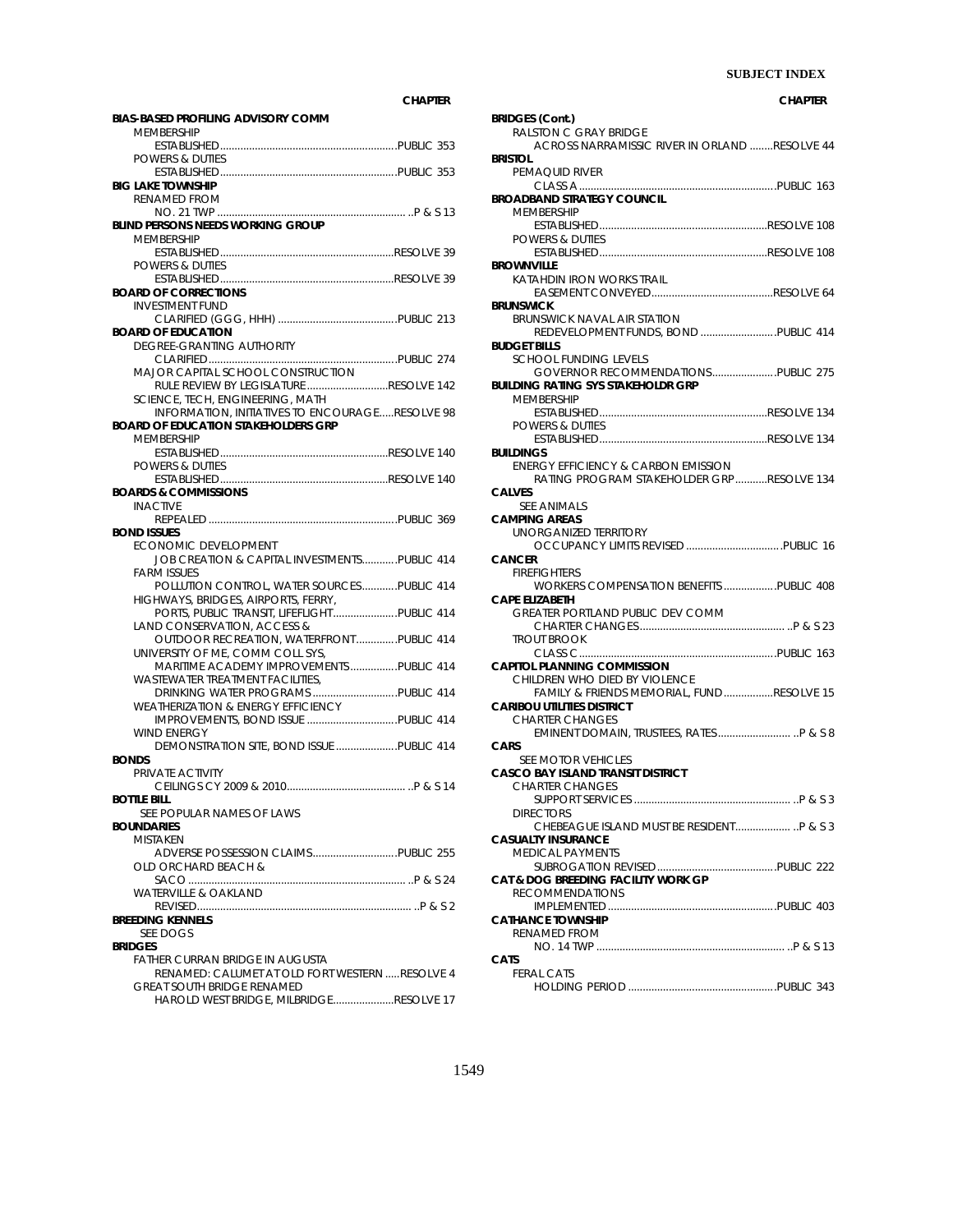| <b>CHAPTER</b>                                                                      |                                                               | <b>CHAPTER</b> |
|-------------------------------------------------------------------------------------|---------------------------------------------------------------|----------------|
| <b>BIAS-BASED PROFILING ADVISORY COMM</b>                                           | <b>BRIDGES (Cont.)</b>                                        |                |
| MEMBERSHIP                                                                          | RALSTON C GRAY BRIDGE                                         |                |
|                                                                                     | ACROSS NARRAMISSIC RIVER IN ORLAND RESOLVE 4                  |                |
| POWERS & DUTIES                                                                     | <b>BRISTOL</b>                                                |                |
|                                                                                     | PEMAQUID RIVER                                                |                |
| <b>BIG LAKE TOWNSHIP</b>                                                            |                                                               |                |
| RENAMED FROM                                                                        | <b>BROADBAND STRATEGY COUNCIL</b>                             |                |
|                                                                                     | MEMBERSHIP                                                    |                |
| BLIND PERSONS NEEDS WORKING GROUP                                                   |                                                               |                |
| MEMBERSHIP                                                                          | POWERS & DUTIES                                               |                |
|                                                                                     |                                                               |                |
| <b>POWERS &amp; DUTIES</b>                                                          | <b>BROWNVILLE</b>                                             |                |
|                                                                                     | KATAHDIN IRON WORKS TRAIL                                     |                |
| <b>BOARD OF CORRECTIONS</b>                                                         |                                                               |                |
| <b>INVESTMENT FUND</b>                                                              | <b>BRUNSWICK</b>                                              |                |
|                                                                                     | BRUNSWICK NAVAL AIR STATION                                   |                |
| <b>BOARD OF EDUCATION</b>                                                           | REDEVELOPMENT FUNDS, BOND  PUBLIC 41                          |                |
| DEGREE-GRANTING AUTHORITY                                                           | <b>BUDGET BILLS</b>                                           |                |
|                                                                                     | SCHOOL FUNDING LEVELS<br>GOVERNOR RECOMMENDATIONS PUBLIC 27   |                |
| MAJOR CAPITAL SCHOOL CONSTRUCTION<br>RULE REVIEW BY LEGISLATURE RESOLVE 142         |                                                               |                |
|                                                                                     | <b>BUILDING RATING SYS STAKEHOLDR GRP</b>                     |                |
| SCIENCE, TECH, ENGINEERING, MATH<br>INFORMATION, INITIATIVES TO ENCOURAGERESOLVE 98 | <b>MEMBERSHIP</b>                                             |                |
| <b>BOARD OF EDUCATION STAKEHOLDERS GRP</b>                                          | POWERS & DUTIES                                               |                |
| <b>MEMBERSHIP</b>                                                                   |                                                               |                |
|                                                                                     | <b>BUILDINGS</b>                                              |                |
| POWERS & DUTIES                                                                     | <b>ENERGY EFFICIENCY &amp; CARBON EMISSION</b>                |                |
|                                                                                     | RATING PROGRAM STAKEHOLDER GRP RESOLVE 13                     |                |
| <b>BOARDS &amp; COMMISSIONS</b>                                                     | <b>CALVES</b>                                                 |                |
| <b>INACTIVE</b>                                                                     | SEE ANIMALS                                                   |                |
|                                                                                     | <b>CAMPING AREAS</b>                                          |                |
| <b>BOND ISSUES</b>                                                                  | <b>UNORGANIZED TERRITORY</b>                                  |                |
| ECONOMIC DEVELOPMENT                                                                |                                                               |                |
| JOB CREATION & CAPITAL INVESTMENTS PUBLIC 414                                       | <b>CANCER</b>                                                 |                |
| <b>FARM ISSUES</b>                                                                  | <b>FIREFIGHTERS</b>                                           |                |
| POLLUTION CONTROL, WATER SOURCESPUBLIC 414                                          | WORKERS COMPENSATION BENEFITS  PUBLIC 40                      |                |
| HIGHWAYS, BRIDGES, AIRPORTS, FERRY,                                                 | <b>CAPE ELIZABETH</b>                                         |                |
| PORTS, PUBLIC TRANSIT, LIFEFLIGHT PUBLIC 414                                        | GREATER PORTLAND PUBLIC DEV COMM                              |                |
| LAND CONSERVATION, ACCESS &                                                         |                                                               |                |
| OUTDOOR RECREATION, WATERFRONT PUBLIC 414                                           | <b>TROUT BROOK</b>                                            |                |
| UNIVERSITY OF ME, COMM COLL SYS,                                                    |                                                               |                |
| MARITIME ACADEMY IMPROVEMENTSPUBLIC 414                                             | <b>CAPITOL PLANNING COMMISSION</b>                            |                |
| WASTEWATER TREATMENT FACILITIES.                                                    | CHILDREN WHO DIED BY VIOLENCE                                 |                |
|                                                                                     | FAMILY & FRIENDS MEMORIAL, FUND RESOLVE 1                     |                |
| <b>WEATHERIZATION &amp; ENERGY EFFICIENCY</b>                                       | <b>CARIBOU UTILITIES DISTRICT</b>                             |                |
|                                                                                     | <b>CHARTER CHANGES</b>                                        |                |
| <b>WIND ENERGY</b>                                                                  | EMINENT DOMAIN, TRUSTEES, RATES   P & S                       |                |
| DEMONSTRATION SITE, BOND ISSUE  PUBLIC 414                                          | CARS                                                          |                |
| <b>BONDS</b>                                                                        | SEE MOTOR VEHICLES                                            |                |
| PRIVATE ACTIVITY                                                                    | <b>CASCO BAY ISLAND TRANSIT DISTRICT</b>                      |                |
|                                                                                     | <b>CHARTER CHANGES</b>                                        |                |
| <b>BOTTLE BILL</b>                                                                  |                                                               |                |
| SEE POPULAR NAMES OF LAWS                                                           | <b>DIRECTORS</b>                                              |                |
| <b>BOUNDARIES</b>                                                                   | CHEBEAGUE ISLAND MUST BE RESIDENT  P & S                      |                |
| <b>MISTAKEN</b>                                                                     | <b>CASUALTY INSURANCE</b>                                     |                |
|                                                                                     | <b>MEDICAL PAYMENTS</b>                                       |                |
| OLD ORCHARD BEACH &                                                                 |                                                               |                |
| WATERVILLE & OAKLAND                                                                | CAT & DOG BREEDING FACILITY WORK GP<br><b>RECOMMENDATIONS</b> |                |
|                                                                                     |                                                               |                |
| <b>BREEDING KENNELS</b>                                                             | <b>CATHANCE TOWNSHIP</b>                                      |                |
| SEE DOGS                                                                            | RENAMED FROM                                                  |                |
| <b>BRIDGES</b>                                                                      |                                                               |                |
| <b>FATHER CURRAN BRIDGE IN AUGUSTA</b>                                              | <b>CATS</b>                                                   |                |
| RENAMED: CALUMET AT OLD FORT WESTERN RESOLVE 4                                      | <b>FERAL CATS</b>                                             |                |
| <b>GREAT SOUTH BRIDGE RENAMED</b>                                                   |                                                               |                |
| HAROLD WEST BRIDGE, MILBRIDGERESOLVE 17                                             |                                                               |                |
|                                                                                     |                                                               |                |

| <b>BRIDGES (Cont.)</b>                                                      |  |
|-----------------------------------------------------------------------------|--|
| RALSTON C GRAY BRIDGE<br>ACROSS NARRAMISSIC RIVER IN ORLAND RESOLVE 44      |  |
| <b>BRISTOL</b>                                                              |  |
| PEMAQUID RIVER                                                              |  |
|                                                                             |  |
| <b>BROADBAND STRATEGY COUNCIL</b>                                           |  |
| <b>MEMBERSHIP</b>                                                           |  |
|                                                                             |  |
| POWERS & DUTIES                                                             |  |
| <b>BROWNVILLE</b>                                                           |  |
| KATAHDIN IRON WORKS TRAIL                                                   |  |
|                                                                             |  |
| <b>BRUNSWICK</b>                                                            |  |
| <b>BRUNSWICK NAVAL AIR STATION</b>                                          |  |
| REDEVELOPMENT FUNDS, BOND  PUBLIC 414                                       |  |
| <b>BUDGET BILLS</b>                                                         |  |
| <b>SCHOOL FUNDING LEVELS</b><br>GOVERNOR RECOMMENDATIONS PUBLIC 275         |  |
| <b>BUILDING RATING SYS STAKEHOLDR GRP</b>                                   |  |
| <b>MEMBERSHIP</b>                                                           |  |
|                                                                             |  |
| POWERS & DUTIES                                                             |  |
|                                                                             |  |
| <b>BUILDINGS</b><br><b>ENERGY FEFICIENCY &amp; CARBON EMISSION</b>          |  |
| RATING PROGRAM STAKEHOLDER GRPRESOLVE 134                                   |  |
| <b>CALVES</b>                                                               |  |
| SEE ANIMALS                                                                 |  |
| <b>CAMPING AREAS</b>                                                        |  |
| <b>UNORGANIZED TERRITORY</b>                                                |  |
|                                                                             |  |
| <b>CANCER</b>                                                               |  |
| <b>FIREFIGHTERS</b><br>WORKERS COMPENSATION BENEFITS  PUBLIC 408            |  |
| <b>CAPE ELIZABETH</b>                                                       |  |
| GREATER PORTLAND PUBLIC DEV COMM                                            |  |
|                                                                             |  |
| <b>TROUT BROOK</b>                                                          |  |
|                                                                             |  |
| <b>CAPITOL PLANNING COMMISSION</b>                                          |  |
| CHILDREN WHO DIED BY VIOLENCE<br>FAMILY & FRIENDS MEMORIAL, FUND RESOLVE 15 |  |
| <b>CARIBOU UTILITIES DISTRICT</b>                                           |  |
| <b>CHARTER CHANGES</b>                                                      |  |
| EMINENT DOMAIN, TRUSTEES, RATES P & S 8                                     |  |
| CARS                                                                        |  |
| <b>SEE MOTOR VEHICLES</b>                                                   |  |
| CASCO BAY ISLAND TRANSIT DISTRICT<br><b>CHARTER CHANGES</b>                 |  |
|                                                                             |  |
| <b>DIRECTORS</b>                                                            |  |
| CHEBEAGUE ISLAND MUST BE RESIDENT P & S 3                                   |  |
| <b>CASUALTY INSURANCE</b>                                                   |  |
| <b>MEDICAL PAYMENTS</b>                                                     |  |
|                                                                             |  |
| CAT & DOG BREEDING FACILITY WORK GP<br><b>RECOMMENDATIONS</b>               |  |
|                                                                             |  |
| <b>CATHANCE TOWNSHIP</b>                                                    |  |
| RENAMED FROM                                                                |  |
|                                                                             |  |
| CATS                                                                        |  |
| <b>FERAL CATS</b>                                                           |  |
|                                                                             |  |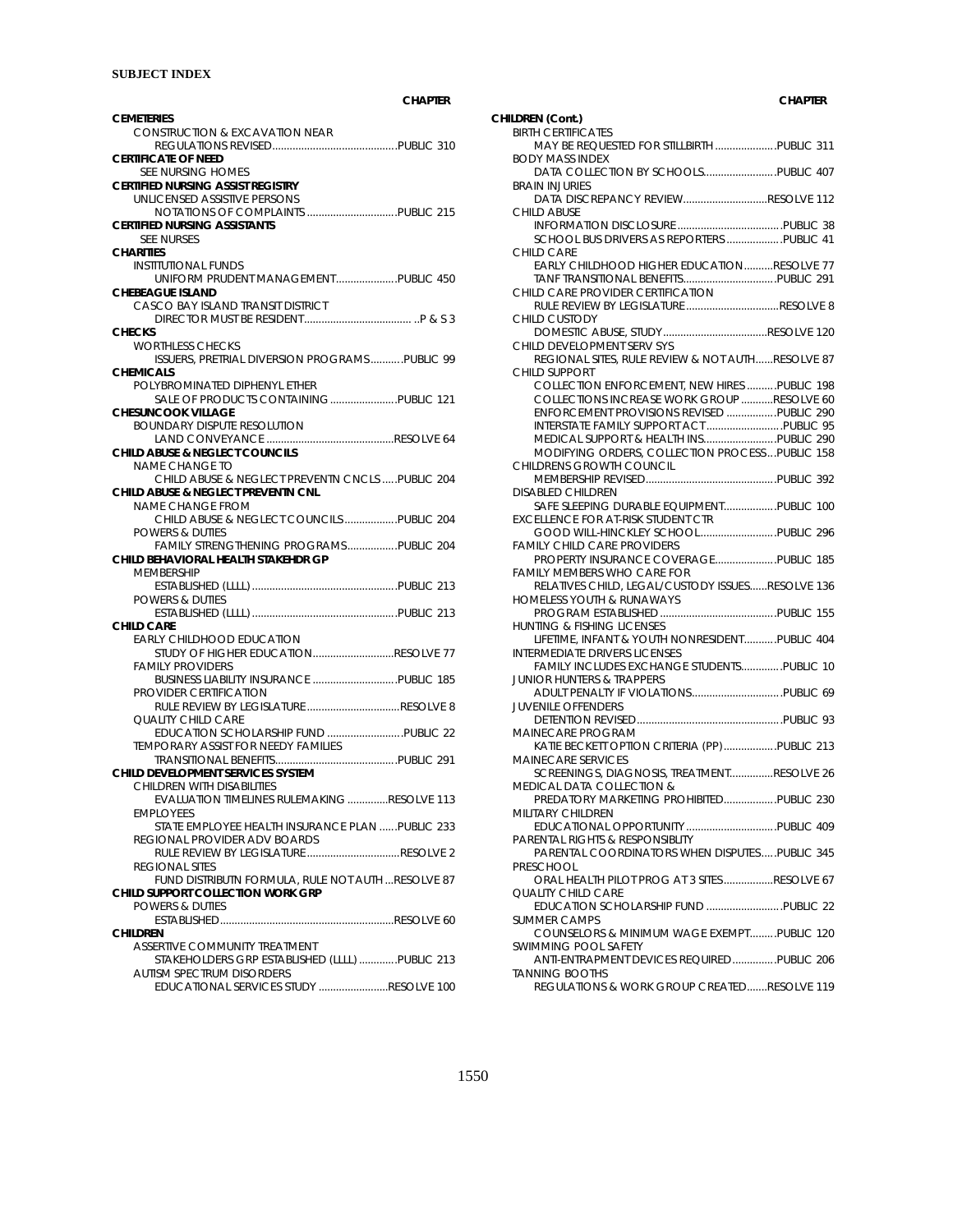| <b>CEMETERIES</b>                                                                   |  |
|-------------------------------------------------------------------------------------|--|
| <b>CONSTRUCTION &amp; EXCAVATION NEAR</b>                                           |  |
| <b>CERTIFICATE OF NEED</b>                                                          |  |
| SEE NURSING HOMES                                                                   |  |
| <b>CERTIFIED NURSING ASSIST REGISTRY</b>                                            |  |
| UNLICENSED ASSISTIVE PERSONS                                                        |  |
| <b>CERTIFIED NURSING ASSISTANTS</b>                                                 |  |
| <b>SEE NURSES</b>                                                                   |  |
| <b>CHARITIES</b><br><b>INSTITUTIONAL FUNDS</b>                                      |  |
| UNIFORM PRUDENT MANAGEMENT PUBLIC 450                                               |  |
| <b>CHEBEAGUE ISLAND</b>                                                             |  |
| CASCO BAY ISI AND TRANSIT DISTRICT                                                  |  |
|                                                                                     |  |
| <b>CHECKS</b>                                                                       |  |
| <b>WORTHLESS CHECKS</b><br>ISSUERS, PRETRIAL DIVERSION PROGRAMSPUBLIC 99            |  |
| <b>CHEMICALS</b>                                                                    |  |
| POLYBROMINATED DIPHENYL ETHER                                                       |  |
| SALE OF PRODUCTS CONTAINING PUBLIC 121                                              |  |
| <b>CHESUNCOOK VILLAGE</b>                                                           |  |
| <b>BOUNDARY DISPUTE RESOLUTION</b>                                                  |  |
| <b>CHILD ABUSE &amp; NEGLECT COUNCILS</b>                                           |  |
| NAME CHANGE TO                                                                      |  |
| CHILD ABUSE & NEGLECT PREVENTN CNCLS  PUBLIC 204                                    |  |
| <b>CHILD ABUSE &amp; NEGLECT PREVENTN CNL</b>                                       |  |
| NAME CHANGE FROM                                                                    |  |
| CHILD ABUSE & NEGLECT COUNCILS  PUBLIC 204                                          |  |
| POWERS & DUTIES                                                                     |  |
|                                                                                     |  |
| FAMILY STRENGTHENING PROGRAMS PUBLIC 204                                            |  |
| CHILD BEHAVIORAL HEALTH STAKEHDR GP<br>MEMBERSHIP                                   |  |
|                                                                                     |  |
| POWERS & DUTIES                                                                     |  |
|                                                                                     |  |
| <b>CHILD CARE</b>                                                                   |  |
| <b>EARLY CHILDHOOD EDUCATION</b><br>STUDY OF HIGHER EDUCATIONRESOLVE 77             |  |
| <b>FAMILY PROVIDERS</b>                                                             |  |
| BUSINESS LIABILITY INSURANCE  PUBLIC 185                                            |  |
| <b>PROVIDER CERTIFICATION</b>                                                       |  |
| RULE REVIEW BY LEGISLATURE  RESOLVE 8                                               |  |
| QUALITY CHILD CARE<br>EDUCATION SCHOLARSHIP FUND  PUBLIC 22                         |  |
| <b>TEMPORARY ASSIST FOR NEEDY FAMILIES</b>                                          |  |
|                                                                                     |  |
| CHILD DEVELOPMENT SERVICES SYSTEM                                                   |  |
| CHILDREN WITH DISABILITIES                                                          |  |
| EVALUATION TIMELINES RULEMAKING RESOLVE 113                                         |  |
| <b>EMPLOYEES</b><br>STATE EMPLOYEE HEALTH INSURANCE PLAN  PUBLIC 233                |  |
| REGIONAL PROVIDER ADV BOARDS                                                        |  |
| RULE REVIEW BY LEGISLATURE  RESOLVE 2                                               |  |
| <b>REGIONAL SITES</b>                                                               |  |
| FUND DISTRIBUTN FORMULA, RULE NOT AUTH RESOLVE 87                                   |  |
| CHILD SUPPORT COLLECTION WORK GRP<br>POWERS & DUTIES                                |  |
|                                                                                     |  |
| <b>CHILDREN</b>                                                                     |  |
| ASSERTIVE COMMUNITY TREATMENT                                                       |  |
| STAKEHOLDERS GRP ESTABLISHED (LLLL)  PUBLIC 213<br><b>AUTISM SPECTRUM DISORDERS</b> |  |

| <b>CHILDREN (Cont.)</b>                              |
|------------------------------------------------------|
| <b>BIRTH CERTIFICATES</b>                            |
| MAY BE REQUESTED FOR STILLBIRTH  PUBLIC 311          |
| <b>BODY MASS INDEX</b>                               |
| DATA COLLECTION BY SCHOOLS PUBLIC 407                |
| <b>BRAIN INJURIES</b>                                |
| DATA DISCREPANCY REVIEWRESOLVE 112                   |
| <b>CHILD ABUSE</b>                                   |
|                                                      |
| SCHOOL BUS DRIVERS AS REPORTERS  PUBLIC 41           |
| <b>CHILD CARE</b>                                    |
| EARLY CHILDHOOD HIGHER EDUCATIONRESOLVE 77           |
|                                                      |
| CHILD CARE PROVIDER CERTIFICATION                    |
|                                                      |
| CHILD CUSTODY                                        |
|                                                      |
| CHILD DEVELOPMENT SERV SYS                           |
| REGIONAL SITES, RULE REVIEW & NOT AUTHRESOLVE 87     |
| CHILD SUPPORT                                        |
|                                                      |
| COLLECTION ENFORCEMENT, NEW HIRES  PUBLIC 198        |
| COLLECTIONS INCREASE WORK GROUP RESOLVE 60           |
| ENFORCEMENT PROVISIONS REVISED  PUBLIC 290           |
| INTERSTATE FAMILY SUPPORT ACT  PUBLIC 95             |
|                                                      |
| MODIFYING ORDERS, COLLECTION PROCESS PUBLIC 158      |
| CHILDRENS GROWTH COUNCIL                             |
|                                                      |
| <b>DISABLED CHILDREN</b>                             |
| SAFE SLEEPING DURABLE EQUIPMENT PUBLIC 100           |
| EXCELLENCE FOR AT-RISK STUDENT CTR                   |
| GOOD WILL-HINCKLEY SCHOOL  PUBLIC 296                |
| <b>FAMILY CHILD CARE PROVIDERS</b>                   |
| PROPERTY INSURANCE COVERAGE PUBLIC 185               |
| <b>FAMILY MEMBERS WHO CARE FOR</b>                   |
| RELATIVES CHILD, LEGAL/CUSTODY ISSUESRESOLVE 136     |
| <b>HOMELESS YOUTH &amp; RUNAWAYS</b>                 |
|                                                      |
| HUNTING & FISHING LICENSES                           |
| LIFETIME, INFANT & YOUTH NONRESIDENTPUBLIC 404       |
| <b>INTERMEDIATE DRIVERS LICENSES</b>                 |
| FAMILY INCLUDES EXCHANGE STUDENTS PUBLIC 10          |
|                                                      |
| JUNIOR HUNTERS & TRAPPERS                            |
|                                                      |
| <b>JUVENILE OFFENDERS</b>                            |
|                                                      |
| <b>MAINECARE PROGRAM</b>                             |
| KATIE BECKETT OPTION CRITERIA (PP)PUBLIC 213         |
| <b>MAINECARE SERVICES</b>                            |
| SCREENINGS, DIAGNOSIS, TREATMENTRESOLVE 26           |
| MEDICAL DATA COLLECTION &                            |
| PREDATORY MARKETING PROHIBITED PUBLIC 230            |
| MILITARY CHILDREN                                    |
|                                                      |
| PARENTAL RIGHTS & RESPONSIBLITY                      |
| <b>PARENTAL COORDINATORS WHEN DISPUTESPUBLIC 345</b> |
| PRESCHOOL                                            |
| ORAL HEALTH PILOT PROG AT 3 SITES  RESOLVE 67        |
| QUALITY CHILD CARE                                   |
| EDUCATION SCHOLARSHIP FUND  PUBLIC 22                |
| <b>SUMMER CAMPS</b>                                  |
| COUNSELORS & MINIMUM WAGE EXEMPTPUBLIC 120           |
| SWIMMING POOL SAFETY                                 |
| ANTI-ENTRAPMENT DEVICES REQUIRED PUBLIC 206          |
| <b>TANNING BOOTHS</b>                                |
| REGULATIONS & WORK GROUP CREATEDRESOLVE 119          |
|                                                      |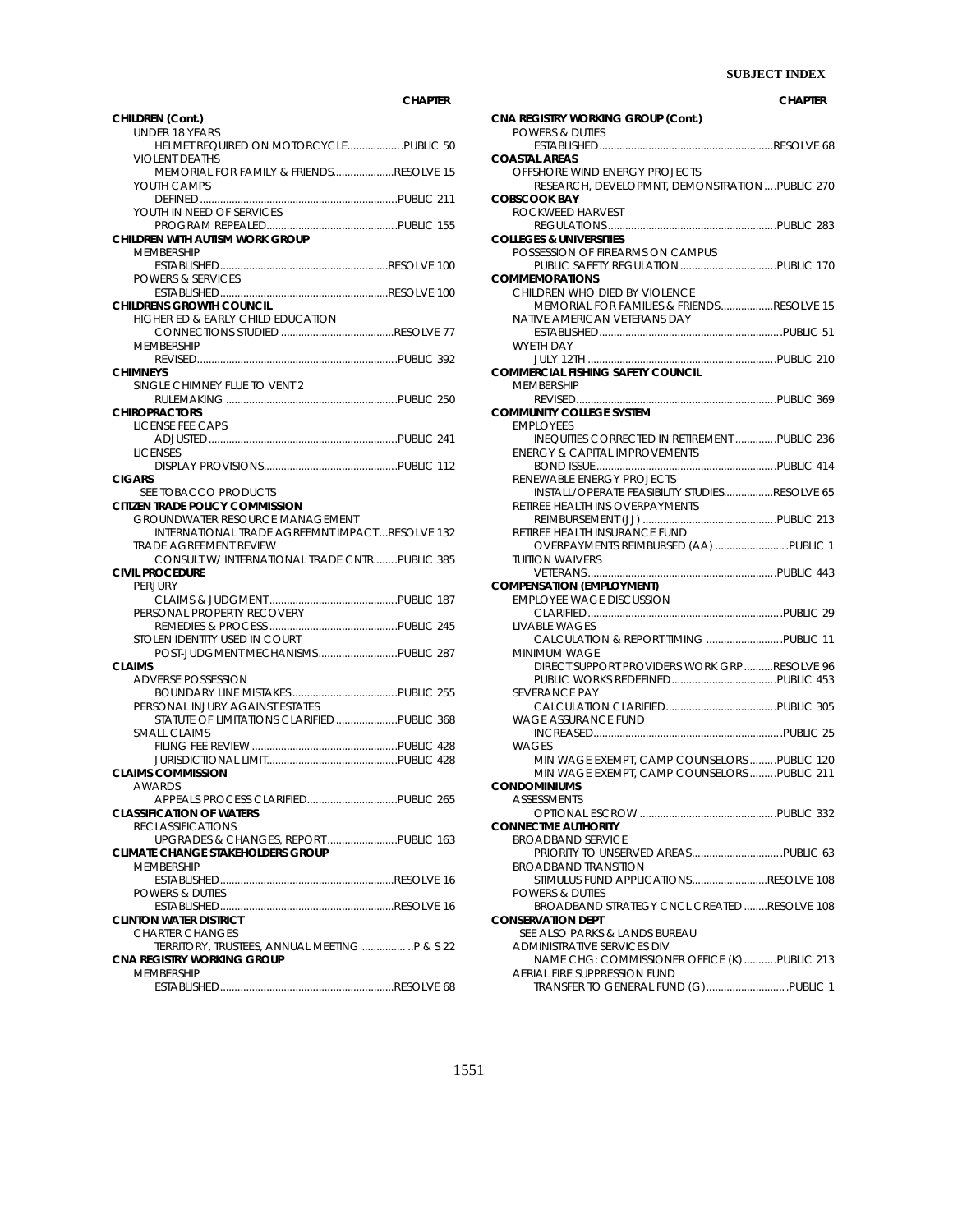| CHILDREN (Cont.)                                                                   |  |
|------------------------------------------------------------------------------------|--|
| <b>UNDER 18 YEARS</b>                                                              |  |
| HELMET REQUIRED ON MOTORCYCLE PUBLIC 50                                            |  |
| <b>VIOLENT DEATHS</b><br>MEMORIAL FOR FAMILY & FRIENDSRESOLVE 15                   |  |
| YOUTH CAMPS                                                                        |  |
|                                                                                    |  |
| YOUTH IN NEED OF SERVICES                                                          |  |
|                                                                                    |  |
| CHILDREN WITH AUTISM WORK GROUP                                                    |  |
| <b>MEMBERSHIP</b>                                                                  |  |
| POWERS & SERVICES                                                                  |  |
|                                                                                    |  |
| <b>CHILDRENS GROWTH COUNCIL</b>                                                    |  |
| HIGHER ED & EARLY CHILD EDUCATION                                                  |  |
|                                                                                    |  |
| <b>MEMBERSHIP</b>                                                                  |  |
|                                                                                    |  |
| <b>CHIMNEYS</b>                                                                    |  |
| SINGLE CHIMNEY FLUE TO VENT 2                                                      |  |
| <b>CHIROPRACTORS</b>                                                               |  |
| LICENSE FEE CAPS                                                                   |  |
|                                                                                    |  |
| <b>LICENSES</b>                                                                    |  |
|                                                                                    |  |
| <b>CIGARS</b>                                                                      |  |
| SEE TOBACCO PRODUCTS                                                               |  |
| <b>CITIZEN TRADE POLICY COMMISSION</b><br><b>GROUNDWATER RESOURCE MANAGEMENT</b>   |  |
| INTERNATIONAL TRADE AGREEMNT IMPACT RESOLVE 132                                    |  |
| <b>TRADE AGREEMENT REVIEW</b>                                                      |  |
| CONSULT W/ INTERNATIONAL TRADE CNTR PUBLIC 385                                     |  |
| <b>CIVIL PROCEDURE</b>                                                             |  |
| PERJURY                                                                            |  |
|                                                                                    |  |
| PERSONAL PROPERTY RECOVERY                                                         |  |
| STOLEN IDENTITY USED IN COURT                                                      |  |
|                                                                                    |  |
| <b>CLAIMS</b>                                                                      |  |
| <b>ADVERSE POSSESSION</b>                                                          |  |
|                                                                                    |  |
| PERSONAL INJURY AGAINST ESTATES                                                    |  |
|                                                                                    |  |
| <b>SMALL CLAIMS</b>                                                                |  |
|                                                                                    |  |
| <b>CLAIMS COMMISSION</b>                                                           |  |
| <b>AWARDS</b>                                                                      |  |
|                                                                                    |  |
| <b>CLASSIFICATION OF WATERS</b>                                                    |  |
| <b>RECLASSIFICATIONS</b>                                                           |  |
| UPGRADES & CHANGES, REPORT  PUBLIC 163<br><b>CLIMATE CHANGE STAKEHOLDERS GROUP</b> |  |
| <b>MFMBFRSHIP</b>                                                                  |  |
|                                                                                    |  |
| <b>POWERS &amp; DUTIES</b>                                                         |  |
|                                                                                    |  |
| <b>CLINTON WATER DISTRICT</b>                                                      |  |
| <b>CHARTER CHANGES</b>                                                             |  |
| TERRITORY, TRUSTEES, ANNUAL MEETING  P & S 22                                      |  |
| CNA REGISTRY WORKING GROUP<br>MEMBERSHIP                                           |  |
|                                                                                    |  |
|                                                                                    |  |

|                                                                                            | <b>CHAPTER</b> |                                                                        | <b>CHAPTER</b> |
|--------------------------------------------------------------------------------------------|----------------|------------------------------------------------------------------------|----------------|
| CHILDREN (Cont.)                                                                           |                | CNA REGISTRY WORKING GROUP (Cont.)                                     |                |
| <b>UNDER 18 YEARS</b>                                                                      |                | POWERS & DUTIES                                                        |                |
| HELMET REQUIRED ON MOTORCYCLE PUBLIC 50                                                    |                |                                                                        |                |
| <b>VIOLENT DEATHS</b>                                                                      |                | <b>COASTAL AREAS</b>                                                   |                |
| MEMORIAL FOR FAMILY & FRIENDSRESOLVE 15                                                    |                | OFFSHORE WIND ENERGY PROJECTS                                          |                |
| YOUTH CAMPS                                                                                |                | RESEARCH, DEVELOPMNT, DEMONSTRATION  PUBLIC 270                        |                |
|                                                                                            |                | <b>COBSCOOK BAY</b>                                                    |                |
| YOUTH IN NEED OF SERVICES                                                                  |                | ROCKWEED HARVEST                                                       |                |
|                                                                                            |                |                                                                        |                |
| Children with Autism work group<br><b>MFMBFRSHIP</b>                                       |                | <b>COLLEGES &amp; UNIVERSITIES</b><br>POSSESSION OF FIREARMS ON CAMPUS |                |
|                                                                                            |                |                                                                        |                |
| POWERS & SERVICES                                                                          |                | <b>COMMEMORATIONS</b>                                                  |                |
|                                                                                            |                | CHILDREN WHO DIED BY VIOLENCE                                          |                |
| <b>CHILDRENS GROWTH COUNCIL</b>                                                            |                | MEMORIAL FOR FAMILIES & FRIENDS  RESOLVE 15                            |                |
| HIGHER ED & EARLY CHILD EDUCATION                                                          |                | NATIVE AMERICAN VETERANS DAY                                           |                |
|                                                                                            |                |                                                                        |                |
| <b>MEMBERSHIP</b>                                                                          |                | WYETH DAY                                                              |                |
|                                                                                            |                |                                                                        |                |
| <b>CHIMNEYS</b>                                                                            |                | <b>COMMERCIAL FISHING SAFETY COUNCIL</b>                               |                |
| SINGLE CHIMNEY FLUE TO VENT 2                                                              |                | MEMBERSHIP                                                             |                |
|                                                                                            |                |                                                                        |                |
| <b>CHIROPRACTORS</b>                                                                       |                | <b>COMMUNITY COLLEGE SYSTEM</b>                                        |                |
| LICENSE FEE CAPS                                                                           |                | <b>EMPLOYEES</b>                                                       |                |
|                                                                                            |                | INEQUITIES CORRECTED IN RETIREMENT  PUBLIC 236                         |                |
| <b>LICENSES</b>                                                                            |                | <b>ENERGY &amp; CAPITAL IMPROVEMENTS</b>                               |                |
|                                                                                            |                |                                                                        |                |
| <b>CIGARS</b>                                                                              |                | RENEWABLE ENERGY PROJECTS                                              |                |
| SEE TOBACCO PRODUCTS                                                                       |                | INSTALL/OPERATE FEASIBILITY STUDIESRESOLVE 65                          |                |
| CITIZEN TRADE POLICY COMMISSION                                                            |                | RETIREE HEALTH INS OVERPAYMENTS                                        |                |
| <b>GROUNDWATER RESOURCE MANAGEMENT</b><br>INTERNATIONAL TRADE AGREEMNT IMPACT  RESOLVE 132 |                | RETIREE HEALTH INSURANCE FUND                                          |                |
| TRADE AGREEMENT REVIEW                                                                     |                |                                                                        |                |
| CONSULT W/ INTERNATIONAL TRADE CNTR PUBLIC 385                                             |                | <b>TUITION WAIVERS</b>                                                 |                |
| <b>CIVIL PROCEDURE</b>                                                                     |                |                                                                        |                |
| PERJURY                                                                                    |                | <b>COMPENSATION (EMPLOYMENT)</b>                                       |                |
|                                                                                            |                | <b>EMPLOYEE WAGE DISCUSSION</b>                                        |                |
| PERSONAL PROPERTY RECOVERY                                                                 |                |                                                                        |                |
|                                                                                            |                | LIVABLE WAGES                                                          |                |
| STOLEN IDENTITY USED IN COURT                                                              |                |                                                                        |                |
|                                                                                            |                | <b>MINIMUM WAGE</b>                                                    |                |
| <b>CLAIMS</b>                                                                              |                | DIRECT SUPPORT PROVIDERS WORK GRP RESOLVE 96                           |                |
| <b>ADVERSE POSSESSION</b>                                                                  |                |                                                                        |                |
|                                                                                            |                | <b>SEVERANCE PAY</b>                                                   |                |
| PERSONAL INJURY AGAINST ESTATES                                                            |                |                                                                        |                |
| STATUTE OF LIMITATIONS CLARIFIED  PUBLIC 368                                               |                | <b>WAGE ASSURANCE FUND</b>                                             |                |
| <b>SMALL CLAIMS</b>                                                                        |                |                                                                        |                |
|                                                                                            |                | <b>WAGES</b>                                                           |                |
|                                                                                            |                | MIN WAGE EXEMPT, CAMP COUNSELORS  PUBLIC 120                           |                |
| <b>CLAIMS COMMISSION</b>                                                                   |                | MIN WAGE EXEMPT, CAMP COUNSELORS  PUBLIC 211                           |                |
| <b>AWARDS</b>                                                                              |                | <b>CONDOMINIUMS</b>                                                    |                |
|                                                                                            |                | ASSESSMENTS                                                            |                |
| <b>CLASSIFICATION OF WATERS</b>                                                            |                |                                                                        |                |
| <b>RECLASSIFICATIONS</b><br>UPGRADES & CHANGES, REPORT  PUBLIC 163                         |                | <b>CONNECTME AUTHORITY</b><br><b>BROADBAND SERVICE</b>                 |                |
| CLIMATE CHANGE STAKEHOLDERS GROUP                                                          |                |                                                                        |                |
| MEMBERSHIP                                                                                 |                | <b>BROADBAND TRANSITION</b>                                            |                |
|                                                                                            |                | STIMULUS FUND APPLICATIONSRESOLVE 108                                  |                |
| <b>POWERS &amp; DUTIES</b>                                                                 |                | POWERS & DUTIES                                                        |                |
|                                                                                            |                | BROADBAND STRATEGY CNCL CREATED RESOLVE 108                            |                |
| <b>CLINTON WATER DISTRICT</b>                                                              |                | <b>CONSERVATION DEPT</b>                                               |                |
| <b>CHARTER CHANGES</b>                                                                     |                | SEE ALSO PARKS & LANDS BUREAU                                          |                |
| TERRITORY, TRUSTEES, ANNUAL MEETING  P & S 22                                              |                | ADMINISTRATIVE SERVICES DIV                                            |                |
| CNA REGISTRY WORKING GROUP                                                                 |                | NAME CHG: COMMISSIONER OFFICE (K)  PUBLIC 213                          |                |
| MEMBERSHIP                                                                                 |                | AERIAL FIRE SUPPRESSION FUND                                           |                |
|                                                                                            |                |                                                                        |                |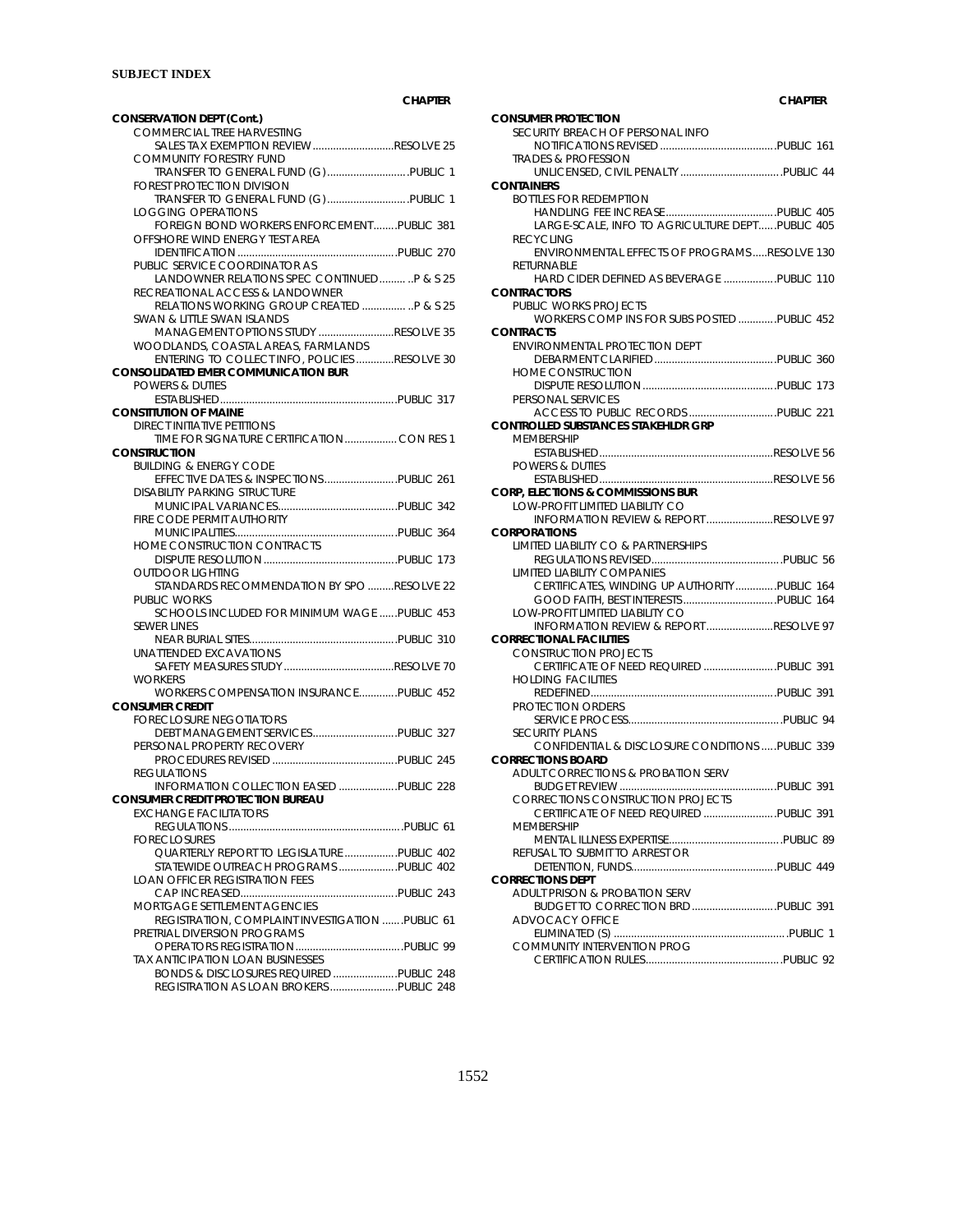|                                                  | <b>CHAPTER</b> | <b>CHAPTER</b>                                                           |
|--------------------------------------------------|----------------|--------------------------------------------------------------------------|
| <b>CONSERVATION DEPT (Cont.)</b>                 |                | <b>CONSUMER PROTECTION</b>                                               |
| <b>COMMERCIAL TREE HARVESTING</b>                |                | SECURITY BREACH OF PERSONAL INFO                                         |
| SALES TAX EXEMPTION REVIEW  RESOLVE 25           |                |                                                                          |
| <b>COMMUNITY FORESTRY FUND</b>                   |                | <b>TRADES &amp; PROFESSION</b>                                           |
|                                                  |                |                                                                          |
| <b>FOREST PROTECTION DIVISION</b>                |                | <b>CONTAINERS</b>                                                        |
|                                                  |                | <b>BOTTLES FOR REDEMPTION</b>                                            |
| <b>LOGGING OPERATIONS</b>                        |                |                                                                          |
| FOREIGN BOND WORKERS ENFORCEMENT PUBLIC 381      |                | LARGE-SCALE, INFO TO AGRICULTURE DEPTPUBLIC 40                           |
| OFFSHORE WIND ENERGY TEST AREA                   |                | <b>RECYCLING</b>                                                         |
|                                                  |                | <b>ENVIRONMENTAL EFFECTS OF PROGRAMS  RESOLVE 13</b>                     |
| PUBLIC SERVICE COORDINATOR AS                    |                | <b>RETURNABLE</b>                                                        |
| LANDOWNER RELATIONS SPEC CONTINUED P & S 25      |                | HARD CIDER DEFINED AS BEVERAGE  PUBLIC 11                                |
| RECREATIONAL ACCESS & LANDOWNER                  |                | <b>CONTRACTORS</b>                                                       |
| RELATIONS WORKING GROUP CREATED  P & S 25        |                | PUBLIC WORKS PROJECTS                                                    |
| SWAN & LITTLE SWAN ISLANDS                       |                | WORKERS COMP INS FOR SUBS POSTED  PUBLIC 45                              |
| MANAGEMENT OPTIONS STUDY RESOLVE 35              |                | <b>CONTRACTS</b>                                                         |
| WOODLANDS, COASTAL AREAS, FARMLANDS              |                | ENVIRONMENTAL PROTECTION DEPT                                            |
| ENTERING TO COLLECT INFO, POLICIES RESOLVE 30    |                |                                                                          |
| <b>CONSOLIDATED EMER COMMUNICATION BUR</b>       |                | <b>HOME CONSTRUCTION</b>                                                 |
| <b>POWERS &amp; DUTIES</b>                       |                |                                                                          |
|                                                  |                | PERSONAL SERVICES                                                        |
| <b>CONSTITUTION OF MAINE</b>                     |                |                                                                          |
| <b>DIRECT INITIATIVE PETITIONS</b>               |                | <b>CONTROLLED SUBSTANCES STAKEHLDR GRP</b>                               |
| TIME FOR SIGNATURE CERTIFICATION  CON RES 1      |                | <b>MEMBERSHIP</b>                                                        |
| <b>CONSTRUCTION</b>                              |                |                                                                          |
| <b>BUILDING &amp; ENERGY CODE</b>                |                | POWERS & DUTIES                                                          |
| EFFECTIVE DATES & INSPECTIONS PUBLIC 261         |                |                                                                          |
| <b>DISABILITY PARKING STRUCTURE</b>              |                | <b>CORP. ELECTIONS &amp; COMMISSIONS BUR</b>                             |
|                                                  |                | LOW-PROFIT LIMITED LIABILITY CO                                          |
| FIRE CODE PERMIT AUTHORITY                       |                | <b>INFORMATION REVIEW &amp; REPORT  RESOLVE 9</b>                        |
|                                                  |                | <b>CORPORATIONS</b>                                                      |
| HOME CONSTRUCTION CONTRACTS                      |                | LIMITED LIABILITY CO & PARTNERSHIPS                                      |
|                                                  |                |                                                                          |
| OUTDOOR LIGHTING                                 |                | LIMITED LIABILITY COMPANIES                                              |
| STANDARDS RECOMMENDATION BY SPO RESOLVE 22       |                | CERTIFICATES, WINDING UP AUTHORITY PUBLIC 16                             |
|                                                  |                |                                                                          |
| <b>PUBLIC WORKS</b>                              |                |                                                                          |
| SCHOOLS INCLUDED FOR MINIMUM WAGE  PUBLIC 453    |                | LOW-PROFIT LIMITED LIABILITY CO<br>INFORMATION REVIEW & REPORT RESOLVE 9 |
| <b>SEWER LINES</b>                               |                |                                                                          |
|                                                  |                | <b>CORRECTIONAL FACILITIES</b>                                           |
| UNATTENDED EXCAVATIONS                           |                | <b>CONSTRUCTION PROJECTS</b><br>CERTIFICATE OF NEED REQUIRED  PUBLIC 39  |
|                                                  |                |                                                                          |
| <b>WORKERS</b>                                   |                | <b>HOLDING FACILITIES</b>                                                |
| WORKERS COMPENSATION INSURANCEPUBLIC 452         |                |                                                                          |
| <b>CONSUMER CREDIT</b>                           |                | PROTECTION ORDERS                                                        |
| <b>FORECLOSURE NEGOTIATORS</b>                   |                |                                                                          |
|                                                  |                | <b>SECURITY PLANS</b>                                                    |
| PERSONAL PROPERTY RECOVERY                       |                | CONFIDENTIAL & DISCLOSURE CONDITIONS  PUBLIC 33                          |
|                                                  |                | <b>CORRECTIONS BOARD</b>                                                 |
| <b>REGULATIONS</b>                               |                | <b>ADULT CORRECTIONS &amp; PROBATION SERV</b>                            |
| INFORMATION COLLECTION EASED  PUBLIC 228         |                |                                                                          |
| <b>CONSUMER CREDIT PROTECTION BUREAU</b>         |                | <b>CORRECTIONS CONSTRUCTION PROJECTS</b>                                 |
| <b>EXCHANGE FACILITATORS</b>                     |                | CERTIFICATE OF NEED REQUIRED  PUBLIC 39                                  |
|                                                  |                | MEMBERSHIP                                                               |
| <b>FORECLOSURES</b>                              |                |                                                                          |
| QUARTERLY REPORT TO LEGISLATURE  PUBLIC 402      |                | REFUSAL TO SUBMIT TO ARREST OR                                           |
| STATEWIDE OUTREACH PROGRAMS  PUBLIC 402          |                |                                                                          |
| <b>LOAN OFFICER REGISTRATION FEES</b>            |                | <b>CORRECTIONS DEPT</b>                                                  |
|                                                  |                | ADULT PRISON & PROBATION SERV                                            |
| MORTGAGE SETTLEMENT AGENCIES                     |                | BUDGET TO CORRECTION BRD  PUBLIC 39                                      |
| REGISTRATION, COMPLAINT INVESTIGATION  PUBLIC 61 |                | ADVOCACY OFFICE                                                          |
| PRETRIAL DIVERSION PROGRAMS                      |                |                                                                          |
|                                                  |                | COMMUNITY INTERVENTION PROG                                              |
| TAX ANTICIPATION LOAN BUSINESSES                 |                |                                                                          |
| BONDS & DISCLOSURES REQUIRED  PUBLIC 248         |                |                                                                          |
| REGISTRATION AS LOAN BROKERS  PUBLIC 248         |                |                                                                          |

| <b>CONSUMER PROTECTION</b>                                                   |  |
|------------------------------------------------------------------------------|--|
| SECURITY BREACH OF PERSONAL INFO                                             |  |
|                                                                              |  |
| <b>TRADES &amp; PROFESSION</b>                                               |  |
|                                                                              |  |
| <b>CONTAINERS</b>                                                            |  |
| <b>BOTTLES FOR REDEMPTION</b>                                                |  |
| LARGE-SCALE, INFO TO AGRICULTURE DEPT PUBLIC 405                             |  |
| <b>RECYCLING</b>                                                             |  |
| ENVIRONMENTAL EFFECTS OF PROGRAMS RESOLVE 130                                |  |
| RETURNABLE                                                                   |  |
| HARD CIDER DEFINED AS BEVERAGE  PUBLIC 110                                   |  |
| <b>CONTRACTORS</b>                                                           |  |
| PUBLIC WORKS PROJECTS                                                        |  |
| WORKERS COMP INS FOR SUBS POSTED  PUBLIC 452                                 |  |
| <b>CONTRACTS</b>                                                             |  |
| <b>ENVIRONMENTAL PROTECTION DEPT</b>                                         |  |
|                                                                              |  |
| <b>HOME CONSTRUCTION</b>                                                     |  |
|                                                                              |  |
| PERSONAL SERVICES                                                            |  |
|                                                                              |  |
| <b>CONTROLLED SUBSTANCES STAKEHLDR GRP</b>                                   |  |
| <b>MEMBERSHIP</b>                                                            |  |
|                                                                              |  |
| <b>POWERS &amp; DUTIES</b>                                                   |  |
| <b>CORP, ELECTIONS &amp; COMMISSIONS BUR</b>                                 |  |
| LOW-PROFIT LIMITED LIABILITY CO                                              |  |
| INFORMATION REVIEW & REPORT  RESOLVE 97                                      |  |
| <b>CORPORATIONS</b>                                                          |  |
| LIMITED LIABILITY CO & PARTNERSHIPS                                          |  |
|                                                                              |  |
| LIMITED LIABILITY COMPANIES                                                  |  |
| CERTIFICATES, WINDING UP AUTHORITY PUBLIC 164                                |  |
|                                                                              |  |
| LOW-PROFIT LIMITED LIABILITY CO                                              |  |
| INFORMATION REVIEW & REPORT RESOLVE 97                                       |  |
| <b>CORRECTIONAL FACILITIES</b>                                               |  |
| <b>CONSTRUCTION PROJECTS</b>                                                 |  |
| CERTIFICATE OF NEED REQUIRED  PUBLIC 391                                     |  |
| <b>HOLDING FACILITIES</b>                                                    |  |
|                                                                              |  |
| PROTECTION ORDERS                                                            |  |
|                                                                              |  |
| <b>SECURITY PLANS</b>                                                        |  |
| CONFIDENTIAL & DISCLOSURE CONDITIONS  PUBLIC 339<br><b>CORRECTIONS BOARD</b> |  |
| <b>ADULT CORRECTIONS &amp; PROBATION SERV</b>                                |  |
|                                                                              |  |
| <b>CORRECTIONS CONSTRUCTION PROJECTS</b>                                     |  |
| CERTIFICATE OF NEED REQUIRED  PUBLIC 391                                     |  |
| MEMBERSHIP                                                                   |  |
|                                                                              |  |
| REFUSAL TO SUBMIT TO ARREST OR                                               |  |
|                                                                              |  |
| <b>CORRECTIONS DEPT</b>                                                      |  |
| ADULT PRISON & PROBATION SERV                                                |  |
| BUDGET TO CORRECTION BRD  PUBLIC 391                                         |  |
| <b>ADVOCACY OFFICE</b>                                                       |  |
|                                                                              |  |
| COMMUNITY INTERVENTION PROG                                                  |  |
|                                                                              |  |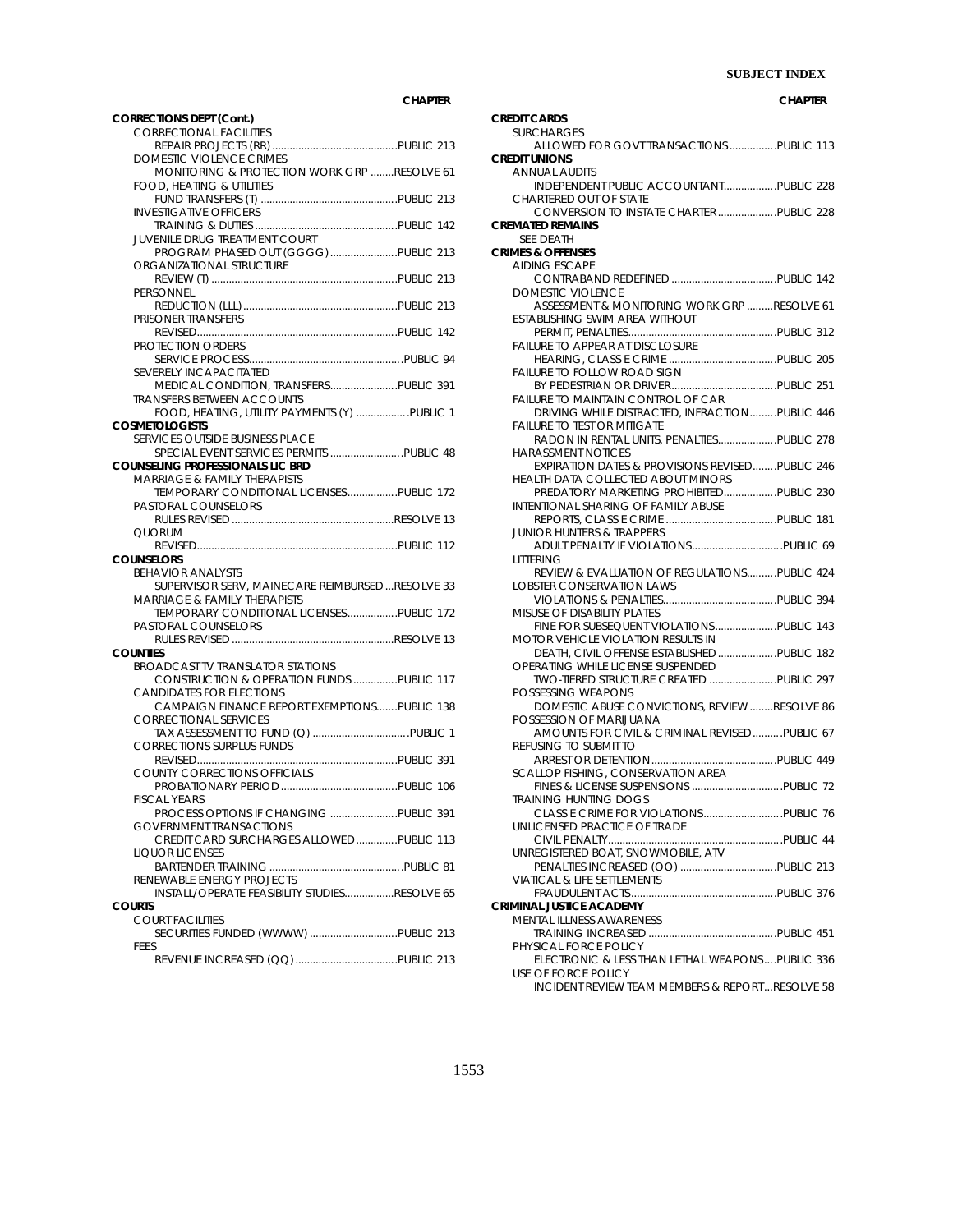| <b>CORRECTIONS DEPT (Cont.)</b>                                                   |  |
|-----------------------------------------------------------------------------------|--|
| <b>CORRECTIONAL FACILITIES</b>                                                    |  |
|                                                                                   |  |
| DOMESTIC VIOLENCE CRIMES                                                          |  |
| MONITORING & PROTECTION WORK GRP RESOLVE 61<br>FOOD, HEATING & UTILITIES          |  |
|                                                                                   |  |
| <b>INVESTIGATIVE OFFICERS</b>                                                     |  |
|                                                                                   |  |
| JUVENILE DRUG TREATMENT COURT                                                     |  |
|                                                                                   |  |
| ORGANIZATIONAL STRUCTURE                                                          |  |
|                                                                                   |  |
| PERSONNEL                                                                         |  |
|                                                                                   |  |
| PRISONER TRANSFERS                                                                |  |
| PROTECTION ORDERS                                                                 |  |
|                                                                                   |  |
| <b>SEVERELY INCAPACITATED</b>                                                     |  |
| MEDICAL CONDITION, TRANSFERS PUBLIC 391                                           |  |
| <b>TRANSFERS BETWEEN ACCOUNTS</b>                                                 |  |
| FOOD, HEATING, UTILITY PAYMENTS (Y)  PUBLIC 1                                     |  |
| <b>COSMETOLOGISTS</b>                                                             |  |
| SERVICES OUTSIDE BUSINESS PLACE                                                   |  |
| SPECIAL EVENT SERVICES PERMITS  PUBLIC 48                                         |  |
| <b>COUNSELING PROFESSIONALS LIC BRD</b>                                           |  |
| <b>MARRIAGE &amp; FAMILY THERAPISTS</b>                                           |  |
| TEMPORARY CONDITIONAL LICENSES PUBLIC 172                                         |  |
| PASTORAL COUNSELORS                                                               |  |
|                                                                                   |  |
| QUORUM                                                                            |  |
|                                                                                   |  |
|                                                                                   |  |
| <b>COUNSELORS</b>                                                                 |  |
| <b>BEHAVIOR ANALYSTS</b>                                                          |  |
| SUPERVISOR SERV, MAINECARE REIMBURSED  RESOLVE 33<br>MARRIAGE & FAMILY THERAPISTS |  |
| TEMPORARY CONDITIONAL LICENSES PUBLIC 172                                         |  |
| PASTORAL COUNSELORS                                                               |  |
|                                                                                   |  |
| <b>COUNTIES</b>                                                                   |  |
| <b>BROADCAST TV TRANSLATOR STATIONS</b>                                           |  |
| CONSTRUCTION & OPERATION FUNDS  PUBLIC 117                                        |  |
| <b>CANDIDATES FOR ELECTIONS</b>                                                   |  |
| CAMPAIGN FINANCE REPORT EXEMPTIONSPUBLIC 138                                      |  |
| <b>CORRECTIONAL SERVICES</b>                                                      |  |
|                                                                                   |  |
| <b>CORRECTIONS SURPLUS FUNDS</b>                                                  |  |
|                                                                                   |  |
| <b>COUNTY CORRECTIONS OFFICIALS</b>                                               |  |
| <b>FISCAL YEARS</b>                                                               |  |
|                                                                                   |  |
| PROCESS OPTIONS IF CHANGING  PUBLIC 391<br><b>GOVERNMENT TRANSACTIONS</b>         |  |
| CREDIT CARD SURCHARGES ALLOWED PUBLIC 113                                         |  |
| <b>LIQUOR LICENSES</b>                                                            |  |
|                                                                                   |  |
| RENEWABLE ENERGY PROJECTS                                                         |  |
| INSTALL/OPERATE FEASIBILITY STUDIESRESOLVE 65                                     |  |
| <b>COURTS</b>                                                                     |  |
| <b>COURT FACILITIES</b>                                                           |  |
| SECURITIES FUNDED (WWWW)  PUBLIC 213                                              |  |
| <b>FEES</b>                                                                       |  |

| <b>CHAPTER</b>                                                                        | <b>CHAPTER</b>                                                                |
|---------------------------------------------------------------------------------------|-------------------------------------------------------------------------------|
| <b>CORRECTIONS DEPT (Cont.)</b>                                                       | <b>CREDIT CARDS</b>                                                           |
| <b>CORRECTIONAL FACILITIES</b>                                                        | <b>SURCHARGES</b>                                                             |
|                                                                                       | ALLOWED FOR GOVT TRANSACTIONS  PUBLIC 113                                     |
| <b>DOMESTIC VIOLENCE CRIMES</b>                                                       | <b>CREDIT UNIONS</b>                                                          |
| MONITORING & PROTECTION WORK GRP RESOLVE 61                                           | <b>ANNUAL AUDITS</b>                                                          |
| FOOD, HEATING & UTILITIES                                                             | INDEPENDENT PUBLIC ACCOUNTANT PUBLIC 228                                      |
|                                                                                       | CHARTERED OUT OF STATE                                                        |
| <b>INVESTIGATIVE OFFICERS</b>                                                         |                                                                               |
|                                                                                       | <b>CREMATED REMAINS</b>                                                       |
| JUVENILE DRUG TREATMENT COURT                                                         | SEE DEATH                                                                     |
| PROGRAM PHASED OUT (GGGG)  PUBLIC 213                                                 | <b>CRIMES &amp; OFFENSES</b>                                                  |
| ORGANIZATIONAL STRUCTURE                                                              | <b>AIDING ESCAPE</b>                                                          |
|                                                                                       |                                                                               |
| PERSONNEL                                                                             | DOMESTIC VIOLENCE<br>ASSESSMENT & MONITORING WORK GRP RESOLVE 61              |
|                                                                                       | ESTABLISHING SWIM AREA WITHOUT                                                |
| PRISONER TRANSFERS                                                                    |                                                                               |
| PROTECTION ORDERS                                                                     | FAILURE TO APPEAR AT DISCLOSURE                                               |
|                                                                                       |                                                                               |
| SEVERELY INCAPACITATED                                                                | FAILURE TO FOLLOW ROAD SIGN                                                   |
| MEDICAL CONDITION, TRANSFERS PUBLIC 391                                               |                                                                               |
| <b>TRANSFERS BETWEEN ACCOUNTS</b>                                                     | FAILURE TO MAINTAIN CONTROL OF CAR                                            |
| FOOD, HEATING, UTILITY PAYMENTS (Y)  PUBLIC 1                                         | DRIVING WHILE DISTRACTED, INFRACTIONPUBLIC 446                                |
| <b>COSMETOLOGISTS</b>                                                                 | <b>FAILURE TO TEST OR MITIGATE</b>                                            |
| SERVICES OUTSIDE BUSINESS PLACE                                                       | RADON IN RENTAL UNITS, PENALTIES PUBLIC 278                                   |
| SPECIAL EVENT SERVICES PERMITS  PUBLIC 48                                             | <b>HARASSMENT NOTICES</b>                                                     |
| <b>COUNSELING PROFESSIONALS LIC BRD</b>                                               | EXPIRATION DATES & PROVISIONS REVISED PUBLIC 246                              |
| <b>MARRIAGE &amp; FAMILY THERAPISTS</b>                                               | HEALTH DATA COLLECTED ABOUT MINORS                                            |
| TEMPORARY CONDITIONAL LICENSES PUBLIC 172                                             | PREDATORY MARKETING PROHIBITED PUBLIC 230                                     |
| PASTORAL COUNSELORS                                                                   | INTENTIONAL SHARING OF FAMILY ABUSE                                           |
|                                                                                       |                                                                               |
| QUORUM                                                                                | <b>JUNIOR HUNTERS &amp; TRAPPERS</b>                                          |
|                                                                                       |                                                                               |
| COUNSELORS                                                                            | <b>LITTERING</b>                                                              |
| <b>BEHAVIOR ANALYSTS</b>                                                              | REVIEW & EVALUATION OF REGULATIONS PUBLIC 424                                 |
| SUPERVISOR SERV, MAINECARE REIMBURSED  RESOLVE 33                                     | <b>LOBSTER CONSERVATION LAWS</b>                                              |
| MARRIAGE & FAMILY THERAPISTS                                                          |                                                                               |
| TEMPORARY CONDITIONAL LICENSES PUBLIC 172                                             | MISUSE OF DISABILITY PLATES                                                   |
| PASTORAL COUNSELORS                                                                   | FINE FOR SUBSEQUENT VIOLATIONS PUBLIC 143                                     |
|                                                                                       | MOTOR VEHICLE VIOLATION RESULTS IN                                            |
| <b>COUNTIES</b>                                                                       | DEATH, CIVIL OFFENSE ESTABLISHED  PUBLIC 182                                  |
| <b>BROADCAST TV TRANSLATOR STATIONS</b><br>CONSTRUCTION & OPERATION FUNDS  PUBLIC 117 | OPERATING WHILE LICENSE SUSPENDED<br>TWO-TIERED STRUCTURE CREATED  PUBLIC 297 |
| <b>CANDIDATES FOR ELECTIONS</b>                                                       | POSSESSING WEAPONS                                                            |
| CAMPAIGN FINANCE REPORT EXEMPTIONS PUBLIC 138                                         | DOMESTIC ABUSE CONVICTIONS, REVIEW RESOLVE 86                                 |
| <b>CORRECTIONAL SERVICES</b>                                                          | POSSESSION OF MARIJUANA                                                       |
|                                                                                       | AMOUNTS FOR CIVIL & CRIMINAL REVISED PUBLIC 67                                |
| <b>CORRECTIONS SURPLUS FUNDS</b>                                                      | REFUSING TO SUBMIT TO                                                         |
|                                                                                       |                                                                               |
| <b>COUNTY CORRECTIONS OFFICIALS</b>                                                   | SCALLOP FISHING, CONSERVATION AREA                                            |
|                                                                                       |                                                                               |
| <b>FISCAL YEARS</b>                                                                   | <b>TRAINING HUNTING DOGS</b>                                                  |
| PROCESS OPTIONS IF CHANGING  PUBLIC 391                                               |                                                                               |
| <b>GOVERNMENT TRANSACTIONS</b>                                                        | UNLICENSED PRACTICE OF TRADE                                                  |
| CREDIT CARD SURCHARGES ALLOWED PUBLIC 113                                             |                                                                               |
| LIQUOR LICENSES                                                                       | UNREGISTERED BOAT, SNOWMOBILE, ATV                                            |
|                                                                                       |                                                                               |
| RENEWABLE ENERGY PROJECTS                                                             | VIATICAL & LIFE SETTLEMENTS                                                   |
| INSTALL/OPERATE FEASIBILITY STUDIESRESOLVE 65                                         |                                                                               |
| <b>COURTS</b>                                                                         | <b>CRIMINAL JUSTICE ACADEMY</b>                                               |
| <b>COURT FACILITIES</b>                                                               | MENTAL ILLNESS AWARENESS                                                      |
|                                                                                       |                                                                               |
| FEES                                                                                  | PHYSICAL FORCE POLICY                                                         |
|                                                                                       | ELECTRONIC & LESS THAN LETHAL WEAPONSPUBLIC 336                               |
|                                                                                       | USE OF FORCE POLICY                                                           |
|                                                                                       | INCIDENT REVIEW TEAM MEMBERS & REPORTRESOLVE 58                               |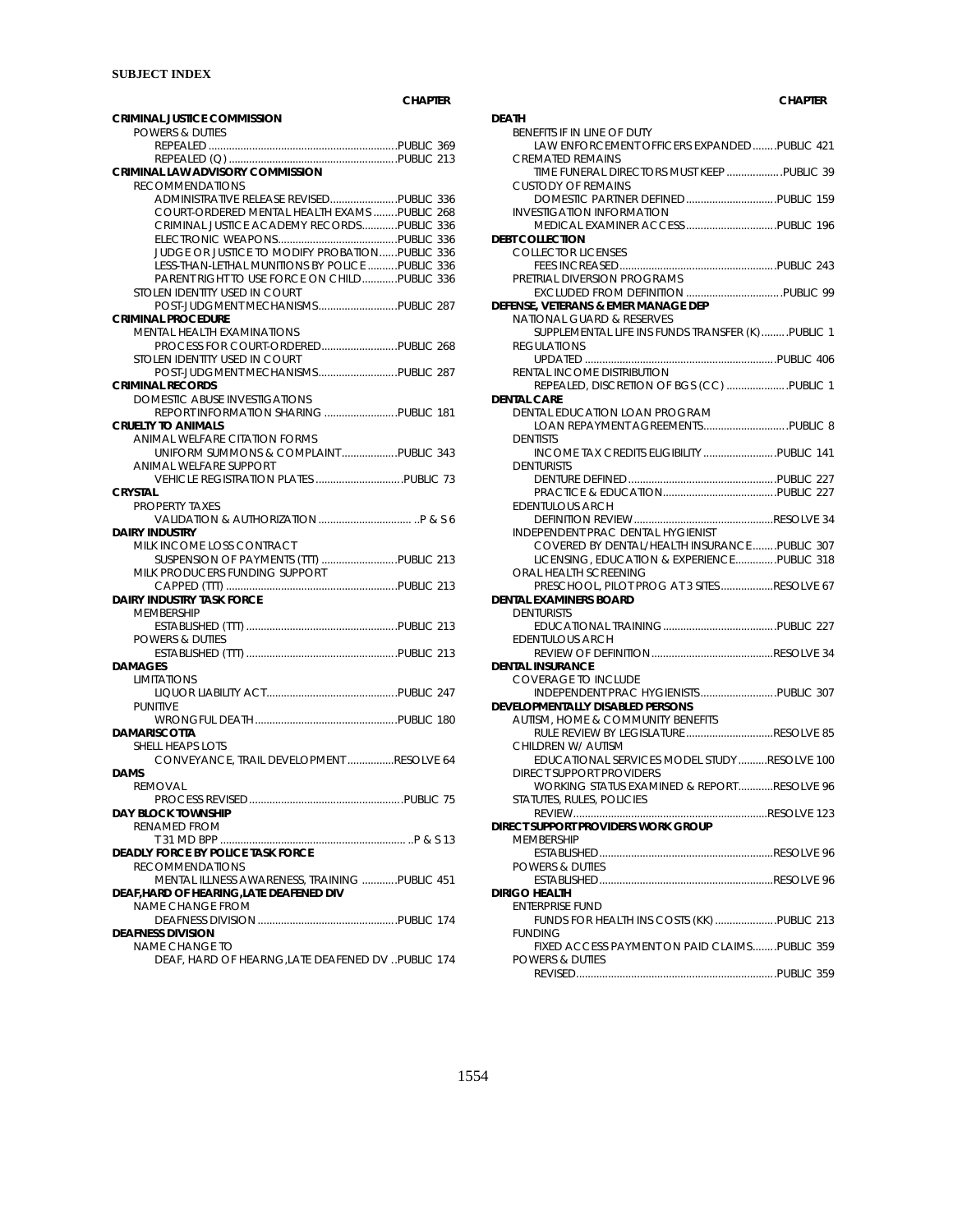| <b>CRIMINAL JUSTICE COMMISSION</b>                         |  |
|------------------------------------------------------------|--|
| POWERS & DUTIES                                            |  |
|                                                            |  |
|                                                            |  |
| <b>CRIMINAL LAW ADVISORY COMMISSION</b><br>RECOMMENDATIONS |  |
| ADMINISTRATIVE RELEASE REVISED PUBLIC 336                  |  |
| COURT-ORDERED MENTAL HEALTH EXAMS  PUBLIC 268              |  |
| CRIMINAL JUSTICE ACADEMY RECORDS PUBLIC 336                |  |
|                                                            |  |
| JUDGE OR JUSTICE TO MODIFY PROBATIONPUBLIC 336             |  |
| LESS-THAN-LETHAL MUNITIONS BY POLICE PUBLIC 336            |  |
| PARENT RIGHT TO USE FORCE ON CHILD PUBLIC 336              |  |
| STOLEN IDENTITY USED IN COURT                              |  |
| POST-JUDGMENT MECHANISMS PUBLIC 287                        |  |
| <b>CRIMINAL PROCEDURE</b>                                  |  |
| MENTAL HEALTH EXAMINATIONS                                 |  |
| STOLEN IDENTITY USED IN COURT                              |  |
| POST-JUDGMENT MECHANISMS PUBLIC 287                        |  |
| <b>CRIMINAL RECORDS</b>                                    |  |
| DOMESTIC ABUSE INVESTIGATIONS                              |  |
| REPORT INFORMATION SHARING  PUBLIC 181                     |  |
| <b>CRUELTY TO ANIMALS</b>                                  |  |
| ANIMAL WELFARE CITATION FORMS                              |  |
| UNIFORM SUMMONS & COMPLAINT  PUBLIC 343                    |  |
| ANIMAL WELFARE SUPPORT                                     |  |
| VEHICLE REGISTRATION PLATES  PUBLIC 73                     |  |
| <b>CRYSTAL</b>                                             |  |
| <b>PROPERTY TAXES</b>                                      |  |
|                                                            |  |
| <b>DAIRY INDUSTRY</b><br>MILK INCOME LOSS CONTRACT         |  |
| SUSPENSION OF PAYMENTS (TTT)  PUBLIC 213                   |  |
| MILK PRODUCERS FUNDING SUPPORT                             |  |
|                                                            |  |
| <b>DAIRY INDUSTRY TASK FORCE</b>                           |  |
| MEMBERSHIP                                                 |  |
|                                                            |  |
| POWERS & DUTIES                                            |  |
|                                                            |  |
| <b>DAMAGES</b>                                             |  |
| <b>LIMITATIONS</b>                                         |  |
|                                                            |  |
| <b>PUNITIVE</b>                                            |  |
|                                                            |  |
| <b>DAMARISCOTTA</b>                                        |  |
| SHELL HEAPS LOTS                                           |  |
| CONVEYANCE, TRAIL DEVELOPMENT RESOLVE 64<br><b>DAMS</b>    |  |
| <b>RFMOVAL</b>                                             |  |
|                                                            |  |
| DAY BLOCK TOWNSHIP                                         |  |
| RENAMED FROM                                               |  |
|                                                            |  |
| DEADLY FORCE BY POLICE TASK FORCE                          |  |
| RECOMMENDATIONS                                            |  |
| MENTAL ILLNESS AWARENESS, TRAINING PUBLIC 451              |  |
| DEAF, HARD OF HEARING, LATE DEAFENED DIV                   |  |
| NAME CHANGE FROM                                           |  |
|                                                            |  |
| <b>DEAFNESS DIVISION</b>                                   |  |
| <b>NAME CHANGE TO</b>                                      |  |
| DEAF, HARD OF HEARNG, LATE DEAFENED DV  PUBLIC 174         |  |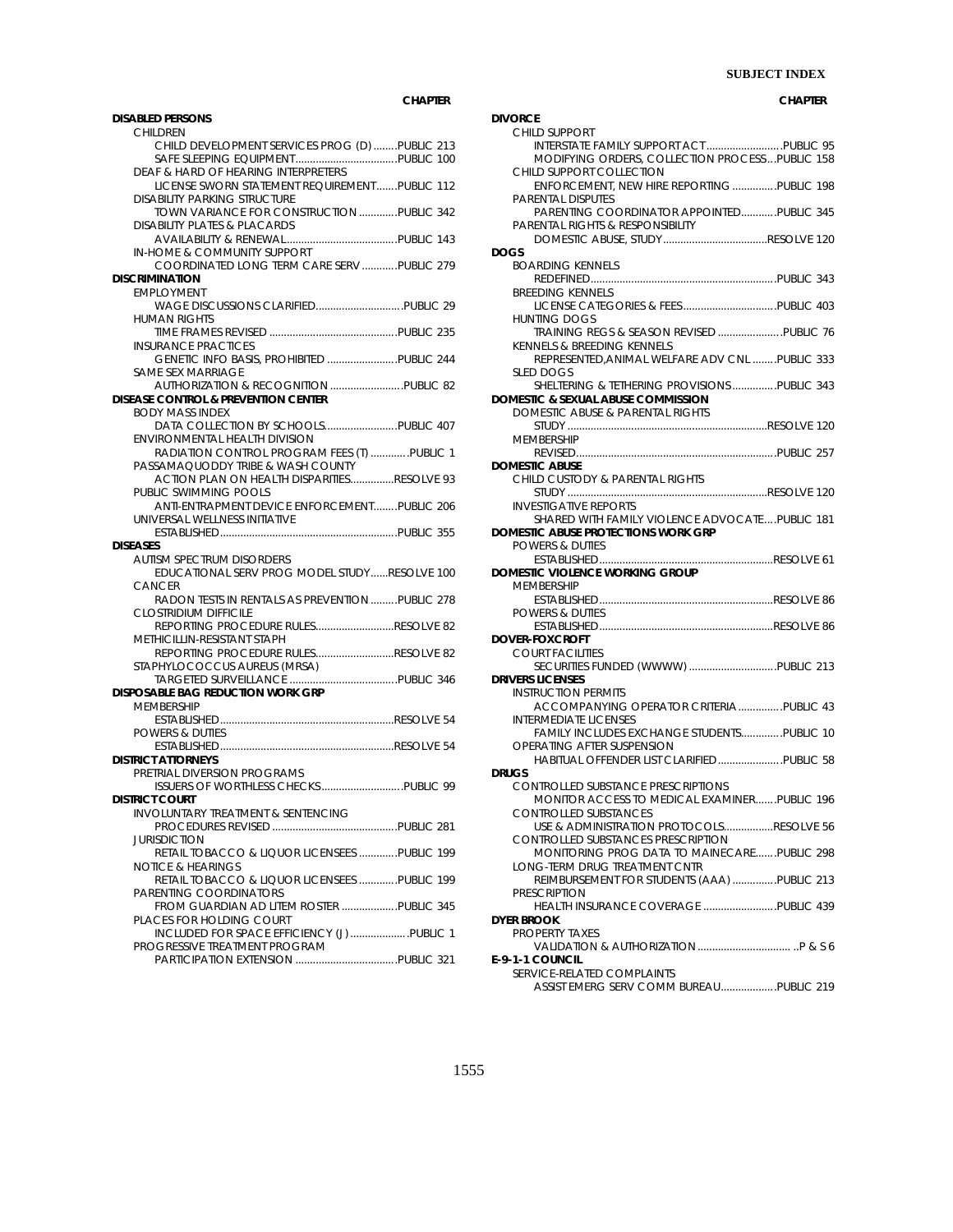INTERSTATE FAMILY SUPPORT ACT ..........................PUBLIC 95 MODIFYING ORDERS, COLLECTION PROCESS...PUBLIC 158

| <b>DISABLED PERSONS</b>                           | <b>DIVORCE</b>     |
|---------------------------------------------------|--------------------|
| <b>CHILDREN</b>                                   | CHILD              |
| CHILD DEVELOPMENT SERVICES PROG (D)  PUBLIC 213   | IN                 |
|                                                   | M                  |
| DEAF & HARD OF HEARING INTERPRETERS               | CHILD              |
| LICENSE SWORN STATEMENT REQUIREMENTPUBLIC 112     | EI                 |
| <b>DISABILITY PARKING STRUCTURE</b>               | PAREI              |
| <b>TOWN VARIANCE FOR CONSTRUCTION  PUBLIC 342</b> | P <sub>1</sub>     |
| <b>DISABILITY PLATES &amp; PLACARDS</b>           | PAREI              |
|                                                   | D                  |
| IN-HOME & COMMUNITY SUPPORT                       | <b>DOGS</b>        |
| COORDINATED LONG TERM CARE SERV  PUBLIC 279       | <b>BOAR</b>        |
| <b>DISCRIMINATION</b>                             | R <sub>l</sub>     |
| <b>EMPLOYMENT</b>                                 | <b>BREED</b>       |
|                                                   | Ш                  |
| <b>HUMAN RIGHTS</b>                               | <b>HUNTI</b><br>ΤF |
| <b>INSURANCE PRACTICES</b>                        | <b>KENN</b>        |
| GENETIC INFO BASIS, PROHIBITED  PUBLIC 244        | R <sub>l</sub>     |
| SAME SEX MARRIAGE                                 | SLED <sub>I</sub>  |
| AUTHORIZATION & RECOGNITION  PUBLIC 82            | <b>SF</b>          |
| <b>DISEASE CONTROL &amp; PREVENTION CENTER</b>    | <b>DOMESTIC</b>    |
| <b>BODY MASS INDEX</b>                            | <b>DOM</b>         |
| DATA COLLECTION BY SCHOOLS PUBLIC 407             | S1                 |
| ENVIRONMENTAL HEALTH DIVISION                     | <b>MEME</b>        |
| RADIATION CONTROL PROGRAM FEES (T)  PUBLIC 1      | R <sub>l</sub>     |
| PASSAMAQUODDY TRIBE & WASH COUNTY                 | <b>DOMESTIC</b>    |
| ACTION PLAN ON HEALTH DISPARITIESRESOLVE 93       | CHILD              |
| PUBLIC SWIMMING POOLS                             | S <sub>1</sub>     |
| ANTI-ENTRAPMENT DEVICE ENFORCEMENTPUBLIC 206      | <b>INVES</b>       |
| UNIVERSAL WELLNESS INITIATIVE                     | SI.                |
|                                                   | <b>DOMESTIC</b>    |
| <b>DISEASES</b>                                   | <b>POWE</b>        |
| <b>AUTISM SPECTRUM DISORDERS</b>                  | F.                 |
| EDUCATIONAL SERV PROG MODEL STUDYRESOLVE 100      | <b>DOMESTIC</b>    |
| <b>CANCER</b>                                     | <b>MEME</b>        |
| RADON TESTS IN RENTALS AS PREVENTION PUBLIC 278   | F.                 |
| <b>CLOSTRIDIUM DIFFICILE</b>                      | <b>POWE</b>        |
| REPORTING PROCEDURE RULESRESOLVE 82               | F.                 |
| METHICILLIN-RESISTANT STAPH                       | <b>DOVER-FC</b>    |
| REPORTING PROCEDURE RULES RESOLVE 82              | COUR               |
| STAPHYLOCOCCUS AUREUS (MRSA)                      | SE                 |
|                                                   | <b>DRIVERS L</b>   |
| DISPOSABLE BAG REDUCTION WORK GRP                 | <b>INSTRI</b>      |
| <b>MEMBERSHIP</b>                                 | Α                  |
|                                                   | <b>INTERI</b>      |
| <b>POWERS &amp; DUTIES</b>                        | F/                 |
|                                                   | OPER.              |
| <b>DISTRICT ATTORNEYS</b>                         | Н.<br><b>DRUGS</b> |
| PRETRIAL DIVERSION PROGRAMS                       |                    |
| ISSUERS OF WORTHLESS CHECKS PUBLIC 99             | CONT               |
| <b>DISTRICT COURT</b>                             | M<br><b>CONT</b>   |
| INVOLUNTARY TREATMENT & SENTENCING                | U.                 |
| <b>JURISDICTION</b>                               | <b>CONT</b>        |
| RETAIL TOBACCO & LIQUOR LICENSEES  PUBLIC 199     | M                  |
| <b>NOTICE &amp; HEARINGS</b>                      | LONG               |
| RETAIL TOBACCO & LIQUOR LICENSEES PUBLIC 199      | R <sub>l</sub>     |
|                                                   |                    |

FROM GUARDIAN AD LITEM ROSTER ...................PUBLIC 345

INCLUDED FOR SPACE EFFICIENCY (J)....................PUBLIC 1

PARTICIPATION EXTENSION ...................................PUBLIC 321

PARENTING COORDINATORS

PLACES FOR HOLDING COURT

PROGRESSIVE TREATMENT PROGRAM

|                     | PARFNI        |
|---------------------|---------------|
| $\ldots$ PUBLIC 342 | PAI           |
|                     | <b>PARENT</b> |
| $\ldots$ PUBLIC 143 | DΟ            |
|                     | <b>DOGS</b>   |
| PUBLIC 279          | <b>BOARD</b>  |
|                     | RFL           |
|                     | -----         |

 **CHAPTER CHAPTER** 

CHILD SUPPORT

CHILD SUPPORT COLLECTION

| CHILD SUPPORT COLLECTION<br>ENFORCEMENT, NEW HIRE REPORTING  PUBLIC 198 |  |
|-------------------------------------------------------------------------|--|
| PARENTAL DISPUTES                                                       |  |
| PARENTING COORDINATOR APPOINTED PUBLIC 345                              |  |
| PARENTAL RIGHTS & RESPONSIBILITY                                        |  |
|                                                                         |  |
| <b>DOGS</b>                                                             |  |
| <b>BOARDING KENNELS</b>                                                 |  |
|                                                                         |  |
| <b>BREEDING KENNELS</b>                                                 |  |
|                                                                         |  |
| <b>HUNTING DOGS</b>                                                     |  |
| TRAINING REGS & SEASON REVISED  PUBLIC 76                               |  |
| KENNELS & BREEDING KENNELS                                              |  |
| REPRESENTED, ANIMAL WELFARE ADV CNL  PUBLIC 333                         |  |
| <b>SLED DOGS</b>                                                        |  |
| SHELTERING & TETHERING PROVISIONS  PUBLIC 343                           |  |
| DOMESTIC & SEXUAL ABUSE COMMISSION                                      |  |
| DOMESTIC ABUSE & PARENTAL RIGHTS                                        |  |
|                                                                         |  |
| MEMBERSHIP                                                              |  |
|                                                                         |  |
| <b>DOMESTIC ABUSE</b>                                                   |  |
| CHILD CUSTODY & PARENTAL RIGHTS                                         |  |
|                                                                         |  |
| <b>INVESTIGATIVE REPORTS</b>                                            |  |
| SHARED WITH FAMILY VIOLENCE ADVOCATEPUBLIC 181                          |  |
| DOMESTIC ABUSE PROTECTIONS WORK GRP                                     |  |
| <b>POWERS &amp; DUTIES</b>                                              |  |
|                                                                         |  |
| DOMESTIC VIOLENCE WORKING GROUP                                         |  |
| MEMBERSHIP                                                              |  |
|                                                                         |  |
| <b>POWERS &amp; DUTIES</b>                                              |  |
|                                                                         |  |
| <b>DOVER-FOXCROFT</b>                                                   |  |
| <b>COURT FACILITIES</b>                                                 |  |
|                                                                         |  |
| <b>DRIVERS LICENSES</b>                                                 |  |
| <b>INSTRUCTION PERMITS</b>                                              |  |
| ACCOMPANYING OPERATOR CRITERIA PUBLIC 43                                |  |
| <b>INTERMEDIATE LICENSES</b>                                            |  |
| FAMILY INCLUDES EXCHANGE STUDENTS PUBLIC 10                             |  |
| OPERATING AFTER SUSPENSION                                              |  |
| HABITUAL OFFENDER LIST CLARIFIED PUBLIC 58                              |  |
| <b>DRUGS</b>                                                            |  |
| <b>CONTROLLED SUBSTANCE PRESCRIPTIONS</b>                               |  |
| MONITOR ACCESS TO MEDICAL EXAMINERPUBLIC 196                            |  |
| <b>CONTROLLED SUBSTANCES</b>                                            |  |
| USE & ADMINISTRATION PROTOCOLSRESOLVE 56                                |  |
| <b>CONTROLLED SUBSTANCES PRESCRIPTION</b>                               |  |
| MONITORING PROG DATA TO MAINECAREPUBLIC 298                             |  |
| LONG-TERM DRUG TREATMENT CNTR                                           |  |
| REIMBURSEMENT FOR STUDENTS (AAA)  PUBLIC 213                            |  |
| <b>PRESCRIPTION</b>                                                     |  |
| HEALTH INSURANCE COVERAGE  PUBLIC 439                                   |  |
| <b>DYER BROOK</b>                                                       |  |
| PROPERTY TAXES                                                          |  |
|                                                                         |  |
| E-9-1-1 COUNCIL                                                         |  |
| SERVICE-RELATED COMPLAINTS                                              |  |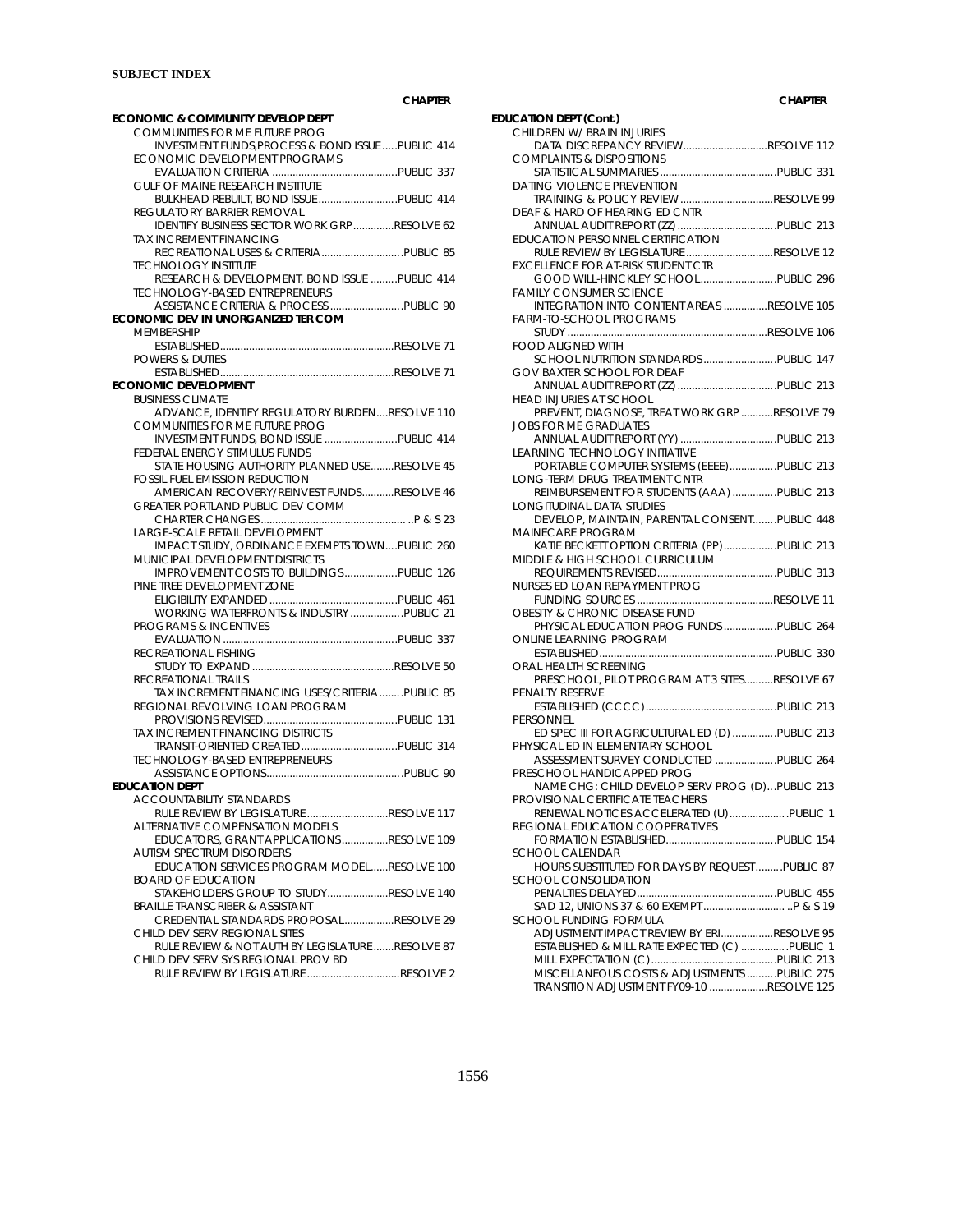| ECONOMIC & COMMUNITY DEVELOP DEPT                                                  |  |
|------------------------------------------------------------------------------------|--|
| COMMUNITIES FOR ME FUTURE PROG                                                     |  |
| INVESTMENT FUNDS, PROCESS & BOND ISSUE  . PUBLIC 414                               |  |
| ECONOMIC DEVELOPMENT PROGRAMS                                                      |  |
|                                                                                    |  |
| GULF OF MAINE RESEARCH INSTITUTE                                                   |  |
| BULKHEAD REBUILT, BOND ISSUE  PUBLIC 414                                           |  |
| REGULATORY BARRIER REMOVAL                                                         |  |
| <b>IDENTIFY BUSINESS SECTOR WORK GRPRESOLVE 62</b>                                 |  |
| <b>TAX INCREMENT FINANCING</b><br>RECREATIONAL USES & CRITERIA PUBLIC 85           |  |
|                                                                                    |  |
| <b>TECHNOLOGY INSTITUTE</b><br>RESEARCH & DEVELOPMENT, BOND ISSUE  PUBLIC 414      |  |
| <b>TECHNOLOGY-BASED ENTREPRENEURS</b>                                              |  |
| ASSISTANCE CRITERIA & PROCESS  PUBLIC 90                                           |  |
| ECONOMIC DEV IN UNORGANIZED TER COM                                                |  |
| <b>MFMBFRSHIP</b>                                                                  |  |
|                                                                                    |  |
| POWERS & DUTIES                                                                    |  |
|                                                                                    |  |
| <b>ECONOMIC DEVELOPMENT</b>                                                        |  |
| <b>BUSINESS CLIMATE</b>                                                            |  |
| ADVANCE, IDENTIFY REGULATORY BURDENRESOLVE 110                                     |  |
| COMMUNITIES FOR ME FUTURE PROG                                                     |  |
| INVESTMENT FUNDS, BOND ISSUE  PUBLIC 414                                           |  |
| FEDERAL ENERGY STIMULUS FUNDS                                                      |  |
| STATE HOUSING AUTHORITY PLANNED USERESOLVE 45                                      |  |
| FOSSIL FUEL EMISSION REDUCTION                                                     |  |
| AMERICAN RECOVERY/REINVEST FUNDSRESOLVE 46                                         |  |
| <b>GREATER PORTLAND PUBLIC DEV COMM</b>                                            |  |
|                                                                                    |  |
| LARGE-SCALE RETAIL DEVELOPMENT                                                     |  |
| IMPACT STUDY, ORDINANCE EXEMPTS TOWNPUBLIC 260                                     |  |
| MUNICIPAL DEVELOPMENT DISTRICTS                                                    |  |
| IMPROVEMENT COSTS TO BUILDINGS PUBLIC 126                                          |  |
| PINE TREE DEVELOPMENT ZONE                                                         |  |
|                                                                                    |  |
| WORKING WATERFRONTS & INDUSTRY  PUBLIC 21                                          |  |
| PROGRAMS & INCENTIVES                                                              |  |
|                                                                                    |  |
| <b>RECREATIONAL FISHING</b>                                                        |  |
|                                                                                    |  |
| RECREATIONAL TRAILS                                                                |  |
| TAX INCREMENT FINANCING USES/CRITERIA PUBLIC 85<br>REGIONAL REVOLVING LOAN PROGRAM |  |
|                                                                                    |  |
| TAX INCREMENT FINANCING DISTRICTS                                                  |  |
|                                                                                    |  |
| <b>TECHNOLOGY-BASED ENTREPRENEURS</b>                                              |  |
|                                                                                    |  |
| <b>EDUCATION DEPT</b>                                                              |  |
| <b>ACCOUNTABILITY STANDARDS</b>                                                    |  |
| RULE REVIEW BY LEGISLATURE RESOLVE 117                                             |  |
| ALTERNATIVE COMPENSATION MODELS                                                    |  |
| EDUCATORS, GRANT APPLICATIONSRESOLVE 109                                           |  |
| <b>AUTISM SPECTRUM DISORDERS</b>                                                   |  |
| EDUCATION SERVICES PROGRAM MODELRESOLVE 100                                        |  |
| <b>BOARD OF EDUCATION</b>                                                          |  |
| STAKEHOLDERS GROUP TO STUDYRESOLVE 140                                             |  |
| <b>BRAILLE TRANSCRIBER &amp; ASSISTANT</b>                                         |  |
| CREDENTIAL STANDARDS PROPOSALRESOLVE 29                                            |  |
| CHILD DEV SERV REGIONAL SITES                                                      |  |
| RULE REVIEW & NOT AUTH BY LEGISLATURE RESOLVE 87                                   |  |
| CHILD DEV SERV SYS REGIONAL PROV BD                                                |  |
| RULE REVIEW BY LEGISLATURE  RESOLVE 2                                              |  |

| <b>EDUCATION DEPT (Cont.)</b>                    |  |
|--------------------------------------------------|--|
| CHILDREN W/ BRAIN INJURIES                       |  |
| DATA DISCREPANCY REVIEWRESOLVE 112               |  |
| <b>COMPLAINTS &amp; DISPOSITIONS</b>             |  |
|                                                  |  |
|                                                  |  |
| DATING VIOLENCE PREVENTION                       |  |
| TRAINING & POLICY REVIEW  RESOLVE 99             |  |
| DEAF & HARD OF HEARING ED CNTR                   |  |
|                                                  |  |
| EDUCATION PERSONNEL CERTIFICATION                |  |
| RULE REVIEW BY LEGISLATURE RESOLVE 12            |  |
|                                                  |  |
| EXCELLENCE FOR AT-RISK STUDENT CTR               |  |
| GOOD WILL-HINCKLEY SCHOOL  PUBLIC 296            |  |
| <b>FAMILY CONSUMER SCIENCE</b>                   |  |
| INTEGRATION INTO CONTENT AREAS RESOLVE 105       |  |
| FARM-TO-SCHOOL PROGRAMS                          |  |
|                                                  |  |
| <b>FOOD ALIGNED WITH</b>                         |  |
| SCHOOL NUTRITION STANDARDS PUBLIC 147            |  |
|                                                  |  |
| <b>GOV BAXTER SCHOOL FOR DEAF</b>                |  |
|                                                  |  |
| <b>HEAD INJURIES AT SCHOOL</b>                   |  |
| PREVENT, DIAGNOSE, TREAT WORK GRP RESOLVE 79     |  |
| <b>JOBS FOR ME GRADUATES</b>                     |  |
|                                                  |  |
|                                                  |  |
| LEARNING TECHNOLOGY INITIATIVE                   |  |
| PORTABLE COMPUTER SYSTEMS (EEEE) PUBLIC 213      |  |
| LONG-TERM DRUG TREATMENT CNTR                    |  |
| REIMBURSEMENT FOR STUDENTS (AAA)  PUBLIC 213     |  |
| LONGITUDINAL DATA STUDIES                        |  |
| DEVELOP, MAINTAIN, PARENTAL CONSENTPUBLIC 448    |  |
| <b>MAINECARE PROGRAM</b>                         |  |
|                                                  |  |
| KATIE BECKETT OPTION CRITERIA (PP) PUBLIC 213    |  |
| MIDDLE & HIGH SCHOOL CURRICULUM                  |  |
|                                                  |  |
| NURSES ED LOAN REPAYMENT PROG                    |  |
|                                                  |  |
| OBESITY & CHRONIC DISEASE FUND                   |  |
| PHYSICAL EDUCATION PROG FUNDS  PUBLIC 264        |  |
|                                                  |  |
| ONLINE LEARNING PROGRAM                          |  |
|                                                  |  |
| ORAL HEALTH SCREENING                            |  |
| PRESCHOOL, PILOT PROGRAM AT 3 SITESRESOLVE 67    |  |
| PENALTY RESERVE                                  |  |
|                                                  |  |
| PERSONNEL                                        |  |
|                                                  |  |
| ED SPEC III FOR AGRICULTURAL ED (D)  PUBLIC 213  |  |
| PHYSICAL ED IN ELEMENTARY SCHOOL                 |  |
| ASSESSMENT SURVEY CONDUCTED  PUBLIC 264          |  |
| PRESCHOOL HANDICAPPED PROG                       |  |
| NAME CHG: CHILD DEVELOP SERV PROG (D)PUBLIC 213  |  |
| PROVISIONAL CERTIFICATE TEACHERS                 |  |
| RENEWAL NOTICES ACCELERATED (U)  PUBLIC 1        |  |
|                                                  |  |
| REGIONAL EDUCATION COOPERATIVES                  |  |
|                                                  |  |
| <b>SCHOOL CALENDAR</b>                           |  |
| HOURS SUBSTITUTED FOR DAYS BY REQUEST  PUBLIC 87 |  |
| SCHOOL CONSOLIDATION                             |  |
|                                                  |  |
| SAD 12, UNIONS 37 & 60 EXEMPT   P & S 19         |  |
|                                                  |  |
| <b>SCHOOL FUNDING FORMULA</b>                    |  |
| ADJUSTMENT IMPACT REVIEW BY ERI RESOLVE 95       |  |
| ESTABLISHED & MILL RATE EXPECTED (C)  PUBLIC 1   |  |
|                                                  |  |
| MISCELLANEOUS COSTS & ADJUSTMENTS  PUBLIC 275    |  |
| TRANSITION ADJUSTMENT FY09-10 RESOLVE 125        |  |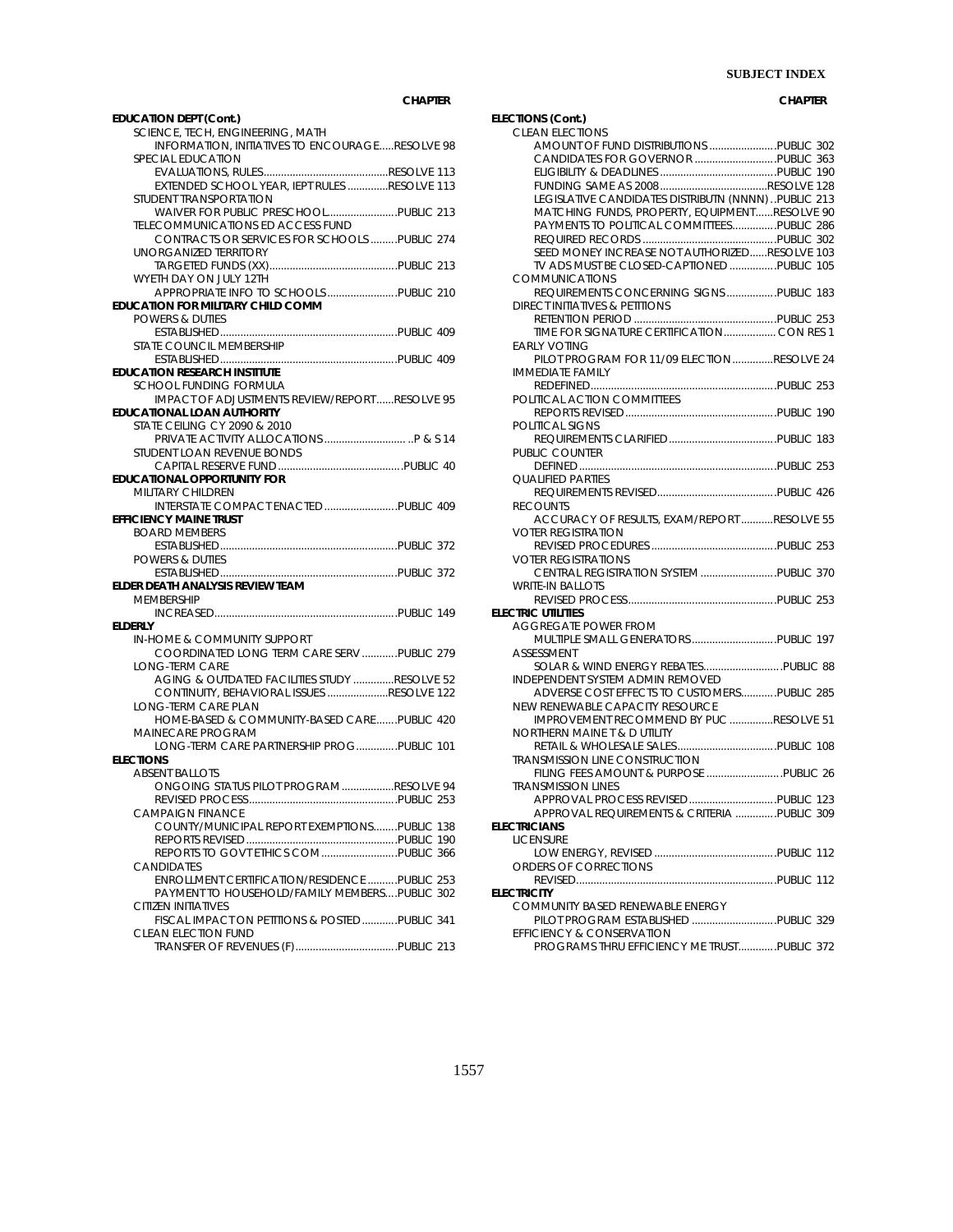| <b>CHAPTER</b>                                  | <b>CHAPTER</b>                                    |  |
|-------------------------------------------------|---------------------------------------------------|--|
| <b>EDUCATION DEPT (Cont.)</b>                   | <b>ELECTIONS (Cont.)</b>                          |  |
| SCIENCE, TECH, ENGINEERING, MATH                | <b>CLEAN ELECTIONS</b>                            |  |
| INFORMATION, INITIATIVES TO ENCOURAGERESOLVE 98 | AMOUNT OF FUND DISTRIBUTIONS  PUBLIC 30           |  |
| SPECIAL EDUCATION                               |                                                   |  |
|                                                 |                                                   |  |
| EXTENDED SCHOOL YEAR, IEPT RULES RESOLVE 113    |                                                   |  |
| STUDENT TRANSPORTATION                          | LEGISLATIVE CANDIDATES DISTRIBUTN (NNNN)PUBLIC 21 |  |
| WAIVER FOR PUBLIC PRESCHOOL PUBLIC 213          | MATCHING FUNDS, PROPERTY, EQUIPMENTRESOLVE 9      |  |
| TELECOMMUNICATIONS ED ACCESS FUND               | PAYMENTS TO POLITICAL COMMITTEES PUBLIC 28        |  |
| CONTRACTS OR SERVICES FOR SCHOOLS  PUBLIC 274   |                                                   |  |
| <b>UNORGANIZED TERRITORY</b>                    | SEED MONEY INCREASE NOT AUTHORIZEDRESOLVE 10      |  |
|                                                 | TV ADS MUST BE CLOSED-CAPTIONED  PUBLIC 10        |  |
| WYETH DAY ON JULY 12TH                          | <b>COMMUNICATIONS</b>                             |  |
| APPROPRIATE INFO TO SCHOOLS  PUBLIC 210         | REQUIREMENTS CONCERNING SIGNS  PUBLIC 18          |  |
| EDUCATION FOR MILITARY CHILD COMM               | <b>DIRECT INITIATIVES &amp; PETITIONS</b>         |  |
| POWERS & DUTIES                                 |                                                   |  |
|                                                 | TIME FOR SIGNATURE CERTIFICATION CON RES          |  |
| STATE COUNCIL MEMBERSHIP                        | <b>EARLY VOTING</b>                               |  |
|                                                 | PILOT PROGRAM FOR 11/09 ELECTION RESOLVE 2        |  |
| <b>EDUCATION RESEARCH INSTITUTE</b>             | <b>IMMEDIATE FAMILY</b>                           |  |
| SCHOOL FUNDING FORMULA                          |                                                   |  |
| IMPACT OF ADJUSTMENTS REVIEW/REPORTRESOLVE 95   | POLITICAL ACTION COMMITTEES                       |  |
| EDUCATIONAL LOAN AUTHORITY                      |                                                   |  |
| STATE CEILING CY 2090 & 2010                    | POLITICAL SIGNS                                   |  |
|                                                 |                                                   |  |
| STUDENT LOAN REVENUE BONDS                      | PUBLIC COUNTER                                    |  |
|                                                 |                                                   |  |
| EDUCATIONAL OPPORTUNITY FOR                     | <b>QUALIFIED PARTIES</b>                          |  |
| MILITARY CHILDREN                               |                                                   |  |
| INTERSTATE COMPACT ENACTED  PUBLIC 409          | <b>RECOUNTS</b>                                   |  |
| <b>EFFICIENCY MAINE TRUST</b>                   | ACCURACY OF RESULTS, EXAM/REPORT RESOLVE 5        |  |
| <b>BOARD MEMBERS</b>                            | <b>VOTER REGISTRATION</b>                         |  |
|                                                 |                                                   |  |
| POWERS & DUTIES                                 | <b>VOTER REGISTRATIONS</b>                        |  |
|                                                 | CENTRAL REGISTRATION SYSTEM  PUBLIC 37            |  |
| ELDER DEATH ANALYSIS REVIEW TEAM                | <b>WRITE-IN BALLOTS</b>                           |  |
| MEMBERSHIP                                      |                                                   |  |
|                                                 | <b>ELECTRIC UTILITIES</b>                         |  |
| <b>ELDERLY</b>                                  | AGGREGATE POWER FROM                              |  |
| IN-HOME & COMMUNITY SUPPORT                     |                                                   |  |
| COORDINATED LONG TERM CARE SERV  PUBLIC 279     | ASSESSMENT                                        |  |
| <b>LONG-TERM CARE</b>                           |                                                   |  |
| AGING & OUTDATED FACILITIES STUDY RESOLVE 52    | INDEPENDENT SYSTEM ADMIN REMOVED                  |  |
| CONTINUITY, BEHAVIORAL ISSUES RESOLVE 122       | ADVERSE COST EFFECTS TO CUSTOMERS PUBLIC 28       |  |
| LONG-TERM CARE PLAN                             | NEW RENEWABLE CAPACITY RESOURCE                   |  |
| HOME-BASED & COMMUNITY-BASED CAREPUBLIC 420     | IMPROVEMENT RECOMMEND BY PUC RESOLVE 5            |  |
| MAINECARE PROGRAM                               | NORTHERN MAINE T & D UTILITY                      |  |
| LONG-TERM CARE PARTNERSHIP PROG PUBLIC 101      |                                                   |  |
| <b>ELECTIONS</b>                                | <b>TRANSMISSION LINE CONSTRUCTION</b>             |  |
| <b>ABSENT BALLOTS</b>                           |                                                   |  |
| ONGOING STATUS PILOT PROGRAM RESOLVE 94         | <b>TRANSMISSION LINES</b>                         |  |
|                                                 |                                                   |  |
| <b>CAMPAIGN FINANCE</b>                         | APPROVAL REQUIREMENTS & CRITERIA  PUBLIC 30       |  |
| COUNTY/MUNICIPAL REPORT EXEMPTIONS PUBLIC 138   | <b>ELECTRICIANS</b>                               |  |
|                                                 | <b>LICENSURE</b>                                  |  |
| REPORTS TO GOVT ETHICS COM  PUBLIC 366          |                                                   |  |
| <b>CANDIDATES</b>                               | ORDERS OF CORRECTIONS                             |  |
| ENROLLMENT CERTIFICATION/RESIDENCE  PUBLIC 253  |                                                   |  |
| PAYMENT TO HOUSEHOLD/FAMILY MEMBERS PUBLIC 302  | <b>ELECTRICITY</b>                                |  |
| CITIZEN INITIATIVES                             | COMMUNITY BASED RENEWABLE ENERGY                  |  |
| FISCAL IMPACT ON PETITIONS & POSTED PUBLIC 341  | PILOT PROGRAM ESTABLISHED  PUBLIC 32              |  |
| <b>CLEAN ELECTION FUND</b>                      | EFFICIENCY & CONSERVATION                         |  |
|                                                 | PROGRAMS THRU EFFICIENCY ME TRUST PUBLIC 37       |  |

| ELECTIONS (Cont.)                                  |  |
|----------------------------------------------------|--|
| <b>CLEAN ELECTIONS</b>                             |  |
| AMOUNT OF FUND DISTRIBUTIONS  PUBLIC 302           |  |
|                                                    |  |
|                                                    |  |
|                                                    |  |
| LEGISLATIVE CANDIDATES DISTRIBUTN (NNNN)PUBLIC 213 |  |
| MATCHING FUNDS, PROPERTY, EQUIPMENTRESOLVE 90      |  |
| PAYMENTS TO POLITICAL COMMITTEESPUBLIC 286         |  |
|                                                    |  |
| SEED MONEY INCREASE NOT AUTHORIZEDRESOLVE 103      |  |
| TV ADS MUST BE CLOSED-CAPTIONED  PUBLIC 105        |  |
| <b>COMMUNICATIONS</b>                              |  |
| REQUIREMENTS CONCERNING SIGNS  PUBLIC 183          |  |
| <b>DIRECT INITIATIVES &amp; PETITIONS</b>          |  |
| TIME FOR SIGNATURE CERTIFICATION  CON RES 1        |  |
|                                                    |  |
| <b>EARLY VOTING</b>                                |  |
| PILOT PROGRAM FOR 11/09 ELECTION RESOLVE 24        |  |
| <b>IMMEDIATE FAMILY</b>                            |  |
|                                                    |  |
| POLITICAL ACTION COMMITTEES                        |  |
|                                                    |  |
| POLITICAL SIGNS                                    |  |
| PUBLIC COUNTER                                     |  |
|                                                    |  |
| QUALIFIED PARTIES                                  |  |
|                                                    |  |
| <b>RECOUNTS</b>                                    |  |
| ACCURACY OF RESULTS, EXAM/REPORT RESOLVE 55        |  |
| <b>VOTER REGISTRATION</b>                          |  |
|                                                    |  |
| <b>VOTER REGISTRATIONS</b>                         |  |
| CENTRAL REGISTRATION SYSTEM  PUBLIC 370            |  |
| <b>WRITE-IN BALLOTS</b>                            |  |
|                                                    |  |
| ELECTRIC UTILITIES                                 |  |
| AGGREGATE POWER FROM                               |  |
|                                                    |  |
| ASSESSMENT                                         |  |
| SOLAR & WIND ENERGY REBATES PUBLIC 88              |  |
| INDEPENDENT SYSTEM ADMIN REMOVED                   |  |
| ADVERSE COST EFFECTS TO CUSTOMERS PUBLIC 285       |  |
| NEW RENEWABLE CAPACITY RESOURCE                    |  |
| IMPROVEMENT RECOMMEND BY PUC RESOLVE 51            |  |
| NORTHERN MAINE T & D UTILITY                       |  |
|                                                    |  |
| <b>TRANSMISSION LINE CONSTRUCTION</b>              |  |
| FILING FEES AMOUNT & PURPOSE  PUBLIC 26            |  |
| <b>TRANSMISSION LINES</b>                          |  |
| APPROVAL PROCESS REVISED  PUBLIC 123               |  |
| APPROVAL REQUIREMENTS & CRITERIA  PUBLIC 309       |  |
| ELECTRICIANS                                       |  |
| <b>LICENSURE</b>                                   |  |
|                                                    |  |
| ORDERS OF CORRECTIONS                              |  |
|                                                    |  |
| ELECTRICITY                                        |  |
| COMMUNITY BASED RENEWABLE ENERGY                   |  |
| PILOT PROGRAM ESTABLISHED  PUBLIC 329              |  |
| EFFICIENCY & CONSERVATION                          |  |
| PROGRAMS THRU EFFICIENCY ME TRUST PUBLIC 372       |  |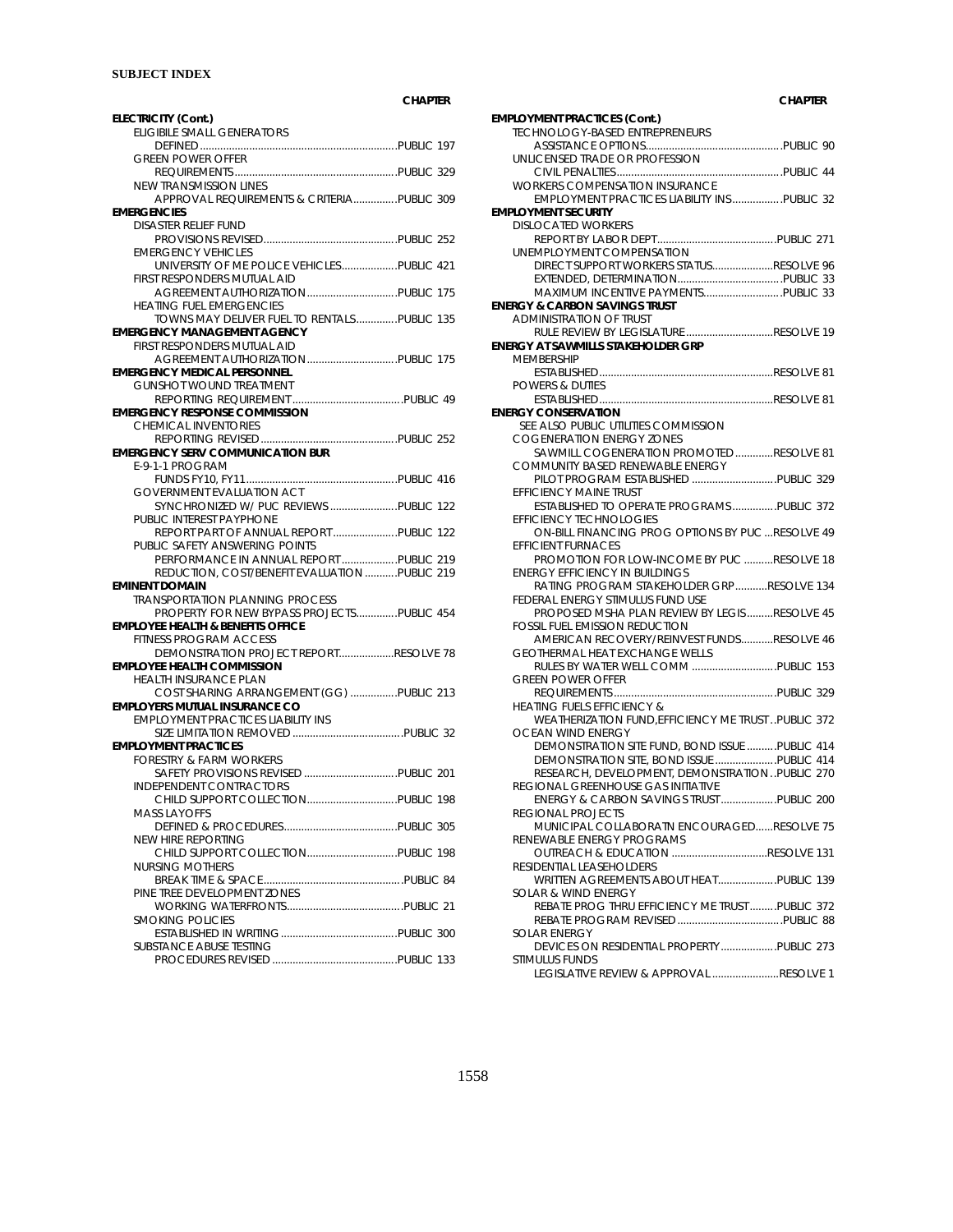| <b>ELECTRICITY (Cont.)</b>                                                  |  |
|-----------------------------------------------------------------------------|--|
| ELIGIBILE SMALL GENERATORS                                                  |  |
|                                                                             |  |
| <b>GREEN POWER OFFER</b>                                                    |  |
| NEW TRANSMISSION LINES                                                      |  |
| APPROVAL REQUIREMENTS & CRITERIA PUBLIC 309                                 |  |
| <b>EMERGENCIES</b>                                                          |  |
| DISASTER RELIEF FUND                                                        |  |
|                                                                             |  |
| <b>EMERGENCY VEHICLES</b>                                                   |  |
| UNIVERSITY OF ME POLICE VEHICLES PUBLIC 421                                 |  |
| FIRST RESPONDERS MUTUAL AID                                                 |  |
| <b>HEATING FUEL EMERGENCIES</b>                                             |  |
| TOWNS MAY DELIVER FUEL TO RENTALS PUBLIC 135                                |  |
| <b>EMERGENCY MANAGEMENT AGENCY</b>                                          |  |
| FIRST RESPONDERS MUTUAL AID                                                 |  |
|                                                                             |  |
| <b>EMERGENCY MEDICAL PERSONNEL</b>                                          |  |
| <b>GUNSHOT WOUND TREATMENT</b>                                              |  |
| <b>EMERGENCY RESPONSE COMMISSION</b>                                        |  |
| <b>CHEMICAL INVENTORIES</b>                                                 |  |
|                                                                             |  |
| <b>EMERGENCY SERV COMMUNICATION BUR</b>                                     |  |
| F-9-1-1 PROGRAM                                                             |  |
|                                                                             |  |
| <b>GOVERNMENT EVALUATION ACT</b>                                            |  |
| SYNCHRONIZED W/ PUC REVIEWS  PUBLIC 122<br>PUBLIC INTEREST PAYPHONE         |  |
| REPORT PART OF ANNUAL REPORT  PUBLIC 122                                    |  |
| PUBLIC SAFETY ANSWERING POINTS                                              |  |
| PERFORMANCE IN ANNUAL REPORT  PUBLIC 219                                    |  |
| REDUCTION, COST/BENEFIT EVALUATION  PUBLIC 219                              |  |
| <b>EMINENT DOMAIN</b>                                                       |  |
| <b>TRANSPORTATION PLANNING PROCESS</b>                                      |  |
| PROPERTY FOR NEW BYPASS PROJECTS PUBLIC 454                                 |  |
| <b>EMPLOYEE HEALTH &amp; BENEFITS OFFICE</b>                                |  |
| <b>FITNESS PROGRAM ACCESS</b><br>DEMONSTRATION PROJECT REPORTRESOLVE 78     |  |
| <b>EMPLOYEE HEALTH COMMISSION</b>                                           |  |
| <b>HEALTH INSURANCE PLAN</b>                                                |  |
| COST SHARING ARRANGEMENT (GG)  PUBLIC 213                                   |  |
| <b>EMPLOYERS MUTUAL INSURANCE CO</b>                                        |  |
| <b>EMPLOYMENT PRACTICES LIABILITY INS</b>                                   |  |
|                                                                             |  |
| <b>EMPLOYMENT PRACTICES</b>                                                 |  |
| <b>FORESTRY &amp; FARM WORKERS</b><br>SAFETY PROVISIONS REVISED  PUBLIC 201 |  |
| INDEPENDENT CONTRACTORS                                                     |  |
|                                                                             |  |
| <b>MASS LAYOFFS</b>                                                         |  |
|                                                                             |  |
| NEW HIRE REPORTING                                                          |  |
|                                                                             |  |
| NURSING MOTHERS                                                             |  |
|                                                                             |  |
| PINE TREE DEVELOPMENT ZONES                                                 |  |
| <b>SMOKING POLICIES</b>                                                     |  |
|                                                                             |  |
| <b>SUBSTANCE ABUSE TESTING</b>                                              |  |
|                                                                             |  |

| EMPLOYMENT PRACTICES (Cont.)                           |  |
|--------------------------------------------------------|--|
| <b>TECHNOLOGY-BASED ENTREPRENEURS</b>                  |  |
|                                                        |  |
| UNLICENSED TRADE OR PROFESSION                         |  |
|                                                        |  |
| <b>WORKERS COMPENSATION INSURANCE</b>                  |  |
| EMPLOYMENT PRACTICES LIABILITY INS  PUBLIC 32          |  |
| <b>EMPLOYMENT SECURITY</b>                             |  |
| <b>DISLOCATED WORKERS</b>                              |  |
|                                                        |  |
| UNEMPLOYMENT COMPENSATION                              |  |
| DIRECT SUPPORT WORKERS STATUSRESOLVE 96                |  |
|                                                        |  |
| MAXIMUM INCENTIVE PAYMENTS PUBLIC 33                   |  |
| ENERGY & CARBON SAVINGS TRUST                          |  |
| <b>ADMINISTRATION OF TRUST</b>                         |  |
| RULE REVIEW BY LEGISLATURE RESOLVE 19                  |  |
| energy at sawmills stakeholder GRP                     |  |
| MEMBERSHIP                                             |  |
|                                                        |  |
|                                                        |  |
| POWERS & DUTIES                                        |  |
|                                                        |  |
| <b>ENERGY CONSERVATION</b>                             |  |
| SEE ALSO PUBLIC UTILITIES COMMISSION                   |  |
| <b>COGENERATION ENERGY ZONES</b>                       |  |
| SAWMILL COGENERATION PROMOTEDRESOLVE 81                |  |
| COMMUNITY BASED RENEWABLE ENERGY                       |  |
| PILOT PROGRAM ESTABLISHED  PUBLIC 329                  |  |
| EFFICIENCY MAINE TRUST                                 |  |
| ESTABLISHED TO OPERATE PROGRAMSPUBLIC 372              |  |
| <b>EFFICIENCY TECHNOLOGIES</b>                         |  |
| ON-BILL FINANCING PROG OPTIONS BY PUC  RESOLVE 49      |  |
| <b>EFFICIENT FURNACES</b>                              |  |
| PROMOTION FOR LOW-INCOME BY PUC RESOLVE 18             |  |
| <b>ENERGY EFFICIENCY IN BUILDINGS</b>                  |  |
| RATING PROGRAM STAKEHOLDER GRPRESOLVE 134              |  |
| FEDERAL ENERGY STIMULUS FUND USE                       |  |
| PROPOSED MSHA PLAN REVIEW BY LEGIS RESOLVE 45          |  |
| <b>FOSSIL FUEL EMISSION REDUCTION</b>                  |  |
| AMERICAN RECOVERY/REINVEST FUNDSRESOLVE 46             |  |
| <b>GEOTHERMAL HEAT EXCHANGE WELLS</b>                  |  |
| RULES BY WATER WELL COMM  PUBLIC 153                   |  |
| <b>GREEN POWER OFFER</b>                               |  |
|                                                        |  |
| <b>HEATING FUELS EFFICIENCY &amp;</b>                  |  |
| WEATHERIZATION FUND, EFFICIENCY ME TRUST. . PUBLIC 372 |  |
|                                                        |  |
| OCEAN WIND ENERGY                                      |  |
| DEMONSTRATION SITE FUND, BOND ISSUE  PUBLIC 414        |  |
| DEMONSTRATION SITE, BOND ISSUE  PUBLIC 414             |  |
| RESEARCH, DEVELOPMENT, DEMONSTRATIONPUBLIC 270         |  |
| REGIONAL GREENHOUSE GAS INITIATIVE                     |  |
| ENERGY & CARBON SAVINGS TRUST  PUBLIC 200              |  |
| REGIONAL PROJECTS                                      |  |
| MUNICIPAL COLLABORATN ENCOURAGEDRESOLVE 75             |  |
| RENEWABLE ENERGY PROGRAMS                              |  |
|                                                        |  |
| RESIDENTIAL LEASEHOLDERS                               |  |
| WRITTEN AGREEMENTS ABOUT HEATPUBLIC 139                |  |
| SOLAR & WIND ENERGY                                    |  |
| REBATE PROG THRU EFFICIENCY ME TRUST  PUBLIC 372       |  |
|                                                        |  |
| <b>SOLAR ENERGY</b>                                    |  |
|                                                        |  |
|                                                        |  |
| STIMULUS FUNDS                                         |  |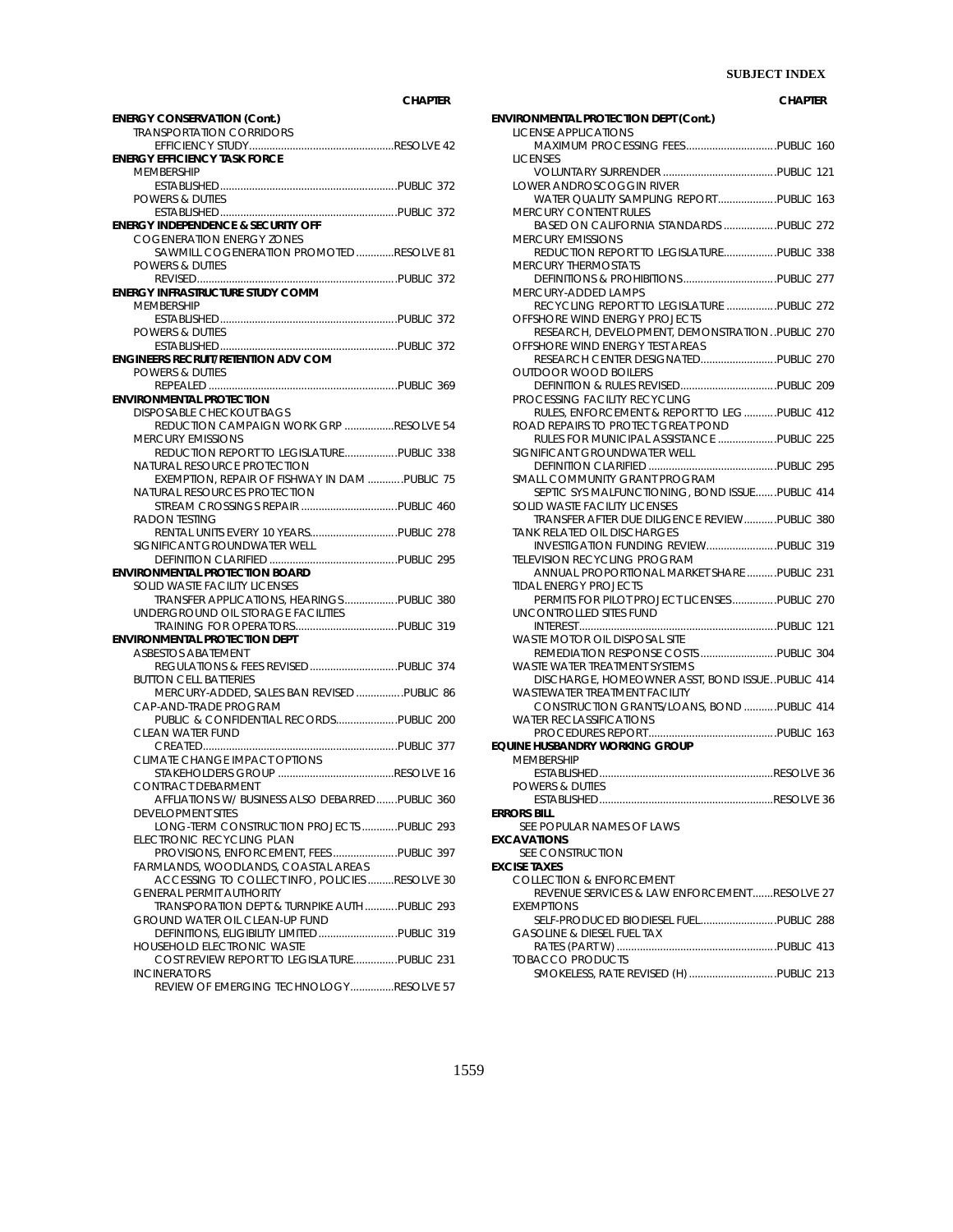| <b>ENERGY CONSERVATION (Cont.)</b>                                                    |  |
|---------------------------------------------------------------------------------------|--|
| <b>TRANSPORTATION CORRIDORS</b>                                                       |  |
|                                                                                       |  |
| <b>ENERGY EFFICIENCY TASK FORCE</b><br><b>MEMBERSHIP</b>                              |  |
|                                                                                       |  |
| POWERS & DUTIES                                                                       |  |
|                                                                                       |  |
| <b>ENERGY INDEPENDENCE &amp; SECURITY OFF</b>                                         |  |
| <b>COGENERATION ENERGY ZONES</b>                                                      |  |
| SAWMILL COGENERATION PROMOTED RESOLVE 81                                              |  |
| POWERS & DUTIES                                                                       |  |
| <b>ENERGY INFRASTRUCTURE STUDY COMM</b>                                               |  |
| <b>MEMBERSHIP</b>                                                                     |  |
|                                                                                       |  |
| POWERS & DUTIES                                                                       |  |
|                                                                                       |  |
| <b>ENGINEERS RECRUIT/RETENTION ADV COM</b>                                            |  |
| <b>POWERS &amp; DUTIES</b>                                                            |  |
|                                                                                       |  |
| ENVIRONMENTAL PROTECTION<br><b>DISPOSABLE CHECKOUT BAGS</b>                           |  |
| REDUCTION CAMPAIGN WORK GRP RESOLVE 54                                                |  |
| <b>MERCURY EMISSIONS</b>                                                              |  |
| REDUCTION REPORT TO LEGISLATURE PUBLIC 338                                            |  |
| <b>NATURAL RESOURCE PROTECTION</b>                                                    |  |
| EXEMPTION, REPAIR OF FISHWAY IN DAM  PUBLIC 75                                        |  |
| NATURAL RESOURCES PROTECTION                                                          |  |
|                                                                                       |  |
| <b>RADON TESTING</b>                                                                  |  |
| SIGNIFICANT GROUNDWATER WELL                                                          |  |
|                                                                                       |  |
| ENVIRONMENTAL PROTECTION BOARD                                                        |  |
| SOLID WASTE FACILITY LICENSES                                                         |  |
| TRANSFER APPLICATIONS, HEARINGS PUBLIC 380                                            |  |
| UNDERGROUND OIL STORAGE FACILITIES                                                    |  |
|                                                                                       |  |
| <b>ENVIRONMENTAL PROTECTION DEPT</b><br>ASBESTOS ABATEMENT                            |  |
|                                                                                       |  |
| <b>BUTTON CELL BATTERIES</b>                                                          |  |
| MERCURY-ADDED, SALES BAN REVISED  PUBLIC 86                                           |  |
| CAP-AND-TRADE PROGRAM                                                                 |  |
| PUBLIC & CONFIDENTIAL RECORDS PUBLIC 200                                              |  |
| CLEAN WATER FUND                                                                      |  |
| CLIMATE CHANGE IMPACT OPTIONS                                                         |  |
|                                                                                       |  |
| CONTRACT DEBARMENT                                                                    |  |
| AFFLIATIONS W/ BUSINESS ALSO DEBARRED PUBLIC 360                                      |  |
| DEVELOPMENT SITES                                                                     |  |
| LONG-TERM CONSTRUCTION PROJECTS  PUBLIC 293                                           |  |
| ELECTRONIC RECYCLING PLAN                                                             |  |
| PROVISIONS, ENFORCEMENT, FEES PUBLIC 397                                              |  |
| FARMLANDS, WOODLANDS, COASTAL AREAS<br>ACCESSING TO COLLECT INFO, POLICIES RESOLVE 30 |  |
| <b>GENERAL PERMIT AUTHORITY</b>                                                       |  |
| TRANSPORATION DEPT & TURNPIKE AUTH  PUBLIC 293                                        |  |
| GROUND WATER OIL CLEAN-UP FUND                                                        |  |
| DEFINITIONS, ELIGIBILITY LIMITED PUBLIC 319                                           |  |
| <b>HOUSEHOLD ELECTRONIC WASTE</b>                                                     |  |
| COST REVIEW REPORT TO LEGISLATURE PUBLIC 231                                          |  |
| <b>INCINERATORS</b><br>REVIEW OF EMERGING TECHNOLOGYRESOLVE 57                        |  |
|                                                                                       |  |

| <b>CHAPTER</b>                                   |                                                                               | <b>CHAPTER</b> |
|--------------------------------------------------|-------------------------------------------------------------------------------|----------------|
| <b>ENERGY CONSERVATION (Cont.)</b>               | <b>ENVIRONMENTAL PROTECTION DEPT (Cont.)</b>                                  |                |
| <b>TRANSPORTATION CORRIDORS</b>                  | LICENSE APPLICATIONS                                                          |                |
|                                                  |                                                                               |                |
| <b>ENERGY EFFICIENCY TASK FORCE</b>              | <b>LICENSES</b>                                                               |                |
| <b>MEMBERSHIP</b>                                |                                                                               |                |
|                                                  | LOWER ANDROSCOGGIN RIVER<br>WATER QUALITY SAMPLING REPORT  PUBLIC 163         |                |
| POWERS & DUTIES                                  |                                                                               |                |
|                                                  | MERCURY CONTENT RULES                                                         |                |
| <b>ENERGY INDEPENDENCE &amp; SECURITY OFF</b>    | BASED ON CALIFORNIA STANDARDS  PUBLIC 272                                     |                |
| <b>COGENERATION ENERGY ZONES</b>                 | <b>MERCURY EMISSIONS</b>                                                      |                |
| SAWMILL COGENERATION PROMOTED RESOLVE 81         | REDUCTION REPORT TO LEGISLATURE PUBLIC 338                                    |                |
| <b>POWERS &amp; DUTIES</b>                       | MERCURY THERMOSTATS                                                           |                |
|                                                  |                                                                               |                |
| ENERGY INFRASTRUCTURE STUDY COMM                 | MERCURY-ADDED LAMPS                                                           |                |
| <b>MEMBERSHIP</b>                                | RECYCLING REPORT TO LEGISLATURE  PUBLIC 272                                   |                |
|                                                  | OFFSHORE WIND ENERGY PROJECTS                                                 |                |
| POWERS & DUTIES                                  | RESEARCH, DEVELOPMENT, DEMONSTRATIONPUBLIC 270                                |                |
|                                                  | OFFSHORE WIND ENERGY TEST AREAS                                               |                |
| <b>ENGINEERS RECRUIT/RETENTION ADV COM</b>       | RESEARCH CENTER DESIGNATED PUBLIC 270                                         |                |
| POWERS & DUTIES                                  | OUTDOOR WOOD BOILERS                                                          |                |
|                                                  |                                                                               |                |
| environmental protection                         | PROCESSING FACILITY RECYCLING                                                 |                |
| <b>DISPOSABLE CHECKOUT BAGS</b>                  | RULES, ENFORCEMENT & REPORT TO LEG  PUBLIC 412                                |                |
| REDUCTION CAMPAIGN WORK GRP RESOLVE 54           | ROAD REPAIRS TO PROTECT GREAT POND                                            |                |
| MERCURY EMISSIONS                                | RULES FOR MUNICIPAL ASSISTANCE  PUBLIC 225                                    |                |
| REDUCTION REPORT TO LEGISLATURE PUBLIC 338       | SIGNIFICANT GROUNDWATER WELL                                                  |                |
| NATURAL RESOURCE PROTECTION                      |                                                                               |                |
| EXEMPTION, REPAIR OF FISHWAY IN DAM  PUBLIC 75   | SMALL COMMUNITY GRANT PROGRAM                                                 |                |
| NATURAL RESOURCES PROTECTION                     | SEPTIC SYS MALFUNCTIONING, BOND ISSUEPUBLIC 414                               |                |
|                                                  | SOLID WASTE FACILITY LICENSES                                                 |                |
|                                                  | TRANSFER AFTER DUE DILIGENCE REVIEW PUBLIC 380                                |                |
| <b>RADON TESTING</b>                             |                                                                               |                |
|                                                  | <b>TANK RELATED OIL DISCHARGES</b><br>INVESTIGATION FUNDING REVIEW PUBLIC 319 |                |
| SIGNIFICANT GROUNDWATER WELL                     |                                                                               |                |
|                                                  | <b>TELEVISION RECYCLING PROGRAM</b>                                           |                |
| ENVIRONMENTAL PROTECTION BOARD                   | ANNUAL PROPORTIONAL MARKET SHARE  PUBLIC 231                                  |                |
| SOLID WASTE FACILITY LICENSES                    | <b>TIDAL ENERGY PROJECTS</b>                                                  |                |
| TRANSFER APPLICATIONS, HEARINGS PUBLIC 380       | PERMITS FOR PILOT PROJECT LICENSES PUBLIC 270                                 |                |
| UNDERGROUND OIL STORAGE FACILITIES               | UNCONTROLLED SITES FUND                                                       |                |
|                                                  |                                                                               |                |
| environmental protection dept                    | WASTE MOTOR OIL DISPOSAL SITE                                                 |                |
| ASBESTOS ABATEMENT                               | REMEDIATION RESPONSE COSTS  PUBLIC 304                                        |                |
|                                                  | WASTE WATER TREATMENT SYSTEMS                                                 |                |
| <b>BUTTON CELL BATTERIES</b>                     | DISCHARGE, HOMEOWNER ASST, BOND ISSUE. PUBLIC 414                             |                |
| MERCURY-ADDED, SALES BAN REVISED  PUBLIC 86      | WASTEWATER TREATMENT FACILITY                                                 |                |
| CAP-AND-TRADE PROGRAM                            | CONSTRUCTION GRANTS/LOANS, BOND  PUBLIC 414                                   |                |
| PUBLIC & CONFIDENTIAL RECORDS PUBLIC 200         | <b>WATER RECLASSIFICATIONS</b>                                                |                |
| CLEAN WATER FUND                                 |                                                                               |                |
|                                                  | EQUINE HUSBANDRY WORKING GROUP                                                |                |
| CLIMATE CHANGE IMPACT OPTIONS                    | <b>MEMBERSHIP</b>                                                             |                |
|                                                  |                                                                               |                |
| CONTRACT DEBARMENT                               | POWERS & DUTIES                                                               |                |
| AFFLIATIONS W/ BUSINESS ALSO DEBARRED PUBLIC 360 |                                                                               |                |
| <b>DEVELOPMENT SITES</b>                         | <b>ERRORS BILL</b>                                                            |                |
| LONG-TERM CONSTRUCTION PROJECTS  PUBLIC 293      | SEE POPULAR NAMES OF LAWS                                                     |                |
|                                                  |                                                                               |                |
| ELECTRONIC RECYCLING PLAN                        | <b>EXCAVATIONS</b>                                                            |                |
| PROVISIONS, ENFORCEMENT, FEES  PUBLIC 397        | SEE CONSTRUCTION                                                              |                |
| FARMLANDS, WOODLANDS, COASTAL AREAS              | <b>EXCISE TAXES</b>                                                           |                |
| ACCESSING TO COLLECT INFO, POLICIES RESOLVE 30   | <b>COLLECTION &amp; ENFORCEMENT</b>                                           |                |
| <b>GENERAL PERMIT AUTHORITY</b>                  | REVENUE SERVICES & LAW ENFORCEMENTRESOLVE 27                                  |                |
| TRANSPORATION DEPT & TURNPIKE AUTH  PUBLIC 293   | <b>EXEMPTIONS</b>                                                             |                |
| <b>GROUND WATER OIL CLEAN-UP FUND</b>            |                                                                               |                |
| DEFINITIONS, ELIGIBILITY LIMITED  PUBLIC 319     | <b>GASOLINE &amp; DIESEL FUEL TAX</b>                                         |                |
| HOUSEHOLD ELECTRONIC WASTE                       |                                                                               |                |
| COST REVIEW REPORT TO LEGISLATURE PUBLIC 231     | <b>TOBACCO PRODUCTS</b>                                                       |                |

SMOKELESS, RATE REVISED (H)..............................PUBLIC 213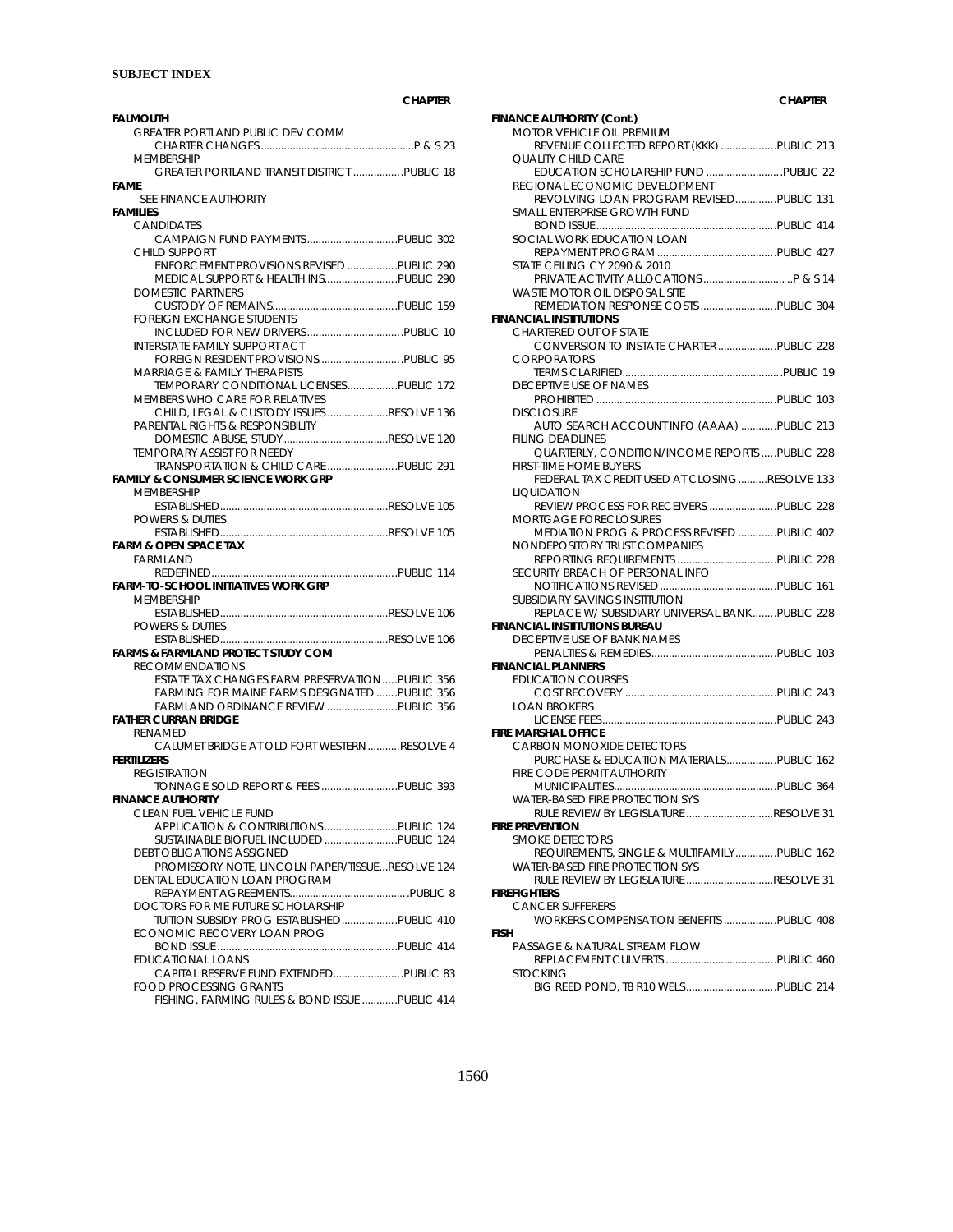|                                                                       | <b>CHAPTER</b> |                                                                             | <b>CHAPTER</b> |
|-----------------------------------------------------------------------|----------------|-----------------------------------------------------------------------------|----------------|
| <b>FALMOUTH</b>                                                       |                | <b>FINANCE AUTHORITY (Cont.)</b>                                            |                |
| GREATER PORTLAND PUBLIC DEV COMM                                      |                | MOTOR VEHICLE OIL PREMIUM                                                   |                |
|                                                                       |                | REVENUE COLLECTED REPORT (KKK)  PUBLIC 21                                   |                |
| <b>MEMBERSHIP</b>                                                     |                | QUALITY CHILD CARE                                                          |                |
| GREATER PORTLAND TRANSIT DISTRICT  PUBLIC 18                          |                |                                                                             |                |
| <b>FAME</b>                                                           |                | REGIONAL ECONOMIC DEVELOPMENT                                               |                |
| SEE FINANCE AUTHORITY                                                 |                | REVOLVING LOAN PROGRAM REVISED PUBLIC 13                                    |                |
| <b>FAMILIES</b>                                                       |                | SMALL ENTERPRISE GROWTH FUND                                                |                |
| <b>CANDIDATES</b>                                                     |                |                                                                             |                |
|                                                                       |                | SOCIAL WORK EDUCATION LOAN                                                  |                |
| <b>CHILD SUPPORT</b>                                                  |                |                                                                             |                |
| ENFORCEMENT PROVISIONS REVISED  PUBLIC 290                            |                | STATE CEILING CY 2090 & 2010                                                |                |
| MEDICAL SUPPORT & HEALTH INS PUBLIC 290                               |                |                                                                             |                |
| <b>DOMESTIC PARTNERS</b>                                              |                | WASTE MOTOR OIL DISPOSAL SITE                                               |                |
|                                                                       |                |                                                                             |                |
| <b>FOREIGN EXCHANGE STUDENTS</b>                                      |                | <b>FINANCIAL INSTITUTIONS</b>                                               |                |
|                                                                       |                | CHARTERED OUT OF STATE                                                      |                |
| INTERSTATE FAMILY SUPPORT ACT                                         |                | CONVERSION TO INSTATE CHARTER  PUBLIC 22                                    |                |
|                                                                       |                | <b>CORPORATORS</b>                                                          |                |
| MARRIAGE & FAMILY THERAPISTS                                          |                |                                                                             |                |
| TEMPORARY CONDITIONAL LICENSES PUBLIC 172                             |                | DECEPTIVE USE OF NAMES                                                      |                |
| MEMBERS WHO CARE FOR RELATIVES                                        |                |                                                                             |                |
| CHILD, LEGAL & CUSTODY ISSUES RESOLVE 136                             |                | <b>DISCLOSURE</b>                                                           |                |
| PARENTAL RIGHTS & RESPONSIBILITY                                      |                | AUTO SEARCH ACCOUNT INFO (AAAA)  PUBLIC 21                                  |                |
|                                                                       |                | FILING DEADLINES                                                            |                |
| TEMPORARY ASSIST FOR NEEDY<br>TRANSPORTATION & CHILD CARE  PUBLIC 291 |                | QUARTERLY, CONDITION/INCOME REPORTS  PUBLIC 22                              |                |
| <b>FAMILY &amp; CONSUMER SCIENCE WORK GRP</b>                         |                | FIRST-TIME HOME BUYERS                                                      |                |
|                                                                       |                | FEDERAL TAX CREDIT USED AT CLOSINGRESOLVE 13<br><b>HOUIDATION</b>           |                |
| <b>MEMBERSHIP</b>                                                     |                | REVIEW PROCESS FOR RECEIVERS  PUBLIC 22                                     |                |
|                                                                       |                |                                                                             |                |
| POWERS & DUTIES                                                       |                | <b>MORTGAGE FORECLOSURES</b><br>MEDIATION PROG & PROCESS REVISED  PUBLIC 40 |                |
| <b>FARM &amp; OPEN SPACE TAX</b>                                      |                | NONDEPOSITORY TRUST COMPANIES                                               |                |
| <b>FARMLAND</b>                                                       |                |                                                                             |                |
|                                                                       |                | SECURITY BREACH OF PERSONAL INFO                                            |                |
| <b>FARM-TO-SCHOOL INITIATIVES WORK GRP</b>                            |                |                                                                             |                |
| <b>MEMBERSHIP</b>                                                     |                | SUBSIDIARY SAVINGS INSTITUTION                                              |                |
|                                                                       |                | REPLACE W/ SUBSIDIARY UNIVERSAL BANK  PUBLIC 22                             |                |
| POWERS & DUTIES                                                       |                | <b>FINANCIAL INSTITUTIONS BUREAU</b>                                        |                |
|                                                                       |                | DECEPTIVE USE OF BANK NAMES                                                 |                |
| <b>FARMS &amp; FARMLAND PROTECT STUDY COM</b>                         |                |                                                                             |                |
| <b>RECOMMENDATIONS</b>                                                |                | <b>FINANCIAL PLANNERS</b>                                                   |                |
| ESTATE TAX CHANGES, FARM PRESERVATION  PUBLIC 356                     |                | <b>EDUCATION COURSES</b>                                                    |                |
| FARMING FOR MAINE FARMS DESIGNATED  PUBLIC 356                        |                |                                                                             |                |
|                                                                       |                | <b>LOAN BROKERS</b>                                                         |                |
| <b>FATHER CURRAN BRIDGE</b>                                           |                |                                                                             |                |
| RENAMED                                                               |                | <b>FIRE MARSHAL OFFICE</b>                                                  |                |
| CALUMET BRIDGE AT OLD FORT WESTERN RESOLVE 4                          |                | CARBON MONOXIDE DETECTORS                                                   |                |
| <b>FERTILIZERS</b>                                                    |                | PURCHASE & EDUCATION MATERIALS PUBLIC 16                                    |                |
| <b>REGISTRATION</b>                                                   |                | FIRE CODE PERMIT AUTHORITY                                                  |                |
| TONNAGE SOLD REPORT & FEES  PUBLIC 393                                |                |                                                                             |                |
| <b>FINANCE AUTHORITY</b>                                              |                | <b>WATER-BASED FIRE PROTECTION SYS</b>                                      |                |
| CLEAN FUEL VEHICLE FUND                                               |                | RULE REVIEW BY LEGISLATURE  RESOLVE 3                                       |                |
| APPLICATION & CONTRIBUTIONS PUBLIC 124                                |                | <b>FIRE PREVENTION</b>                                                      |                |
| SUSTAINABLE BIOFUEL INCLUDED  PUBLIC 124                              |                | SMOKE DETECTORS                                                             |                |
| <b>DEBT OBLIGATIONS ASSIGNED</b>                                      |                | REQUIREMENTS, SINGLE & MULTIFAMILY PUBLIC 16                                |                |
| PROMISSORY NOTE, LINCOLN PAPER/TISSUERESOLVE 124                      |                | <b>WATER-BASED FIRE PROTECTION SYS</b>                                      |                |
| DENTAL EDUCATION LOAN PROGRAM                                         |                | RULE REVIEW BY LEGISLATURE  RESOLVE 3                                       |                |
|                                                                       |                | <b>FIREFIGHTERS</b>                                                         |                |
| DOCTORS FOR ME FUTURE SCHOLARSHIP                                     |                | <b>CANCER SUFFERERS</b>                                                     |                |
| TUITION SUBSIDY PROG ESTABLISHED PUBLIC 410                           |                | WORKERS COMPENSATION BENEFITS  PUBLIC 40                                    |                |
| ECONOMIC RECOVERY LOAN PROG                                           |                | <b>FISH</b>                                                                 |                |
|                                                                       |                | PASSAGE & NATURAL STREAM FLOW                                               |                |
| EDUCATIONAL LOANS                                                     |                |                                                                             |                |
| CAPITAL RESERVE FUND EXTENDED PUBLIC 83                               |                | <b>STOCKING</b>                                                             |                |
| <b>FOOD PROCESSING GRANTS</b>                                         |                |                                                                             |                |
| FISHING, FARMING RULES & BOND ISSUE  PUBLIC 414                       |                |                                                                             |                |

| <b>FINANCE AUTHORITY (Cont.)</b>                                   |  |
|--------------------------------------------------------------------|--|
| MOTOR VEHICLE OIL PREMIUM                                          |  |
| REVENUE COLLECTED REPORT (KKK)  PUBLIC 213<br>QUALITY CHILD CARE   |  |
| EDUCATION SCHOLARSHIP FUND  PUBLIC 22                              |  |
| REGIONAL ECONOMIC DEVELOPMENT                                      |  |
| REVOLVING LOAN PROGRAM REVISED PUBLIC 131                          |  |
| SMALL ENTERPRISE GROWTH FUND                                       |  |
|                                                                    |  |
| SOCIAL WORK EDUCATION LOAN                                         |  |
|                                                                    |  |
| <b>STATE CEILING CY 2090 &amp; 2010</b>                            |  |
|                                                                    |  |
| WASTE MOTOR OIL DISPOSAL SITE                                      |  |
|                                                                    |  |
| <b>FINANCIAL INSTITUTIONS</b>                                      |  |
| CHARTERED OUT OF STATE<br>CONVERSION TO INSTATE CHARTER PUBLIC 228 |  |
| <b>CORPORATORS</b>                                                 |  |
|                                                                    |  |
| DECEPTIVE USE OF NAMES                                             |  |
|                                                                    |  |
| <b>DISCLOSURE</b>                                                  |  |
| AUTO SEARCH ACCOUNT INFO (AAAA)  PUBLIC 213                        |  |
| <b>FILING DEADLINES</b>                                            |  |
| QUARTERLY, CONDITION/INCOME REPORTS  PUBLIC 228                    |  |
| <b>FIRST-TIME HOME BUYERS</b>                                      |  |
| FEDERAL TAX CREDIT USED AT CLOSINGRESOLVE 133                      |  |
| <b>HOUIDATION</b>                                                  |  |
| REVIEW PROCESS FOR RECEIVERS  PUBLIC 228                           |  |
| <b>MORTGAGE FORECLOSURES</b>                                       |  |
| MEDIATION PROG & PROCESS REVISED  PUBLIC 402                       |  |
| NONDEPOSITORY TRUST COMPANIES                                      |  |
| SECURITY BREACH OF PERSONAL INFO                                   |  |
|                                                                    |  |
| SUBSIDIARY SAVINGS INSTITUTION                                     |  |
| REPLACE W/ SUBSIDIARY UNIVERSAL BANKPUBLIC 228                     |  |
| <b>FINANCIAL INSTITUTIONS BUREAU</b>                               |  |
| DECEPTIVE USE OF BANK NAMES                                        |  |
|                                                                    |  |
| <b>FINANCIAL PLANNERS</b>                                          |  |
| <b>EDUCATION COURSES</b>                                           |  |
|                                                                    |  |
| <b>LOAN BROKERS</b>                                                |  |
|                                                                    |  |
| <b>FIRE MARSHAL OFFICE</b><br><b>CARBON MONOXIDE DETECTORS</b>     |  |
| PURCHASE & EDUCATION MATERIALSPUBLIC 162                           |  |
| FIRE CODE PERMIT AUTHORITY                                         |  |
|                                                                    |  |
| WATER-BASED FIRE PROTECTION SYS                                    |  |
| RULE REVIEW BY LEGISLATURE  RESOLVE 31                             |  |
| <b>FIRE PREVENTION</b>                                             |  |
| <b>SMOKE DETECTORS</b>                                             |  |
| REQUIREMENTS, SINGLE & MULTIFAMILY PUBLIC 162                      |  |
| <b>WATER-BASED FIRE PROTECTION SYS</b>                             |  |
| RULE REVIEW BY LEGISLATURE  RESOLVE 31                             |  |
| <b>FIREFIGHTERS</b>                                                |  |
| <b>CANCER SUFFERERS</b>                                            |  |
| WORKERS COMPENSATION BENEFITS  PUBLIC 408                          |  |
| <b>FISH</b>                                                        |  |
| PASSAGE & NATURAL STREAM FLOW                                      |  |
| <b>STOCKING</b>                                                    |  |
| BIG REED POND, T8 R10 WELS PUBLIC 214                              |  |
|                                                                    |  |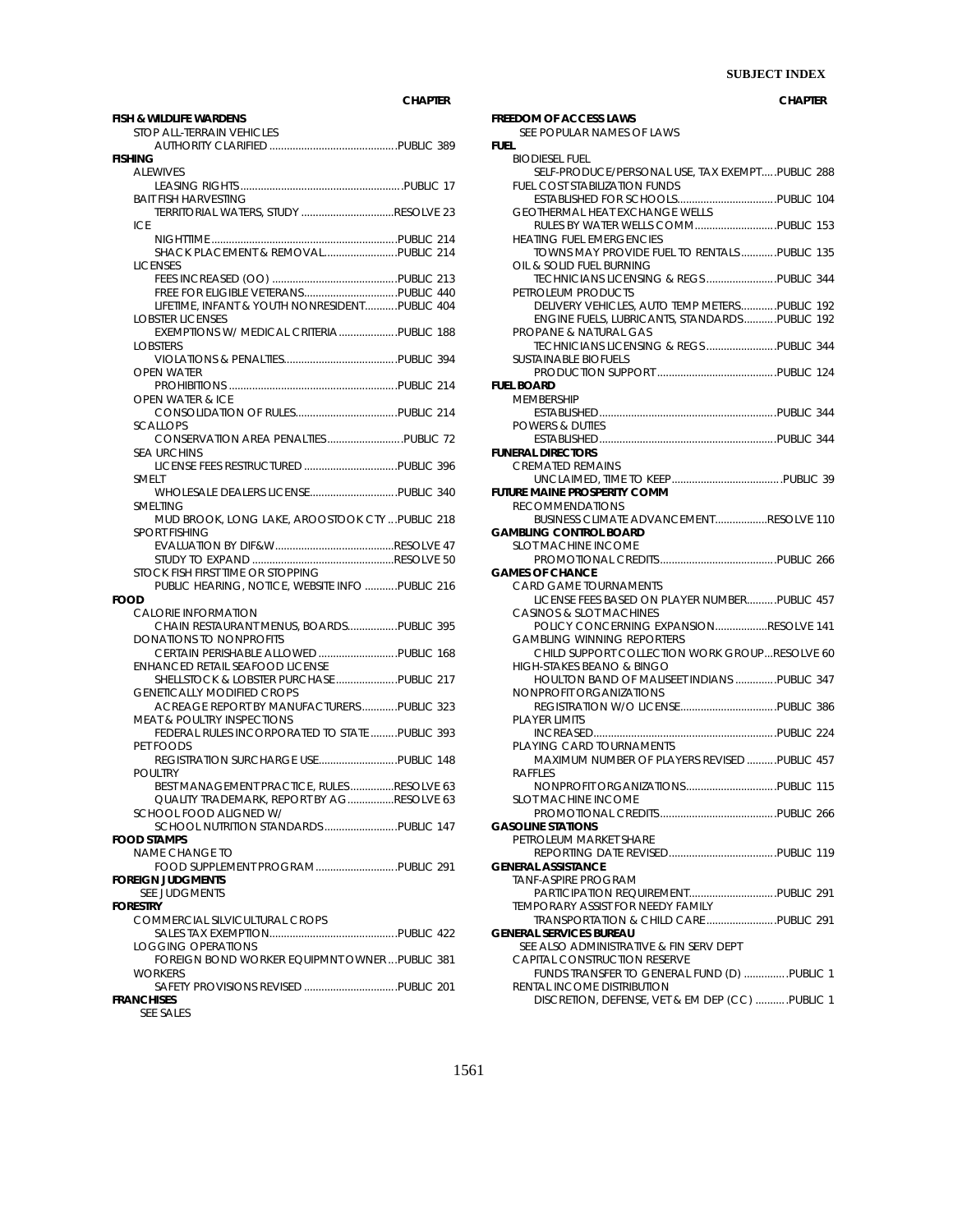## **X**

| <b>FISH &amp; WILDLIFE WARDENS</b>                                       |  |
|--------------------------------------------------------------------------|--|
| STOP ALL-TERRAIN VEHICLES                                                |  |
|                                                                          |  |
| FISHING                                                                  |  |
| <b>ALEWIVES</b>                                                          |  |
| <b>BAIT FISH HARVESTING</b>                                              |  |
| TERRITORIAL WATERS, STUDY RESOLVE 23                                     |  |
| <b>ICE</b>                                                               |  |
|                                                                          |  |
| SHACK PLACEMENT & REMOVAL PUBLIC 214                                     |  |
| <b>LICENSES</b>                                                          |  |
|                                                                          |  |
|                                                                          |  |
| LIFETIME, INFANT & YOUTH NONRESIDENTPUBLIC 404                           |  |
| <b>LOBSTER LICENSES</b>                                                  |  |
| LOBSTERS                                                                 |  |
|                                                                          |  |
| <b>OPEN WATER</b>                                                        |  |
|                                                                          |  |
| <b>OPEN WATER &amp; ICE</b>                                              |  |
|                                                                          |  |
| SCALLOPS                                                                 |  |
|                                                                          |  |
| SEA URCHINS                                                              |  |
|                                                                          |  |
| <b>SMELT</b>                                                             |  |
| <b>SMELTING</b>                                                          |  |
| MUD BROOK, LONG LAKE, AROOSTOOK CTY  PUBLIC 218                          |  |
| SPORT FISHING                                                            |  |
|                                                                          |  |
|                                                                          |  |
| STOCK FISH FIRST TIME OR STOPPING                                        |  |
| PUBLIC HEARING, NOTICE, WEBSITE INFO  PUBLIC 216                         |  |
| <b>FOOD</b>                                                              |  |
| <b>CALORIE INFORMATION</b>                                               |  |
| CHAIN RESTAURANT MENUS, BOARDS PUBLIC 395                                |  |
| <b>DONATIONS TO NONPROFITS</b><br>CERTAIN PERISHABLE ALLOWED  PUBLIC 168 |  |
| <b>ENHANCED RETAIL SEAFOOD LICENSE</b>                                   |  |
| SHELLSTOCK & LOBSTER PURCHASE  PUBLIC 217                                |  |
| <b>GENETICALLY MODIFIED CROPS</b>                                        |  |
| ACREAGE REPORT BY MANUFACTURERS PUBLIC 323                               |  |
| <b>MEAT &amp; POULTRY INSPECTIONS</b>                                    |  |
| FEDERAL RULES INCORPORATED TO STATE  PUBLIC 393                          |  |
| PET FOODS                                                                |  |
| REGISTRATION SURCHARGE USE PUBLIC 148                                    |  |
| POULTRY<br>BEST MANAGEMENT PRACTICE, RULESRESOLVE 63                     |  |
| QUALITY TRADEMARK, REPORT BY AGRESOLVE 63                                |  |
| SCHOOL FOOD ALIGNED W/                                                   |  |
| SCHOOL NUTRITION STANDARDS PUBLIC 147                                    |  |
| <b>FOOD STAMPS</b>                                                       |  |
| NAME CHANGE TO                                                           |  |
| FOOD SUPPLEMENT PROGRAM PUBLIC 291                                       |  |
| <b>FOREIGN JUDGMENTS</b>                                                 |  |
| <b>SEE JUDGMENTS</b>                                                     |  |
| <b>FORESTRY</b>                                                          |  |
| COMMERCIAL SILVICULTURAL CROPS                                           |  |
| <b>LOGGING OPERATIONS</b>                                                |  |
| FOREIGN BOND WORKER EQUIPMNT OWNER  PUBLIC 381                           |  |
| <b>WORKFRS</b>                                                           |  |
|                                                                          |  |
| <b>FRANCHISES</b>                                                        |  |
| SEE SALES                                                                |  |

| EВ |       |
|----|-------|
|    | FREED |

|                                                  | <b>SUBJECT INDEX</b>                            |
|--------------------------------------------------|-------------------------------------------------|
| <b>CHAPTER</b>                                   | <b>CHAPTER</b>                                  |
| <b>FISH &amp; WILDLIFE WARDENS</b>               | <b>FREEDOM OF ACCESS LAWS</b>                   |
| STOP ALL-TERRAIN VEHICLES                        | SEE POPULAR NAMES OF LAWS                       |
|                                                  | <b>FUEL</b>                                     |
| FISHING                                          | <b>BIODIESEL FUEL</b>                           |
| <b>ALEWIVES</b>                                  | SELF-PRODUCE/PERSONAL USE, TAX EXEMPTPUBLIC 288 |
|                                                  | <b>FUEL COST STABILIZATION FUNDS</b>            |
| <b>BAIT FISH HARVESTING</b>                      |                                                 |
|                                                  | <b>GEOTHERMAL HEAT EXCHANGE WELLS</b>           |
| <b>ICE</b>                                       |                                                 |
|                                                  | <b>HEATING FUEL EMERGENCIES</b>                 |
|                                                  | TOWNS MAY PROVIDE FUEL TO RENTALS  PUBLIC 135   |
| <b>LICENSES</b>                                  | OIL & SOLID FUEL BURNING                        |
|                                                  | TECHNICIANS LICENSING & REGS PUBLIC 344         |
|                                                  | PETROLEUM PRODUCTS                              |
| LIFETIME. INFANT & YOUTH NONRESIDENT PUBLIC 404  | DELIVERY VEHICLES. AUTO TEMP METERS PUBLIC 192  |
| <b>LOBSTER LICENSES</b>                          | ENGINE FUELS, LUBRICANTS, STANDARDS PUBLIC 192  |
| EXEMPTIONS W/ MEDICAL CRITERIA PUBLIC 188        | PROPANE & NATURAL GAS                           |
| <b>LOBSTERS</b>                                  |                                                 |
|                                                  | <b>SUSTAINABLE BIOFUELS</b>                     |
| <b>OPEN WATER</b>                                |                                                 |
|                                                  | <b>FUEL BOARD</b>                               |
| <b>OPEN WATER &amp; ICE</b>                      | <b>MFMBFRSHIP</b>                               |
|                                                  |                                                 |
| <b>SCALLOPS</b>                                  | POWERS & DUTIES                                 |
| CONSERVATION AREA PENALTIES PUBLIC 72            |                                                 |
| <b>SEA URCHINS</b>                               | <b>FUNERAL DIRECTORS</b>                        |
|                                                  | <b>CREMATED REMAINS</b>                         |
| <b>SMELT</b>                                     |                                                 |
|                                                  | FUTURE MAINE PROSPERITY COMM                    |
| <b>SMELTING</b>                                  | <b>RECOMMENDATIONS</b>                          |
| MUD BROOK, LONG LAKE, AROOSTOOK CTY  PUBLIC 218  | BUSINESS CLIMATE ADVANCEMENTRESOLVE 110         |
| <b>SPORT FISHING</b>                             | <b>GAMBLING CONTROL BOARD</b>                   |
|                                                  | <b>SLOT MACHINE INCOME</b>                      |
|                                                  |                                                 |
| STOCK FISH FIRST TIME OR STOPPING                | <b>GAMES OF CHANCE</b>                          |
| PUBLIC HEARING, NOTICE, WEBSITE INFO  PUBLIC 216 | CARD GAME TOURNAMENTS                           |
| FOOD                                             | LICENSE FEES BASED ON PLAYER NUMBER PUBLIC 457  |
| <b>CALORIE INFORMATION</b>                       | <b>CASINOS &amp; SLOT MACHINES</b>              |
| CHAIN RESTAURANT MENUS, BOARDS PUBLIC 395        | POLICY CONCERNING EXPANSIONRESOLVE 141          |
| <b>DONATIONS TO NONPROFITS</b>                   | <b>GAMBLING WINNING REPORTERS</b>               |
|                                                  | CHILD SUPPORT COLLECTION WORK GROUPRESOLVE 60   |
| <b>ENHANCED RETAIL SEAFOOD LICENSE</b>           | <b>HIGH-STAKES BEANO &amp; BINGO</b>            |
| SHELLSTOCK & LOBSTER PURCHASE  PUBLIC 217        | HOULTON BAND OF MALISEET INDIANS  PUBLIC 347    |
| <b>GENETICALLY MODIFIED CROPS</b>                | NONPROFIT ORGANIZATIONS                         |
| ACREAGE REPORT BY MANUFACTURERS PUBLIC 323       |                                                 |
| MEAT & POULTRY INSPECTIONS                       | PLAYER LIMITS                                   |

| PLAYER LIMITS                                        |  |
|------------------------------------------------------|--|
|                                                      |  |
| PLAYING CARD TOURNAMENTS                             |  |
| <b>MAXIMUM NUMBER OF PLAYERS REVISED  PUBLIC 457</b> |  |
| RAFFI FS                                             |  |
|                                                      |  |
| SLOT MACHINE INCOME                                  |  |
|                                                      |  |
| <b>GASOLINE STATIONS</b>                             |  |
| PETROI FUM MARKET SHARE                              |  |
|                                                      |  |
| <b>GENERAL ASSISTANCE</b>                            |  |
| TANF-ASPIRF PROGRAM                                  |  |
|                                                      |  |
| TEMPORARY ASSIST FOR NEEDY FAMILY                    |  |
|                                                      |  |
| <b>GENERAL SERVICES BUREAU</b>                       |  |
| SEE ALSO ADMINISTRATIVE & FIN SERV DEPT              |  |
| CAPITAL CONSTRUCTION RESERVE                         |  |
| FUNDS TRANSFER TO GENERAL FUND (D)  PUBLIC 1         |  |
| RENTAL INCOME DISTRIBUTION                           |  |
| DISCRETION, DEFENSE, VET & EM DEP (CC) PUBLIC 1      |  |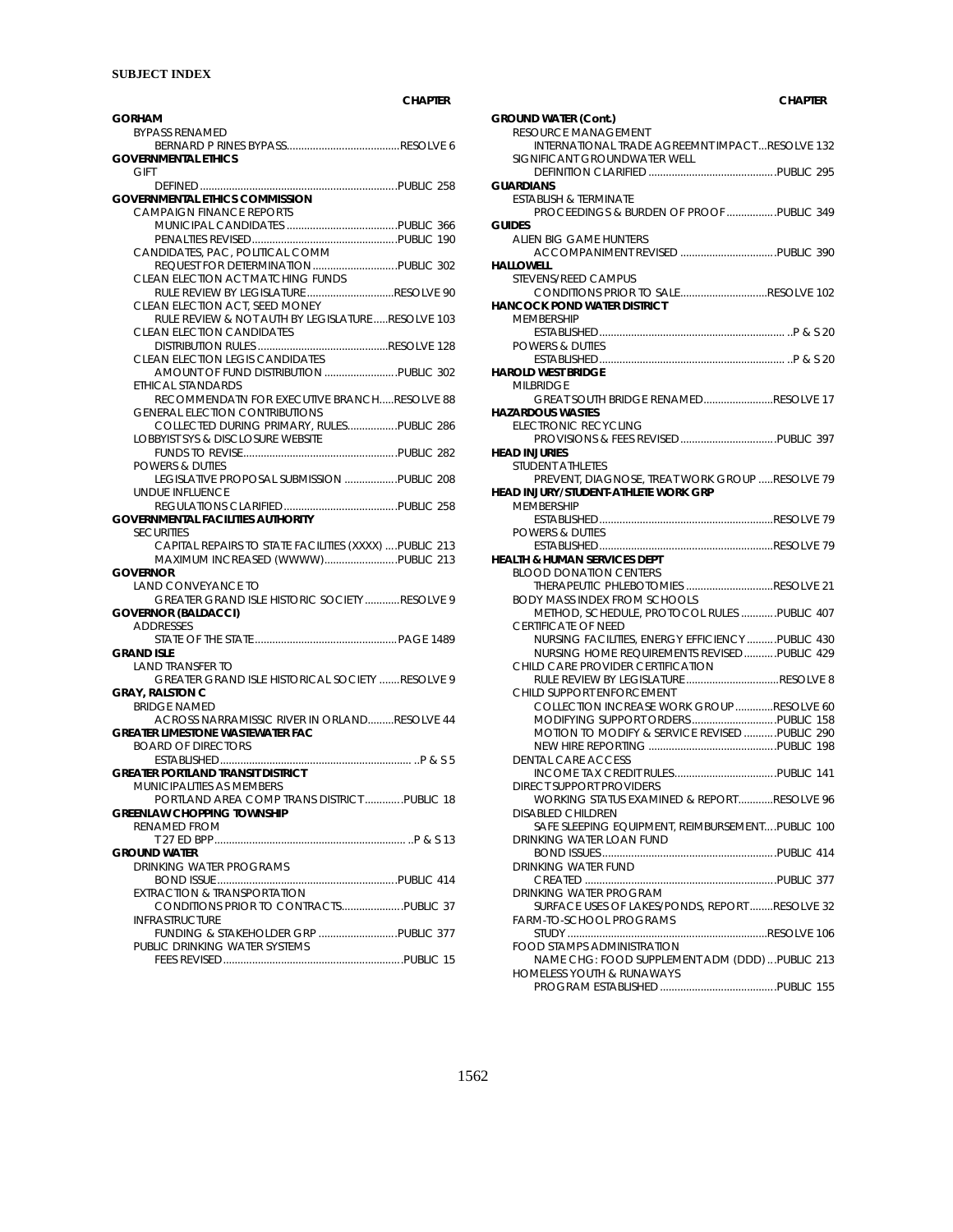| <b>GORHAM</b>                                                               |  |
|-----------------------------------------------------------------------------|--|
| <b>BYPASS RENAMED</b>                                                       |  |
| <b>GOVERNMENTAL ETHICS</b>                                                  |  |
| <b>GIFT</b>                                                                 |  |
|                                                                             |  |
| <b>GOVERNMENTAL ETHICS COMMISSION</b>                                       |  |
| <b>CAMPAIGN FINANCE REPORTS</b>                                             |  |
|                                                                             |  |
| CANDIDATES, PAC, POLITICAL COMM                                             |  |
| REQUEST FOR DETERMINATION  PUBLIC 302                                       |  |
| CLEAN ELECTION ACT MATCHING FUNDS                                           |  |
| RULE REVIEW BY LEGISLATURE  RESOLVE 90                                      |  |
| CLEAN ELECTION ACT, SEED MONEY                                              |  |
| RULE REVIEW & NOT AUTH BY LEGISLATURE  RESOLVE 103                          |  |
| <b>CLEAN ELECTION CANDIDATES</b>                                            |  |
| <b>CLEAN ELECTION LEGIS CANDIDATES</b>                                      |  |
| AMOUNT OF FUND DISTRIBUTION  PUBLIC 302                                     |  |
| <b>ETHICAL STANDARDS</b>                                                    |  |
| RECOMMENDATN FOR EXECUTIVE BRANCHRESOLVE 88                                 |  |
| <b>GENERAL ELECTION CONTRIBUTIONS</b>                                       |  |
| COLLECTED DURING PRIMARY, RULES PUBLIC 286                                  |  |
| LOBBYIST SYS & DISCLOSURE WEBSITE                                           |  |
| POWERS & DUTIES                                                             |  |
| LEGISLATIVE PROPOSAL SUBMISSION  PUBLIC 208                                 |  |
| UNDUE INFLUENCE                                                             |  |
|                                                                             |  |
| <b>GOVERNMENTAL FACILITIES AUTHORITY</b>                                    |  |
| <b>SECURITIES</b><br>CAPITAL REPAIRS TO STATE FACILITIES (XXXX)  PUBLIC 213 |  |
|                                                                             |  |
| GOVERNOR                                                                    |  |
| LAND CONVEYANCE TO                                                          |  |
| GREATER GRAND ISLE HISTORIC SOCIETY RESOLVE 9                               |  |
| <b>GOVERNOR (BALDACCI)</b>                                                  |  |
| <b>ADDRESSES</b>                                                            |  |
| <b>GRAND ISLE</b>                                                           |  |
| <b>LAND TRANSFER TO</b>                                                     |  |
| GREATER GRAND ISLE HISTORICAL SOCIETY RESOLVE 9                             |  |
| <b>GRAY, RALSTON C</b>                                                      |  |
| <b>BRIDGE NAMED</b>                                                         |  |
| ACROSS NARRAMISSIC RIVER IN ORLANDRESOLVE 44                                |  |
| <b>GREATER LIMESTONE WASTEWATER FAC</b><br><b>BOARD OF DIRECTORS</b>        |  |
|                                                                             |  |
| <b>GREATER PORTLAND TRANSIT DISTRICT</b>                                    |  |
| MUNICIPALITIES AS MEMBERS                                                   |  |
| PORTLAND AREA COMP TRANS DISTRICT  PUBLIC 18                                |  |
| <b>GREENLAW CHOPPING TOWNSHIP</b>                                           |  |
| RENAMED FROM                                                                |  |
| <b>GROUND WATER</b>                                                         |  |
| DRINKING WATER PROGRAMS                                                     |  |
|                                                                             |  |
| EXTRACTION & TRANSPORTATION                                                 |  |
| CONDITIONS PRIOR TO CONTRACTS PUBLIC 37                                     |  |
| <b>INFRASTRUCTURE</b>                                                       |  |
| FUNDING & STAKEHOLDER GRP  PUBLIC 377<br>PUBLIC DRINKING WATER SYSTEMS      |  |
|                                                                             |  |

| <b>GROUND WATER (Cont.)</b>                                                    |  |
|--------------------------------------------------------------------------------|--|
| RESOURCE MANAGEMENT                                                            |  |
| INTERNATIONAL TRADE AGREEMNT IMPACT  RESOLVE 132                               |  |
| SIGNIFICANT GROUNDWATER WELL                                                   |  |
|                                                                                |  |
| GUARDIANS                                                                      |  |
| <b>ESTABLISH &amp; TERMINATE</b><br>PROCEEDINGS & BURDEN OF PROOF  PUBLIC 349  |  |
| <b>GUIDES</b>                                                                  |  |
| ALIEN BIG GAME HUNTERS                                                         |  |
|                                                                                |  |
| HALLOWELL                                                                      |  |
| STEVENS/REED CAMPUS                                                            |  |
| CONDITIONS PRIOR TO SALERESOLVE 102                                            |  |
| <b>HANCOCK POND WATER DISTRICT</b>                                             |  |
| MEMBERSHIP                                                                     |  |
|                                                                                |  |
| <b>POWERS &amp; DUTIES</b>                                                     |  |
|                                                                                |  |
| <b>HAROLD WEST BRIDGE</b>                                                      |  |
| <b>MILBRIDGE</b>                                                               |  |
| GREAT SOUTH BRIDGE RENAMEDRESOLVE 17                                           |  |
| <b>HAZARDOUS WASTES</b><br>ELECTRONIC RECYCLING                                |  |
|                                                                                |  |
| <b>HEAD INJURIES</b>                                                           |  |
| <b>STUDENT ATHLETES</b>                                                        |  |
| PREVENT, DIAGNOSE, TREAT WORK GROUP RESOLVE 79                                 |  |
| HEAD INJURY/STUDENT-ATHLETE WORK GRP                                           |  |
| MEMBERSHIP                                                                     |  |
|                                                                                |  |
| <b>POWERS &amp; DUTIES</b>                                                     |  |
|                                                                                |  |
| HEALTH & HUMAN SERVICES DEPT                                                   |  |
| <b>BLOOD DONATION CENTERS</b>                                                  |  |
| THERAPEUTIC PHLEBOTOMIES  RESOLVE 21                                           |  |
| <b>BODY MASS INDEX FROM SCHOOLS</b>                                            |  |
| METHOD, SCHEDULE, PROTOCOL RULES  PUBLIC 407                                   |  |
| <b>CERTIFICATE OF NEED</b><br>NURSING FACILITIES, ENERGY EFFICIENCY PUBLIC 430 |  |
| NURSING HOME REQUIREMENTS REVISED PUBLIC 429                                   |  |
| CHILD CARE PROVIDER CERTIFICATION                                              |  |
| RULE REVIEW BY LEGISLATURE  RESOLVE 8                                          |  |
| CHILD SUPPORT ENFORCEMENT                                                      |  |
| COLLECTION INCREASE WORK GROUP RESOLVE 60                                      |  |
|                                                                                |  |
| MOTION TO MODIFY & SERVICE REVISED  PUBLIC 290                                 |  |
|                                                                                |  |
| <b>DENTAL CARE ACCESS</b>                                                      |  |
|                                                                                |  |
| DIRECT SUPPORT PROVIDERS                                                       |  |
| WORKING STATUS EXAMINED & REPORTRESOLVE 96                                     |  |
| DISABLED CHILDREN<br>SAFE SLEEPING EQUIPMENT, REIMBURSEMENTPUBLIC 100          |  |
| DRINKING WATER LOAN FUND                                                       |  |
|                                                                                |  |
| DRINKING WATER FUND                                                            |  |
|                                                                                |  |
| DRINKING WATER PROGRAM                                                         |  |
| SURFACE USES OF LAKES/PONDS, REPORT RESOLVE 32                                 |  |
| FARM-TO-SCHOOL PROGRAMS                                                        |  |
|                                                                                |  |
| <b>FOOD STAMPS ADMINISTRATION</b>                                              |  |
| NAME CHG: FOOD SUPPLEMENT ADM (DDD)  PUBLIC 213                                |  |
| HOMELESS YOUTH & RUNAWAYS                                                      |  |
|                                                                                |  |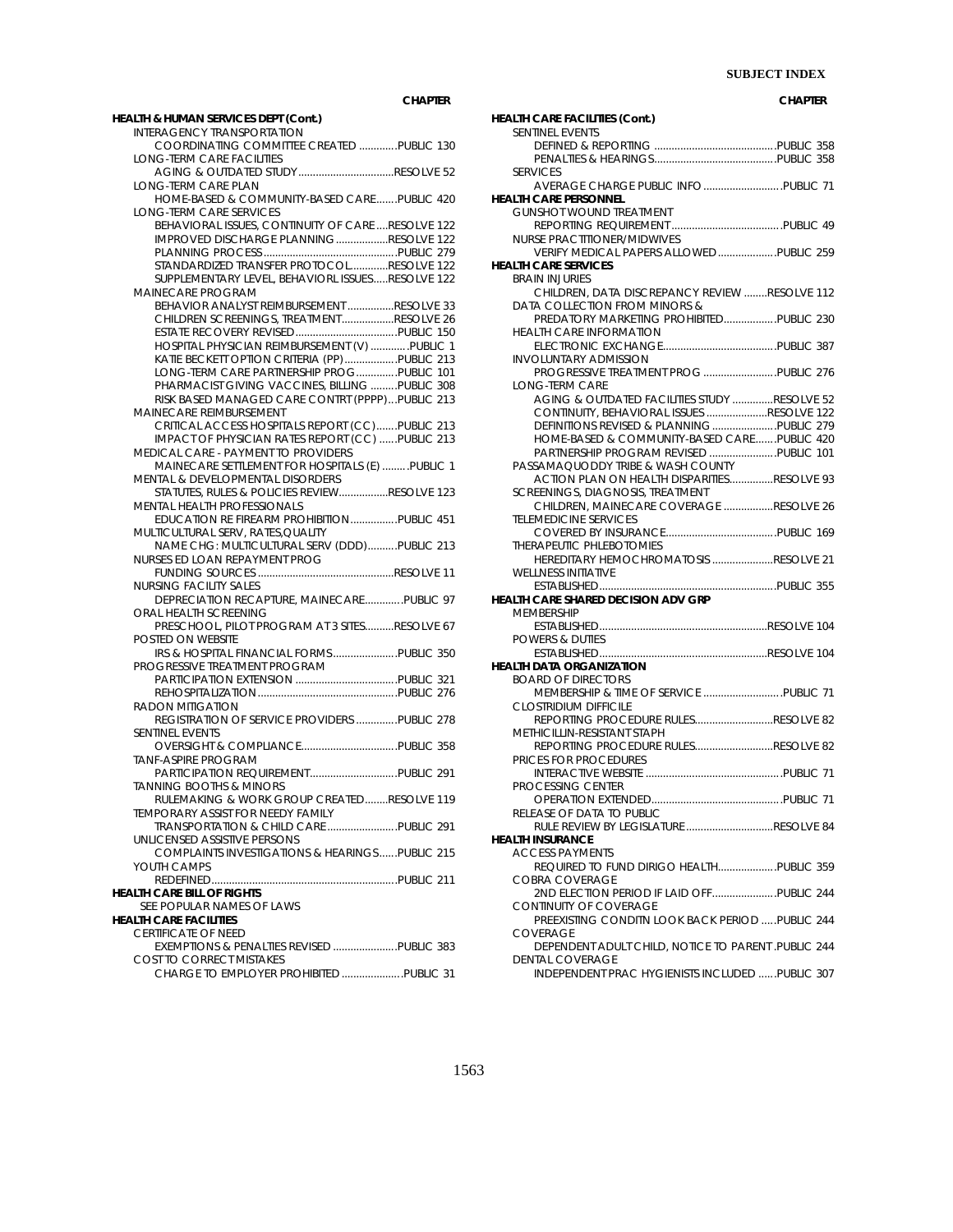| HEALTH & HUMAN SERVICES DEPT (Cont.)                                          |
|-------------------------------------------------------------------------------|
| <b>INTERAGENCY TRANSPORTATION</b>                                             |
| COORDINATING COMMITTEE CREATED  PUBLIC 130                                    |
| <b>LONG-TERM CARE FACILITIES</b>                                              |
|                                                                               |
| LONG-TERM CARE PLAN                                                           |
| HOME-BASED & COMMUNITY-BASED CAREPUBLIC 420                                   |
| LONG-TERM CARE SERVICES<br>BEHAVIORAL ISSUES, CONTINUITY OF CARE  RESOLVE 122 |
| IMPROVED DISCHARGE PLANNINGRESOLVE 122                                        |
|                                                                               |
| STANDARDIZED TRANSFER PROTOCOLRESOLVE 122                                     |
| SUPPLEMENTARY LEVEL, BEHAVIORL ISSUESRESOLVE 122                              |
| <b>MAINECARE PROGRAM</b>                                                      |
| BEHAVIOR ANALYST REIMBURSEMENT RESOLVE 33                                     |
| CHILDREN SCREENINGS, TREATMENTRESOLVE 26                                      |
|                                                                               |
| HOSPITAL PHYSICIAN REIMBURSEMENT (V) PUBLIC 1                                 |
| KATIE BECKETT OPTION CRITERIA (PP) PUBLIC 213                                 |
| LONG-TERM CARE PARTNERSHIP PROG PUBLIC 101                                    |
| PHARMACIST GIVING VACCINES, BILLING  PUBLIC 308                               |
| RISK BASED MANAGED CARE CONTRT (PPPP)PUBLIC 213                               |
| MAINECARE REIMBURSEMENT                                                       |
| CRITICAL ACCESS HOSPITALS REPORT (CC)PUBLIC 213                               |
| IMPACT OF PHYSICIAN RATES REPORT (CC)  PUBLIC 213                             |
| MEDICAL CARE - PAYMENT TO PROVIDERS                                           |
| MAINECARE SETTLEMENT FOR HOSPITALS (E)  PUBLIC 1                              |
| MENTAL & DEVELOPMENTAL DISORDERS                                              |
| STATUTES, RULES & POLICIES REVIEWRESOLVE 123                                  |
| MENTAL HEALTH PROFESSIONALS<br>EDUCATION RE FIREARM PROHIBITION PUBLIC 451    |
| MULTICULTURAL SERV, RATES, QUALITY                                            |
| NAME CHG: MULTICULTURAL SERV (DDD)PUBLIC 213                                  |
| NURSES ED LOAN REPAYMENT PROG                                                 |
|                                                                               |
| <b>NURSING FACILITY SALES</b>                                                 |
| DEPRECIATION RECAPTURE, MAINECARE PUBLIC 97                                   |
| ORAL HEALTH SCREENING                                                         |
| PRESCHOOL, PILOT PROGRAM AT 3 SITESRESOLVE 67                                 |
| POSTED ON WEBSITE                                                             |
|                                                                               |
| PROGRESSIVE TREATMENT PROGRAM                                                 |
|                                                                               |
|                                                                               |
| <b>RADON MITIGATION</b>                                                       |
| REGISTRATION OF SERVICE PROVIDERS  PUBLIC 278                                 |
| <b>SENTINEL EVENTS</b>                                                        |
| <b>TANF-ASPIRF PROGRAM</b>                                                    |
|                                                                               |
| <b>TANNING BOOTHS &amp; MINORS</b>                                            |
| RULEMAKING & WORK GROUP CREATEDRESOLVE 119                                    |
| TEMPORARY ASSIST FOR NEEDY FAMILY                                             |
| TRANSPORTATION & CHILD CARE  PUBLIC 291                                       |
| UNLICENSED ASSISTIVE PERSONS                                                  |
| COMPLAINTS INVESTIGATIONS & HEARINGSPUBLIC 215                                |
| YOUTH CAMPS                                                                   |
|                                                                               |
| health care bill of Rights                                                    |
| SEE POPULAR NAMES OF LAWS                                                     |
| HEALTH CARE FACILITIES                                                        |
| <b>CERTIFICATE OF NEED</b>                                                    |
| EXEMPTIONS & PENALTIES REVISED  PUBLIC 383                                    |
| <b>COST TO CORRECT MISTAKES</b><br>CHARGE TO EMPLOYER PROHIBITED  PUBLIC 31   |
|                                                                               |
|                                                                               |

| HEALTH CARE FACILITIES (Cont.)                     |  |
|----------------------------------------------------|--|
| SENTINEL EVENTS                                    |  |
|                                                    |  |
|                                                    |  |
| <b>SERVICES</b>                                    |  |
| AVERAGE CHARGE PUBLIC INFO  PUBLIC 71              |  |
|                                                    |  |
| <b>HEALTH CARE PERSONNEL</b>                       |  |
| <b>GUNSHOT WOUND TREATMENT</b>                     |  |
|                                                    |  |
| NURSE PRACTITIONER/MIDWIVES                        |  |
| VERIFY MEDICAL PAPERS ALLOWED PUBLIC 259           |  |
| <b>HEALTH CARE SERVICES</b>                        |  |
|                                                    |  |
| <b>BRAIN INJURIES</b>                              |  |
| CHILDREN, DATA DISCREPANCY REVIEW RESOLVE 112      |  |
| <b>DATA COLLECTION FROM MINORS &amp;</b>           |  |
| PREDATORY MARKETING PROHIBITED PUBLIC 230          |  |
| <b>HEALTH CARE INFORMATION</b>                     |  |
|                                                    |  |
|                                                    |  |
| <b>INVOLUNTARY ADMISSION</b>                       |  |
| PROGRESSIVE TREATMENT PROG  PUBLIC 276             |  |
| LONG-TERM CARE                                     |  |
| AGING & OUTDATED FACILITIES STUDY RESOLVE 52       |  |
|                                                    |  |
| CONTINUITY, BEHAVIORAL ISSUES RESOLVE 122          |  |
| DEFINITIONS REVISED & PLANNING PUBLIC 279          |  |
| HOME-BASED & COMMUNITY-BASED CAREPUBLIC 420        |  |
| PARTNERSHIP PROGRAM REVISED  PUBLIC 101            |  |
| PASSAMAQUODDY TRIBE & WASH COUNTY                  |  |
|                                                    |  |
| ACTION PLAN ON HEALTH DISPARITIESRESOLVE 93        |  |
| SCREENINGS, DIAGNOSIS, TREATMENT                   |  |
| CHILDREN, MAINECARE COVERAGE RESOLVE 26            |  |
| <b>TELEMEDICINE SERVICES</b>                       |  |
|                                                    |  |
|                                                    |  |
| THERAPEUTIC PHLEBOTOMIES                           |  |
| HEREDITARY HEMOCHROMATOSIS RESOLVE 21              |  |
| <b>WELLNESS INITIATIVE</b>                         |  |
|                                                    |  |
|                                                    |  |
| HEALTH CARE SHARED DECISION ADV GRP                |  |
| MEMBERSHIP                                         |  |
|                                                    |  |
| POWERS & DUTIES                                    |  |
|                                                    |  |
|                                                    |  |
| Health Data Organization                           |  |
| <b>BOARD OF DIRECTORS</b>                          |  |
| MEMBERSHIP & TIME OF SERVICE  PUBLIC 71            |  |
| <b>CLOSTRIDIUM DIFFICILE</b>                       |  |
| REPORTING PROCEDURE RULESRESOLVE 82                |  |
|                                                    |  |
| METHICILLIN-RESISTANT STAPH                        |  |
| REPORTING PROCEDURE RULESRESOLVE 82                |  |
| PRICES FOR PROCEDURES                              |  |
|                                                    |  |
|                                                    |  |
| PROCESSING CENTER                                  |  |
|                                                    |  |
| RELEASE OF DATA TO PUBLIC                          |  |
| RULE REVIEW BY LEGISLATURE  RESOLVE 84             |  |
| <b>HEALTH INSURANCE</b>                            |  |
|                                                    |  |
| <b>ACCESS PAYMENTS</b>                             |  |
| REQUIRED TO FUND DIRIGO HEALTH PUBLIC 359          |  |
| COBRA COVERAGE                                     |  |
| 2ND ELECTION PERIOD IF LAID OFF PUBLIC 244         |  |
|                                                    |  |
| <b>CONTINUITY OF COVERAGE</b>                      |  |
| PREEXISTING CONDITN LOOK BACK PERIOD  PUBLIC 244   |  |
| COVERAGE                                           |  |
| DEPENDENT ADULT CHILD, NOTICE TO PARENT PUBLIC 244 |  |
| DENTAL COVERAGE                                    |  |
|                                                    |  |
| INDEPENDENT PRAC HYGIENISTS INCLUDED  PUBLIC 307   |  |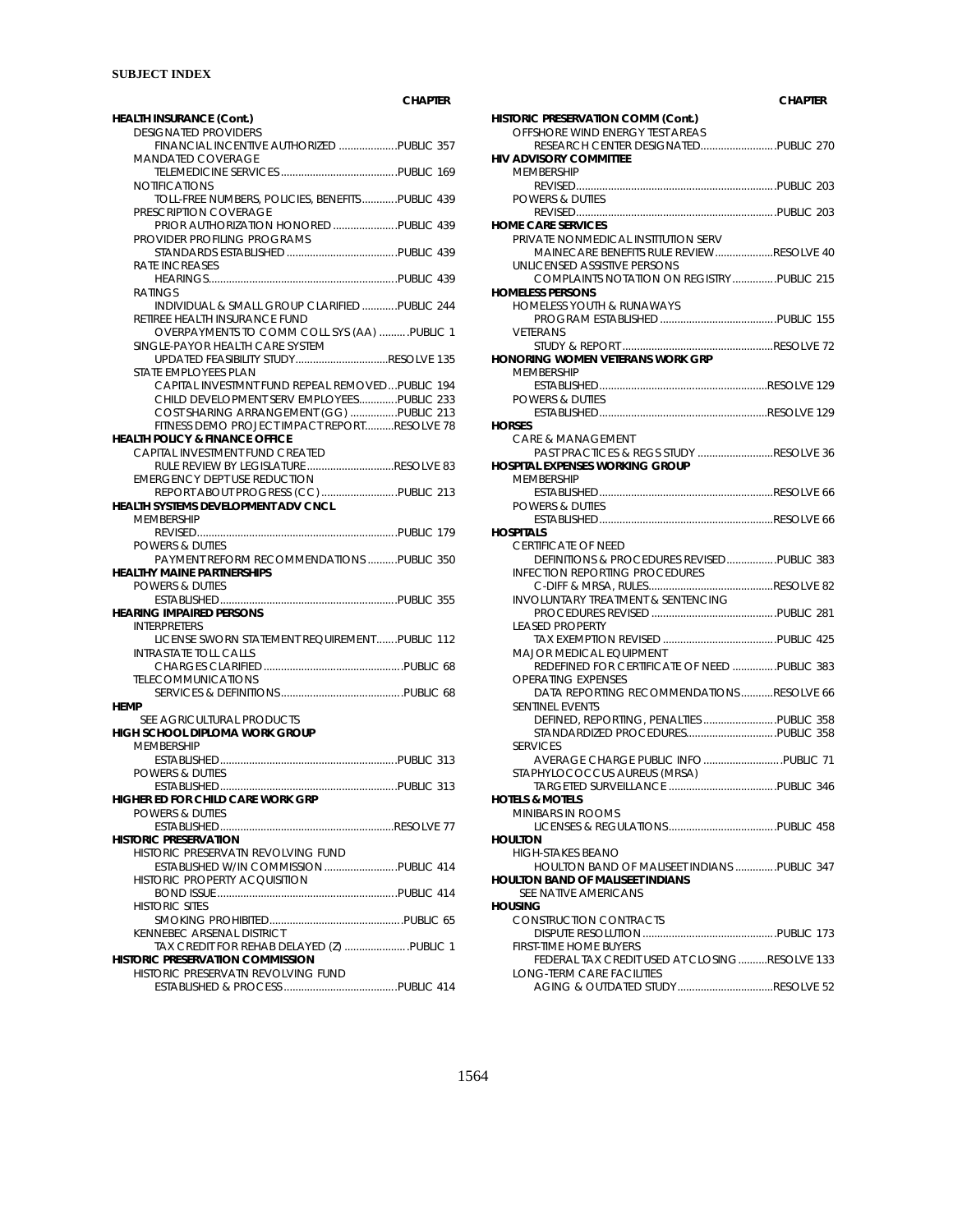| HEALTH INSURANCE (Cont.)                                                              |  |
|---------------------------------------------------------------------------------------|--|
| <b>DESIGNATED PROVIDERS</b>                                                           |  |
| FINANCIAL INCENTIVE AUTHORIZED  PUBLIC 357                                            |  |
| MANDATED COVERAGE                                                                     |  |
| NOTIFICATIONS                                                                         |  |
| TOLL-FREE NUMBERS, POLICIES, BENEFITS PUBLIC 439<br>PRESCRIPTION COVERAGE             |  |
| PRIOR AUTHORIZATION HONORED  PUBLIC 439                                               |  |
| PROVIDER PROFILING PROGRAMS                                                           |  |
|                                                                                       |  |
| RATE INCREASES                                                                        |  |
| RATINGS                                                                               |  |
| INDIVIDUAL & SMALL GROUP CLARIFIED  PUBLIC 244                                        |  |
| RETIREE HEALTH INSURANCE FUND                                                         |  |
| OVERPAYMENTS TO COMM COLL SYS (AA)  PUBLIC 1                                          |  |
| SINGLE-PAYOR HEALTH CARE SYSTEM<br>UPDATED FEASIBILITY STUDYRESOLVE 135               |  |
| STATE EMPLOYEES PLAN                                                                  |  |
| CAPITAL INVESTMNT FUND REPEAL REMOVED PUBLIC 194                                      |  |
| CHILD DEVELOPMENT SERV EMPLOYEESPUBLIC 233                                            |  |
| COST SHARING ARRANGEMENT (GG)  PUBLIC 213                                             |  |
| FITNESS DEMO PROJECT IMPACT REPORTRESOLVE 78                                          |  |
| <b>HEALTH POLICY &amp; FINANCE OFFICE</b>                                             |  |
| CAPITAL INVESTMENT FUND CREATED                                                       |  |
| RULE REVIEW BY LEGISLATURE  RESOLVE 83                                                |  |
| <b>EMERGENCY DEPT USE REDUCTION</b>                                                   |  |
| REPORT ABOUT PROGRESS (CC)  PUBLIC 213                                                |  |
| HEALTH SYSTEMS DEVELOPMENT ADV CNCL                                                   |  |
| <b>MEMBERSHIP</b>                                                                     |  |
|                                                                                       |  |
| <b>POWERS &amp; DUTIES</b>                                                            |  |
| PAYMENT REFORM RECOMMENDATIONS  PUBLIC 350                                            |  |
| <b>HEALTHY MAINE PARTNERSHIPS</b>                                                     |  |
| POWERS & DUTIES                                                                       |  |
|                                                                                       |  |
| <b>HEARING IMPAIRED PERSONS</b>                                                       |  |
| <b>INTERPRETERS</b>                                                                   |  |
| LICENSE SWORN STATEMENT REQUIREMENT PUBLIC 112                                        |  |
|                                                                                       |  |
| INTRASTATE TOLL CALLS                                                                 |  |
| <b>TELECOMMUNICATIONS</b>                                                             |  |
|                                                                                       |  |
|                                                                                       |  |
| <b>HEMP</b><br>SEE AGRICULTURAL PRODUCTS                                              |  |
|                                                                                       |  |
| HIGH SCHOOL DIPLOMA WORK GROUP<br><b>MFMBFRSHIP</b>                                   |  |
|                                                                                       |  |
| <b>POWERS &amp; DUTIES</b>                                                            |  |
|                                                                                       |  |
| HIGHER ED FOR CHILD CARE WORK GRP                                                     |  |
|                                                                                       |  |
| POWERS & DUTIES                                                                       |  |
| <b>HISTORIC PRESERVATION</b>                                                          |  |
| HISTORIC PRESERVATN REVOLVING FUND                                                    |  |
|                                                                                       |  |
| HISTORIC PROPERTY ACQUISITION                                                         |  |
|                                                                                       |  |
|                                                                                       |  |
| <b>HISTORIC SITES</b>                                                                 |  |
|                                                                                       |  |
| KENNEBEC ARSENAL DISTRICT                                                             |  |
| TAX CREDIT FOR REHAB DELAYED (Z)  PUBLIC 1<br><b>HISTORIC PRESERVATION COMMISSION</b> |  |
| HISTORIC PRESERVATN REVOLVING FUND                                                    |  |
|                                                                                       |  |
|                                                                                       |  |

| HISTORIC PRESERVATION COMM (Cont.)            |  |
|-----------------------------------------------|--|
| OFFSHORE WIND ENERGY TEST AREAS               |  |
| RESEARCH CENTER DESIGNATED PUBLIC 270         |  |
| hiv advisory committee                        |  |
| MEMBERSHIP                                    |  |
|                                               |  |
| POWERS & DUTIES                               |  |
|                                               |  |
| <b>HOME CARE SERVICES</b>                     |  |
| PRIVATE NONMEDICAL INSTITUTION SERV           |  |
| MAINECARE BENEFITS RULE REVIEWRESOLVE 40      |  |
| UNLICENSED ASSISTIVE PERSONS                  |  |
| COMPLAINTS NOTATION ON REGISTRY PUBLIC 215    |  |
| HOMELESS PERSONS                              |  |
| <b>HOMELESS YOUTH &amp; RUNAWAYS</b>          |  |
|                                               |  |
| <b>VETERANS</b>                               |  |
|                                               |  |
| Honoring women veterans work grp              |  |
| <b>MEMBERSHIP</b>                             |  |
|                                               |  |
| <b>POWERS &amp; DUTIES</b>                    |  |
|                                               |  |
| HORSES                                        |  |
| <b>CARE &amp; MANAGEMENT</b>                  |  |
| PAST PRACTICES & REGS STUDY RESOLVE 36        |  |
| Hospital expenses working group               |  |
| MEMBERSHIP                                    |  |
|                                               |  |
| POWERS & DUTIES                               |  |
|                                               |  |
| HOSPITALS                                     |  |
| <b>CERTIFICATE OF NEED</b>                    |  |
| DEFINITIONS & PROCEDURES REVISED PUBLIC 383   |  |
| <b>INFECTION REPORTING PROCEDURES</b>         |  |
|                                               |  |
| INVOLUNTARY TREATMENT & SENTENCING            |  |
|                                               |  |
| <b>LEASED PROPERTY</b>                        |  |
|                                               |  |
| <b>MAJOR MEDICAL EQUIPMENT</b>                |  |
| REDEFINED FOR CERTIFICATE OF NEED  PUBLIC 383 |  |
| <b>OPERATING EXPENSES</b>                     |  |
| DATA REPORTING RECOMMENDATIONS RESOLVE 66     |  |
| SENTINEL EVENTS                               |  |
| DEFINED, REPORTING, PENALTIES  PUBLIC 358     |  |
|                                               |  |
| <b>SERVICES</b>                               |  |
| AVERAGE CHARGE PUBLIC INFO  PUBLIC 71         |  |
| STAPHYLOCOCCUS AUREUS (MRSA)                  |  |
|                                               |  |
| <b>HOTELS &amp; MOTELS</b>                    |  |
| MINIBARS IN ROOMS                             |  |
|                                               |  |
| Houlton                                       |  |
| HIGH-STAKES BEANO                             |  |
| HOULTON BAND OF MALISEET INDIANS  PUBLIC 347  |  |
| HOULTON BAND OF MALISEET INDIANS              |  |
| SEE NATIVE AMERICANS                          |  |
| Housing                                       |  |
| <b>CONSTRUCTION CONTRACTS</b>                 |  |
|                                               |  |
| FIRST-TIME HOME BUYERS                        |  |
| FEDERAL TAX CREDIT USED AT CLOSINGRESOLVE 133 |  |
| <b>LONG-TERM CARE FACILITIES</b>              |  |
|                                               |  |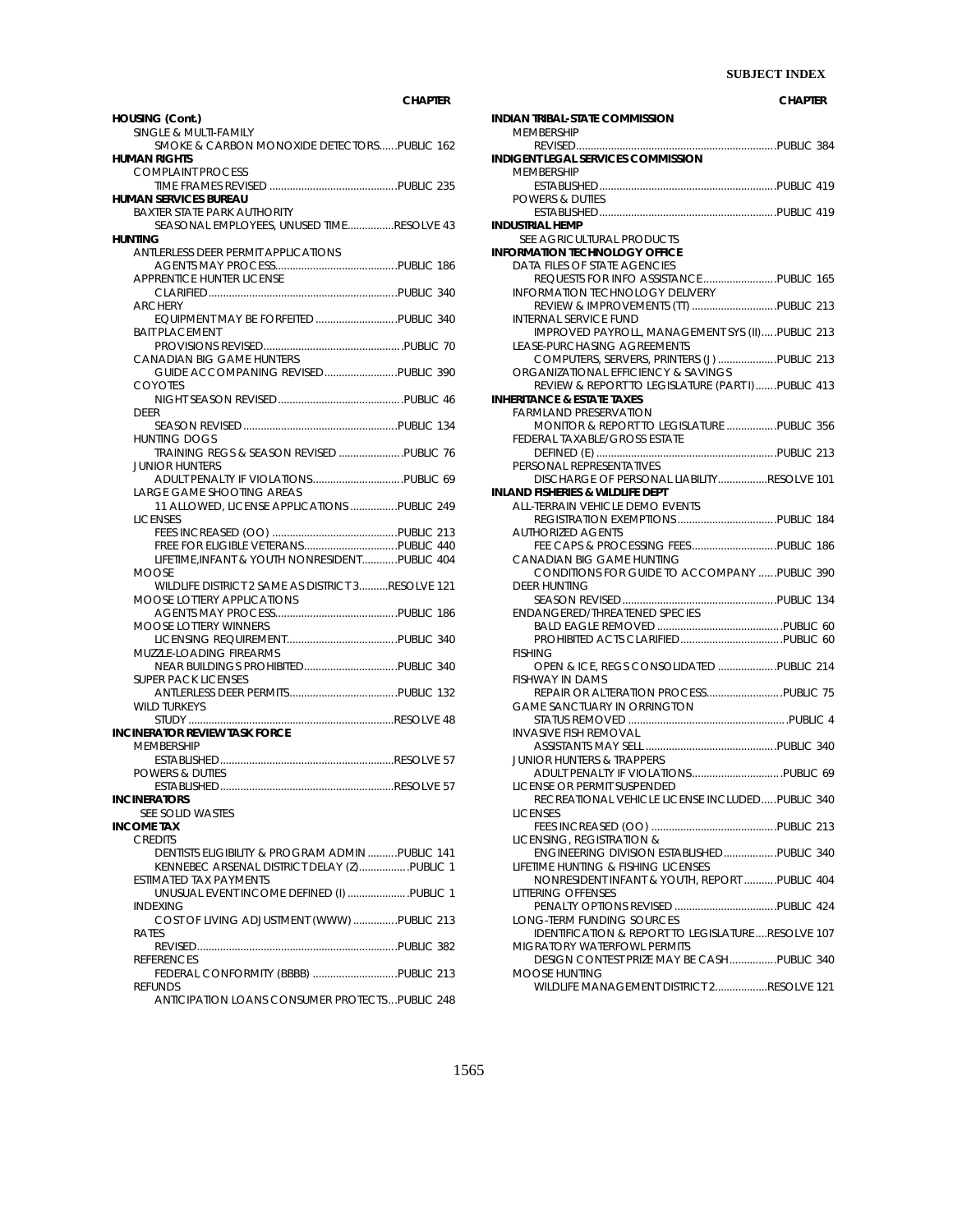| <b>HOUSING (Cont.)</b>                            |
|---------------------------------------------------|
| SINGLE & MULTI-FAMILY                             |
| SMOKE & CARBON MONOXIDE DETECTORS PUBLIC 162      |
| <b>HUMAN RIGHTS</b>                               |
| <b>COMPLAINT PROCESS</b>                          |
|                                                   |
| HUMAN SERVICES BUREAU                             |
| <b>BAXTER STATE PARK AUTHORITY</b>                |
| SEASONAL EMPLOYEES, UNUSED TIME RESOLVE 43        |
| <b>HUNTING</b>                                    |
| ANTLERLESS DEER PERMIT APPLICATIONS               |
| APPRENTICE HUNTER LICENSE                         |
|                                                   |
| <b>ARCHERY</b>                                    |
| EQUIPMENT MAY BE FORFEITED  PUBLIC 340            |
| <b>BAIT PLACEMENT</b>                             |
|                                                   |
| CANADIAN BIG GAME HUNTERS                         |
| GUIDE ACCOMPANING REVISED PUBLIC 390              |
| <b>COYOTES</b>                                    |
|                                                   |
| DEER                                              |
|                                                   |
| <b>HUNTING DOGS</b>                               |
| TRAINING REGS & SEASON REVISED  PUBLIC 76         |
| <b>JUNIOR HUNTERS</b>                             |
|                                                   |
| LARGE GAME SHOOTING AREAS                         |
| 11 ALLOWED, LICENSE APPLICATIONS  PUBLIC 249      |
| <b>LICENSES</b>                                   |
|                                                   |
|                                                   |
| LIFETIME, INFANT & YOUTH NONRESIDENT PUBLIC 404   |
| <b>MOOSE</b>                                      |
| WILDLIFE DISTRICT 2 SAME AS DISTRICT 3RESOLVE 121 |
| <b>MOOSE LOTTERY APPLICATIONS</b>                 |
|                                                   |
| <b>MOOSE LOTTERY WINNERS</b>                      |
|                                                   |
| MUZZLE-LOADING FIREARMS                           |
| <b>SUPER PACK LICENSES</b>                        |
|                                                   |
| <b>WILD TURKEYS</b>                               |
|                                                   |
| <b>INCINERATOR REVIEW TASK FORCE</b>              |
| MEMBERSHIP                                        |
|                                                   |
| POWERS & DUTIES                                   |
|                                                   |
| <b>INCINERATORS</b>                               |
| SEE SOLID WASTES                                  |
| <b>INCOME TAX</b>                                 |
| <b>CREDITS</b>                                    |
| DENTISTS ELIGIBILITY & PROGRAM ADMIN  PUBLIC 141  |
| KENNEBEC ARSENAL DISTRICT DELAY (Z) PUBLIC 1      |
| ESTIMATED TAX PAYMENTS                            |
| UNUSUAL EVENT INCOME DEFINED (I)  PUBLIC 1        |
|                                                   |
| <b>INDEXING</b>                                   |
| COST OF LIVING ADJUSTMENT (WWW)  PUBLIC 213       |
| RATES                                             |
|                                                   |
| <b>REFERENCES</b>                                 |
| <b>REFUNDS</b>                                    |

|                                                                        | <b>CHAPTER</b> |                                                                                       | <b>CHAPTER</b> |
|------------------------------------------------------------------------|----------------|---------------------------------------------------------------------------------------|----------------|
| HOUSING (Cont.)                                                        |                | <b>INDIAN TRIBAL-STATE COMMISSION</b>                                                 |                |
| SINGLE & MULTI-FAMILY                                                  |                | MEMBERSHIP                                                                            |                |
| SMOKE & CARBON MONOXIDE DETECTORS PUBLIC 162                           |                |                                                                                       |                |
| <b>HUMAN RIGHTS</b>                                                    |                | <b>INDIGENT LEGAL SERVICES COMMISSION</b>                                             |                |
| <b>COMPLAINT PROCESS</b>                                               |                | <b>MEMBERSHIP</b>                                                                     |                |
|                                                                        |                |                                                                                       |                |
| HUMAN SERVICES BUREAU                                                  |                | POWERS & DUTIES                                                                       |                |
| <b>BAXTER STATE PARK AUTHORITY</b>                                     |                |                                                                                       |                |
| SEASONAL EMPLOYEES, UNUSED TIMERESOLVE 43                              |                | <b>INDUSTRIAL HEMP</b>                                                                |                |
| Hunting                                                                |                | SEE AGRICULTURAL PRODUCTS                                                             |                |
| ANTLERLESS DEER PERMIT APPLICATIONS                                    |                | <b>INFORMATION TECHNOLOGY OFFICE</b>                                                  |                |
|                                                                        |                | DATA FILES OF STATE AGENCIES                                                          |                |
| APPRENTICE HUNTER LICENSE                                              |                | REQUESTS FOR INFO ASSISTANCE  PUBLIC 165                                              |                |
|                                                                        |                |                                                                                       |                |
|                                                                        |                | INFORMATION TECHNOLOGY DELIVERY                                                       |                |
| <b>ARCHERY</b>                                                         |                |                                                                                       |                |
| EQUIPMENT MAY BE FORFEITED  PUBLIC 340                                 |                | <b>INTERNAL SERVICE FUND</b>                                                          |                |
| <b>BAIT PLACEMENT</b>                                                  |                | IMPROVED PAYROLL, MANAGEMENT SYS (II)PUBLIC 213                                       |                |
|                                                                        |                | LEASE-PURCHASING AGREEMENTS                                                           |                |
| CANADIAN BIG GAME HUNTERS                                              |                | COMPUTERS, SERVERS, PRINTERS (J)  PUBLIC 213                                          |                |
|                                                                        |                | ORGANIZATIONAL EFFICIENCY & SAVINGS                                                   |                |
| <b>COYOTES</b>                                                         |                | REVIEW & REPORT TO LEGISLATURE (PART I)  PUBLIC 413                                   |                |
|                                                                        |                | <b>INHERITANCE &amp; ESTATE TAXES</b>                                                 |                |
| <b>DEER</b>                                                            |                | <b>FARMLAND PRESERVATION</b>                                                          |                |
|                                                                        |                | MONITOR & REPORT TO LEGISLATURE  PUBLIC 356                                           |                |
| <b>HUNTING DOGS</b>                                                    |                | FEDERAL TAXABLE/GROSS ESTATE                                                          |                |
| TRAINING REGS & SEASON REVISED  PUBLIC 76                              |                |                                                                                       |                |
| <b>JUNIOR HUNTERS</b>                                                  |                | PERSONAL REPRESENTATIVES                                                              |                |
|                                                                        |                | DISCHARGE OF PERSONAL LIABILITYRESOLVE 101                                            |                |
| LARGE GAME SHOOTING AREAS                                              |                | INLAND FISHERIES & WILDLIFE DEPT                                                      |                |
| 11 ALLOWED, LICENSE APPLICATIONS  PUBLIC 249                           |                | ALL-TERRAIN VEHICLE DEMO EVENTS                                                       |                |
| <b>LICENSES</b>                                                        |                |                                                                                       |                |
|                                                                        |                | <b>AUTHORIZED AGENTS</b>                                                              |                |
|                                                                        |                |                                                                                       |                |
| LIFETIME, INFANT & YOUTH NONRESIDENT PUBLIC 404                        |                | CANADIAN BIG GAME HUNTING                                                             |                |
|                                                                        |                | CONDITIONS FOR GUIDE TO ACCOMPANY  PUBLIC 390                                         |                |
| <b>MOOSE</b>                                                           |                |                                                                                       |                |
| WILDLIFE DISTRICT 2 SAME AS DISTRICT 3RESOLVE 121                      |                | <b>DEER HUNTING</b>                                                                   |                |
| MOOSE LOTTERY APPLICATIONS                                             |                |                                                                                       |                |
|                                                                        |                | ENDANGERED/THREATENED SPECIES                                                         |                |
| MOOSE LOTTERY WINNERS                                                  |                |                                                                                       |                |
|                                                                        |                |                                                                                       |                |
| MUZZLE-LOADING FIREARMS                                                |                | <b>FISHING</b>                                                                        |                |
|                                                                        |                | OPEN & ICE, REGS CONSOLIDATED  PUBLIC 214                                             |                |
| <b>SUPER PACK LICENSES</b>                                             |                | <b>FISHWAY IN DAMS</b>                                                                |                |
|                                                                        |                | REPAIR OR ALTERATION PROCESS PUBLIC 75                                                |                |
| <b>WILD TURKEYS</b>                                                    |                | <b>GAME SANCTUARY IN ORRINGTON</b>                                                    |                |
|                                                                        |                |                                                                                       |                |
| <b>INCINERATOR REVIEW TASK FORCE</b>                                   |                | <b>INVASIVE FISH REMOVAL</b>                                                          |                |
| <b>MEMBERSHIP</b>                                                      |                |                                                                                       |                |
|                                                                        |                | JUNIOR HUNTERS & TRAPPERS                                                             |                |
| <b>POWERS &amp; DUTIES</b>                                             |                |                                                                                       |                |
|                                                                        |                | LICENSE OR PERMIT SUSPENDED                                                           |                |
| INCINERATORS                                                           |                | RECREATIONAL VEHICLE LICENSE INCLUDEDPUBLIC 340                                       |                |
| SEE SOLID WASTES                                                       |                | <b>LICENSES</b>                                                                       |                |
| <b>INCOME TAX</b>                                                      |                |                                                                                       |                |
| <b>CREDITS</b>                                                         |                | LICENSING, REGISTRATION &                                                             |                |
| DENTISTS ELIGIBILITY & PROGRAM ADMIN  PUBLIC 141                       |                | ENGINEERING DIVISION ESTABLISHED PUBLIC 340                                           |                |
|                                                                        |                |                                                                                       |                |
| KENNEBEC ARSENAL DISTRICT DELAY (Z) PUBLIC 1<br>ESTIMATED TAX PAYMENTS |                | LIFETIME HUNTING & FISHING LICENSES<br>NONRESIDENT INFANT & YOUTH, REPORT  PUBLIC 404 |                |
|                                                                        |                |                                                                                       |                |
| UNUSUAL EVENT INCOME DEFINED (I)  PUBLIC 1                             |                | LITTERING OFFENSES                                                                    |                |
| <b>INDEXING</b>                                                        |                |                                                                                       |                |
| COST OF LIVING ADJUSTMENT (WWW)  PUBLIC 213                            |                | LONG-TERM FUNDING SOURCES                                                             |                |
| <b>RATES</b>                                                           |                | IDENTIFICATION & REPORT TO LEGISLATURERESOLVE 107                                     |                |
|                                                                        |                | MIGRATORY WATERFOWL PERMITS                                                           |                |
| <b>REFERENCES</b>                                                      |                | DESIGN CONTEST PRIZE MAY BE CASH PUBLIC 340                                           |                |
|                                                                        |                | <b>MOOSE HUNTING</b>                                                                  |                |
| <b>REFUNDS</b>                                                         |                | WILDLIFE MANAGEMENT DISTRICT 2RESOLVE 121                                             |                |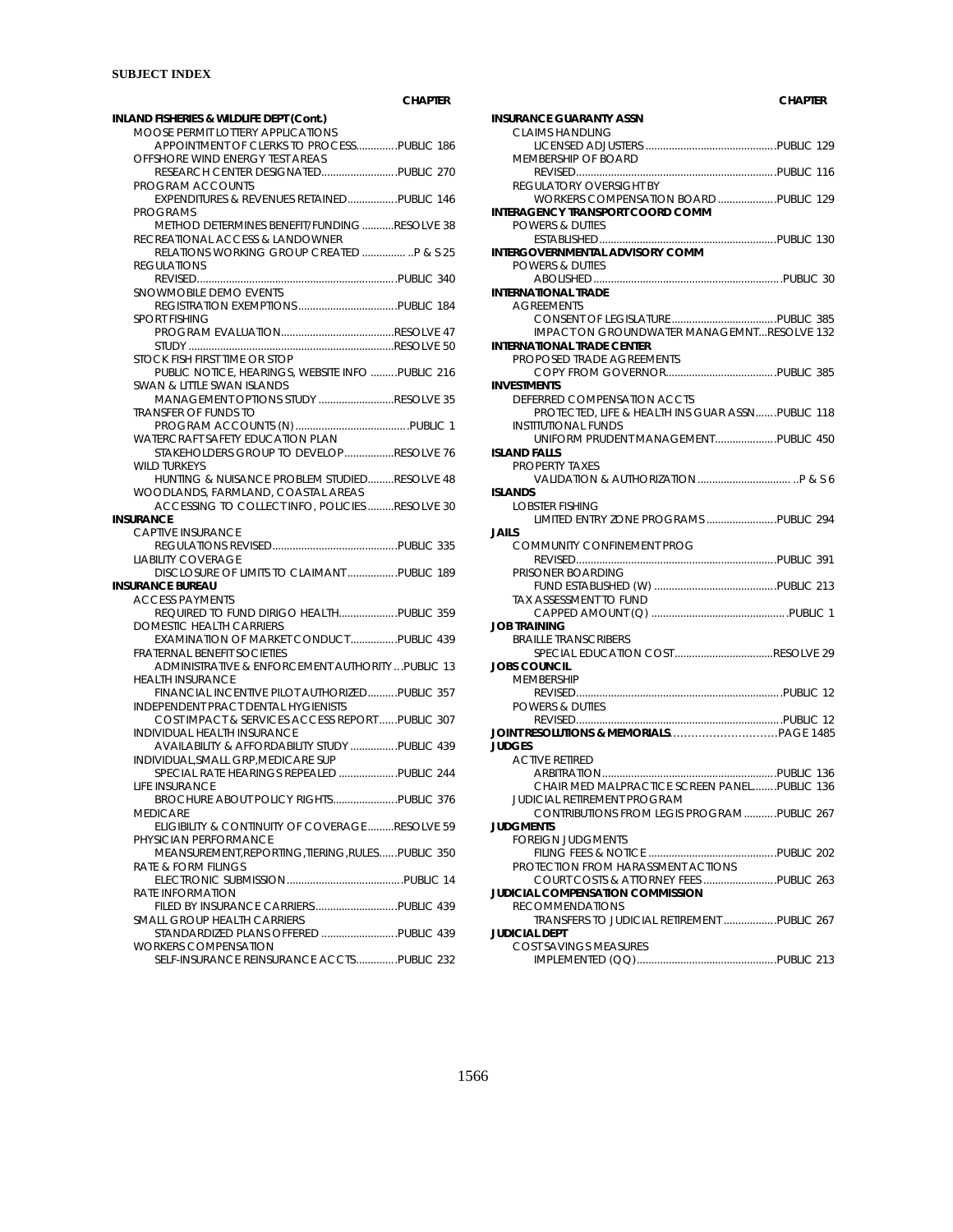| INLAND FISHERIES & WILDLIFE DEPT (Cont.)                                            |  |
|-------------------------------------------------------------------------------------|--|
| <b>MOOSE PERMIT LOTTERY APPLICATIONS</b>                                            |  |
| APPOINTMENT OF CLERKS TO PROCESS PUBLIC 186                                         |  |
| OFFSHORE WIND ENERGY TEST AREAS                                                     |  |
| RESEARCH CENTER DESIGNATED PUBLIC 270                                               |  |
| PROGRAM ACCOUNTS<br>EXPENDITURES & REVENUES RETAINED PUBLIC 146                     |  |
| <b>PROGRAMS</b>                                                                     |  |
| METHOD DETERMINES BENEFIT/FUNDINGRESOLVE 38                                         |  |
| RECREATIONAL ACCESS & LANDOWNER                                                     |  |
| RELATIONS WORKING GROUP CREATED  P & S 25                                           |  |
| <b>REGULATIONS</b>                                                                  |  |
|                                                                                     |  |
| SNOWMOBILE DEMO EVENTS                                                              |  |
|                                                                                     |  |
| <b>SPORT FISHING</b>                                                                |  |
|                                                                                     |  |
| STOCK FISH FIRST TIME OR STOP                                                       |  |
| PUBLIC NOTICE, HEARINGS, WEBSITE INFO  PUBLIC 216                                   |  |
| SWAN & LITTLE SWAN ISLANDS                                                          |  |
| MANAGEMENT OPTIONS STUDY RESOLVE 35                                                 |  |
| <b>TRANSFER OF FUNDS TO</b>                                                         |  |
|                                                                                     |  |
| WATERCRAFT SAFETY EDUCATION PLAN                                                    |  |
| STAKEHOLDERS GROUP TO DEVELOPRESOLVE 76                                             |  |
| <b>WILD TURKEYS</b>                                                                 |  |
| HUNTING & NUISANCE PROBLEM STUDIEDRESOLVE 48<br>WOODLANDS, FARMLAND, COASTAL AREAS  |  |
| ACCESSING TO COLLECT INFO, POLICIES RESOLVE 30                                      |  |
| INSURANCE                                                                           |  |
| <b>CAPTIVE INSURANCE</b>                                                            |  |
|                                                                                     |  |
| <b>LIABILITY COVERAGE</b>                                                           |  |
| DISCLOSURE OF LIMITS TO CLAIMANT  PUBLIC 189                                        |  |
| <b>INSURANCE BUREAU</b>                                                             |  |
| <b>ACCESS PAYMENTS</b>                                                              |  |
| REQUIRED TO FUND DIRIGO HEALTH PUBLIC 359<br><b>DOMESTIC HEALTH CARRIERS</b>        |  |
| EXAMINATION OF MARKET CONDUCT PUBLIC 439                                            |  |
| <b>FRATERNAL BENEFIT SOCIETIES</b>                                                  |  |
| ADMINISTRATIVE & ENFORCEMENT AUTHORITY  PUBLIC 13                                   |  |
| <b>HEALTH INSURANCE</b>                                                             |  |
| FINANCIAL INCENTIVE PILOT AUTHORIZEDPUBLIC 357                                      |  |
| INDEPENDENT PRACT DENTAL HYGIENISTS                                                 |  |
| COST IMPACT & SERVICES ACCESS REPORT  PUBLIC 307                                    |  |
| INDIVIDUAL HEALTH INSURANCE                                                         |  |
| AVAILABILITY & AFFORDABILITY STUDY  PUBLIC 439<br>INDIVIDUAL.SMALL GRP.MEDICARE SUP |  |
| SPECIAL RATE HEARINGS REPEALED  PUBLIC 244                                          |  |
| <b>LIFE INSURANCE</b>                                                               |  |
| BROCHURE ABOUT POLICY RIGHTS PUBLIC 376                                             |  |
| <b>MEDICARE</b>                                                                     |  |
| ELIGIBILITY & CONTINUITY OF COVERAGERESOLVE 59                                      |  |
| PHYSICIAN PERFORMANCE                                                               |  |
| MEANSUREMENT, REPORTING, TIERING, RULES PUBLIC 350                                  |  |
| RATE & FORM FILINGS                                                                 |  |
|                                                                                     |  |
| RATE INFORMATION                                                                    |  |
| SMALL GROUP HEALTH CARRIERS                                                         |  |
| STANDARDIZED PLANS OFFERED  PUBLIC 439                                              |  |
| <b>WORKERS COMPENSATION</b>                                                         |  |
| SELF-INSURANCE REINSURANCE ACCTS PUBLIC 232                                         |  |

| <b>INSURANCE GUARANTY ASSN</b>                                    |  |
|-------------------------------------------------------------------|--|
| <b>CLAIMS HANDLING</b>                                            |  |
|                                                                   |  |
| MEMBERSHIP OF BOARD                                               |  |
| REGULATORY OVERSIGHT BY                                           |  |
| WORKERS COMPENSATION BOARD PUBLIC 129                             |  |
| <b>INTERAGENCY TRANSPORT COORD COMM</b>                           |  |
| POWERS & DUTIES                                                   |  |
|                                                                   |  |
| <b>INTERGOVERNMENTAL ADVISORY COMM</b>                            |  |
| POWERS & DUTIES                                                   |  |
|                                                                   |  |
| <b>INTERNATIONAL TRADE</b>                                        |  |
| <b>AGREEMENTS</b>                                                 |  |
| IMPACT ON GROUNDWATER MANAGEMNTRESOLVE 132                        |  |
| <b>INTERNATIONAL TRADE CENTER</b>                                 |  |
| PROPOSED TRADE AGREEMENTS                                         |  |
|                                                                   |  |
| <b>INVESTMENTS</b>                                                |  |
| DEFERRED COMPENSATION ACCTS                                       |  |
| PROTECTED. LIFE & HEALTH INS GUAR ASSN  PUBLIC 118                |  |
| <b>INSTITUTIONAL FUNDS</b>                                        |  |
| UNIFORM PRUDENT MANAGEMENT PUBLIC 450                             |  |
| <b>ISLAND FALLS</b>                                               |  |
| PROPERTY TAXES                                                    |  |
| <b>ISLANDS</b>                                                    |  |
| <b>LOBSTER FISHING</b>                                            |  |
| LIMITED ENTRY ZONE PROGRAMS  PUBLIC 294                           |  |
| <b>JAILS</b>                                                      |  |
| <b>COMMUNITY CONFINEMENT PROG</b>                                 |  |
|                                                                   |  |
| PRISONER BOARDING                                                 |  |
|                                                                   |  |
| TAX ASSESSMENT TO FUND                                            |  |
| <b>JOB TRAINING</b>                                               |  |
| <b>BRAILLE TRANSCRIBERS</b>                                       |  |
|                                                                   |  |
| <b>JOBS COUNCIL</b>                                               |  |
| <b>MEMBERSHIP</b>                                                 |  |
|                                                                   |  |
| POWERS & DUTIES                                                   |  |
|                                                                   |  |
|                                                                   |  |
| <b>JUDGES</b>                                                     |  |
| <b>ACTIVE RETIRED</b>                                             |  |
| CHAIR MED MALPRACTICE SCREEN PANELPUBLIC 136                      |  |
| <b>JUDICIAL RETIREMENT PROGRAM</b>                                |  |
| CONTRIBUTIONS FROM LEGIS PROGRAM PUBLIC 267                       |  |
| <b>JUDGMENTS</b>                                                  |  |
| <b>FOREIGN JUDGMENTS</b>                                          |  |
|                                                                   |  |
| PROTECTION FROM HARASSMENT ACTIONS                                |  |
|                                                                   |  |
| <b>JUDICIAL COMPENSATION COMMISSION</b><br><b>RECOMMENDATIONS</b> |  |
| TRANSFERS TO JUDICIAL RETIREMENT  PUBLIC 267                      |  |
| <b>JUDICIAL DEPT</b>                                              |  |
| <b>COST SAVINGS MEASURES</b>                                      |  |
|                                                                   |  |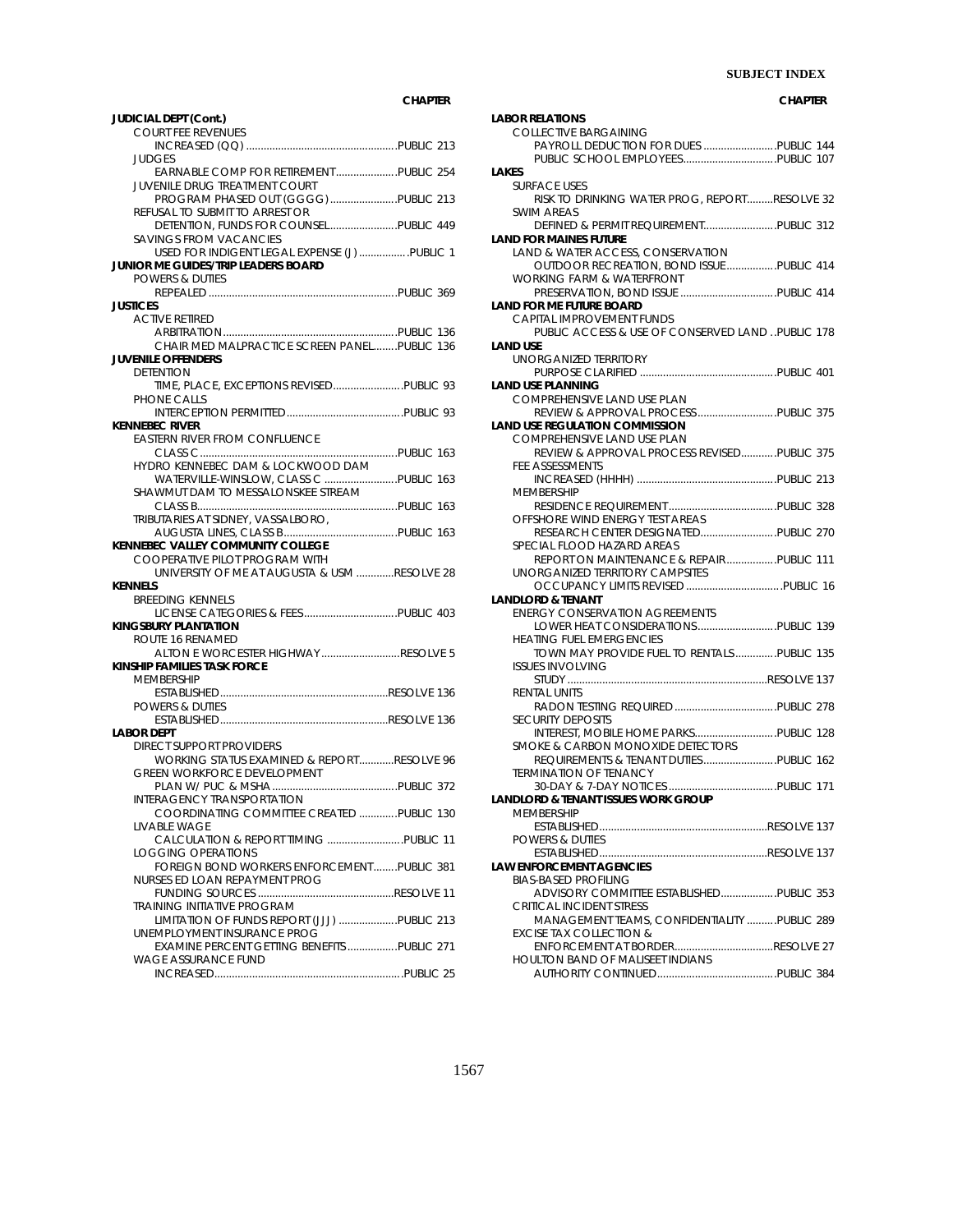| <b>JUDICIAL DEPT (Cont.)</b>                                                               |  |
|--------------------------------------------------------------------------------------------|--|
| <b>COURT FEE REVENUES</b>                                                                  |  |
|                                                                                            |  |
| <b>JUDGES</b><br>EARNABLE COMP FOR RETIREMENT  PUBLIC 254<br>JUVENILE DRUG TREATMENT COURT |  |
| PROGRAM PHASED OUT (GGGG) PUBLIC 213                                                       |  |
| REFUSAL TO SUBMIT TO ARREST OR<br>DETENTION, FUNDS FOR COUNSEL PUBLIC 449                  |  |
| SAVINGS FROM VACANCIES<br>USED FOR INDIGENT LEGAL EXPENSE (J)  PUBLIC 1                    |  |
| JUNIOR ME GUIDES/TRIP LEADERS BOARD                                                        |  |
| POWERS & DUTIES                                                                            |  |
| <b>JUSTICES</b>                                                                            |  |
| <b>ACTIVE RETIRED</b>                                                                      |  |
|                                                                                            |  |
| CHAIR MED MALPRACTICE SCREEN PANELPUBLIC 136                                               |  |
| <b>JUVENILE OFFENDERS</b>                                                                  |  |
| <b>DETENTION</b>                                                                           |  |
| TIME, PLACE, EXCEPTIONS REVISED PUBLIC 93                                                  |  |
| PHONE CALLS                                                                                |  |
|                                                                                            |  |
| <b>KENNEBEC RIVER</b>                                                                      |  |
| <b>EASTERN RIVER FROM CONFLUENCE</b>                                                       |  |
|                                                                                            |  |
| <b>HYDRO KENNEBEC DAM &amp; LOCKWOOD DAM</b>                                               |  |
| WATERVILLE-WINSLOW, CLASS C  PUBLIC 163                                                    |  |
| SHAWMUT DAM TO MESSALONSKEE STREAM                                                         |  |
|                                                                                            |  |
| TRIBUTARIES AT SIDNEY, VASSALBORO,                                                         |  |
|                                                                                            |  |
|                                                                                            |  |
| KENNEBEC VALLEY COMMUNITY COLLEGE                                                          |  |
| COOPERATIVE PILOT PROGRAM WITH                                                             |  |
| UNIVERSITY OF ME AT AUGUSTA & USM RESOLVE 28                                               |  |
| <b>KENNELS</b>                                                                             |  |
| <b>BREEDING KENNELS</b>                                                                    |  |
|                                                                                            |  |
| <b>KINGSBURY PLANTATION</b>                                                                |  |
| ROUTE 16 RENAMED                                                                           |  |
| ALTON E WORCESTER HIGHWAY RESOLVE 5                                                        |  |
| KINSHIP FAMILIES TASK FORCE                                                                |  |
| <b>MEMBERSHIP</b>                                                                          |  |
|                                                                                            |  |
| POWERS & DUTIES                                                                            |  |
|                                                                                            |  |
| <b>LABOR DEPT</b>                                                                          |  |
| DIRECT SUPPORT PROVIDERS                                                                   |  |
| WORKING STATUS EXAMINED & REPORTRESOLVE 96                                                 |  |
| <b>GREEN WORKFORCE DEVELOPMENT</b>                                                         |  |
|                                                                                            |  |
| INTERAGENCY TRANSPORTATION                                                                 |  |
| COORDINATING COMMITTEE CREATED  PUBLIC 130                                                 |  |
| LIVABLE WAGE                                                                               |  |
| CALCULATION & REPORT TIMING  PUBLIC 11                                                     |  |
| <b>LOGGING OPERATIONS</b>                                                                  |  |
| FOREIGN BOND WORKERS ENFORCEMENTPUBLIC 381                                                 |  |
| NURSES ED LOAN REPAYMENT PROG                                                              |  |
| <b>TRAINING INITIATIVE PROGRAM</b>                                                         |  |
| LIMITATION OF FUNDS REPORT (JJJ)  PUBLIC 213                                               |  |
| UNEMPLOYMENT INSURANCE PROG                                                                |  |
| EXAMINE PERCENT GETTING BENEFITS  PUBLIC 271                                               |  |
| <b>WAGE ASSURANCE FUND</b>                                                                 |  |

| <b>CHAPTER</b>                                |                                                   | <b>CHAPTER</b> |
|-----------------------------------------------|---------------------------------------------------|----------------|
| JUDICIAL DEPT (Cont.)                         | <b>LABOR RELATIONS</b>                            |                |
| <b>COURT FEE REVENUES</b>                     | <b>COLLECTIVE BARGAINING</b>                      |                |
|                                               | PAYROLL DEDUCTION FOR DUES  PUBLIC 144            |                |
| <b>JUDGES</b>                                 |                                                   |                |
| EARNABLE COMP FOR RETIREMENT PUBLIC 254       | <b>LAKES</b>                                      |                |
| JUVENILE DRUG TREATMENT COURT                 | <b>SURFACE USES</b>                               |                |
| PROGRAM PHASED OUT (GGGG) PUBLIC 213          | RISK TO DRINKING WATER PROG, REPORTRESOLVE 32     |                |
| REFUSAL TO SUBMIT TO ARREST OR                | <b>SWIM ARFAS</b>                                 |                |
|                                               | DEFINED & PERMIT REQUIREMENT PUBLIC 312           |                |
| SAVINGS FROM VACANCIES                        | <b>LAND FOR MAINES FUTURE</b>                     |                |
| USED FOR INDIGENT LEGAL EXPENSE (J)  PUBLIC 1 | LAND & WATER ACCESS. CONSERVATION                 |                |
| JUNIOR ME GUIDES/TRIP LEADERS BOARD           | OUTDOOR RECREATION, BOND ISSUE  PUBLIC 414        |                |
| POWERS & DUTIES                               | WORKING FARM & WATERFRONT                         |                |
|                                               |                                                   |                |
| <b>JUSTICES</b>                               | <b>LAND FOR ME FUTURE BOARD</b>                   |                |
| <b>ACTIVE RETIRED</b>                         | <b>CAPITAL IMPROVEMENT FUNDS</b>                  |                |
|                                               | PUBLIC ACCESS & USE OF CONSERVED LAND  PUBLIC 178 |                |
| CHAIR MED MALPRACTICE SCREEN PANEL PUBLIC 136 | <b>LAND USE</b>                                   |                |
| JUVENILE OFFENDERS                            | UNORGANIZED TERRITORY                             |                |
| <b>DETENTION</b>                              |                                                   |                |
| TIME, PLACE, EXCEPTIONS REVISED PUBLIC 93     | <b>LAND USE PLANNING</b>                          |                |
| <b>PHONE CALLS</b>                            | COMPREHENSIVE LAND USE PLAN                       |                |
|                                               | REVIEW & APPROVAL PROCESS  PUBLIC 375             |                |
| <b>KENNEBEC RIVER</b>                         | LAND USE REGULATION COMMISSION                    |                |
| <b>EASTERN RIVER FROM CONFLUENCE</b>          | <b>COMPREHENSIVE LAND USE PLAN</b>                |                |
|                                               | REVIEW & APPROVAL PROCESS REVISED PUBLIC 375      |                |
| HYDRO KENNEBEC DAM & LOCKWOOD DAM             | FEE ASSESSMENTS                                   |                |
| WATERVILLE-WINSLOW, CLASS C  PUBLIC 163       |                                                   |                |
| SHAWMUT DAM TO MESSALONSKEE STREAM            | <b>MEMBERSHIP</b>                                 |                |
|                                               |                                                   |                |
| TRIBUTARIES AT SIDNEY, VASSALBORO,            | OFFSHORE WIND ENERGY TEST AREAS                   |                |
|                                               | RESEARCH CENTER DESIGNATED PUBLIC 270             |                |
| KENNEBEC VALLEY COMMUNITY COLLEGE             | SPECIAL FLOOD HAZARD AREAS                        |                |
| COOPERATIVE PILOT PROGRAM WITH                | REPORT ON MAINTENANCE & REPAIR PUBLIC 111         |                |
| UNIVERSITY OF ME AT AUGUSTA & USM RESOLVE 28  | UNORGANIZED TERRITORY CAMPSITES                   |                |
| KENNELS                                       |                                                   |                |
| <b>BREEDING KENNELS</b>                       | <b>LANDLORD &amp; TENANT</b>                      |                |
|                                               | <b>ENERGY CONSERVATION AGREEMENTS</b>             |                |
| Kingsbury plantation                          | LOWER HEAT CONSIDERATIONS PUBLIC 139              |                |
| ROUTE 16 RENAMED                              | <b>HEATING FUEL EMERGENCIES</b>                   |                |
| ALTON E WORCESTER HIGHWAYRESOLVE 5            | TOWN MAY PROVIDE FUEL TO RENTALS PUBLIC 135       |                |
| KINSHIP FAMILIES TASK FORCE                   | <b>ISSUES INVOLVING</b>                           |                |
| <b>MEMBERSHIP</b>                             |                                                   |                |
|                                               | <b>RENTAL UNITS</b>                               |                |
| POWERS & DUTIES                               |                                                   |                |
|                                               | <b>SECURITY DEPOSITS</b>                          |                |
| labor dept                                    | INTEREST, MOBILE HOME PARKS PUBLIC 128            |                |
| DIRECT SUPPORT PROVIDERS                      | SMOKE & CARBON MONOXIDE DETECTORS                 |                |
| WORKING STATUS EXAMINED & REPORTRESOLVE 96    |                                                   |                |
| <b>GREEN WORKFORCE DEVELOPMENT</b>            | <b>TERMINATION OF TENANCY</b>                     |                |
|                                               |                                                   |                |
| <b>INTERAGENCY TRANSPORTATION</b>             | LANDLORD & TENANT ISSUES WORK GROUP               |                |
| COORDINATING COMMITTEE CREATED  PUBLIC 130    | <b>MEMBERSHIP</b>                                 |                |
| LIVABLE WAGE                                  |                                                   |                |
| CALCULATION & REPORT TIMING  PUBLIC 11        | POWERS & DUTIES                                   |                |
| <b>LOGGING OPERATIONS</b>                     |                                                   |                |
| FOREIGN BOND WORKERS ENFORCEMENTPUBLIC 381    | <b>LAW ENFORCEMENT AGENCIES</b>                   |                |
| NURSES ED LOAN REPAYMENT PROG                 | <b>BIAS-BASED PROFILING</b>                       |                |
|                                               | ADVISORY COMMITTEE ESTABLISHED PUBLIC 353         |                |
| <b>TRAINING INITIATIVE PROGRAM</b>            | CRITICAL INCIDENT STRESS                          |                |
| LIMITATION OF FUNDS REPORT (JJJ)  PUBLIC 213  | MANAGEMENT TEAMS, CONFIDENTIALITY  PUBLIC 289     |                |
| UNEMPLOYMENT INSURANCE PROG                   | <b>EXCISE TAX COLLECTION &amp;</b>                |                |
| EXAMINE PERCENT GETTING BENEFITS  PUBLIC 271  |                                                   |                |
| <b>WAGE ASSURANCE FUND</b>                    | HOULTON BAND OF MALISEET INDIANS                  |                |
|                                               |                                                   |                |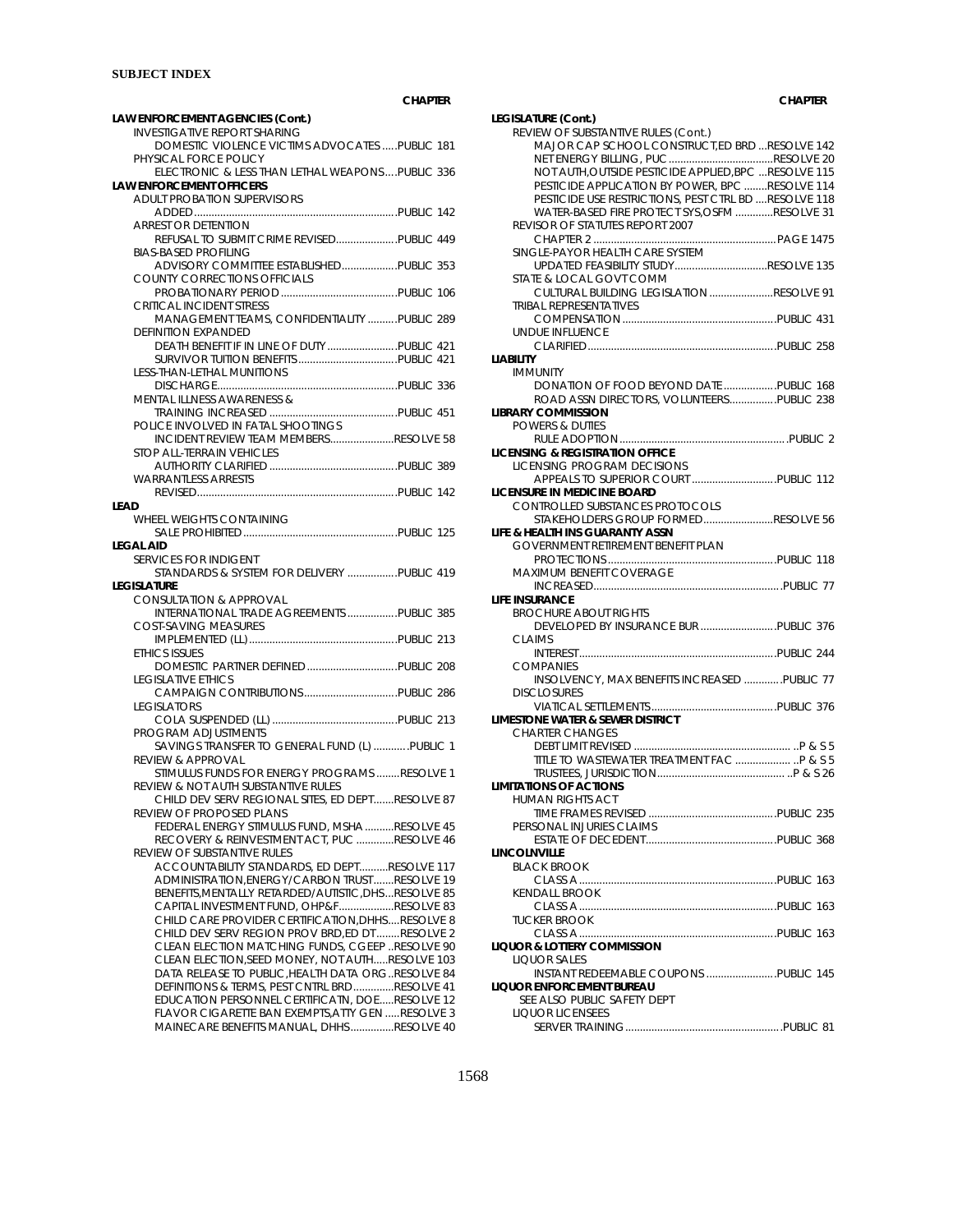| LAW ENFORCEMENT AGENCIES (Cont.)                                                               |  |
|------------------------------------------------------------------------------------------------|--|
| <b>INVESTIGATIVE REPORT SHARING</b>                                                            |  |
| DOMESTIC VIOLENCE VICTIMS ADVOCATES  PUBLIC 181                                                |  |
| PHYSICAL FORCE POLICY                                                                          |  |
| ELECTRONIC & LESS THAN LETHAL WEAPONSPUBLIC 336                                                |  |
| <b>LAW ENFORCEMENT OFFICERS</b><br><b>ADULT PROBATION SUPERVISORS</b>                          |  |
|                                                                                                |  |
| <b>ARREST OR DETENTION</b>                                                                     |  |
| REFUSAL TO SUBMIT CRIME REVISED PUBLIC 449                                                     |  |
| <b>BIAS-BASED PROFILING</b>                                                                    |  |
|                                                                                                |  |
| <b>COUNTY CORRECTIONS OFFICIALS</b>                                                            |  |
|                                                                                                |  |
| CRITICAL INCIDENT STRESS<br>MANAGEMENT TEAMS, CONFIDENTIALITY  PUBLIC 289                      |  |
| <b>DEFINITION EXPANDED</b>                                                                     |  |
| DEATH BENEFIT IF IN LINE OF DUTY PUBLIC 421                                                    |  |
|                                                                                                |  |
| LESS-THAN-LETHAL MUNITIONS                                                                     |  |
|                                                                                                |  |
| MENTAL ILLNESS AWARENESS &                                                                     |  |
|                                                                                                |  |
| POLICE INVOLVED IN FATAL SHOOTINGS                                                             |  |
| INCIDENT REVIEW TEAM MEMBERS RESOLVE 58                                                        |  |
| STOP ALL-TERRAIN VEHICLES                                                                      |  |
| <b>WARRANTLESS ARRESTS</b>                                                                     |  |
|                                                                                                |  |
| LEAD                                                                                           |  |
| WHEEL WEIGHTS CONTAINING                                                                       |  |
|                                                                                                |  |
| <b>LEGAL AID</b>                                                                               |  |
| SERVICES FOR INDIGENT                                                                          |  |
| STANDARDS & SYSTEM FOR DELIVERY  PUBLIC 419                                                    |  |
| <b>LEGISLATURE</b>                                                                             |  |
| <b>CONSULTATION &amp; APPROVAL</b><br>INTERNATIONAL TRADE AGREEMENTS  PUBLIC 385               |  |
| COST-SAVING MEASURES                                                                           |  |
|                                                                                                |  |
| <b>ETHICS ISSUES</b>                                                                           |  |
|                                                                                                |  |
| <b>LEGISLATIVE ETHICS</b>                                                                      |  |
|                                                                                                |  |
| <b>LEGISLATORS</b>                                                                             |  |
|                                                                                                |  |
| PROGRAM ADJUSTMENTS<br>SAVINGS TRANSFER TO GENERAL FUND (L)  PUBLIC 1                          |  |
| <b>REVIEW &amp; APPROVAL</b>                                                                   |  |
| STIMULUS FUNDS FOR ENERGY PROGRAMS RESOLVE 1                                                   |  |
| REVIEW & NOT AUTH SUBSTANTIVE RULES                                                            |  |
| CHILD DEV SERV REGIONAL SITES, ED DEPTRESOLVE 87                                               |  |
| REVIEW OF PROPOSED PLANS                                                                       |  |
| FEDERAL ENERGY STIMULUS FUND, MSHA RESOLVE 45                                                  |  |
| RECOVERY & REINVESTMENT ACT. PUC RESOLVE 46                                                    |  |
| REVIEW OF SUBSTANTIVE RULES<br>ACCOUNTABILITY STANDARDS, ED DEPTRESOLVE 117                    |  |
| ADMINISTRATION, ENERGY/CARBON TRUST RESOLVE 19                                                 |  |
| BENEFITS, MENTALLY RETARDED/AUTISTIC, DHSRESOLVE 85                                            |  |
| CAPITAL INVESTMENT FUND, OHP&FRESOLVE 83                                                       |  |
| CHILD CARE PROVIDER CERTIFICATION, DHHSRESOLVE 8                                               |  |
| CHILD DEV SERV REGION PROV BRD, ED DT  RESOLVE 2                                               |  |
| CLEAN ELECTION MATCHING FUNDS, CGEEP RESOLVE 90                                                |  |
|                                                                                                |  |
| CLEAN ELECTION.SEED MONEY, NOT AUTHRESOLVE 103                                                 |  |
| DATA RELEASE TO PUBLIC, HEALTH DATA ORGRESOLVE 84                                              |  |
| DEFINITIONS & TERMS, PEST CNTRL BRDRESOLVE 41                                                  |  |
| EDUCATION PERSONNEL CERTIFICATN, DOERESOLVE 12                                                 |  |
| FLAVOR CIGARETTE BAN EXEMPTS, ATTY GEN  RESOLVE 3<br>MAINECARE BENEFITS MANUAL, DHHSRESOLVE 40 |  |

| LEGISLATURE (Cont.)                                                                                      |  |
|----------------------------------------------------------------------------------------------------------|--|
| REVIEW OF SUBSTANTIVE RULES (Cont.)                                                                      |  |
| MAJOR CAP SCHOOL CONSTRUCT, ED BRD  RESOLVE 142                                                          |  |
|                                                                                                          |  |
| NOT AUTH, OUTSIDE PESTICIDE APPLIED, BPC  RESOLVE 115                                                    |  |
| PESTICIDE APPLICATION BY POWER, BPC RESOLVE 114<br>PESTICIDE USE RESTRICTIONS, PEST CTRL BD  RESOLVE 118 |  |
| WATER-BASED FIRE PROTECT SYS, OSFM RESOLVE 31                                                            |  |
| REVISOR OF STATUTES REPORT 2007                                                                          |  |
|                                                                                                          |  |
| SINGLE-PAYOR HEALTH CARE SYSTEM                                                                          |  |
|                                                                                                          |  |
| STATE & LOCAL GOVT COMM                                                                                  |  |
| CULTURAL BUILDING LEGISLATION  RESOLVE 91                                                                |  |
| <b>TRIBAL REPRESENTATIVES</b>                                                                            |  |
|                                                                                                          |  |
| UNDUE INFLUENCE                                                                                          |  |
|                                                                                                          |  |
| <b>LIABILITY</b><br><b>IMMUNITY</b>                                                                      |  |
| DONATION OF FOOD BEYOND DATE  PUBLIC 168                                                                 |  |
| ROAD ASSN DIRECTORS, VOLUNTEERSPUBLIC 238                                                                |  |
| <b>LIBRARY COMMISSION</b>                                                                                |  |
| <b>POWERS &amp; DUTIES</b>                                                                               |  |
|                                                                                                          |  |
| LICENSING & REGISTRATION OFFICE                                                                          |  |
| LICENSING PROGRAM DECISIONS                                                                              |  |
|                                                                                                          |  |
| LICENSURE IN MEDICINE BOARD                                                                              |  |
| CONTROLLED SUBSTANCES PROTOCOLS                                                                          |  |
| STAKEHOLDERS GROUP FORMEDRESOLVE 56                                                                      |  |
| LIFE & HEALTH INS GUARANTY ASSN<br><b>GOVERNMENT RETIREMENT BENEFIT PLAN</b>                             |  |
|                                                                                                          |  |
| MAXIMUM BENEFIT COVERAGE                                                                                 |  |
|                                                                                                          |  |
| <b>LIFE INSURANCE</b>                                                                                    |  |
| <b>BROCHURE ABOUT RIGHTS</b>                                                                             |  |
| DEVELOPED BY INSURANCE BUR  PUBLIC 376                                                                   |  |
| <b>CLAIMS</b>                                                                                            |  |
|                                                                                                          |  |
| <b>COMPANIES</b>                                                                                         |  |
| INSOLVENCY, MAX BENEFITS INCREASED  PUBLIC 77<br><b>DISCLOSURES</b>                                      |  |
|                                                                                                          |  |
| LIMESTONE WATER & SEWER DISTRICT                                                                         |  |
| <b>CHARTER CHANGES</b>                                                                                   |  |
|                                                                                                          |  |
| TITLE TO WASTEWATER TREATMENT FAC  P & S 5                                                               |  |
|                                                                                                          |  |
| <b>LIMITATIONS OF ACTIONS</b>                                                                            |  |
| <b>HUMAN RIGHTS ACT</b>                                                                                  |  |
|                                                                                                          |  |
| PERSONAL INJURIES CLAIMS                                                                                 |  |
|                                                                                                          |  |
| <b>LINCOLNVILLE</b><br><b>BLACK BROOK</b>                                                                |  |
|                                                                                                          |  |
| <b>KENDALL BROOK</b>                                                                                     |  |
|                                                                                                          |  |
| <b>TUCKER BROOK</b>                                                                                      |  |
|                                                                                                          |  |
| <b>LIQUOR &amp; LOTTERY COMMISSION</b>                                                                   |  |
| LIQUOR SALES                                                                                             |  |
| INSTANT REDEEMABLE COUPONS  PUBLIC 145                                                                   |  |
| LIQUOR ENFORCEMENT BUREAU                                                                                |  |
| SEE ALSO PUBLIC SAFETY DEPT                                                                              |  |
| LIQUOR LICENSEES                                                                                         |  |
|                                                                                                          |  |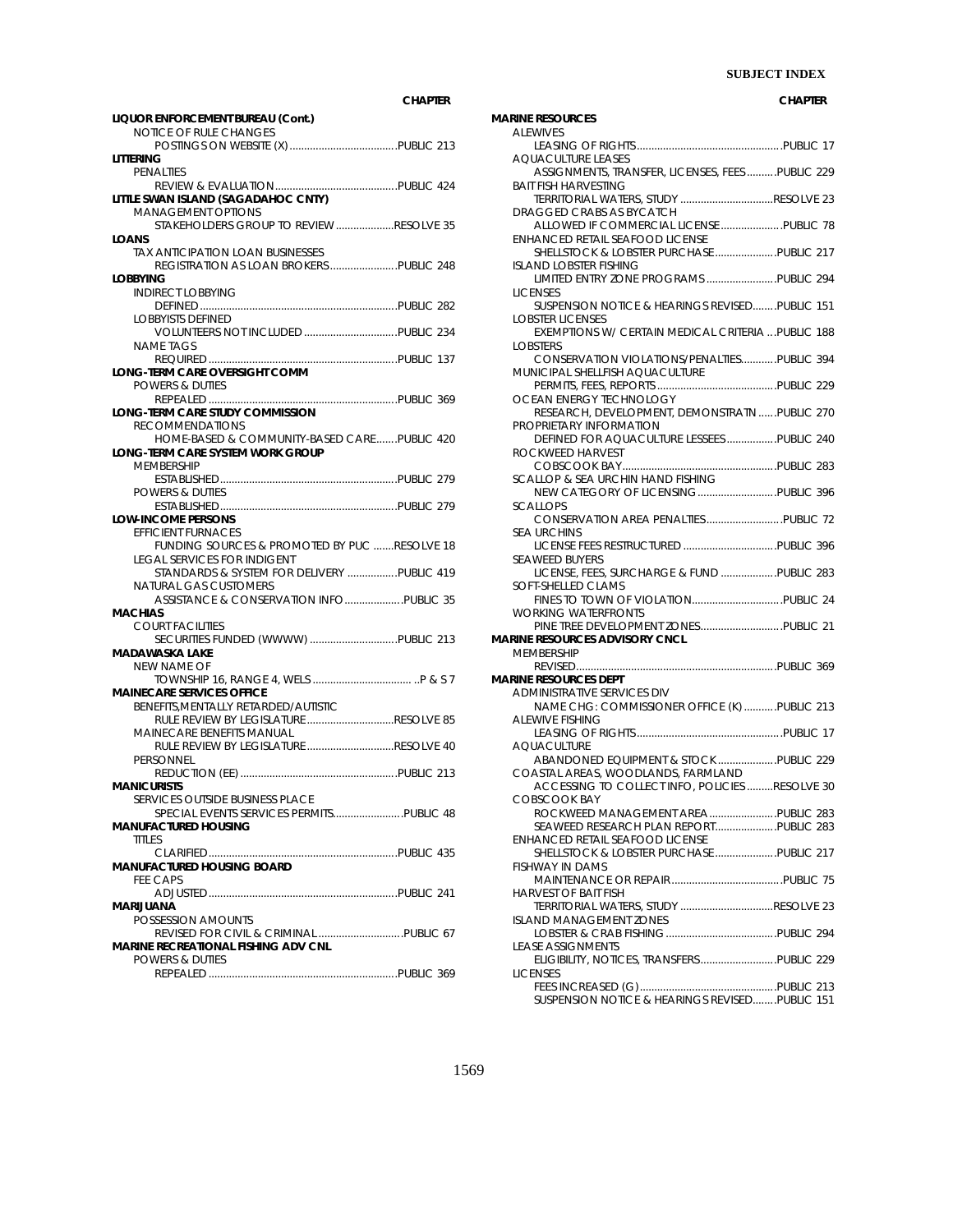| LIQUOR ENFORCEMENT BUREAU (Cont.)<br>NOTICE OF RULE CHANGES |  |
|-------------------------------------------------------------|--|
| <b>LITTERING</b>                                            |  |
| <b>PENALTIES</b>                                            |  |
| LITTLE SWAN ISLAND (SAGADAHOC CNTY)                         |  |
| <b>MANAGEMENT OPTIONS</b>                                   |  |
| STAKEHOLDERS GROUP TO REVIEW RESOLVE 35                     |  |
| <b>LOANS</b>                                                |  |
| <b>TAX ANTICIPATION LOAN BUSINESSES</b>                     |  |
| REGISTRATION AS LOAN BROKERS  PUBLIC 248                    |  |
| <b>LOBBYING</b>                                             |  |
| <b>INDIRECT LOBBYING</b>                                    |  |
|                                                             |  |
| LOBBYISTS DEFINED                                           |  |
|                                                             |  |
| <b>NAME TAGS</b>                                            |  |
|                                                             |  |
| LONG-TERM CARE OVERSIGHT COMM                               |  |
| <b>POWERS &amp; DUTIES</b>                                  |  |
|                                                             |  |
| LONG-TERM CARE STUDY COMMISSION                             |  |
| <b>RECOMMENDATIONS</b>                                      |  |
| HOME-BASED & COMMUNITY-BASED CAREPUBLIC 420                 |  |
| LONG-TERM CARE SYSTEM WORK GROUP                            |  |
| <b>MFMBFRSHIP</b>                                           |  |
|                                                             |  |
| <b>POWERS &amp; DUTIES</b>                                  |  |
|                                                             |  |
| <b>LOW-INCOME PERSONS</b>                                   |  |
| <b>EFFICIENT FURNACES</b>                                   |  |
| FUNDING SOURCES & PROMOTED BY PUC RESOLVE 18                |  |
| <b>I EGAL SERVICES FOR INDIGENT</b>                         |  |
| STANDARDS & SYSTEM FOR DELIVERY  PUBLIC 419                 |  |
| NATURAL GAS CUSTOMERS                                       |  |
| ASSISTANCE & CONSERVATION INFO PUBLIC 35                    |  |
| <b>MACHIAS</b>                                              |  |
| <b>COURT FACILITIES</b>                                     |  |
|                                                             |  |
| <b>MADAWASKA LAKE</b>                                       |  |
| NEW NAME OF                                                 |  |
|                                                             |  |
| <b>MAINECARE SERVICES OFFICE</b>                            |  |
| BENEFITS, MENTALLY RETARDED/AUTISTIC                        |  |
| RULE REVIEW BY LEGISLATURE  RESOLVE 85                      |  |
| <b>MAINECARE BENEFITS MANUAL</b>                            |  |
| RULE REVIEW BY LEGISLATURE  RESOLVE 40                      |  |
| PERSONNEL                                                   |  |
|                                                             |  |
| <b>MANICURISTS</b>                                          |  |
| SERVICES OUTSIDE BUSINESS PLACE                             |  |
| SPECIAL EVENTS SERVICES PERMITS PUBLIC 48                   |  |
| <b>MANUFACTURED HOUSING</b>                                 |  |
| <b>TITLES</b>                                               |  |
| <b>MANUFACTURED HOUSING BOARD</b>                           |  |
|                                                             |  |
| <b>FEE CAPS</b>                                             |  |
| <b>MARIJUANA</b>                                            |  |
| POSSESSION AMOUNTS                                          |  |
|                                                             |  |
| <b>MARINE RECREATIONAL FISHING ADV CNL</b>                  |  |
| <b>POWERS &amp; DUTIES</b>                                  |  |
|                                                             |  |
|                                                             |  |

|                                              | <b>CHAPTER</b> | <b>CHAPTER</b>                                                                       |  |
|----------------------------------------------|----------------|--------------------------------------------------------------------------------------|--|
| LIQUOR ENFORCEMENT BUREAU (Cont.)            |                | <b>MARINE RESOURCES</b>                                                              |  |
| NOTICE OF RULE CHANGES                       |                | ALEWIVES                                                                             |  |
|                                              |                |                                                                                      |  |
| littering                                    |                | <b>AQUACULTURE LEASES</b>                                                            |  |
| PENALTIES                                    |                | ASSIGNMENTS, TRANSFER, LICENSES, FEES  PUBLIC 229                                    |  |
|                                              |                | <b>BAIT FISH HARVESTING</b>                                                          |  |
| LITTLE SWAN ISLAND (SAGADAHOC CNTY)          |                | TERRITORIAL WATERS, STUDY RESOLVE 23                                                 |  |
| <b>MANAGEMENT OPTIONS</b>                    |                | DRAGGED CRABS AS BYCATCH                                                             |  |
| STAKEHOLDERS GROUP TO REVIEW RESOLVE 35      |                | ALLOWED IF COMMERCIAL LICENSE  PUBLIC 78                                             |  |
| LOANS                                        |                | ENHANCED RETAIL SEAFOOD LICENSE                                                      |  |
| <b>TAX ANTICIPATION LOAN BUSINESSES</b>      |                | SHELLSTOCK & LOBSTER PURCHASE  PUBLIC 217                                            |  |
| REGISTRATION AS LOAN BROKERS  PUBLIC 248     |                | <b>ISLAND LOBSTER FISHING</b>                                                        |  |
| LOBBYING                                     |                | LIMITED ENTRY ZONE PROGRAMS  PUBLIC 294                                              |  |
| <b>INDIRECT LOBBYING</b>                     |                | <b>LICENSES</b>                                                                      |  |
|                                              |                | SUSPENSION NOTICE & HEARINGS REVISED PUBLIC 151                                      |  |
| LOBBYISTS DEFINED                            |                | <b>LOBSTER LICENSES</b>                                                              |  |
|                                              |                | EXEMPTIONS W/ CERTAIN MEDICAL CRITERIA  PUBLIC 188                                   |  |
| <b>NAME TAGS</b>                             |                | <b>LOBSTERS</b>                                                                      |  |
|                                              |                | CONSERVATION VIOLATIONS/PENALTIES PUBLIC 394                                         |  |
| LONG-TERM CARE OVERSIGHT COMM                |                | MUNICIPAL SHELLFISH AQUACULTURE                                                      |  |
| POWERS & DUTIES                              |                |                                                                                      |  |
|                                              |                | OCEAN ENERGY TECHNOLOGY                                                              |  |
| LONG-TERM CARE STUDY COMMISSION              |                | RESEARCH, DEVELOPMENT, DEMONSTRATN PUBLIC 270                                        |  |
| <b>RECOMMENDATIONS</b>                       |                | PROPRIETARY INFORMATION                                                              |  |
| HOME-BASED & COMMUNITY-BASED CAREPUBLIC 420  |                | DEFINED FOR AQUACULTURE LESSEES  PUBLIC 240                                          |  |
| Long-term care system work group             |                | ROCKWEED HARVEST                                                                     |  |
| <b>MEMBERSHIP</b>                            |                |                                                                                      |  |
|                                              |                | SCALLOP & SEA URCHIN HAND FISHING                                                    |  |
| POWERS & DUTIES                              |                |                                                                                      |  |
|                                              |                | <b>SCALLOPS</b>                                                                      |  |
| LOW-INCOME PERSONS                           |                | CONSERVATION AREA PENALTIES PUBLIC 72                                                |  |
| <b>EFFICIENT FURNACES</b>                    |                | <b>SEA URCHINS</b>                                                                   |  |
| FUNDING SOURCES & PROMOTED BY PUC RESOLVE 18 |                |                                                                                      |  |
| <b>LEGAL SERVICES FOR INDIGENT</b>           |                | SEAWEED BUYERS                                                                       |  |
| STANDARDS & SYSTEM FOR DELIVERY  PUBLIC 419  |                | LICENSE, FEES, SURCHARGE & FUND  PUBLIC 283                                          |  |
| NATURAL GAS CUSTOMERS                        |                | SOFT-SHELLED CLAMS                                                                   |  |
| ASSISTANCE & CONSERVATION INFO PUBLIC 35     |                |                                                                                      |  |
| MACHIAS                                      |                | <b>WORKING WATERFRONTS</b>                                                           |  |
| <b>COURT FACILITIES</b>                      |                | PINE TREE DEVELOPMENT ZONES PUBLIC 21                                                |  |
|                                              |                | <b>MARINE RESOURCES ADVISORY CNCL</b>                                                |  |
| MADAWASKA LAKE                               |                | <b>MEMBERSHIP</b><br>The Corner of The Public Corner PUBLIC 369                      |  |
| <b>NEW NAME OF</b>                           |                |                                                                                      |  |
| <b>MAINECARE SERVICES OFFICE</b>             |                | <b>MARINE RESOURCES DEPT</b><br>ADMINISTRATIVE SERVICES DIV                          |  |
| BENEFITS, MENTALLY RETARDED/AUTISTIC         |                | NAME CHG: COMMISSIONER OFFICE (K)  PUBLIC 213                                        |  |
| RULE REVIEW BY LEGISLATURE RESOLVE 85        |                |                                                                                      |  |
|                                              |                | ALEWIVE FISHING                                                                      |  |
| MAINECARE BENEFITS MANUAL                    |                | <b>AQUACULTURE</b>                                                                   |  |
| PERSONNEL                                    |                | ABANDONED EQUIPMENT & STOCK  PUBLIC 229                                              |  |
|                                              |                |                                                                                      |  |
| <b>MANICURISTS</b>                           |                | COASTAL AREAS, WOODLANDS, FARMLAND<br>ACCESSING TO COLLECT INFO, POLICIES RESOLVE 30 |  |
| SERVICES OUTSIDE BUSINESS PLACE              |                |                                                                                      |  |
| SPECIAL EVENTS SERVICES PERMITS PUBLIC 48    |                | <b>COBSCOOK BAY</b>                                                                  |  |
| MANUFACTURED HOUSING                         |                | SEAWEED RESEARCH PLAN REPORT PUBLIC 283                                              |  |
| <b>TITLES</b>                                |                | <b>ENHANCED RETAIL SEAFOOD LICENSE</b>                                               |  |
|                                              |                | SHELLSTOCK & LOBSTER PURCHASE  PUBLIC 217                                            |  |
| MANUFACTURED HOUSING BOARD                   |                | FISHWAY IN DAMS                                                                      |  |
| <b>FEE CAPS</b>                              |                |                                                                                      |  |
|                                              |                | <b>HARVEST OF BAIT FISH</b>                                                          |  |
| MARIJUANA                                    |                |                                                                                      |  |
| POSSESSION AMOUNTS                           |                | <b>ISLAND MANAGEMENT ZONES</b>                                                       |  |
|                                              |                |                                                                                      |  |
| MARINE RECREATIONAL FISHING ADV CNL          |                | <b>LEASE ASSIGNMENTS</b>                                                             |  |
| POWERS & DUTIES                              |                | ELIGIBILITY, NOTICES, TRANSFERS PUBLIC 229                                           |  |
|                                              |                | <b>LICENSES</b>                                                                      |  |
|                                              |                |                                                                                      |  |
|                                              |                | SUSPENSION NOTICE & HEARINGS REVISED PUBLIC 151                                      |  |
|                                              |                |                                                                                      |  |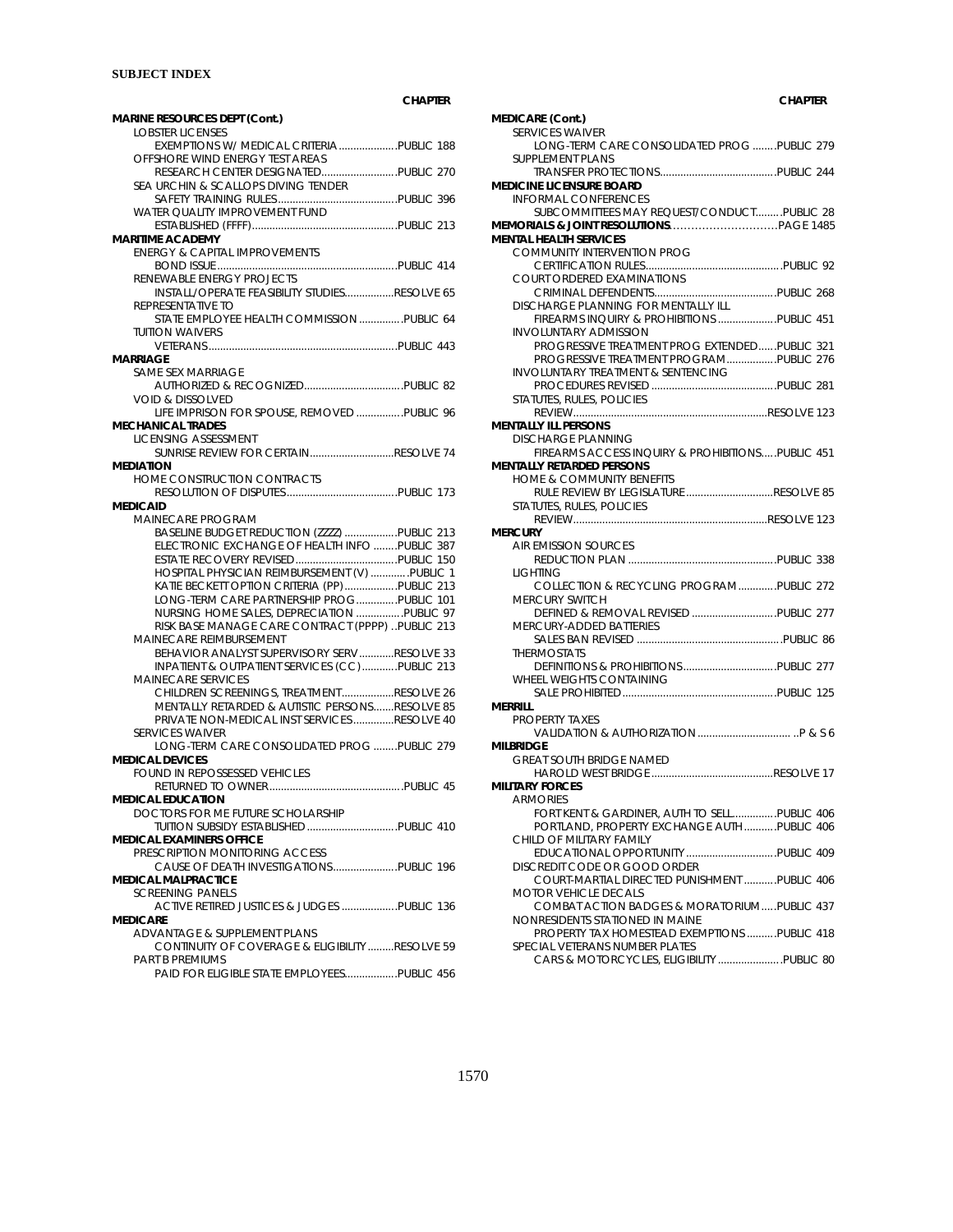| <b>MARINE RESOURCES DEPT (Cont.)</b>                                                           |  |
|------------------------------------------------------------------------------------------------|--|
| <b>LOBSTER LICENSES</b>                                                                        |  |
| EXEMPTIONS W/ MEDICAL CRITERIA PUBLIC 188<br>OFFSHORE WIND ENERGY TEST AREAS                   |  |
| RESEARCH CENTER DESIGNATED PUBLIC 270                                                          |  |
| SEA URCHIN & SCALLOPS DIVING TENDER                                                            |  |
|                                                                                                |  |
| WATER QUALITY IMPROVEMENT FUND                                                                 |  |
|                                                                                                |  |
| <b>MARITIME ACADEMY</b><br><b>ENERGY &amp; CAPITAL IMPROVEMENTS</b>                            |  |
|                                                                                                |  |
| RENEWABLE ENERGY PROJECTS                                                                      |  |
| INSTALL/OPERATE FEASIBILITY STUDIESRESOLVE 65                                                  |  |
| REPRESENTATIVE TO                                                                              |  |
| STATE EMPLOYEE HEALTH COMMISSION  PUBLIC 64                                                    |  |
| <b>TUITION WAIVERS</b>                                                                         |  |
|                                                                                                |  |
| <b>MARRIAGE</b><br>SAME SEX MARRIAGE                                                           |  |
|                                                                                                |  |
| <b>VOID &amp; DISSOLVED</b>                                                                    |  |
| LIFE IMPRISON FOR SPOUSE, REMOVED  PUBLIC 96                                                   |  |
| <b>MECHANICAL TRADES</b>                                                                       |  |
| LICENSING ASSESSMENT                                                                           |  |
| SUNRISE REVIEW FOR CERTAIN RESOLVE 74                                                          |  |
| <b>MEDIATION</b><br>HOME CONSTRUCTION CONTRACTS                                                |  |
|                                                                                                |  |
| <b>MEDICAID</b>                                                                                |  |
| <b>MAINECARE PROGRAM</b>                                                                       |  |
| BASELINE BUDGET REDUCTION (ZZZZ)  PUBLIC 213                                                   |  |
| ELECTRONIC EXCHANGE OF HEALTH INFO  PUBLIC 387                                                 |  |
|                                                                                                |  |
| HOSPITAL PHYSICIAN REIMBURSEMENT (V)  PUBLIC 1                                                 |  |
| KATIE BECKETT OPTION CRITERIA (PP)PUBLIC 213<br>LONG-TERM CARE PARTNERSHIP PROG PUBLIC 101     |  |
| NURSING HOME SALES, DEPRECIATION  PUBLIC 97                                                    |  |
| RISK BASE MANAGE CARE CONTRACT (PPPP)  PUBLIC 213                                              |  |
| MAINECARE REIMBURSEMENT                                                                        |  |
| BEHAVIOR ANALYST SUPERVISORY SERVRESOLVE 33                                                    |  |
| INPATIENT & OUTPATIENT SERVICES (CC)PUBLIC 213                                                 |  |
| <b>MAINECARE SERVICES</b>                                                                      |  |
| CHILDREN SCREENINGS, TREATMENTRESOLVE 26                                                       |  |
| MENTALLY RETARDED & AUTISTIC PERSONSRESOLVE 85<br>PRIVATE NON-MEDICAL INST SERVICES RESOLVE 40 |  |
| <b>SERVICES WAIVER</b>                                                                         |  |
| LONG-TERM CARE CONSOLIDATED PROG  PUBLIC 279                                                   |  |
| <b>MEDICAL DEVICES</b>                                                                         |  |
| FOUND IN REPOSSESSED VEHICLES                                                                  |  |
|                                                                                                |  |
| <b>MEDICAL EDUCATION</b>                                                                       |  |
| DOCTORS FOR ME FUTURE SCHOLARSHIP                                                              |  |
| <b>MEDICAL EXAMINERS OFFICE</b>                                                                |  |
| PRESCRIPTION MONITORING ACCESS                                                                 |  |
| CAUSE OF DEATH INVESTIGATIONS PUBLIC 196                                                       |  |
| <b>MEDICAL MALPRACTICE</b>                                                                     |  |
| <b>SCREENING PANELS</b>                                                                        |  |
| ACTIVE RETIRED JUSTICES & JUDGES  PUBLIC 136                                                   |  |
| <b>MEDICARE</b>                                                                                |  |
| ADVANTAGE & SUPPLEMENT PLANS                                                                   |  |
| CONTINUITY OF COVERAGE & ELIGIBILITY RESOLVE 59<br><b>PART B PREMIUMS</b>                      |  |
|                                                                                                |  |

| <b>MEDICARE (Cont.)</b>                                                      |  |
|------------------------------------------------------------------------------|--|
| <b>SERVICES WAIVER</b>                                                       |  |
| LONG-TERM CARE CONSOLIDATED PROG PUBLIC 279                                  |  |
| SUPPLEMENT PLANS                                                             |  |
|                                                                              |  |
| <b>MEDICINE LICENSURE BOARD</b>                                              |  |
| <b>INFORMAL CONFERENCES</b>                                                  |  |
| SUBCOMMITTEES MAY REQUEST/CONDUCT PUBLIC 28                                  |  |
|                                                                              |  |
| <b>MENTAL HEALTH SERVICES</b>                                                |  |
|                                                                              |  |
| <b>COMMUNITY INTERVENTION PROG</b>                                           |  |
|                                                                              |  |
| COURT ORDERED EXAMINATIONS                                                   |  |
|                                                                              |  |
| DISCHARGE PLANNING FOR MENTALLY ILL                                          |  |
| FIREARMS INQUIRY & PROHIBITIONS  PUBLIC 451                                  |  |
| <b>INVOLUNTARY ADMISSION</b>                                                 |  |
| PROGRESSIVE TREATMENT PROG EXTENDEDPUBLIC 321                                |  |
| PROGRESSIVE TREATMENT PROGRAMPUBLIC 276                                      |  |
| <b>INVOLUNTARY TREATMENT &amp; SENTENCING</b>                                |  |
|                                                                              |  |
|                                                                              |  |
| STATUTES, RULES, POLICIES                                                    |  |
|                                                                              |  |
| <b>MENTALLY ILL PERSONS</b>                                                  |  |
| <b>DISCHARGE PLANNING</b>                                                    |  |
| FIREARMS ACCESS INQUIRY & PROHIBITIONSPUBLIC 451                             |  |
| <b>MENTALLY RETARDED PERSONS</b>                                             |  |
| <b>HOME &amp; COMMUNITY BENEFITS</b>                                         |  |
| RULE REVIEW BY LEGISLATURE RESOLVE 85                                        |  |
| STATUTES, RULES, POLICIES                                                    |  |
|                                                                              |  |
| <b>MERCURY</b>                                                               |  |
|                                                                              |  |
|                                                                              |  |
| <b>AIR EMISSION SOURCES</b>                                                  |  |
|                                                                              |  |
| LIGHTING                                                                     |  |
| COLLECTION & RECYCLING PROGRAM PUBLIC 272                                    |  |
| <b>MERCURY SWITCH</b>                                                        |  |
|                                                                              |  |
| MERCURY-ADDED BATTERIES                                                      |  |
|                                                                              |  |
| <b>THERMOSTATS</b>                                                           |  |
|                                                                              |  |
| WHEEL WEIGHTS CONTAINING                                                     |  |
|                                                                              |  |
| <b>MERRILL</b>                                                               |  |
|                                                                              |  |
| PROPERTY TAXES                                                               |  |
|                                                                              |  |
| <b>MILBRIDGE</b>                                                             |  |
| <b>GREAT SOUTH BRIDGE NAMED</b>                                              |  |
|                                                                              |  |
| <b>MILITARY FORCES</b>                                                       |  |
| <b>ARMORIES</b>                                                              |  |
| FORT KENT & GARDINER, AUTH TO SELL PUBLIC 406                                |  |
| PORTLAND, PROPERTY EXCHANGE AUTHPUBLIC 406                                   |  |
| CHILD OF MILITARY FAMILY                                                     |  |
|                                                                              |  |
| DISCREDIT CODE OR GOOD ORDER                                                 |  |
| COURT-MARTIAL DIRECTED PUNISHMENT  PUBLIC 406                                |  |
| <b>MOTOR VEHICLE DECALS</b>                                                  |  |
| COMBAT ACTION BADGES & MORATORIUMPUBLIC 437                                  |  |
| NONRESIDENTS STATIONED IN MAINE                                              |  |
| PROPERTY TAX HOMESTEAD EXEMPTIONS  PUBLIC 418                                |  |
| SPECIAL VETERANS NUMBER PLATES<br>CARS & MOTORCYCLES, ELIGIBILITY  PUBLIC 80 |  |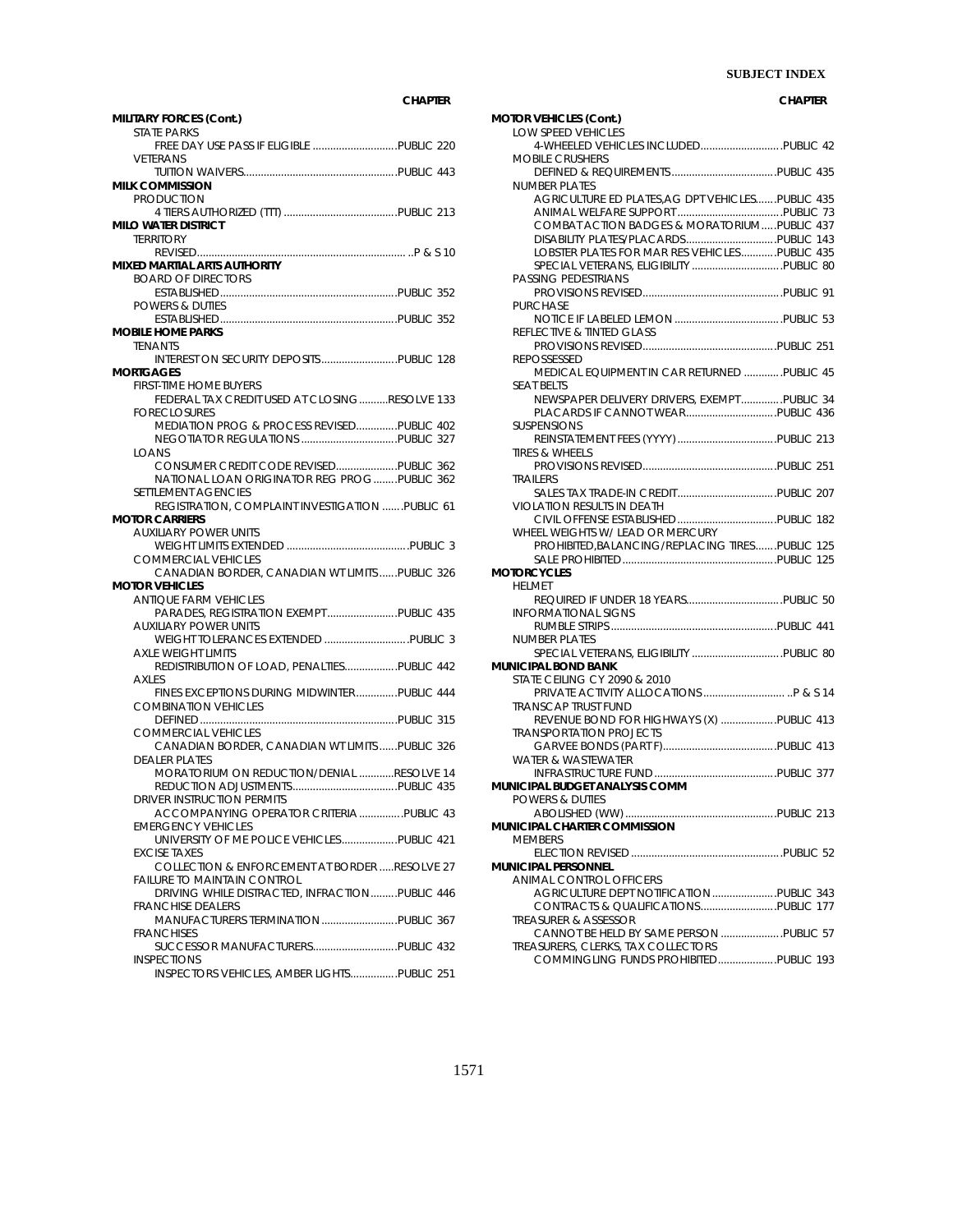| <b>MILITARY FORCES (Cont.)</b>                                                |  |
|-------------------------------------------------------------------------------|--|
| <b>STATE PARKS</b>                                                            |  |
| <b>VETERANS</b>                                                               |  |
|                                                                               |  |
| <b>MILK COMMISSION</b>                                                        |  |
| <b>PRODUCTION</b>                                                             |  |
|                                                                               |  |
| <b>MILO WATER DISTRICT</b>                                                    |  |
| <b>TERRITORY</b>                                                              |  |
| <b>MIXED MARTIAL ARTS AUTHORITY</b>                                           |  |
| <b>BOARD OF DIRECTORS</b>                                                     |  |
|                                                                               |  |
| POWERS & DUTIES                                                               |  |
| <b>MOBILE HOME PARKS</b>                                                      |  |
| TENANTS                                                                       |  |
| INTEREST ON SECURITY DEPOSITS PUBLIC 128                                      |  |
| <b>MORTGAGES</b>                                                              |  |
| <b>FIRST-TIME HOME BUYERS</b>                                                 |  |
| FEDERAL TAX CREDIT USED AT CLOSING RESOLVE 133<br><b>FORECLOSURES</b>         |  |
| MEDIATION PROG & PROCESS REVISED PUBLIC 402                                   |  |
|                                                                               |  |
| LOANS                                                                         |  |
| CONSUMER CREDIT CODE REVISED PUBLIC 362                                       |  |
| NATIONAL LOAN ORIGINATOR REG PROGPUBLIC 362                                   |  |
| <b>SETTLEMENT AGENCIES</b><br>REGISTRATION, COMPLAINT INVESTIGATION PUBLIC 61 |  |
| <b>MOTOR CARRIERS</b>                                                         |  |
| <b>AUXILIARY POWER UNITS</b>                                                  |  |
|                                                                               |  |
| <b>COMMERCIAL VEHICLES</b>                                                    |  |
| CANADIAN BORDER, CANADIAN WT LIMITS  PUBLIC 326<br><b>MOTOR VEHICLES</b>      |  |
| <b>ANTIQUE FARM VEHICLES</b>                                                  |  |
| PARADES, REGISTRATION EXEMPT PUBLIC 435                                       |  |
| <b>AUXILIARY POWER UNITS</b>                                                  |  |
|                                                                               |  |
| <b>AXLE WEIGHT LIMITS</b><br>REDISTRIBUTION OF LOAD, PENALTIES PUBLIC 442     |  |
| AXLES                                                                         |  |
| FINES EXCEPTIONS DURING MIDWINTER PUBLIC 444                                  |  |
| <b>COMBINATION VEHICLES</b>                                                   |  |
|                                                                               |  |
| <b>COMMERCIAL VEHICLES</b><br>CANADIAN BORDER, CANADIAN WT LIMITS  PUBLIC 326 |  |
| <b>DEALER PLATES</b>                                                          |  |
| MORATORIUM ON REDUCTION/DENIAL RESOLVE 14                                     |  |
|                                                                               |  |
| DRIVER INSTRUCTION PERMITS                                                    |  |
| ACCOMPANYING OPERATOR CRITERIA PUBLIC 43                                      |  |
| <b>EMERGENCY VEHICLES</b><br>UNIVERSITY OF ME POLICE VEHICLES PUBLIC 421      |  |
| <b>EXCISE TAXES</b>                                                           |  |
| COLLECTION & ENFORCEMENT AT BORDER RESOLVE 27                                 |  |
| <b>FAILURE TO MAINTAIN CONTROL</b>                                            |  |
| DRIVING WHILE DISTRACTED, INFRACTIONPUBLIC 446                                |  |
| <b>FRANCHISE DEALERS</b>                                                      |  |
| <b>FRANCHISFS</b>                                                             |  |
|                                                                               |  |
| <b>INSPECTIONS</b>                                                            |  |
| INSPECTORS VEHICLES, AMBER LIGHTS PUBLIC 251                                  |  |

| <b>CHAPTER</b>                                                                         |                                                                      | <b>CHAPTER</b> |
|----------------------------------------------------------------------------------------|----------------------------------------------------------------------|----------------|
| MILITARY FORCES (Cont.)                                                                | <b>MOTOR VEHICLES (Cont.)</b>                                        |                |
| <b>STATE PARKS</b>                                                                     | LOW SPEED VEHICLES                                                   |                |
|                                                                                        | 4-WHEELED VEHICLES INCLUDED PUBLIC 42                                |                |
| <b>VFTFRANS</b>                                                                        | <b>MOBILE CRUSHERS</b>                                               |                |
|                                                                                        |                                                                      |                |
| MILK COMMISSION                                                                        | <b>NUMBER PLATES</b>                                                 |                |
| <b>PRODUCTION</b>                                                                      | AGRICULTURE ED PLATES, AG DPT VEHICLES PUBLIC 435                    |                |
|                                                                                        |                                                                      |                |
| milo water district                                                                    | COMBAT ACTION BADGES & MORATORIUMPUBLIC 437                          |                |
| <b>TERRITORY</b>                                                                       |                                                                      |                |
|                                                                                        | LOBSTER PLATES FOR MAR RES VEHICLES PUBLIC 435                       |                |
| MIXED MARTIAL ARTS AUTHORITY                                                           |                                                                      |                |
| <b>BOARD OF DIRECTORS</b>                                                              | PASSING PEDESTRIANS                                                  |                |
|                                                                                        |                                                                      |                |
| <b>POWERS &amp; DUTIES</b>                                                             | <b>PURCHASE</b>                                                      |                |
|                                                                                        |                                                                      |                |
| MOBILE HOME PARKS                                                                      | REFLECTIVE & TINTED GLASS                                            |                |
| <b>TENANTS</b>                                                                         |                                                                      |                |
| INTEREST ON SECURITY DEPOSITS PUBLIC 128                                               | <b>REPOSSESSED</b>                                                   |                |
| MORTGAGES                                                                              | MEDICAL EQUIPMENT IN CAR RETURNED  PUBLIC 45                         |                |
| FIRST-TIME HOME BUYERS                                                                 | <b>SEAT BELTS</b>                                                    |                |
| FEDERAL TAX CREDIT USED AT CLOSINGRESOLVE 133                                          | NEWSPAPER DELIVERY DRIVERS, EXEMPT  PUBLIC 34                        |                |
| <b>FORECLOSURES</b>                                                                    |                                                                      |                |
| MEDIATION PROG & PROCESS REVISED PUBLIC 402                                            | <b>SUSPENSIONS</b>                                                   |                |
|                                                                                        |                                                                      |                |
| LOANS                                                                                  | TIRES & WHEELS                                                       |                |
| CONSUMER CREDIT CODE REVISED PUBLIC 362                                                |                                                                      |                |
| NATIONAL LOAN ORIGINATOR REG PROG PUBLIC 362                                           | <b>TRAILERS</b>                                                      |                |
| SETTLEMENT AGENCIES                                                                    |                                                                      |                |
| REGISTRATION, COMPLAINT INVESTIGATION  PUBLIC 61                                       | <b>VIOLATION RESULTS IN DEATH</b>                                    |                |
| <b>MOTOR CARRIERS</b>                                                                  |                                                                      |                |
| <b>AUXILIARY POWER UNITS</b>                                                           | WHEEL WEIGHTS W/ LEAD OR MERCURY                                     |                |
|                                                                                        | PROHIBITED, BALANCING/REPLACING TIRES PUBLIC 125                     |                |
| <b>COMMERCIAL VEHICLES</b>                                                             |                                                                      |                |
| CANADIAN BORDER, CANADIAN WT LIMITS  PUBLIC 326                                        | <b>MOTORCYCLES</b>                                                   |                |
| <b>MOTOR VEHICLES</b>                                                                  | <b>HELMET</b>                                                        |                |
| <b>ANTIQUE FARM VEHICLES</b>                                                           |                                                                      |                |
| PARADES, REGISTRATION EXEMPT PUBLIC 435                                                | <b>INFORMATIONAL SIGNS</b>                                           |                |
| <b>AUXILIARY POWER UNITS</b>                                                           |                                                                      |                |
|                                                                                        | <b>NUMBER PLATES</b>                                                 |                |
| <b>AXLE WEIGHT LIMITS</b>                                                              |                                                                      |                |
| REDISTRIBUTION OF LOAD, PENALTIES PUBLIC 442                                           | <b>MUNICIPAL BOND BANK</b>                                           |                |
| <b>AXLES</b>                                                                           | STATE CEILING CY 2090 & 2010                                         |                |
| FINES EXCEPTIONS DURING MIDWINTER PUBLIC 444                                           |                                                                      |                |
| <b>COMBINATION VEHICLES</b>                                                            | <b>TRANSCAP TRUST FUND</b>                                           |                |
|                                                                                        | REVENUE BOND FOR HIGHWAYS (X)  PUBLIC 413                            |                |
| <b>COMMERCIAL VEHICLES</b>                                                             | <b>TRANSPORTATION PROJECTS</b>                                       |                |
| CANADIAN BORDER, CANADIAN WT LIMITS  PUBLIC 326                                        |                                                                      |                |
| <b>DEALER PLATES</b>                                                                   | WATER & WASTEWATER                                                   |                |
| MORATORIUM ON REDUCTION/DENIAL RESOLVE 14                                              |                                                                      |                |
|                                                                                        | MUNICIPAL BUDGET ANALYSIS COMM                                       |                |
| <b>DRIVER INSTRUCTION PERMITS</b>                                                      | POWERS & DUTIES                                                      |                |
| ACCOMPANYING OPERATOR CRITERIA PUBLIC 43                                               |                                                                      |                |
| <b>EMERGENCY VEHICLES</b>                                                              | MUNICIPAL CHARTER COMMISSION                                         |                |
| UNIVERSITY OF ME POLICE VEHICLES PUBLIC 421                                            | <b>MEMBERS</b>                                                       |                |
| <b>EXCISE TAXES</b>                                                                    |                                                                      |                |
| COLLECTION & ENFORCEMENT AT BORDER  RESOLVE 27                                         | <b>MUNICIPAL PERSONNEL</b>                                           |                |
| <b>FAILURE TO MAINTAIN CONTROL</b><br>DRIVING WHILE DISTRACTED, INFRACTION  PUBLIC 446 | ANIMAL CONTROL OFFICERS<br>AGRICULTURE DEPT NOTIFICATION  PUBLIC 343 |                |
| <b>FRANCHISE DEALERS</b>                                                               |                                                                      |                |
| MANUFACTURERS TERMINATION  PUBLIC 367                                                  | <b>TREASURER &amp; ASSESSOR</b>                                      |                |
| <b>FRANCHISES</b>                                                                      | CANNOT BE HELD BY SAME PERSON  PUBLIC 57                             |                |
|                                                                                        | TREASURERS, CLERKS, TAX COLLECTORS                                   |                |
|                                                                                        | COMMINGLING FUNDS PROHIBITED PUBLIC 193                              |                |
| <b>INSPECTIONS</b>                                                                     |                                                                      |                |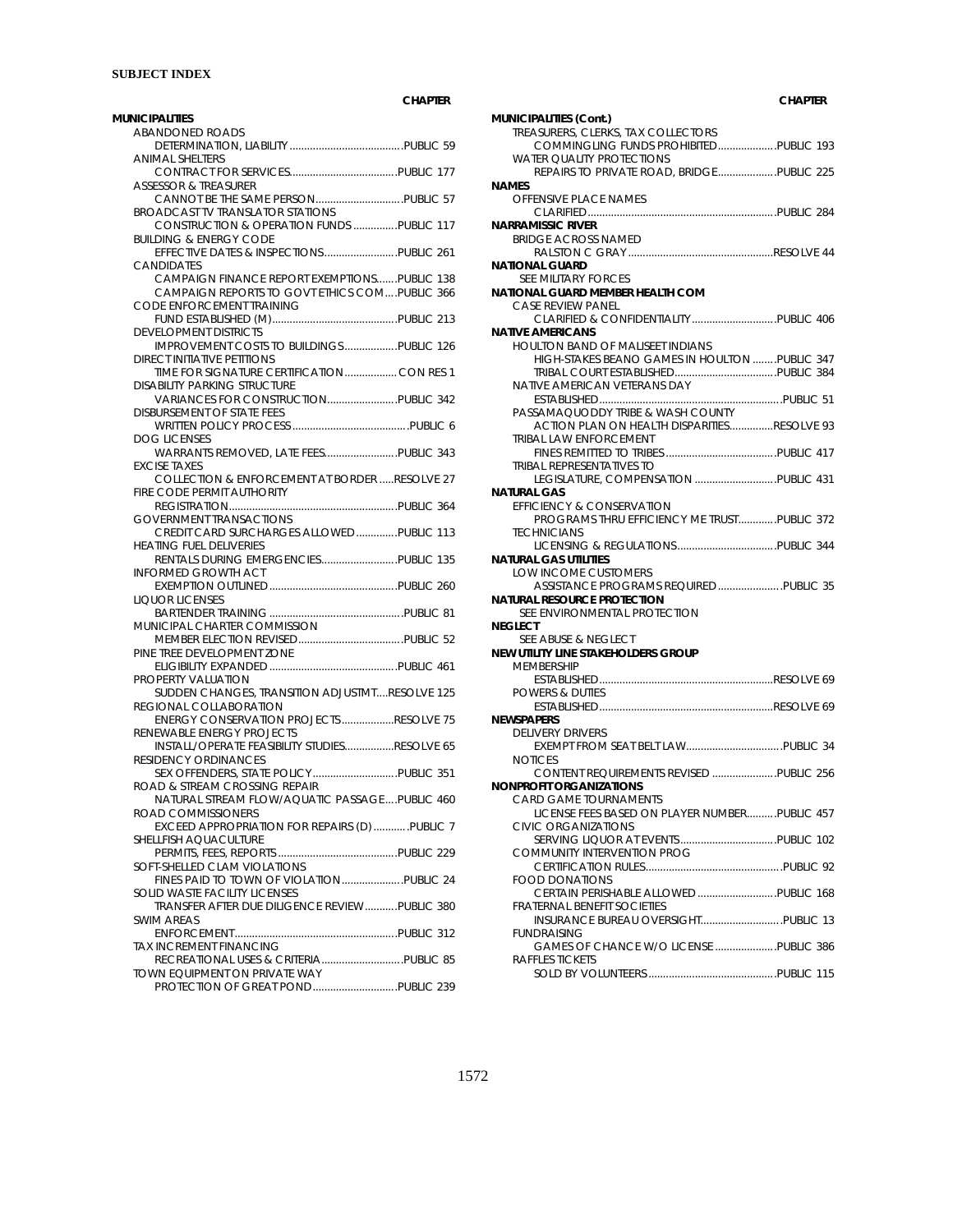| <b>MUNICIPALITIES</b>                                                              |  |
|------------------------------------------------------------------------------------|--|
| <b>ABANDONED ROADS</b>                                                             |  |
| <b>ANIMAL SHELTERS</b>                                                             |  |
|                                                                                    |  |
| <b>ASSESSOR &amp; TREASURER</b>                                                    |  |
|                                                                                    |  |
| BROADCAST TV TRANSLATOR STATIONS                                                   |  |
| CONSTRUCTION & OPERATION FUNDS  PUBLIC 117                                         |  |
| <b>BUILDING &amp; ENERGY CODE</b><br>EFFECTIVE DATES & INSPECTIONS PUBLIC 261      |  |
| <b>CANDIDATES</b>                                                                  |  |
| CAMPAIGN FINANCE REPORT EXEMPTIONSPUBLIC 138                                       |  |
| CAMPAIGN REPORTS TO GOVT ETHICS COMPUBLIC 366                                      |  |
| CODE ENFORCEMENT TRAINING                                                          |  |
|                                                                                    |  |
| <b>DEVELOPMENT DISTRICTS</b><br>IMPROVEMENT COSTS TO BUILDINGS PUBLIC 126          |  |
| <b>DIRECT INITIATIVE PETITIONS</b>                                                 |  |
| TIME FOR SIGNATURE CERTIFICATION  CON RES 1                                        |  |
| <b>DISABILITY PARKING STRUCTURE</b>                                                |  |
| VARIANCES FOR CONSTRUCTION PUBLIC 342                                              |  |
| DISBURSEMENT OF STATE FEES                                                         |  |
|                                                                                    |  |
| <b>DOG LICENSES</b><br>WARRANTS REMOVED, LATE FEES PUBLIC 343                      |  |
| <b>EXCISE TAXES</b>                                                                |  |
| COLLECTION & ENFORCEMENT AT BORDER RESOLVE 27                                      |  |
| FIRE CODE PERMIT AUTHORITY                                                         |  |
|                                                                                    |  |
| <b>GOVERNMENT TRANSACTIONS</b><br>CREDIT CARD SURCHARGES ALLOWED PUBLIC 113        |  |
| <b>HEATING FUFL DELIVERIES</b>                                                     |  |
| RENTALS DURING EMERGENCIES PUBLIC 135                                              |  |
| INFORMED GROWTH ACT                                                                |  |
|                                                                                    |  |
| <b>LIQUOR LICENSES</b>                                                             |  |
| MUNICIPAL CHARTER COMMISSION                                                       |  |
|                                                                                    |  |
| PINE TREE DEVELOPMENT ZONE                                                         |  |
|                                                                                    |  |
| PROPERTY VALUATION                                                                 |  |
| SUDDEN CHANGES, TRANSITION ADJUSTMTRESOLVE 125                                     |  |
| REGIONAL COLLABORATION<br>ENERGY CONSERVATION PROJECTSRESOLVE 75                   |  |
| RENEWABLE ENERGY PROJECTS                                                          |  |
| INSTALL/OPERATE FEASIBILITY STUDIESRESOLVE 65                                      |  |
| <b>RESIDENCY ORDINANCES</b>                                                        |  |
|                                                                                    |  |
| ROAD & STREAM CROSSING REPAIR                                                      |  |
| NATURAL STREAM FLOW/AQUATIC PASSAGEPUBLIC 460<br>ROAD COMMISSIONERS                |  |
| EXCEED APPROPRIATION FOR REPAIRS (D)  PUBLIC 7                                     |  |
| SHELLFISH AQUACULTURE                                                              |  |
|                                                                                    |  |
| SOFT-SHELLED CLAM VIOLATIONS                                                       |  |
| FINES PAID TO TOWN OF VIOLATION  PUBLIC 24<br><b>SOLID WASTE FACILITY LICENSES</b> |  |
| TRANSFER AFTER DUE DILIGENCE REVIEW PUBLIC 380                                     |  |
| <b>SWIM AREAS</b>                                                                  |  |
|                                                                                    |  |
| <b>TAX INCREMENT FINANCING</b>                                                     |  |
| RECREATIONAL USES & CRITERIA PUBLIC 85                                             |  |
| TOWN EQUIPMENT ON PRIVATE WAY                                                      |  |
|                                                                                    |  |

| <b>MUNICIPALITIES (Cont.)</b>                  |  |
|------------------------------------------------|--|
| TREASURERS, CLERKS, TAX COLLECTORS             |  |
| COMMINGLING FUNDS PROHIBITED PUBLIC 193        |  |
| <b>WATER QUALITY PROTECTIONS</b>               |  |
| REPAIRS TO PRIVATE ROAD, BRIDGE PUBLIC 225     |  |
| <b>NAMES</b>                                   |  |
| OFFENSIVE PLACE NAMES                          |  |
|                                                |  |
| <b>NARRAMISSIC RIVER</b>                       |  |
| <b>BRIDGE ACROSS NAMED</b>                     |  |
|                                                |  |
| <b>NATIONAL GUARD</b>                          |  |
|                                                |  |
| <b>SEE MILITARY FORCES</b>                     |  |
| NATIONAL GUARD MEMBER HEALTH COM               |  |
| CASE REVIEW PANEL                              |  |
|                                                |  |
| <b>NATIVE AMERICANS</b>                        |  |
| <b>HOULTON BAND OF MALISEET INDIANS</b>        |  |
| HIGH-STAKES BEANO GAMES IN HOULTON  PUBLIC 347 |  |
|                                                |  |
| NATIVE AMERICAN VETERANS DAY                   |  |
|                                                |  |
| PASSAMAQUODDY TRIBE & WASH COUNTY              |  |
| ACTION PLAN ON HEALTH DISPARITIESRESOLVE 93    |  |
| <b>TRIBAL LAW ENFORCEMENT</b>                  |  |
|                                                |  |
| TRIBAL REPRESENTATIVES TO                      |  |
|                                                |  |
| LEGISLATURE, COMPENSATION  PUBLIC 431          |  |
| <b>NATURAL GAS</b>                             |  |
| EFFICIENCY & CONSERVATION                      |  |
| PROGRAMS THRU EFFICIENCY ME TRUST PUBLIC 372   |  |
| <b>TECHNICIANS</b>                             |  |
|                                                |  |
| <b>NATURAL GAS UTILITIES</b>                   |  |
| <b>LOW INCOME CUSTOMERS</b>                    |  |
| ASSISTANCE PROGRAMS REQUIRED  PUBLIC 35        |  |
| <b>NATURAL RESOURCE PROTECTION</b>             |  |
| SEE ENVIRONMENTAL PROTECTION                   |  |
| <b>NEGLECT</b>                                 |  |
| SEE ABUSE & NEGLECT                            |  |
| New utility line stakeholders group            |  |
| <b>MEMBERSHIP</b>                              |  |
|                                                |  |
| <b>POWERS &amp; DUTIES</b>                     |  |
|                                                |  |
|                                                |  |
| <b>NEWSPAPERS</b>                              |  |
| DELIVERY DRIVERS                               |  |
|                                                |  |
| <b>NOTICES</b>                                 |  |
| CONTENT REQUIREMENTS REVISED  PUBLIC 256       |  |
| <b>NONPROFIT ORGANIZATIONS</b>                 |  |
| CARD GAME TOURNAMENTS                          |  |
| LICENSE FEES BASED ON PLAYER NUMBER PUBLIC 457 |  |
| <b>CIVIC ORGANIZATIONS</b>                     |  |
|                                                |  |
| COMMUNITY INTERVENTION PROG                    |  |
|                                                |  |
| <b>FOOD DONATIONS</b>                          |  |
| CERTAIN PERISHABLE ALLOWED PUBLIC 168          |  |
| <b>FRATERNAL BENEFIT SOCIETIES</b>             |  |
| INSURANCE BUREAU OVERSIGHT PUBLIC 13           |  |
| <b>FUNDRAISING</b>                             |  |
| GAMES OF CHANCE W/O LICENSE  PUBLIC 386        |  |
|                                                |  |
| <b>RAFFLES TICKETS</b>                         |  |
|                                                |  |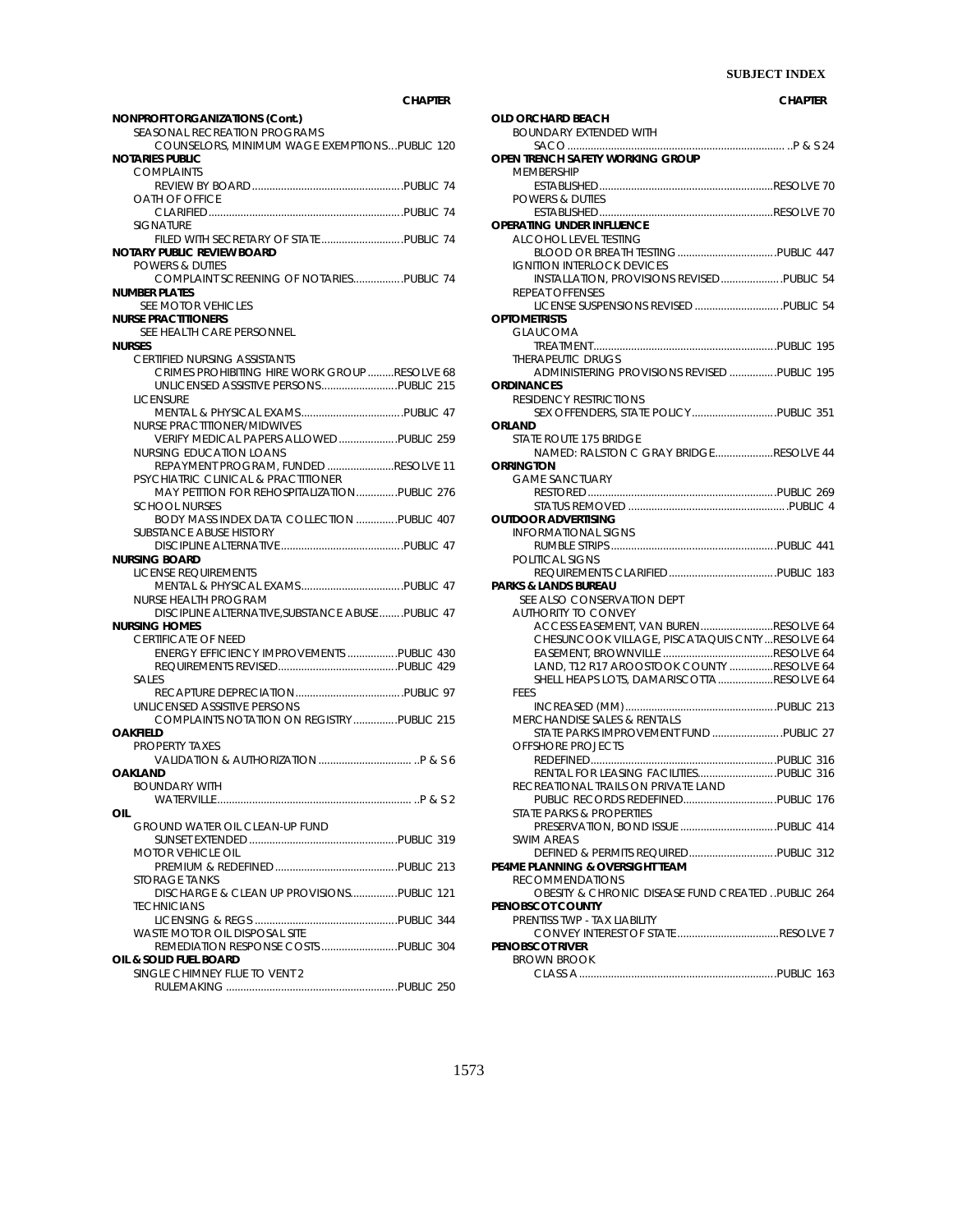| <b>NONPROFIT ORGANIZATIONS (Cont.)</b>             |
|----------------------------------------------------|
|                                                    |
| SEASONAL RECREATION PROGRAMS                       |
| COUNSELORS, MINIMUM WAGE EXEMPTIONS PUBLIC 120     |
| <b>NOTARIES PUBLIC</b>                             |
| <b>COMPLAINTS</b>                                  |
|                                                    |
| OATH OF OFFICE                                     |
|                                                    |
| <b>SIGNATURE</b>                                   |
|                                                    |
| <b>NOTARY PUBLIC REVIEW BOARD</b>                  |
| <b>POWERS &amp; DUTIES</b>                         |
| COMPLAINT SCREENING OF NOTARIES PUBLIC 74          |
| <b>NUMBER PLATES</b>                               |
|                                                    |
| SEE MOTOR VEHICLES                                 |
| <b>NURSE PRACTITIONERS</b>                         |
| SEE HEALTH CARE PERSONNEL                          |
| <b>NURSES</b>                                      |
| <b>CERTIFIED NURSING ASSISTANTS</b>                |
| CRIMES PROHIBITING HIRE WORK GROUP RESOLVE 68      |
| UNLICENSED ASSISTIVE PERSONS PUBLIC 215            |
| LICENSURE                                          |
|                                                    |
| <b>NURSE PRACTITIONER/MIDWIVES</b>                 |
| VERIFY MEDICAL PAPERS ALLOWED  PUBLIC 259          |
| <b>NURSING EDUCATION LOANS</b>                     |
| REPAYMENT PROGRAM, FUNDED  RESOLVE 11              |
| PSYCHIATRIC CLINICAL & PRACTITIONER                |
| MAY PETITION FOR REHOSPITALIZATION PUBLIC 276      |
| <b>SCHOOL NURSES</b>                               |
| BODY MASS INDEX DATA COLLECTION  PUBLIC 407        |
| <b>SUBSTANCE ABUSE HISTORY</b>                     |
|                                                    |
| <b>NURSING BOARD</b>                               |
|                                                    |
| <b>LICENSE REQUIREMENTS</b>                        |
|                                                    |
| NURSE HEALTH PROGRAM                               |
|                                                    |
| DISCIPLINE ALTERNATIVE, SUBSTANCE ABUSE  PUBLIC 47 |
| <b>NURSING HOMES</b>                               |
| <b>CERTIFICATE OF NEED</b>                         |
| ENERGY EFFICIENCY IMPROVEMENTS  PUBLIC 430         |
|                                                    |
| SALES                                              |
|                                                    |
| UNLICENSED ASSISTIVE PERSONS                       |
| COMPLAINTS NOTATION ON REGISTRY  PUBLIC 215        |
| <b>OAKFIELD</b>                                    |
|                                                    |
| <b>PROPERTY TAXES</b>                              |
|                                                    |
| OAKLAND                                            |
| <b>BOUNDARY WITH</b>                               |
| P & S 2<br><b>WATERVILLE</b>                       |
| oil                                                |
| <b>GROUND WATER OIL CLEAN-UP FUND</b>              |
|                                                    |
| <b>MOTOR VEHICLE OIL</b>                           |
|                                                    |
| STORAGE TANKS                                      |
| DISCHARGE & CLEAN UP PROVISIONS PUBLIC 121         |
| <b>TECHNICIANS</b>                                 |
|                                                    |
| WASTE MOTOR OIL DISPOSAL SITE                      |
| REMEDIATION RESPONSE COSTS  PUBLIC 304             |
| OIL & SOLID FUEL BOARD                             |
| SINGLE CHIMNEY FLUE TO VENT 2                      |

| <b>CHAPTER</b>                                     | <b>CHAPTER</b>                                     |
|----------------------------------------------------|----------------------------------------------------|
| NONPROFIT ORGANIZATIONS (Cont.)                    | <b>OLD ORCHARD BEACH</b>                           |
| SEASONAL RECREATION PROGRAMS                       | BOUNDARY EXTENDED WITH                             |
| COUNSELORS, MINIMUM WAGE EXEMPTIONS PUBLIC 120     |                                                    |
| NOTARIES PUBLIC                                    | OPEN TRENCH SAFETY WORKING GROUP                   |
| <b>COMPLAINTS</b>                                  | <b>MEMBERSHIP</b>                                  |
|                                                    |                                                    |
| OATH OF OFFICE                                     | POWERS & DUTIES                                    |
|                                                    |                                                    |
| <b>SIGNATURE</b>                                   | <b>OPERATING UNDER INFLUENCE</b>                   |
| FILED WITH SECRETARY OF STATE  PUBLIC 74           | ALCOHOL LEVEL TESTING                              |
| NOTARY PUBLIC REVIEW BOARD                         |                                                    |
| <b>POWERS &amp; DUTIES</b>                         | <b>IGNITION INTERLOCK DEVICES</b>                  |
| COMPLAINT SCREENING OF NOTARIES PUBLIC 74          | INSTALLATION, PROVISIONS REVISED PUBLIC 54         |
| NUMBER PLATES                                      | <b>REPEAT OFFENSES</b>                             |
| SEE MOTOR VEHICLES                                 |                                                    |
| <b>NURSE PRACTITIONERS</b>                         | <b>OPTOMETRISTS</b>                                |
| SEE HEALTH CARE PERSONNEL                          | <b>GLAUCOMA</b>                                    |
| NURSES                                             |                                                    |
| <b>CERTIFIED NURSING ASSISTANTS</b>                | THERAPEUTIC DRUGS                                  |
| CRIMES PROHIBITING HIRE WORK GROUP  RESOLVE 68     | ADMINISTERING PROVISIONS REVISED  PUBLIC 195       |
| UNLICENSED ASSISTIVE PERSONS PUBLIC 215            | <b>ORDINANCES</b>                                  |
| <b>LICENSURE</b>                                   | <b>RESIDENCY RESTRICTIONS</b>                      |
|                                                    |                                                    |
| NURSE PRACTITIONER/MIDWIVES                        | <b>ORLAND</b>                                      |
| VERIFY MEDICAL PAPERS ALLOWED  PUBLIC 259          | STATE ROUTE 175 BRIDGE                             |
| <b>NURSING EDUCATION LOANS</b>                     | NAMED: RALSTON C GRAY BRIDGERESOLVE 44             |
| REPAYMENT PROGRAM, FUNDED RESOLVE 11               | <b>ORRINGTON</b>                                   |
| PSYCHIATRIC CLINICAL & PRACTITIONER                | <b>GAME SANCTUARY</b>                              |
| MAY PETITION FOR REHOSPITALIZATION PUBLIC 276      |                                                    |
| <b>SCHOOL NURSES</b>                               |                                                    |
| BODY MASS INDEX DATA COLLECTION  PUBLIC 407        | <b>OUTDOOR ADVERTISING</b>                         |
| SUBSTANCE ABUSE HISTORY                            | <b>INFORMATIONAL SIGNS</b>                         |
|                                                    |                                                    |
|                                                    |                                                    |
| Nursing Board                                      | POLITICAL SIGNS                                    |
| LICENSE REQUIREMENTS                               |                                                    |
|                                                    | <b>PARKS &amp; LANDS BUREAU</b>                    |
| NURSE HEALTH PROGRAM                               | SEE ALSO CONSERVATION DEPT                         |
| DISCIPLINE ALTERNATIVE, SUBSTANCE ABUSE  PUBLIC 47 | <b>AUTHORITY TO CONVEY</b>                         |
| NURSING HOMES                                      | ACCESS EASEMENT, VAN BURENRESOLVE 64               |
| <b>CERTIFICATE OF NEED</b>                         | CHESUNCOOK VILLAGE, PISCATAQUIS CNTYRESOLVE 64     |
| ENERGY EFFICIENCY IMPROVEMENTS  PUBLIC 430         |                                                    |
|                                                    | LAND, T12 R17 AROOSTOOK COUNTY RESOLVE 64          |
| <b>SALES</b>                                       | SHELL HEAPS LOTS, DAMARISCOTTARESOLVE 64           |
|                                                    | <b>FEES</b>                                        |
| UNLICENSED ASSISTIVE PERSONS                       |                                                    |
| COMPLAINTS NOTATION ON REGISTRY  PUBLIC 215        | MERCHANDISE SALES & RENTALS                        |
| Oakfield                                           | STATE PARKS IMPROVEMENT FUND  PUBLIC 27            |
| <b>PROPERTY TAXES</b>                              | OFFSHORE PROJECTS                                  |
|                                                    |                                                    |
| <b>OAKLAND</b>                                     | RENTAL FOR LEASING FACILITIES PUBLIC 316           |
| <b>BOUNDARY WITH</b>                               | RECREATIONAL TRAILS ON PRIVATE LAND                |
|                                                    |                                                    |
| OIL                                                | STATE PARKS & PROPERTIES                           |
| GROUND WATER OIL CLEAN-UP FUND                     |                                                    |
|                                                    | <b>SWIM AREAS</b>                                  |
| <b>MOTOR VEHICLE OIL</b>                           |                                                    |
|                                                    | PE4ME PLANNING & OVERSIGHT TEAM                    |
| STORAGE TANKS                                      | <b>RECOMMENDATIONS</b>                             |
| DISCHARGE & CLEAN UP PROVISIONS PUBLIC 121         | OBESITY & CHRONIC DISEASE FUND CREATED  PUBLIC 264 |
| <b>TECHNICIANS</b>                                 | PENOBSCOT COUNTY                                   |
|                                                    | PRENTISS TWP - TAX LIABILITY                       |
| <b>WASTE MOTOR OIL DISPOSAL SITE</b>               |                                                    |
|                                                    | <b>PENOBSCOT RIVER</b>                             |
| oil & Solid Fuel Board                             | <b>BROWN BROOK</b>                                 |
| SINGLE CHIMNEY FLUE TO VENT 2                      |                                                    |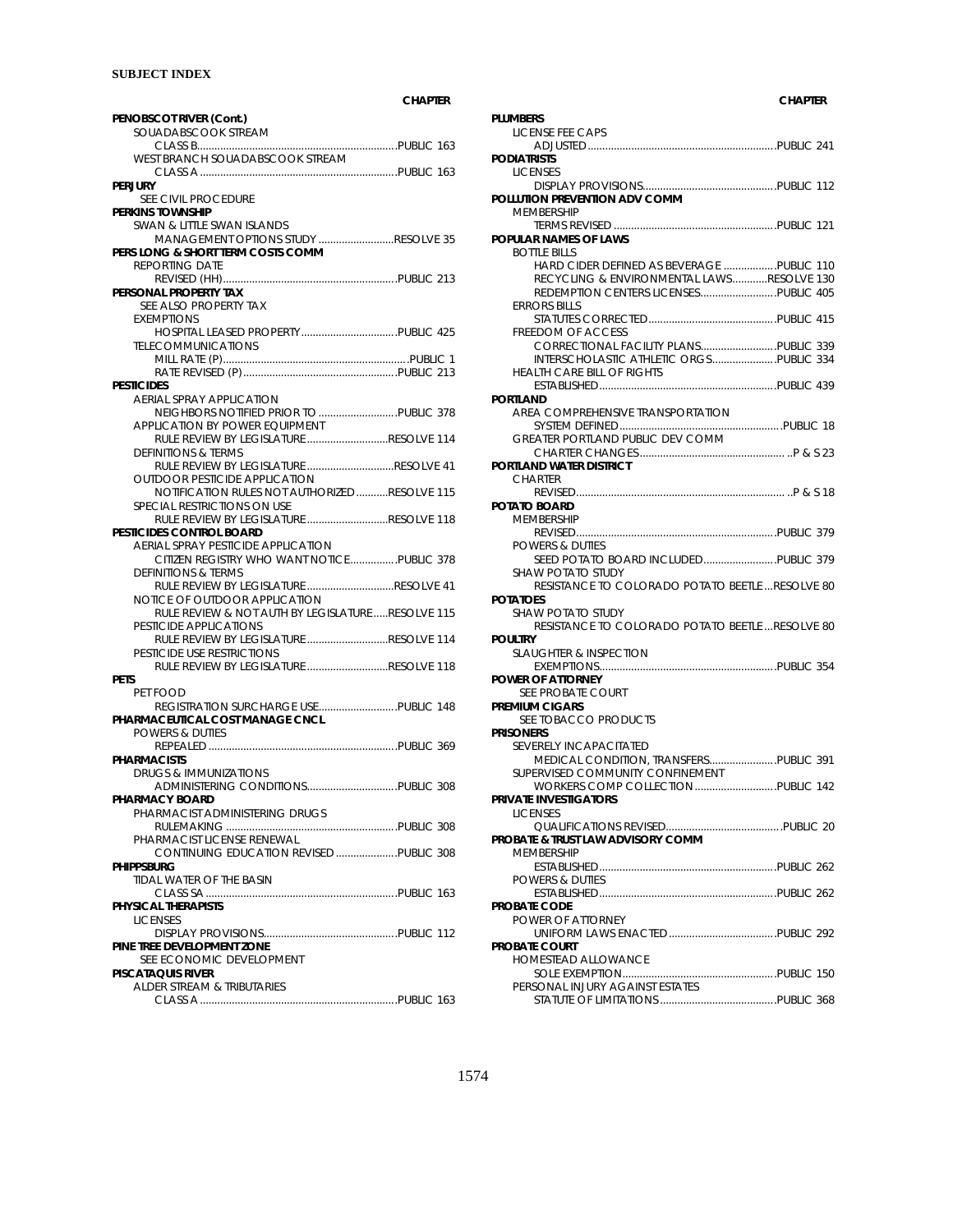|                                                                                      | <b>CHAPTER</b> |                                                      | <b>CHAPTER</b> |
|--------------------------------------------------------------------------------------|----------------|------------------------------------------------------|----------------|
| PENOBSCOT RIVER (Cont.)                                                              |                | <b>PLUMBERS</b>                                      |                |
| SOUADABSCOOK STREAM                                                                  |                | LICENSE FEE CAPS                                     |                |
|                                                                                      |                |                                                      |                |
| WEST BRANCH SOUADABSCOOK STREAM                                                      |                | <b>PODIATRISTS</b>                                   |                |
|                                                                                      |                | <b>LICENSES</b>                                      |                |
| <b>PERJURY</b>                                                                       |                |                                                      |                |
| SEE CIVIL PROCEDURE                                                                  |                | POLLUTION PREVENTION ADV COMM                        |                |
| <b>PERKINS TOWNSHIP</b>                                                              |                | MEMBERSHIP                                           |                |
| SWAN & LITTLE SWAN ISLANDS                                                           |                |                                                      |                |
| MANAGEMENT OPTIONS STUDY  RESOLVE 35                                                 |                | POPULAR NAMES OF LAWS                                |                |
| PERS LONG & SHORT TERM COSTS COMM                                                    |                | <b>BOTTLE BILLS</b>                                  |                |
| <b>REPORTING DATE</b>                                                                |                | HARD CIDER DEFINED AS BEVERAGE  PUBLIC 11            |                |
|                                                                                      |                | RECYCLING & ENVIRONMENTAL LAWSRESOLVE 13             |                |
| PERSONAL PROPERTY TAX                                                                |                |                                                      |                |
| SEE ALSO PROPERTY TAX                                                                |                | <b>ERRORS BILLS</b>                                  |                |
| <b>EXEMPTIONS</b>                                                                    |                |                                                      |                |
|                                                                                      |                | FREEDOM OF ACCESS                                    |                |
| <b>TELECOMMUNICATIONS</b>                                                            |                |                                                      |                |
|                                                                                      |                | INTERSCHOLASTIC ATHLETIC ORGS PUBLIC 33              |                |
|                                                                                      |                | HEALTH CARE BILL OF RIGHTS                           |                |
| <b>PESTICIDES</b>                                                                    |                |                                                      |                |
| AERIAL SPRAY APPLICATION                                                             |                | <b>PORTLAND</b><br>AREA COMPREHENSIVE TRANSPORTATION |                |
|                                                                                      |                |                                                      |                |
| APPLICATION BY POWER EQUIPMENT<br>RULE REVIEW BY LEGISLATURE RESOLVE 114             |                | GREATER PORTLAND PUBLIC DEV COMM                     |                |
|                                                                                      |                |                                                      |                |
| <b>DEFINITIONS &amp; TERMS</b>                                                       |                |                                                      |                |
|                                                                                      |                | PORTLAND WATER DISTRICT                              |                |
| <b>OUTDOOR PESTICIDE APPLICATION</b><br>NOTIFICATION RULES NOT AUTHORIZEDRESOLVE 115 |                | <b>CHARTER</b>                                       |                |
| SPECIAL RESTRICTIONS ON USE                                                          |                |                                                      |                |
| RULE REVIEW BY LEGISLATURE RESOLVE 118                                               |                | POTATO BOARD                                         |                |
| PESTICIDES CONTROL BOARD                                                             |                | MEMBERSHIP                                           |                |
| AERIAL SPRAY PESTICIDE APPLICATION                                                   |                | <b>POWERS &amp; DUTIES</b>                           |                |
| CITIZEN REGISTRY WHO WANT NOTICE PUBLIC 378                                          |                | SEED POTATO BOARD INCLUDED PUBLIC 37                 |                |
| <b>DEFINITIONS &amp; TERMS</b>                                                       |                | <b>SHAW POTATO STUDY</b>                             |                |
| RULE REVIEW BY LEGISLATURE RESOLVE 41                                                |                | RESISTANCE TO COLORADO POTATO BEETLE  RESOLVE 8      |                |
| NOTICE OF OUTDOOR APPLICATION                                                        |                | <b>POTATOES</b>                                      |                |
| RULE REVIEW & NOT AUTH BY LEGISLATURE  RESOLVE 115                                   |                | <b>SHAW POTATO STUDY</b>                             |                |
| PESTICIDE APPLICATIONS                                                               |                | RESISTANCE TO COLORADO POTATO BEETLE  RESOLVE 8      |                |
| RULE REVIEW BY LEGISLATURE RESOLVE 114                                               |                | <b>POULTRY</b>                                       |                |
| PESTICIDE USE RESTRICTIONS                                                           |                | <b>SLAUGHTER &amp; INSPECTION</b>                    |                |
| RULE REVIEW BY LEGISLATURE RESOLVE 118                                               |                |                                                      |                |
| <b>PETS</b>                                                                          |                | POWER OF ATTORNEY                                    |                |
| PET FOOD                                                                             |                | SEE PROBATE COURT                                    |                |
| REGISTRATION SURCHARGE USE PUBLIC 148                                                |                | <b>PREMIUM CIGARS</b>                                |                |
| PHARMACEUTICAL COST MANAGE CNCL                                                      |                | SEE TOBACCO PRODUCTS                                 |                |
| POWERS & DUTIES                                                                      |                | <b>PRISONERS</b>                                     |                |
|                                                                                      |                | SEVERELY INCAPACITATED                               |                |
| <b>PHARMACISTS</b>                                                                   |                | MEDICAL CONDITION, TRANSFERS PUBLIC 39               |                |
| <b>DRUGS &amp; IMMUNIZATIONS</b>                                                     |                | SUPERVISED COMMUNITY CONFINEMENT                     |                |
|                                                                                      |                | WORKERS COMP COLLECTION  PUBLIC 14                   |                |
| <b>PHARMACY BOARD</b>                                                                |                | PRIVATE INVESTIGATORS                                |                |
| PHARMACIST ADMINISTERING DRUGS                                                       |                | <b>LICENSES</b>                                      |                |
|                                                                                      |                |                                                      |                |
| PHARMACIST LICENSE RENEWAL                                                           |                | <b>PROBATE &amp; TRUST LAW ADVISORY COMM</b>         |                |
| CONTINUING EDUCATION REVISED  PUBLIC 308                                             |                | <b>MEMBERSHIP</b>                                    |                |
| <b>PHIPPSBURG</b>                                                                    |                |                                                      |                |
| TIDAL WATER OF THE BASIN                                                             |                | POWERS & DUTIES                                      |                |
|                                                                                      |                |                                                      |                |
| PHYSICAL THERAPISTS                                                                  |                | <b>PROBATE CODE</b>                                  |                |
| <b>LICENSES</b>                                                                      |                | POWER OF ATTORNEY                                    |                |
|                                                                                      |                |                                                      |                |
| PINE TREE DEVELOPMENT ZONE                                                           |                | <b>PROBATE COURT</b>                                 |                |
| SEE ECONOMIC DEVELOPMENT                                                             |                | <b>HOMESTEAD ALLOWANCE</b>                           |                |
| <b>PISCATAQUIS RIVER</b>                                                             |                |                                                      |                |
| ALDER STREAM & TRIBUTARIES                                                           |                | PERSONAL INJURY AGAINST ESTATES                      |                |
|                                                                                      |                |                                                      |                |

| PLUMBERS                                         |  |
|--------------------------------------------------|--|
| LICENSE FEE CAPS                                 |  |
|                                                  |  |
| <b>PODIATRISTS</b>                               |  |
| <b>LICENSES</b>                                  |  |
|                                                  |  |
| POLLUTION PREVENTION ADV COMM                    |  |
| MEMBERSHIP                                       |  |
|                                                  |  |
| POPULAR NAMES OF LAWS                            |  |
| <b>BOTTLE BILLS</b>                              |  |
| HARD CIDER DEFINED AS BEVERAGE  PUBLIC 110       |  |
| RECYCLING & ENVIRONMENTAL LAWSRESOLVE 130        |  |
| REDEMPTION CENTERS LICENSES PUBLIC 405           |  |
| <b>ERRORS BILLS</b>                              |  |
|                                                  |  |
|                                                  |  |
| <b>FREEDOM OF ACCESS</b>                         |  |
| CORRECTIONAL FACILITY PLANS PUBLIC 339           |  |
| INTERSCHOLASTIC ATHLETIC ORGS PUBLIC 334         |  |
| HEALTH CARE BILL OF RIGHTS                       |  |
|                                                  |  |
| PORTLAND                                         |  |
| AREA COMPREHENSIVE TRANSPORTATION                |  |
|                                                  |  |
| <b>GREATER PORTLAND PUBLIC DEV COMM</b>          |  |
|                                                  |  |
| PORTLAND WATER DISTRICT                          |  |
| <b>CHARTER</b>                                   |  |
|                                                  |  |
| POTATO BOARD                                     |  |
| <b>MFMBFRSHIP</b>                                |  |
|                                                  |  |
|                                                  |  |
| POWERS & DUTIES                                  |  |
| SEED POTATO BOARD INCLUDED PUBLIC 379            |  |
|                                                  |  |
| <b>SHAW POTATO STUDY</b>                         |  |
| RESISTANCE TO COLORADO POTATO BEETLE  RESOLVE 80 |  |
| <b>POTATOES</b>                                  |  |
| <b>SHAW POTATO STUDY</b>                         |  |
| RESISTANCE TO COLORADO POTATO BEETLE RESOLVE 80  |  |
| <b>POULTRY</b>                                   |  |
|                                                  |  |
| SLAUGHTER & INSPECTION                           |  |
|                                                  |  |
| POWER OF ATTORNEY                                |  |
| SEE PROBATE COURT                                |  |
| <b>PREMIUM CIGARS</b>                            |  |
| SEE TOBACCO PRODUCTS                             |  |
| <b>PRISONERS</b>                                 |  |
| <b>SEVERELY INCAPACITATED</b>                    |  |
|                                                  |  |
| SUPERVISED COMMUNITY CONFINEMENT                 |  |
| WORKERS COMP COLLECTION  PUBLIC 142              |  |
| <b>PRIVATE INVESTIGATORS</b>                     |  |
| <b>LICENSES</b>                                  |  |
|                                                  |  |
| PROBATE & TRUST LAW ADVISORY COMM                |  |
| MEMBERSHIP                                       |  |
|                                                  |  |
| <b>POWERS &amp; DUTIES</b>                       |  |
|                                                  |  |
| PROBATE CODE                                     |  |
| POWER OF ATTORNEY                                |  |
|                                                  |  |
|                                                  |  |
| <b>PROBATE COURT</b>                             |  |
| HOMESTEAD ALLOWANCE                              |  |
|                                                  |  |
| PERSONAL INJURY AGAINST ESTATES                  |  |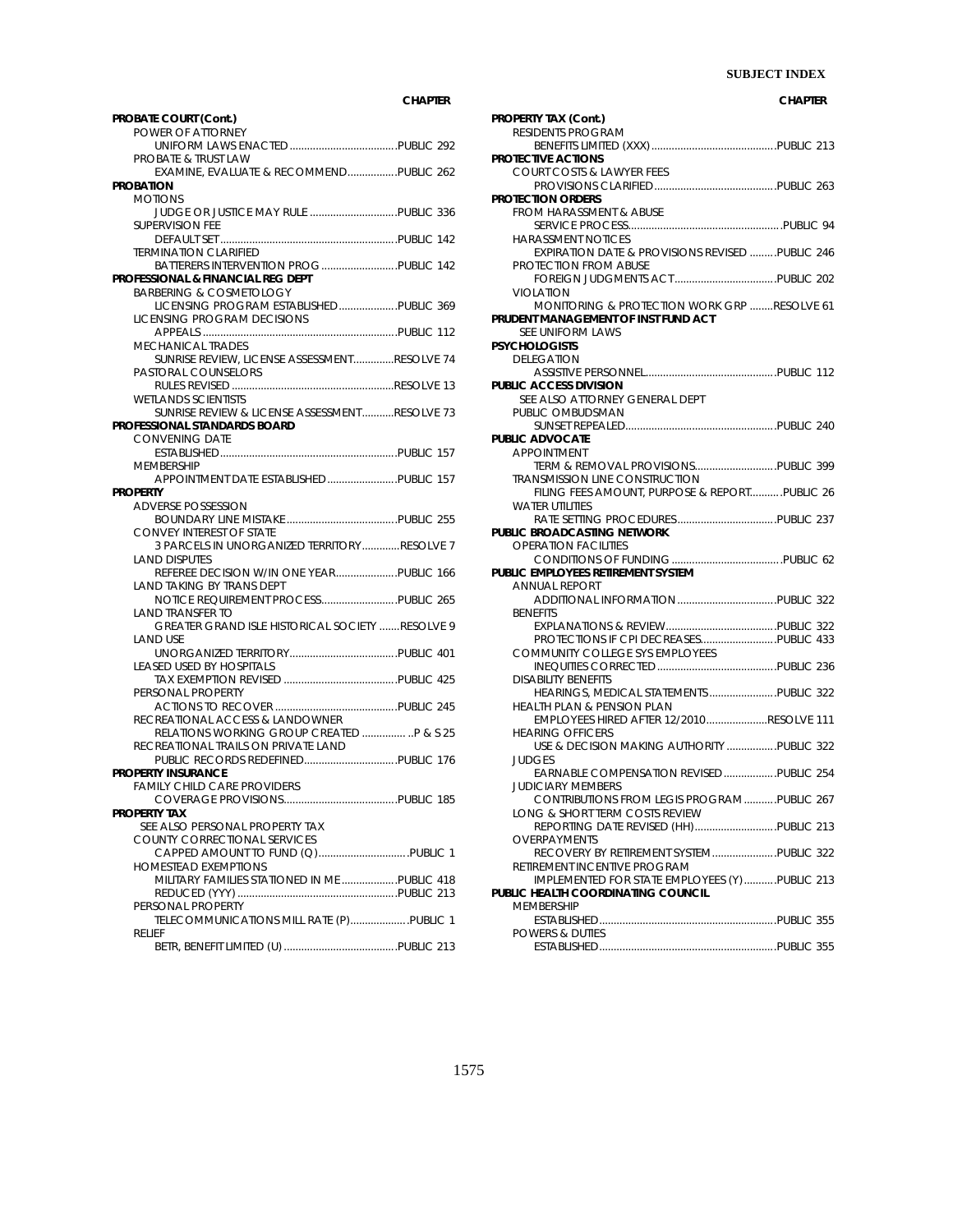| PROBATE COURT (Cont.)                                                  |  |
|------------------------------------------------------------------------|--|
| POWER OF ATTORNEY                                                      |  |
|                                                                        |  |
| <b>PROBATE &amp; TRUST LAW</b>                                         |  |
| EXAMINE, EVALUATE & RECOMMEND PUBLIC 262                               |  |
| <b>PROBATION</b>                                                       |  |
| <b>MOTIONS</b>                                                         |  |
| JUDGE OR JUSTICE MAY RULE  PUBLIC 336                                  |  |
| <b>SUPERVISION FEE</b>                                                 |  |
|                                                                        |  |
| <b>TERMINATION CLARIFIED</b>                                           |  |
|                                                                        |  |
| PROFESSIONAL & FINANCIAL REG DEPT                                      |  |
| <b>BARBERING &amp; COSMETOLOGY</b>                                     |  |
|                                                                        |  |
| LICENSING PROGRAM DECISIONS                                            |  |
|                                                                        |  |
| MECHANICAL TRADES                                                      |  |
| SUNRISE REVIEW, LICENSE ASSESSMENTRESOLVE 74                           |  |
| PASTORAL COUNSELORS                                                    |  |
|                                                                        |  |
| <b>WETLANDS SCIENTISTS</b>                                             |  |
| SUNRISE REVIEW & LICENSE ASSESSMENTRESOLVE 73                          |  |
| PROFESSIONAL STANDARDS BOARD                                           |  |
| <b>CONVENING DATE</b>                                                  |  |
|                                                                        |  |
| MEMBERSHIP                                                             |  |
|                                                                        |  |
| <b>PROPERTY</b>                                                        |  |
| <b>ADVERSE POSSESSION</b>                                              |  |
|                                                                        |  |
| <b>CONVEY INTEREST OF STATE</b>                                        |  |
| 3 PARCELS IN UNORGANIZED TERRITORYRESOLVE 7                            |  |
| <b>LAND DISPUTES</b>                                                   |  |
| REFEREE DECISION W/IN ONE YEAR PUBLIC 166<br>LAND TAKING BY TRANS DEPT |  |
| NOTICE REQUIREMENT PROCESS PUBLIC 265                                  |  |
|                                                                        |  |
| LAND TRANSFER TO<br>GREATER GRAND ISLE HISTORICAL SOCIETY RESOLVE 9    |  |
| <b>LAND USE</b>                                                        |  |
|                                                                        |  |
| LEASED USED BY HOSPITALS                                               |  |
|                                                                        |  |
| PERSONAL PROPERTY                                                      |  |
|                                                                        |  |
| RECREATIONAL ACCESS & LANDOWNER                                        |  |
| RELATIONS WORKING GROUP CREATED  P & S 25                              |  |
| RECREATIONAL TRAILS ON PRIVATE LAND                                    |  |
|                                                                        |  |
| <b>PROPERTY INSURANCE</b>                                              |  |
| <b>FAMILY CHILD CARE PROVIDERS</b>                                     |  |
|                                                                        |  |
| Property Tax                                                           |  |
| SEE ALSO PERSONAL PROPERTY TAX                                         |  |
| <b>COUNTY CORRECTIONAL SERVICES</b>                                    |  |
|                                                                        |  |
| <b>HOMESTEAD EXEMPTIONS</b>                                            |  |
| MILITARY FAMILIES STATIONED IN ME  PUBLIC 418                          |  |
|                                                                        |  |
| PERSONAL PROPERTY                                                      |  |
| TELECOMMUNICATIONS MILL RATE (P) PUBLIC 1                              |  |
| RELIEF                                                                 |  |
|                                                                        |  |
|                                                                        |  |

| <b>CHAPTER</b>                                                               | <b>CHAPTER</b>                                                         |
|------------------------------------------------------------------------------|------------------------------------------------------------------------|
| PROBATE COURT (Cont.)                                                        | PROPERTY TAX (Cont.)                                                   |
| POWER OF ATTORNEY                                                            | RESIDENTS PROGRAM                                                      |
|                                                                              |                                                                        |
| PROBATE & TRUST LAW                                                          | <b>PROTECTIVE ACTIONS</b>                                              |
|                                                                              | <b>COURT COSTS &amp; LAWYER FEES</b>                                   |
| PROBATION                                                                    |                                                                        |
| <b>MOTIONS</b>                                                               | <b>PROTECTION ORDERS</b>                                               |
|                                                                              | FROM HARASSMENT & ABUSE                                                |
| SUPERVISION FEE                                                              |                                                                        |
|                                                                              | <b>HARASSMENT NOTICES</b>                                              |
| <b>TERMINATION CLARIFIED</b>                                                 | EXPIRATION DATE & PROVISIONS REVISED  PUBLIC 246                       |
|                                                                              | PROTECTION FROM ABUSE                                                  |
| PROFESSIONAL & FINANCIAL REG DEPT                                            |                                                                        |
| <b>BARBERING &amp; COSMETOLOGY</b>                                           | <b>VIOI ATION</b>                                                      |
| LICENSING PROGRAM ESTABLISHED PUBLIC 369                                     | MONITORING & PROTECTION WORK GRP RESOLVE 61                            |
| LICENSING PROGRAM DECISIONS                                                  | PRUDENT MANAGEMENT OF INST FUND ACT                                    |
|                                                                              | SEE UNIFORM LAWS                                                       |
| <b>MECHANICAL TRADES</b>                                                     | <b>PSYCHOLOGISTS</b>                                                   |
| SUNRISE REVIEW, LICENSE ASSESSMENTRESOLVE 74                                 | <b>DELEGATION</b>                                                      |
| PASTORAL COUNSELORS                                                          |                                                                        |
|                                                                              | <b>PUBLIC ACCESS DIVISION</b>                                          |
| <b>WETLANDS SCIENTISTS</b>                                                   | SEE ALSO ATTORNEY GENERAL DEPT                                         |
| SUNRISE REVIEW & LICENSE ASSESSMENTRESOLVE 73                                | PUBLIC OMBUDSMAN                                                       |
| PROFESSIONAL STANDARDS BOARD                                                 |                                                                        |
| <b>CONVENING DATE</b>                                                        | <b>PUBLIC ADVOCATE</b>                                                 |
|                                                                              | <b>APPOINTMENT</b>                                                     |
| <b>MEMBERSHIP</b>                                                            | TERM & REMOVAL PROVISIONS PUBLIC 399                                   |
|                                                                              | <b>TRANSMISSION LINE CONSTRUCTION</b>                                  |
| PROPERTY                                                                     | FILING FEES AMOUNT, PURPOSE & REPORT PUBLIC 26                         |
| <b>ADVERSE POSSESSION</b>                                                    | <b>WATER UTILITIES</b>                                                 |
|                                                                              |                                                                        |
| <b>CONVEY INTEREST OF STATE</b>                                              | PUBLIC BROADCASTING NETWORK                                            |
| 3 PARCELS IN UNORGANIZED TERRITORYRESOLVE 7                                  | <b>OPERATION FACILITIES</b>                                            |
| <b>LAND DISPUTES</b>                                                         |                                                                        |
| REFEREE DECISION W/IN ONE YEAR PUBLIC 166                                    | PUBLIC EMPLOYEES RETIREMENT SYSTEM                                     |
| LAND TAKING BY TRANS DEPT                                                    | <b>ANNUAL REPORT</b>                                                   |
| NOTICE REQUIREMENT PROCESS PUBLIC 265                                        |                                                                        |
| LAND TRANSFER TO                                                             | <b>BENEFITS</b>                                                        |
| <b>GREATER GRAND ISLE HISTORICAL SOCIETY RESOLVE 9</b>                       |                                                                        |
| <b>LAND USE</b>                                                              | PROTECTIONS IF CPI DECREASES PUBLIC 433                                |
|                                                                              | COMMUNITY COLLEGE SYS EMPLOYEES                                        |
| LEASED USED BY HOSPITALS                                                     |                                                                        |
|                                                                              | <b>DISABILITY BENEFITS</b><br>HEARINGS, MEDICAL STATEMENTS  PUBLIC 322 |
| PERSONAL PROPERTY                                                            |                                                                        |
|                                                                              | HEALTH PLAN & PENSION PLAN<br>EMPLOYEES HIRED AFTER 12/2010RESOLVE 111 |
| RECREATIONAL ACCESS & LANDOWNER                                              |                                                                        |
| RELATIONS WORKING GROUP CREATED  P & S 25                                    | <b>HEARING OFFICERS</b><br>USE & DECISION MAKING AUTHORITY  PUBLIC 322 |
| RECREATIONAL TRAILS ON PRIVATE LAND                                          |                                                                        |
|                                                                              | <b>JUDGES</b><br>EARNABLE COMPENSATION REVISED  PUBLIC 254             |
| <b>PROPERTY INSURANCE</b>                                                    |                                                                        |
| <b>FAMILY CHILD CARE PROVIDERS</b>                                           | <b>JUDICIARY MEMBERS</b>                                               |
|                                                                              | CONTRIBUTIONS FROM LEGIS PROGRAM PUBLIC 267                            |
| Property Tax                                                                 | LONG & SHORT TERM COSTS REVIEW                                         |
| SEE ALSO PERSONAL PROPERTY TAX                                               |                                                                        |
| COUNTY CORRECTIONAL SERVICES                                                 | OVERPAYMENTS                                                           |
| CAPPED AMOUNT TO FUND (Q) PUBLIC 1                                           | RECOVERY BY RETIREMENT SYSTEM PUBLIC 322                               |
| <b>HOMESTEAD EXEMPTIONS</b><br>MILITARY FAMILIES STATIONED IN ME  PUBLIC 418 | RETIREMENT INCENTIVE PROGRAM                                           |
|                                                                              | IMPLEMENTED FOR STATE EMPLOYEES (Y)  PUBLIC 213                        |
| PERSONAL PROPERTY                                                            | PUBLIC HEALTH COORDINATING COUNCIL                                     |
| TELECOMMUNICATIONS MILL RATE (P) PUBLIC 1                                    | <b>MEMBERSHIP</b>                                                      |
| <b>RELIEF</b>                                                                |                                                                        |
|                                                                              | POWERS & DUTIES                                                        |
|                                                                              |                                                                        |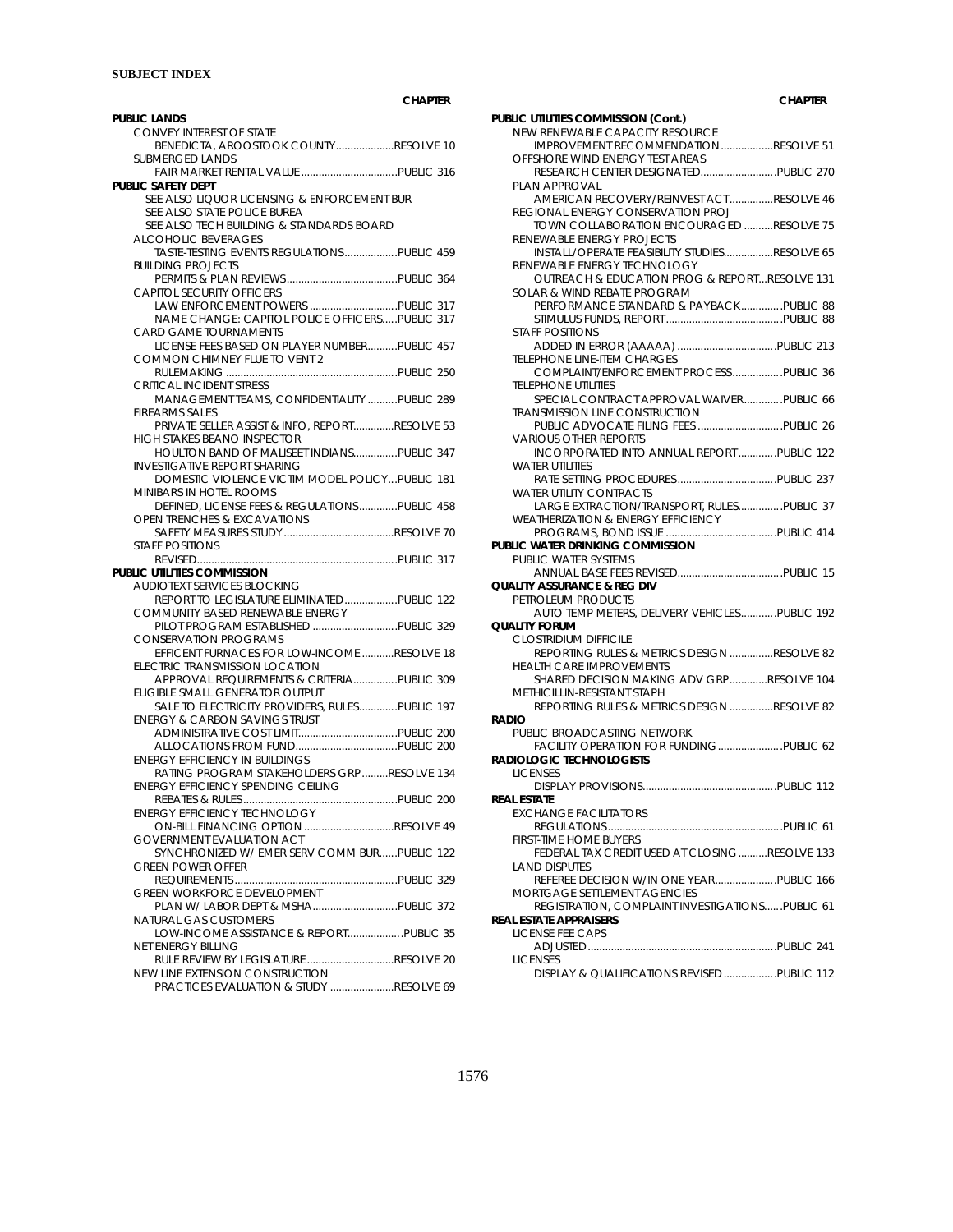#### **PUBLIC LANDS** CONVEY INTEREST OF STATE BENEDICTA, AROOSTOOK COUNTY....................RESOLVE 10 SUBMERGED LANDS FAIR MARKET RENTAL VALUE.................................PUBLIC 316 **PUBLIC SAFETY DEPT** SEE ALSO LIQUOR LICENSING & ENFORCEMENT BUR SEE ALSO STATE POLICE BUREA SEE ALSO TECH BUILDING & STANDARDS BOARD ALCOHOLIC BEVERAGES TASTE-TESTING EVENTS REGULATIONS..................PUBLIC 459 BUILDING PROJECTS PERMITS & PLAN REVIEWS......................................PUBLIC 364 CAPITOL SECURITY OFFICERS LAW ENFORCEMENT POWERS ..............................PUBLIC 317 NAME CHANGE: CAPITOL POLICE OFFICERS.....PUBLIC 317 CARD GAME TOURNAMENTS LICENSE FEES BASED ON PLAYER NUMBER..........PUBLIC 457 COMMON CHIMNEY FLUE TO VENT 2 RULEMAKING ...........................................................PUBLIC 250 CRITICAL INCIDENT STRESS MANAGEMENT TEAMS, CONFIDENTIALITY ..........PUBLIC 289 FIREARMS SALES PRIVATE SELLER ASSIST & INFO, REPORT..............RESOLVE 53 HIGH STAKES BEANO INSPECTOR HOULTON BAND OF MALISEET INDIANS...............PUBLIC 347 INVESTIGATIVE REPORT SHARING DOMESTIC VIOLENCE VICTIM MODEL POLICY...PUBLIC 181 MINIBARS IN HOTEL ROOMS DEFINED, LICENSE FEES & REGULATIONS.............PUBLIC 458 OPEN TRENCHES & EXCAVATIONS SAFETY MEASURES STUDY......................................RESOLVE 70 STAFF POSITIONS<br>REVISED........ REVISED.....................................................................PUBLIC 317 **PUBLIC UTILITIES COMMISSION** AUDIOTEXT SERVICES BLOCKING REPORT TO LEGISLATURE ELIMINATED..................PUBLIC 122 COMMUNITY BASED RENEWABLE ENERGY PILOT PROGRAM ESTABLISHED .............................PUBLIC 329 CONSERVATION PROGRAMS EFFICENT FURNACES FOR LOW-INCOME ...........RESOLVE 18 ELECTRIC TRANSMISSION LOCATION APPROVAL REQUIREMENTS & CRITERIA...............PUBLIC 309 ELIGIBLE SMALL GENERATOR OUTPUT SALE TO ELECTRICITY PROVIDERS, RULES.............PUBLIC 197 ENERGY & CARBON SAVINGS TRUST ADMINISTRATIVE COST LIMIT..................................PUBLIC 200 ALLOCATIONS FROM FUND...................................PUBLIC 200 ENERGY EFFICIENCY IN BUILDINGS RATING PROGRAM STAKEHOLDERS GRP.........RESOLVE 134 ENERGY EFFICIENCY SPENDING CEILING REBATES & RULES.....................................................PUBLIC 200 ENERGY EFFICIENCY TECHNOLOGY ON-BILL FINANCING OPTION ...............................RESOLVE 49 GOVERNMENT EVALUATION ACT SYNCHRONIZED W/ EMER SERV COMM BUR......PUBLIC 122 GREEN POWER OFFER<br>REQUIREMENTS REQUIREMENTS ........................................................PUBLIC 329 GREEN WORKFORCE DEVELOPMENT PLAN W/ LABOR DEPT & MSHA.............................PUBLIC 372 NATURAL GAS CUSTOMERS LOW-INCOME ASSISTANCE & REPORT...................PUBLIC 35 NET ENERGY BILLING RULE REVIEW BY LEGISLATURE..............................RESOLVE 20 NEW LINE EXTENSION CONSTRUCTION PRACTICES EVALUATION & STUDY ......................RESOLVE 69

| PUBLIC UTILITIES COMMISSION (Cont.)                                              |  |
|----------------------------------------------------------------------------------|--|
| NEW RENEWABLE CAPACITY RESOURCE                                                  |  |
| IMPROVEMENT RECOMMENDATION RESOLVE 51                                            |  |
| OFFSHORE WIND ENERGY TEST AREAS                                                  |  |
| PLAN APPROVAL                                                                    |  |
| AMERICAN RECOVERY/REINVEST ACTRESOLVE 46                                         |  |
| REGIONAL ENERGY CONSERVATION PROJ                                                |  |
| TOWN COLLABORATION ENCOURAGED RESOLVE 75                                         |  |
| RENEWABLE ENERGY PROJECTS                                                        |  |
| INSTALL/OPERATE FEASIBILITY STUDIESRESOLVE 65                                    |  |
| RENEWABLE ENERGY TECHNOLOGY                                                      |  |
| OUTREACH & EDUCATION PROG & REPORTRESOLVE 131                                    |  |
| SOLAR & WIND REBATE PROGRAM                                                      |  |
| PERFORMANCE STANDARD & PAYBACK PUBLIC 88                                         |  |
|                                                                                  |  |
| <b>STAFF POSITIONS</b>                                                           |  |
|                                                                                  |  |
| <b>TELEPHONE LINE-ITEM CHARGES</b>                                               |  |
| COMPLAINT/ENFORCEMENT PROCESS PUBLIC 36                                          |  |
| <b>TELEPHONE UTILITIES</b>                                                       |  |
| SPECIAL CONTRACT APPROVAL WAIVER PUBLIC 66                                       |  |
| <b>TRANSMISSION LINE CONSTRUCTION</b>                                            |  |
| <b>VARIOUS OTHER REPORTS</b>                                                     |  |
| INCORPORATED INTO ANNUAL REPORT  PUBLIC 122                                      |  |
| <b>WATER UTILITIES</b>                                                           |  |
|                                                                                  |  |
| <b>WATER UTILITY CONTRACTS</b>                                                   |  |
| LARGE EXTRACTION/TRANSPORT, RULES PUBLIC 37                                      |  |
| WEATHERIZATION & ENERGY EFFICIENCY                                               |  |
|                                                                                  |  |
| PUBLIC WATER DRINKING COMMISSION                                                 |  |
| PUBLIC WATER SYSTEMS                                                             |  |
|                                                                                  |  |
| <b>QUALITY ASSURANCE &amp; REG DIV</b>                                           |  |
| PETROLEUM PRODUCTS                                                               |  |
| AUTO TEMP METERS, DELIVERY VEHICLESPUBLIC 192                                    |  |
| <b>QUALITY FORUM</b>                                                             |  |
| <b>CLOSTRIDIUM DIFFICILE</b>                                                     |  |
| REPORTING RULES & METRICS DESIGN RESOLVE 82<br><b>HEALTH CARE IMPROVEMENTS</b>   |  |
| SHARED DECISION MAKING ADV GRPRESOLVE 104                                        |  |
| METHICILLIN-RESISTANT STAPH                                                      |  |
| REPORTING RULES & METRICS DESIGN RESOLVE 82                                      |  |
| <b>RADIO</b>                                                                     |  |
| PUBLIC BROADCASTING NETWORK                                                      |  |
| FACILITY OPERATION FOR FUNDING PUBLIC 62                                         |  |
| <b>RADIOLOGIC TECHNOLOGISTS</b>                                                  |  |
| <b>LICENSES</b>                                                                  |  |
|                                                                                  |  |
| <b>REAL ESTATE</b>                                                               |  |
| <b>EXCHANGE FACILITATORS</b>                                                     |  |
|                                                                                  |  |
| FIRST-TIME HOME BUYERS                                                           |  |
| FEDERAL TAX CREDIT USED AT CLOSINGRESOLVE 133                                    |  |
| <b>LAND DISPUTES</b>                                                             |  |
| REFEREE DECISION W/IN ONE YEAR PUBLIC 166                                        |  |
| MORTGAGE SETTLEMENT AGENCIES<br>REGISTRATION, COMPLAINT INVESTIGATIONS PUBLIC 61 |  |
| <b>REAL ESTATE APPRAISERS</b>                                                    |  |
| LICENSE FEE CAPS                                                                 |  |
|                                                                                  |  |
| <b>LICENSES</b>                                                                  |  |
| DISPLAY & QUALIFICATIONS REVISED  PUBLIC 112                                     |  |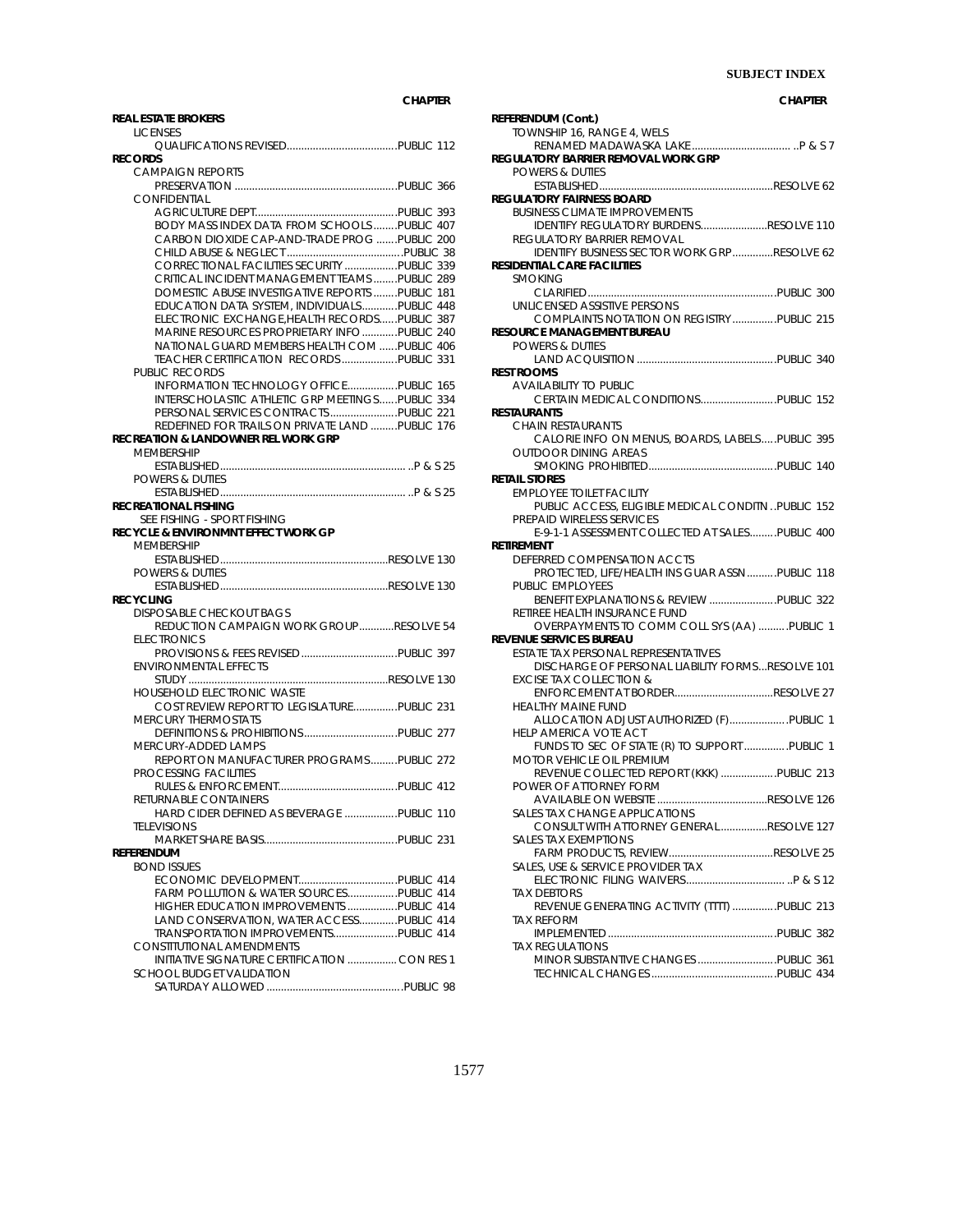| <b>REAL ESTATE BROKERS</b>                       |  |
|--------------------------------------------------|--|
| <b>LICENSES</b>                                  |  |
|                                                  |  |
| <b>RECORDS</b>                                   |  |
| <b>CAMPAIGN REPORTS</b>                          |  |
|                                                  |  |
| <b>CONFIDENTIAL</b>                              |  |
|                                                  |  |
| BODY MASS INDEX DATA FROM SCHOOLS  PUBLIC 407    |  |
| CARBON DIOXIDE CAP-AND-TRADE PROG  PUBLIC 200    |  |
|                                                  |  |
| CORRECTIONAL FACILITIES SECURITY  PUBLIC 339     |  |
| CRITICAL INCIDENT MANAGEMENT TEAMS  PUBLIC 289   |  |
| DOMESTIC ABUSE INVESTIGATIVE REPORTS  PUBLIC 181 |  |
| EDUCATION DATA SYSTEM, INDIVIDUALSPUBLIC 448     |  |
| ELECTRONIC EXCHANGE.HEALTH RECORDSPUBLIC 387     |  |
| MARINE RESOURCES PROPRIETARY INFO PUBLIC 240     |  |
| NATIONAL GUARD MEMBERS HEALTH COM PUBLIC 406     |  |
| TEACHER CERTIFICATION RECORDS  PUBLIC 331        |  |
|                                                  |  |
| PUBLIC RECORDS                                   |  |
| INFORMATION TECHNOLOGY OFFICE PUBLIC 165         |  |
| INTERSCHOLASTIC ATHLETIC GRP MEETINGSPUBLIC 334  |  |
| PERSONAL SERVICES CONTRACTS  PUBLIC 221          |  |
| REDEFINED FOR TRAILS ON PRIVATE LAND  PUBLIC 176 |  |
| RECREATION & LANDOWNER REL WORK GRP              |  |
| <b>MEMBERSHIP</b>                                |  |
|                                                  |  |
| <b>POWERS &amp; DUTIES</b>                       |  |
|                                                  |  |
| <b>RECREATIONAL FISHING</b>                      |  |
| SEE FISHING - SPORT FISHING                      |  |
| RECYCLE & ENVIRONMNT EFFECT WORK GP              |  |
|                                                  |  |
| <b>MEMBERSHIP</b>                                |  |
|                                                  |  |
| <b>POWERS &amp; DUTIES</b>                       |  |
|                                                  |  |
| <b>RECYCLING</b>                                 |  |
| <b>DISPOSABLE CHECKOUT BAGS</b>                  |  |
|                                                  |  |
| REDUCTION CAMPAIGN WORK GROUPRESOLVE 54          |  |
| <b>ELECTRONICS</b>                               |  |
|                                                  |  |
| <b>ENVIRONMENTAL EFFECTS</b>                     |  |
|                                                  |  |
| <b>HOUSEHOLD ELECTRONIC WASTE</b>                |  |
| COST REVIEW REPORT TO LEGISLATURE PUBLIC 231     |  |
| <b>MERCURY THERMOSTATS</b>                       |  |
|                                                  |  |
| MERCURY-ADDED LAMPS                              |  |
| REPORT ON MANUFACTURER PROGRAMSPUBLIC 272        |  |
| PROCESSING FACILITIES                            |  |
|                                                  |  |
| RETURNABLE CONTAINERS                            |  |
| HARD CIDER DEFINED AS BEVERAGE  PUBLIC 110       |  |
| <b>TELEVISIONS</b>                               |  |
|                                                  |  |
| <b>REFERENDUM</b>                                |  |
| <b>BOND ISSUES</b>                               |  |
|                                                  |  |
| FARM POLLUTION & WATER SOURCES PUBLIC 414        |  |
| HIGHER EDUCATION IMPROVEMENTS  PUBLIC 414        |  |
| LAND CONSERVATION, WATER ACCESS PUBLIC 414       |  |
| TRANSPORTATION IMPROVEMENTS PUBLIC 414           |  |
| <b>CONSTITUTIONAL AMENDMENTS</b>                 |  |
| INITIATIVE SIGNATURE CERTIFICATION  CON RES 1    |  |
| <b>SCHOOL BUDGET VALIDATION</b>                  |  |

| <b>CHAPTER</b>                                       | <b>CHAPTER</b>                                    |
|------------------------------------------------------|---------------------------------------------------|
| real estate brokers                                  | <b>REFERENDUM (Cont.)</b>                         |
| <b>LICENSES</b>                                      | TOWNSHIP 16, RANGE 4, WELS                        |
|                                                      |                                                   |
| <b>RECORDS</b>                                       | REGULATORY BARRIER REMOVAL WORK GRP               |
| <b>CAMPAIGN REPORTS</b>                              | <b>POWERS &amp; DUTIES</b>                        |
|                                                      |                                                   |
| CONFIDENTIAL                                         | <b>REGULATORY FAIRNESS BOARD</b>                  |
|                                                      | <b>BUSINESS CLIMATE IMPROVEMENTS</b>              |
| BODY MASS INDEX DATA FROM SCHOOLS  PUBLIC 407        | IDENTIFY REGULATORY BURDENSRESOLVE 110            |
| CARBON DIOXIDE CAP-AND-TRADE PROG  PUBLIC 200        | REGULATORY BARRIER REMOVAL                        |
|                                                      | IDENTIFY BUSINESS SECTOR WORK GRPRESOLVE 62       |
| CORRECTIONAL FACILITIES SECURITY  PUBLIC 339         | <b>RESIDENTIAL CARE FACILITIES</b>                |
| CRITICAL INCIDENT MANAGEMENT TEAMS  PUBLIC 289       | <b>SMOKING</b>                                    |
| DOMESTIC ABUSE INVESTIGATIVE REPORTS  PUBLIC 181     |                                                   |
| EDUCATION DATA SYSTEM, INDIVIDUALS PUBLIC 448        | UNLICENSED ASSISTIVE PERSONS                      |
| ELECTRONIC EXCHANGE, HEALTH RECORDS PUBLIC 387       | COMPLAINTS NOTATION ON REGISTRY  PUBLIC 215       |
| MARINE RESOURCES PROPRIETARY INFO PUBLIC 240         | <b>RESOURCE MANAGEMENT BUREAU</b>                 |
| NATIONAL GUARD MEMBERS HEALTH COM  PUBLIC 406        | POWERS & DUTIES                                   |
| TEACHER CERTIFICATION RECORDS  PUBLIC 331            |                                                   |
| PUBLIC RECORDS                                       | <b>REST ROOMS</b>                                 |
| INFORMATION TECHNOLOGY OFFICE PUBLIC 165             | AVAILABILITY TO PUBLIC                            |
| INTERSCHOLASTIC ATHLETIC GRP MEETINGSPUBLIC 334      | CERTAIN MEDICAL CONDITIONS PUBLIC 152             |
|                                                      | <b>RESTAURANTS</b>                                |
| REDEFINED FOR TRAILS ON PRIVATE LAND  PUBLIC 176     | CHAIN RESTAURANTS                                 |
| <b>RECREATION &amp; LANDOWNER REL WORK GRP</b>       | CALORIE INFO ON MENUS, BOARDS, LABELSPUBLIC 395   |
| <b>MEMBERSHIP</b>                                    | <b>OUTDOOR DINING AREAS</b>                       |
|                                                      |                                                   |
| <b>POWERS &amp; DUTIES</b>                           | <b>RETAIL STORES</b>                              |
|                                                      | <b>EMPLOYEE TOILET FACILITY</b>                   |
| RECREATIONAL FISHING                                 | PUBLIC ACCESS, ELIGIBLE MEDICAL CONDITNPUBLIC 152 |
| SEE FISHING - SPORT FISHING                          | PREPAID WIRELESS SERVICES                         |
| <b>RECYCLE &amp; ENVIRONMNT EFFECT WORK GP</b>       | E-9-1-1 ASSESSMENT COLLECTED AT SALES PUBLIC 400  |
| <b>MEMBERSHIP</b>                                    | RETIREMENT                                        |
|                                                      | DEFERRED COMPENSATION ACCTS                       |
| POWERS & DUTIES                                      | PROTECTED, LIFE/HEALTH INS GUAR ASSN  PUBLIC 118  |
|                                                      | PUBLIC EMPLOYEES                                  |
| RECYCLING                                            | BENEFIT EXPLANATIONS & REVIEW  PUBLIC 322         |
| <b>DISPOSABLE CHECKOUT BAGS</b>                      | RETIREE HEALTH INSURANCE FUND                     |
| REDUCTION CAMPAIGN WORK GROUPRESOLVE 54              | OVERPAYMENTS TO COMM COLL SYS (AA)  PUBLIC 1      |
| <b>ELECTRONICS</b>                                   | <b>REVENUE SERVICES BUREAU</b>                    |
|                                                      | ESTATE TAX PERSONAL REPRESENTATIVES               |
| <b>ENVIRONMENTAL EFFECTS</b>                         | DISCHARGE OF PERSONAL LIABILITY FORMSRESOLVE 101  |
|                                                      | <b>EXCISE TAX COLLECTION &amp;</b>                |
| <b>HOUSEHOLD ELECTRONIC WASTE</b>                    |                                                   |
| COST REVIEW REPORT TO LEGISLATURE PUBLIC 231         | HEALTHY MAINE FUND                                |
| <b>MERCURY THERMOSTATS</b>                           | ALLOCATION ADJUST AUTHORIZED (F) PUBLIC 1         |
|                                                      | HELP AMERICA VOTE ACT                             |
| MERCURY-ADDED LAMPS                                  | FUNDS TO SEC OF STATE (R) TO SUPPORT  PUBLIC 1    |
| REPORT ON MANUFACTURER PROGRAMS PUBLIC 272           | MOTOR VEHICLE OIL PREMIUM                         |
| PROCESSING FACILITIES                                | REVENUE COLLECTED REPORT (KKK)  PUBLIC 213        |
|                                                      | POWER OF ATTORNEY FORM                            |
| RETURNABLE CONTAINERS                                |                                                   |
| HARD CIDER DEFINED AS BEVERAGE  PUBLIC 110           | <b>SALES TAX CHANGE APPLICATIONS</b>              |
| <b>TELEVISIONS</b>                                   | CONSULT WITH ATTORNEY GENERAL RESOLVE 127         |
|                                                      | <b>SALES TAX EXEMPTIONS</b>                       |
| REFERENDUM                                           |                                                   |
| <b>BOND ISSUES</b>                                   | SALES, USE & SERVICE PROVIDER TAX                 |
|                                                      |                                                   |
| FARM POLLUTION & WATER SOURCES PUBLIC 414            | <b>TAX DEBTORS</b>                                |
| HIGHER EDUCATION IMPROVEMENTS  PUBLIC 414            | REVENUE GENERATING ACTIVITY (TTTT)  PUBLIC 213    |
| LAND CONSERVATION, WATER ACCESS PUBLIC 414           | <b>TAX REFORM</b>                                 |
| TRANSPORTATION IMPROVEMENTS PUBLIC 414               |                                                   |
| <b>CONSTITUTIONAL AMENDMENTS</b>                     | <b>TAX REGULATIONS</b>                            |
| <b>INITIATIVE SIGNATURE CERTIFICATION  CON RES 1</b> | MINOR SUBSTANTIVE CHANGES  PUBLIC 361             |
| <b>SCHOOL BUDGET VALIDATION</b>                      |                                                   |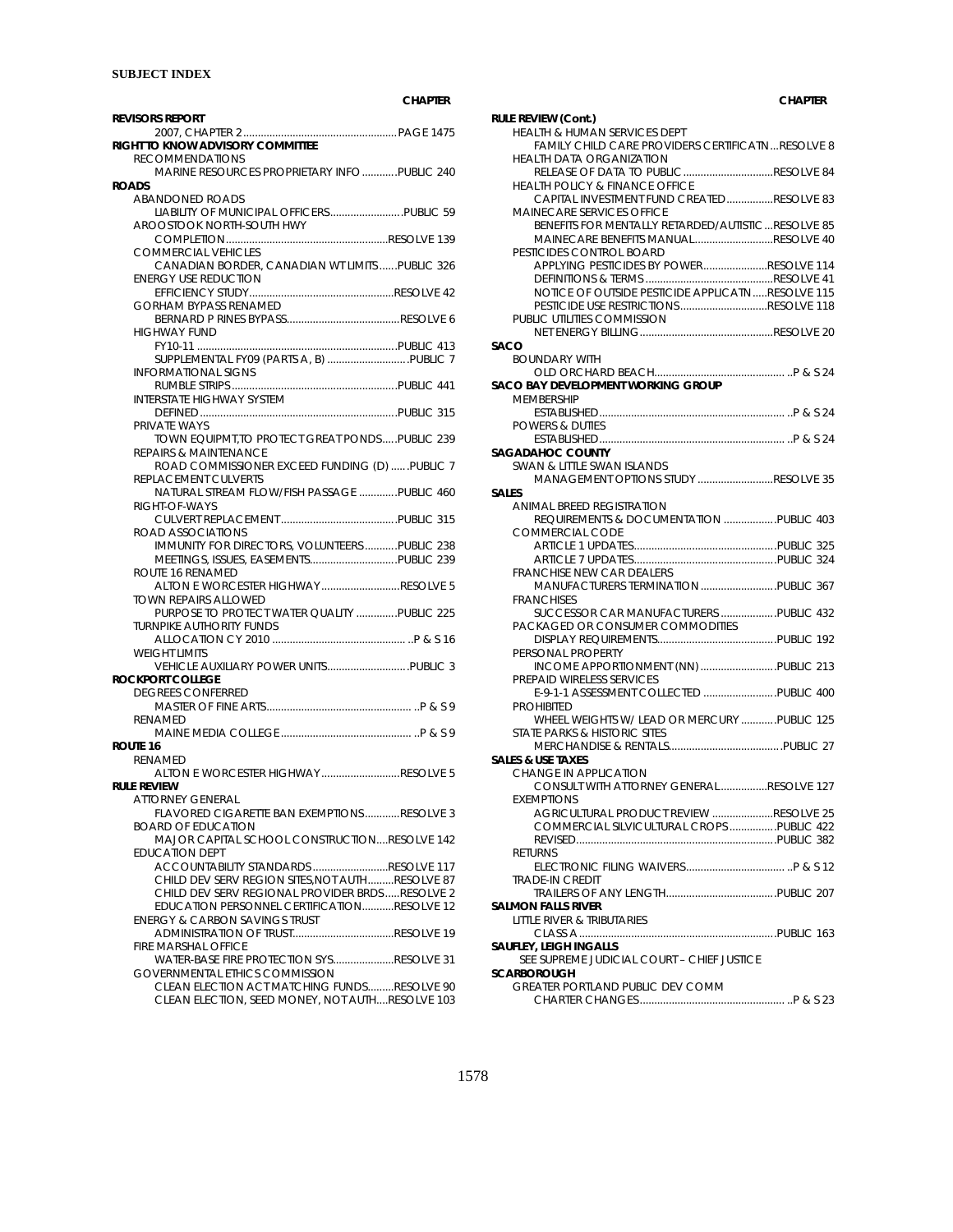| <b>REVISORS REPORT</b>                                                                  |
|-----------------------------------------------------------------------------------------|
|                                                                                         |
| RIGHT TO KNOW ADVISORY COMMITTEE                                                        |
| <b>RECOMMENDATIONS</b>                                                                  |
| MARINE RESOURCES PROPRIETARY INFO PUBLIC 240                                            |
| <b>ROADS</b>                                                                            |
| <b>ABANDONED ROADS</b>                                                                  |
| LIABILITY OF MUNICIPAL OFFICERS PUBLIC 59                                               |
| <b>AROOSTOOK NORTH-SOUTH HWY</b>                                                        |
|                                                                                         |
| <b>COMMERCIAL VEHICLES</b>                                                              |
| CANADIAN BORDER, CANADIAN WT LIMITS  PUBLIC 326                                         |
| <b>ENERGY USE REDUCTION</b>                                                             |
| <b>GORHAM BYPASS RENAMED</b>                                                            |
|                                                                                         |
| <b>HIGHWAY FUND</b>                                                                     |
|                                                                                         |
| SUPPLEMENTAL FY09 (PARTS A, B)  PUBLIC 7                                                |
| <b>INFORMATIONAL SIGNS</b>                                                              |
|                                                                                         |
| INTERSTATE HIGHWAY SYSTEM                                                               |
|                                                                                         |
| PRIVATE WAYS                                                                            |
| TOWN EQUIPMT, TO PROTECT GREAT PONDS PUBLIC 239                                         |
| <b>REPAIRS &amp; MAINTENANCE</b>                                                        |
| ROAD COMMISSIONER EXCEED FUNDING (D) PUBLIC 7                                           |
| REPLACEMENT CULVERTS                                                                    |
| NATURAL STREAM FLOW/FISH PASSAGE  PUBLIC 460                                            |
| RIGHT-OF-WAYS                                                                           |
|                                                                                         |
| ROAD ASSOCIATIONS                                                                       |
| IMMUNITY FOR DIRECTORS, VOLUNTEERSPUBLIC 238                                            |
|                                                                                         |
| ROUTE 16 RENAMED                                                                        |
| ALTON E WORCESTER HIGHWAYRESOLVE 5<br><b>TOWN REPAIRS ALLOWED</b>                       |
| PURPOSE TO PROTECT WATER QUALITY  PUBLIC 225                                            |
| <b>TURNPIKE AUTHORITY FUNDS</b>                                                         |
|                                                                                         |
| <b>WEIGHT LIMITS</b>                                                                    |
| VEHICLE AUXILIARY POWER UNITS PUBLIC 3                                                  |
| <b>ROCKPORT COLLEGE</b>                                                                 |
| <b>DEGREES CONFERRED</b>                                                                |
|                                                                                         |
| RENAMED                                                                                 |
|                                                                                         |
| ROUTE 16                                                                                |
| RFNAMFD                                                                                 |
| ALTON E WORCESTER HIGHWAY RESOLVE 5                                                     |
| Rule review                                                                             |
| <b>ATTORNEY GENERAL</b>                                                                 |
| FLAVORED CIGARETTE BAN EXEMPTIONSRESOLVE 3                                              |
| <b>BOARD OF EDUCATION</b>                                                               |
| MAJOR CAPITAL SCHOOL CONSTRUCTIONRESOLVE 142                                            |
| <b>EDUCATION DEPT</b>                                                                   |
| ACCOUNTABILITY STANDARDS RESOLVE 117<br>CHILD DEV SERV REGION SITES, NOT AUTHRESOLVE 87 |
| CHILD DEV SERV REGIONAL PROVIDER BRDS  RESOLVE 2                                        |
| EDUCATION PERSONNEL CERTIFICATIONRESOLVE 12                                             |
| <b>ENERGY &amp; CARBON SAVINGS TRUST</b>                                                |
|                                                                                         |
| FIRE MARSHAL OFFICE                                                                     |
| WATER-BASE FIRE PROTECTION SYS RESOLVE 31                                               |
| <b>GOVERNMENTAL ETHICS COMMISSION</b>                                                   |
| CLEAN ELECTION ACT MATCHING FUNDSRESOLVE 90                                             |
| CLEAN ELECTION, SEED MONEY, NOT AUTHRESOLVE 103                                         |

| <b>RULE REVIEW (Cont.)</b>                                                                   |  |
|----------------------------------------------------------------------------------------------|--|
| HEALTH & HUMAN SERVICES DEPT                                                                 |  |
| <b>FAMILY CHILD CARE PROVIDERS CERTIFICATN  RESOLVE 8</b><br><b>HEALTH DATA ORGANIZATION</b> |  |
| RELEASE OF DATA TO PUBLICRESOLVE 84                                                          |  |
| HEALTH POLICY & FINANCE OFFICE                                                               |  |
| CAPITAL INVESTMENT FUND CREATEDRESOLVE 83                                                    |  |
| MAINECARE SERVICES OFFICE                                                                    |  |
| BENEFITS FOR MENTALLY RETARDED/AUTISTICRESOLVE 85                                            |  |
| MAINECARE BENEFITS MANUAL RESOLVE 40                                                         |  |
| PESTICIDES CONTROL BOARD                                                                     |  |
| APPI YING PESTICIDES BY POWERRESOLVE 114                                                     |  |
|                                                                                              |  |
| NOTICE OF OUTSIDE PESTICIDE APPLICATN RESOLVE 115                                            |  |
|                                                                                              |  |
| PUBLIC UTILITIES COMMISSION                                                                  |  |
|                                                                                              |  |
| SACO                                                                                         |  |
| <b>BOUNDARY WITH</b>                                                                         |  |
| SACO BAY DEVELOPMENT WORKING GROUP                                                           |  |
| MEMBERSHIP                                                                                   |  |
|                                                                                              |  |
| POWERS & DUTIES                                                                              |  |
|                                                                                              |  |
| SAGADAHOC COUNTY                                                                             |  |
| SWAN & LITTLE SWAN ISLANDS                                                                   |  |
| MANAGEMENT OPTIONS STUDY RESOLVE 35                                                          |  |
| <b>SALES</b>                                                                                 |  |
| <b>ANIMAL BREED REGISTRATION</b>                                                             |  |
| REQUIREMENTS & DOCUMENTATION  PUBLIC 403                                                     |  |
| <b>COMMERCIAL CODE</b>                                                                       |  |
|                                                                                              |  |
| FRANCHISE NEW CAR DEALERS                                                                    |  |
| MANUFACTURERS TERMINATION  PUBLIC 367                                                        |  |
| <b>FRANCHISES</b>                                                                            |  |
| SUCCESSOR CAR MANUFACTURERS  PUBLIC 432                                                      |  |
| PACKAGED OR CONSUMER COMMODITIES                                                             |  |
|                                                                                              |  |
| PERSONAL PROPERTY                                                                            |  |
| INCOME APPORTIONMENT (NN)  PUBLIC 213                                                        |  |
| PREPAID WIRELESS SERVICES                                                                    |  |
| E-9-1-1 ASSESSMENT COLLECTED  PUBLIC 400                                                     |  |
| <b>PROHIBITED</b>                                                                            |  |
| WHEEL WEIGHTS W/ LEAD OR MERCURY  PUBLIC 125                                                 |  |
| STATE PARKS & HISTORIC SITES                                                                 |  |
|                                                                                              |  |
| <b>SALES &amp; USE TAXES</b><br><b>CHANGE IN APPLICATION</b>                                 |  |
| CONSULT WITH ATTORNEY GENERAL RESOLVE 127                                                    |  |
| EXEMPTIONS                                                                                   |  |
| AGRICULTURAL PRODUCT REVIEW RESOLVE 25                                                       |  |
| COMMERCIAL SILVICULTURAL CROPS  PUBLIC 422                                                   |  |
|                                                                                              |  |
| <b>RETURNS</b>                                                                               |  |
|                                                                                              |  |
| <b>TRADE-IN CREDIT</b>                                                                       |  |
|                                                                                              |  |
| <b>SALMON FALLS RIVER</b>                                                                    |  |
| LITTLE RIVER & TRIBUTARIES                                                                   |  |
|                                                                                              |  |
| <b>SAUFLEY, LEIGH INGALLS</b>                                                                |  |
| SEE SUPREME JUDICIAL COURT - CHIEF JUSTICE                                                   |  |
| <b>SCARBOROUGH</b>                                                                           |  |
| GREATER PORTLAND PUBLIC DEV COMM                                                             |  |
|                                                                                              |  |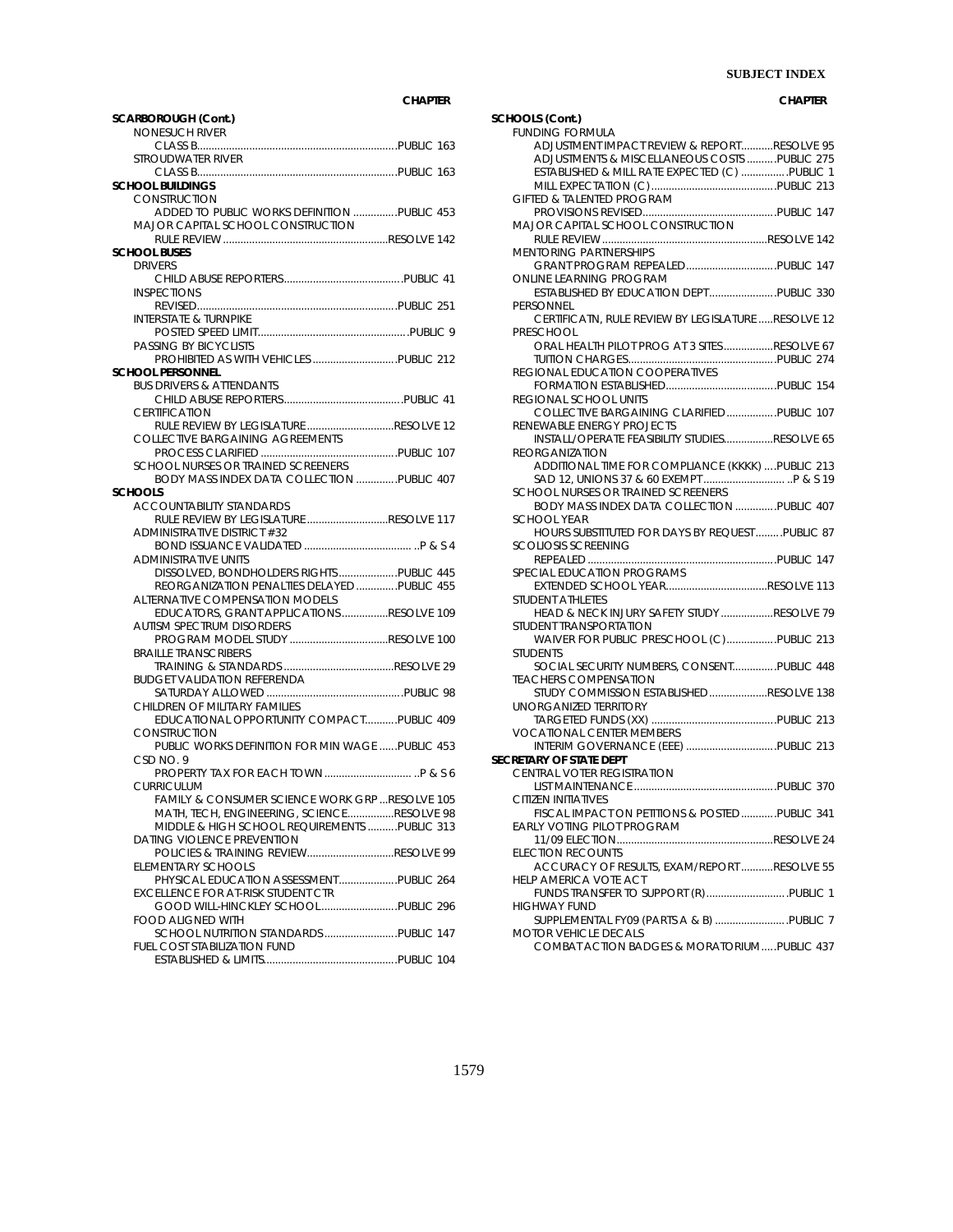| <b>CHAPTER</b>                                   | <b>CHAPTER</b>                                     |
|--------------------------------------------------|----------------------------------------------------|
| <b>SCARBOROUGH (Cont.)</b>                       | <b>SCHOOLS (Cont.)</b>                             |
| <b>NONESUCH RIVER</b>                            | <b>FUNDING FORMULA</b>                             |
|                                                  | ADJUSTMENT IMPACT REVIEW & REPORTRESOLVE 9         |
| STROUDWATER RIVER                                | ADJUSTMENTS & MISCELLANEOUS COSTS  PUBLIC 27       |
|                                                  | ESTABLISHED & MILL RATE EXPECTED (C)  PUBLIC       |
| <b>SCHOOL BUILDINGS</b>                          |                                                    |
| CONSTRUCTION                                     | <b>GIFTED &amp; TALENTED PROGRAM</b>               |
| ADDED TO PUBLIC WORKS DEFINITION  PUBLIC 453     |                                                    |
| MAJOR CAPITAL SCHOOL CONSTRUCTION                | MAJOR CAPITAL SCHOOL CONSTRUCTION                  |
|                                                  |                                                    |
| <b>SCHOOL BUSES</b>                              | MENTORING PARTNERSHIPS                             |
| <b>DRIVERS</b>                                   |                                                    |
|                                                  | ONLINE LEARNING PROGRAM                            |
| <b>INSPECTIONS</b>                               | ESTABLISHED BY EDUCATION DEPT PUBLIC 33            |
|                                                  | PERSONNEL                                          |
| INTERSTATE & TURNPIKE                            | CERTIFICATN, RULE REVIEW BY LEGISLATURE  RESOLVE 1 |
|                                                  | PRESCHOOL                                          |
| PASSING BY BICYCLISTS                            | ORAL HEALTH PILOT PROG AT 3 SITESRESOLVE 6         |
|                                                  |                                                    |
| <b>SCHOOL PERSONNEL</b>                          | REGIONAL EDUCATION COOPERATIVES                    |
| <b>BUS DRIVERS &amp; ATTENDANTS</b>              |                                                    |
|                                                  | REGIONAL SCHOOL UNITS                              |
| <b>CERTIFICATION</b>                             |                                                    |
| <b>RULE REVIEW BY LEGISLATURE</b> RESOLVE 12     | RENEWABLE ENERGY PROJECTS                          |
| COLLECTIVE BARGAINING AGREEMENTS                 | INSTALL/OPERATE FEASIBILITY STUDIESRESOLVE 6       |
|                                                  | <b>REORGANIZATION</b>                              |
| SCHOOL NURSES OR TRAINED SCREENERS               | ADDITIONAL TIME FOR COMPLIANCE (KKKK)  PUBLIC 21   |
| BODY MASS INDEX DATA COLLECTION  PUBLIC 407      | SAD 12, UNIONS 37 & 60 EXEMPT  P & S 1             |
| <b>SCHOOLS</b>                                   | SCHOOL NURSES OR TRAINED SCREENERS                 |
| <b>ACCOUNTABILITY STANDARDS</b>                  | <b>BODY MASS INDEX DATA COLLECTION  PUBLIC 40</b>  |
| RULE REVIEW BY LEGISLATURE RESOLVE 117           | <b>SCHOOL YEAR</b>                                 |
| ADMINISTRATIVE DISTRICT #32                      | HOURS SUBSTITUTED FOR DAYS BY REQUEST  PUBLIC 8    |
|                                                  | <b>SCOLIOSIS SCREENING</b>                         |
| <b>ADMINISTRATIVE UNITS</b>                      |                                                    |
| DISSOLVED, BONDHOLDERS RIGHTS PUBLIC 445         | SPECIAL EDUCATION PROGRAMS                         |
| REORGANIZATION PENALTIES DELAYED  PUBLIC 455     |                                                    |
| <b>ALTERNATIVE COMPENSATION MODELS</b>           | <b>STUDENT ATHLETES</b>                            |
| EDUCATORS, GRANT APPLICATIONS RESOLVE 109        | HEAD & NECK INJURY SAFETY STUDY RESOLVE 7          |
| <b>AUTISM SPECTRUM DISORDERS</b>                 | STUDENT TRANSPORTATION                             |
|                                                  | WAIVER FOR PUBLIC PRESCHOOL (C) PUBLIC 21          |
| <b>BRAILLE TRANSCRIBERS</b>                      | <b>STUDENTS</b>                                    |
|                                                  | SOCIAL SECURITY NUMBERS, CONSENT PUBLIC 44         |
| <b>BUDGET VALIDATION REFERENDA</b>               | <b>TEACHERS COMPENSATION</b>                       |
|                                                  | STUDY COMMISSION ESTABLISHEDRESOLVE 13             |
| CHILDREN OF MILITARY FAMILIES                    | <b>UNORGANIZED TERRITORY</b>                       |
| EDUCATIONAL OPPORTUNITY COMPACTPUBLIC 409        |                                                    |
| <b>CONSTRUCTION</b>                              | <b>VOCATIONAL CENTER MEMBERS</b>                   |
| PUBLIC WORKS DEFINITION FOR MIN WAGE  PUBLIC 453 |                                                    |
| CSD NO. 9                                        | SECRETARY OF STATE DEPT                            |
|                                                  | <b>CENTRAL VOTER REGISTRATION</b>                  |
| $C$ HDDI $C$ HHM                                 | PIIRIIC <sub>37</sub><br><b>LIST MAINTENANCE</b>   |

ESTABLISHED & LIMITS..............................................PUBLIC 104

| SCHOOLS (Cont.)                                    |  |
|----------------------------------------------------|--|
| <b>FUNDING FORMULA</b>                             |  |
| ADJUSTMENT IMPACT REVIEW & REPORTRESOLVE 95        |  |
| ADJUSTMENTS & MISCELLANEOUS COSTS  PUBLIC 275      |  |
| ESTABLISHED & MILL RATE EXPECTED (C)  PUBLIC 1     |  |
|                                                    |  |
| <b>GIFTED &amp; TALENTED PROGRAM</b>               |  |
|                                                    |  |
| MAJOR CAPITAL SCHOOL CONSTRUCTION                  |  |
|                                                    |  |
| <b>MENTORING PARTNERSHIPS</b>                      |  |
| GRANT PROGRAM REPEALED PUBLIC 147                  |  |
| ONLINE LEARNING PROGRAM                            |  |
| ESTABLISHED BY EDUCATION DEPT PUBLIC 330           |  |
| PERSONNEL                                          |  |
| CERTIFICATN, RULE REVIEW BY LEGISLATURE RESOLVE 12 |  |
| PRESCHOOL                                          |  |
| ORAL HEALTH PILOT PROG AT 3 SITES  RESOLVE 67      |  |
|                                                    |  |
| REGIONAL EDUCATION COOPERATIVES                    |  |
| REGIONAL SCHOOL UNITS                              |  |
| COLLECTIVE BARGAINING CLARIFIED PUBLIC 107         |  |
| RENEWABLE ENERGY PROJECTS                          |  |
| INSTALL/OPERATE FEASIBILITY STUDIESRESOLVE 65      |  |
| <b>REORGANIZATION</b>                              |  |
| ADDITIONAL TIME FOR COMPLIANCE (KKKK)  PUBLIC 213  |  |
|                                                    |  |
| SCHOOL NURSES OR TRAINED SCREENERS                 |  |
| BODY MASS INDEX DATA COLLECTION  PUBLIC 407        |  |
| <b>SCHOOL YEAR</b>                                 |  |
| HOURS SUBSTITUTED FOR DAYS BY REQUEST  PUBLIC 87   |  |
| <b>SCOLIOSIS SCREENING</b>                         |  |
|                                                    |  |
| SPECIAL EDUCATION PROGRAMS                         |  |
|                                                    |  |
| STUDENT ATHLETES                                   |  |
| HEAD & NECK INJURY SAFETY STUDY RESOLVE 79         |  |
| STUDENT TRANSPORTATION                             |  |
| WAIVER FOR PUBLIC PRESCHOOL (C) PUBLIC 213         |  |
| <b>STUDENTS</b>                                    |  |
| SOCIAL SECURITY NUMBERS, CONSENT PUBLIC 448        |  |
| <b>TEACHERS COMPENSATION</b>                       |  |
| STUDY COMMISSION ESTABLISHEDRESOLVE 138            |  |
| <b>UNORGANIZED TERRITORY</b>                       |  |
|                                                    |  |
| <b>VOCATIONAL CENTER MEMBERS</b>                   |  |
|                                                    |  |
| Secretary of State Dept                            |  |
| CENTRAL VOTER REGISTRATION                         |  |
| <b>CITIZEN INITIATIVES</b>                         |  |
| FISCAL IMPACT ON PETITIONS & POSTED  PUBLIC 341    |  |
| EARLY VOTING PILOT PROGRAM                         |  |
|                                                    |  |
| <b>ELECTION RECOUNTS</b>                           |  |
| ACCURACY OF RESULTS, EXAM/REPORT RESOLVE 55        |  |
| HELP AMERICA VOTE ACT                              |  |
|                                                    |  |
| <b>HIGHWAY FUND</b>                                |  |
| SUPPLEMENTAL FY09 (PARTS A & B)  PUBLIC 7          |  |
| <b>MOTOR VEHICLE DECALS</b>                        |  |
| COMBAT ACTION BADGES & MORATORIUMPUBLIC 437        |  |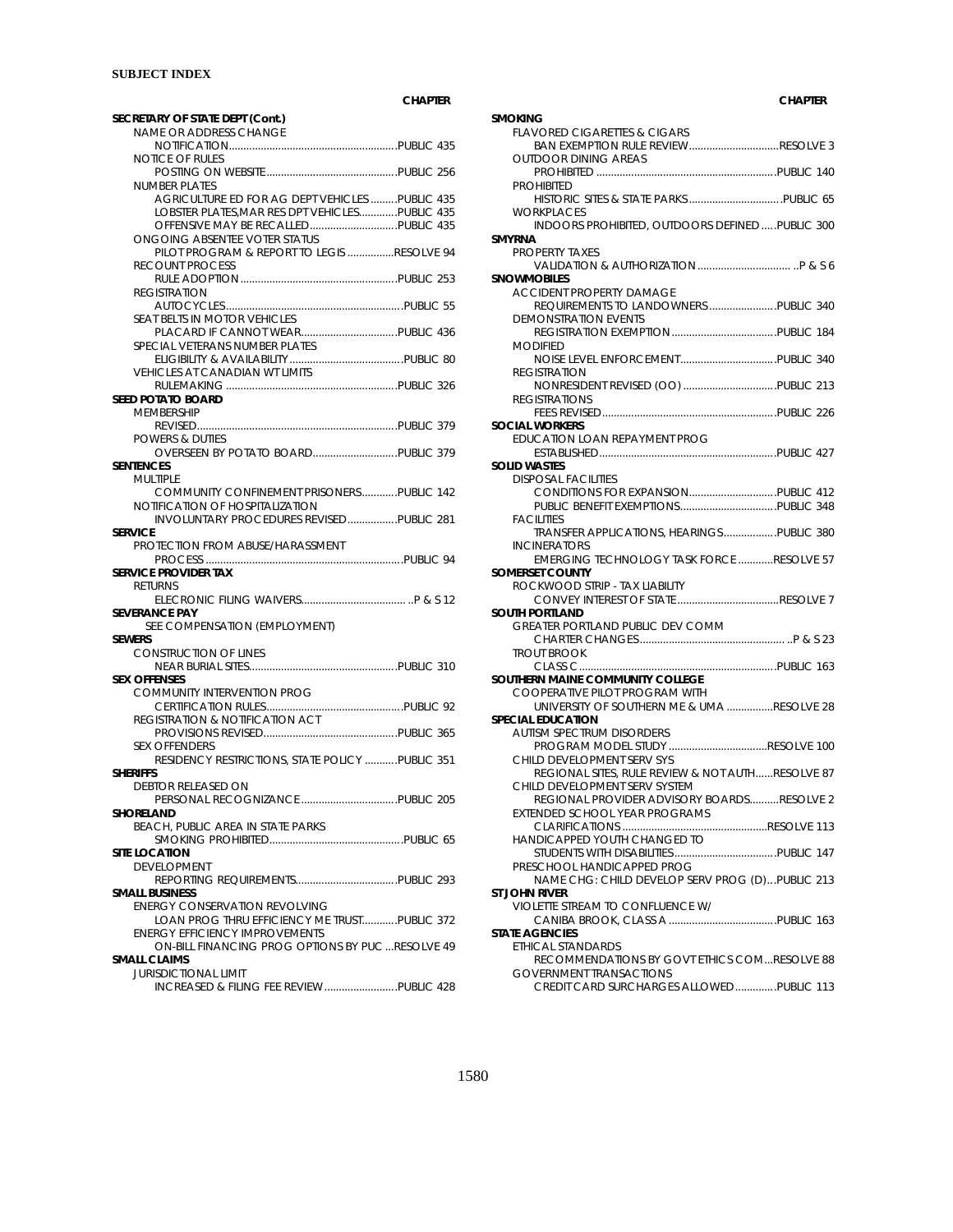| NAME OR ADDRESS CHANGE                                                                     |  |
|--------------------------------------------------------------------------------------------|--|
| NOTICE OF RULES                                                                            |  |
|                                                                                            |  |
| <b>NUMBER PLATES</b>                                                                       |  |
| AGRICULTURE ED FOR AG DEPT VEHICLES  PUBLIC 435                                            |  |
| LOBSTER PLATES, MAR RES DPT VEHICLES PUBLIC 435                                            |  |
| ONGOING ABSENTEE VOTER STATUS                                                              |  |
| PILOT PROGRAM & REPORT TO LEGIS RESOLVE 94                                                 |  |
| <b>RECOUNT PROCESS</b>                                                                     |  |
|                                                                                            |  |
| <b>REGISTRATION</b>                                                                        |  |
| SEAT BELTS IN MOTOR VEHICLES                                                               |  |
|                                                                                            |  |
| SPECIAL VETERANS NUMBER PLATES                                                             |  |
| <b>VEHICLES AT CANADIAN WT LIMITS</b>                                                      |  |
|                                                                                            |  |
| SEED POTATO BOARD                                                                          |  |
| <b>MFMBFRSHIP</b>                                                                          |  |
|                                                                                            |  |
| POWERS & DUTIES<br>OVERSEEN BY POTATO BOARD PUBLIC 379                                     |  |
| <b>SENTENCES</b>                                                                           |  |
| MULTIPLE                                                                                   |  |
| COMMUNITY CONFINEMENT PRISONERSPUBLIC 142                                                  |  |
| NOTIFICATION OF HOSPITALIZATION                                                            |  |
| INVOLUNTARY PROCEDURES REVISED PUBLIC 281<br><b>SERVICE</b>                                |  |
| PROTECTION FROM ABUSE/HARASSMENT                                                           |  |
|                                                                                            |  |
| <b>SERVICE PROVIDER TAX</b>                                                                |  |
| <b>RETURNS</b>                                                                             |  |
|                                                                                            |  |
|                                                                                            |  |
| <b>SEVERANCE PAY</b>                                                                       |  |
| SEE COMPENSATION (EMPLOYMENT)<br>SEWERS                                                    |  |
| <b>CONSTRUCTION OF LINES</b>                                                               |  |
|                                                                                            |  |
| <b>SEX OFFENSES</b>                                                                        |  |
| <b>COMMUNITY INTERVENTION PROG</b>                                                         |  |
| <b>REGISTRATION &amp; NOTIFICATION ACT</b>                                                 |  |
|                                                                                            |  |
| <b>SEX OFFENDERS</b>                                                                       |  |
| RESIDENCY RESTRICTIONS, STATE POLICY  PUBLIC 351                                           |  |
| <b>SHERIFFS</b><br>DEBTOR RELEASED ON                                                      |  |
|                                                                                            |  |
| SHORELAND                                                                                  |  |
| BEACH, PUBLIC AREA IN STATE PARKS                                                          |  |
|                                                                                            |  |
| <b>SITE LOCATION</b><br><b>DEVELOPMENT</b>                                                 |  |
|                                                                                            |  |
| <b>SMALL BUSINESS</b>                                                                      |  |
| <b>ENERGY CONSERVATION REVOLVING</b>                                                       |  |
| LOAN PROG THRU EFFICIENCY ME TRUSTPUBLIC 372                                               |  |
| <b>ENERGY EFFICIENCY IMPROVEMENTS</b><br>ON-BILL FINANCING PROG OPTIONS BY PUC  RESOLVE 49 |  |
| <b>SMALL CLAIMS</b>                                                                        |  |
| <b>JURISDICTIONAL LIMIT</b><br>INCREASED & FILING FEE REVIEW  PUBLIC 428                   |  |

| <b>SMOKING</b>                                                              |
|-----------------------------------------------------------------------------|
| <b>FLAVORED CIGARETTES &amp; CIGARS</b>                                     |
| BAN EXEMPTION RULE REVIEW RESOLVE 3                                         |
| <b>OUTDOOR DINING AREAS</b>                                                 |
|                                                                             |
| <b>PROHIBITED</b>                                                           |
|                                                                             |
| <b>WORKPLACES</b><br>INDOORS PROHIBITED, OUTDOORS DEFINED  PUBLIC 300       |
| <b>SMYRNA</b>                                                               |
| PROPERTY TAXES                                                              |
|                                                                             |
| <b>SNOWMOBILES</b>                                                          |
| <b>ACCIDENT PROPERTY DAMAGE</b>                                             |
| REQUIREMENTS TO LANDOWNERS  PUBLIC 340                                      |
| <b>DEMONSTRATION EVENTS</b>                                                 |
|                                                                             |
| <b>MODIFIED</b>                                                             |
|                                                                             |
| <b>REGISTRATION</b>                                                         |
|                                                                             |
| <b>REGISTRATIONS</b>                                                        |
|                                                                             |
| <b>SOCIAL WORKERS</b>                                                       |
| EDUCATION LOAN REPAYMENT PROG                                               |
|                                                                             |
| <b>SOLID WASTES</b>                                                         |
| <b>DISPOSAL FACILITIES</b>                                                  |
|                                                                             |
|                                                                             |
| <b>FACILITIES</b><br>TRANSFER APPLICATIONS, HEARINGS PUBLIC 380             |
| <b>INCINERATORS</b>                                                         |
| EMERGING TECHNOLOGY TASK FORCE RESOLVE 57                                   |
| <b>SOMERSET COUNTY</b>                                                      |
| ROCKWOOD STRIP - TAX LIABILITY                                              |
|                                                                             |
| <b>SOUTH PORTLAND</b>                                                       |
| GREATER PORTLAND PUBLIC DEV COMM                                            |
|                                                                             |
| <b>TROUT BROOK</b>                                                          |
|                                                                             |
| SOUTHERN MAINE COMMUNITY COLLEGE                                            |
| COOPERATIVE PILOT PROGRAM WITH                                              |
|                                                                             |
| UNIVERSITY OF SOUTHERN ME & UMA RESOLVE 28                                  |
| <b>SPECIAL EDUCATION</b>                                                    |
| <b>AUTISM SPECTRUM DISORDERS</b>                                            |
| PROGRAM MODEL STUDY RESOLVE 100                                             |
| CHILD DEVELOPMENT SERV SYS                                                  |
| REGIONAL SITES, RULE REVIEW & NOT AUTHRESOLVE 87                            |
| CHILD DEVELOPMENT SERV SYSTEM                                               |
| REGIONAL PROVIDER ADVISORY BOARDSRESOLVE 2                                  |
| EXTENDED SCHOOL YEAR PROGRAMS                                               |
|                                                                             |
| HANDICAPPED YOUTH CHANGED TO                                                |
|                                                                             |
| PRESCHOOL HANDICAPPED PROG                                                  |
| NAME CHG: CHILD DEVELOP SERV PROG (D)PUBLIC 213<br><b>ST JOHN RIVER</b>     |
| VIOLETTE STREAM TO CONFLUENCE W/                                            |
|                                                                             |
| <b>STATE AGENCIES</b>                                                       |
| ETHICAL STANDARDS                                                           |
| RECOMMENDATIONS BY GOVT ETHICS COMRESOLVE 88                                |
| <b>GOVERNMENT TRANSACTIONS</b><br>CREDIT CARD SURCHARGES ALLOWED PUBLIC 113 |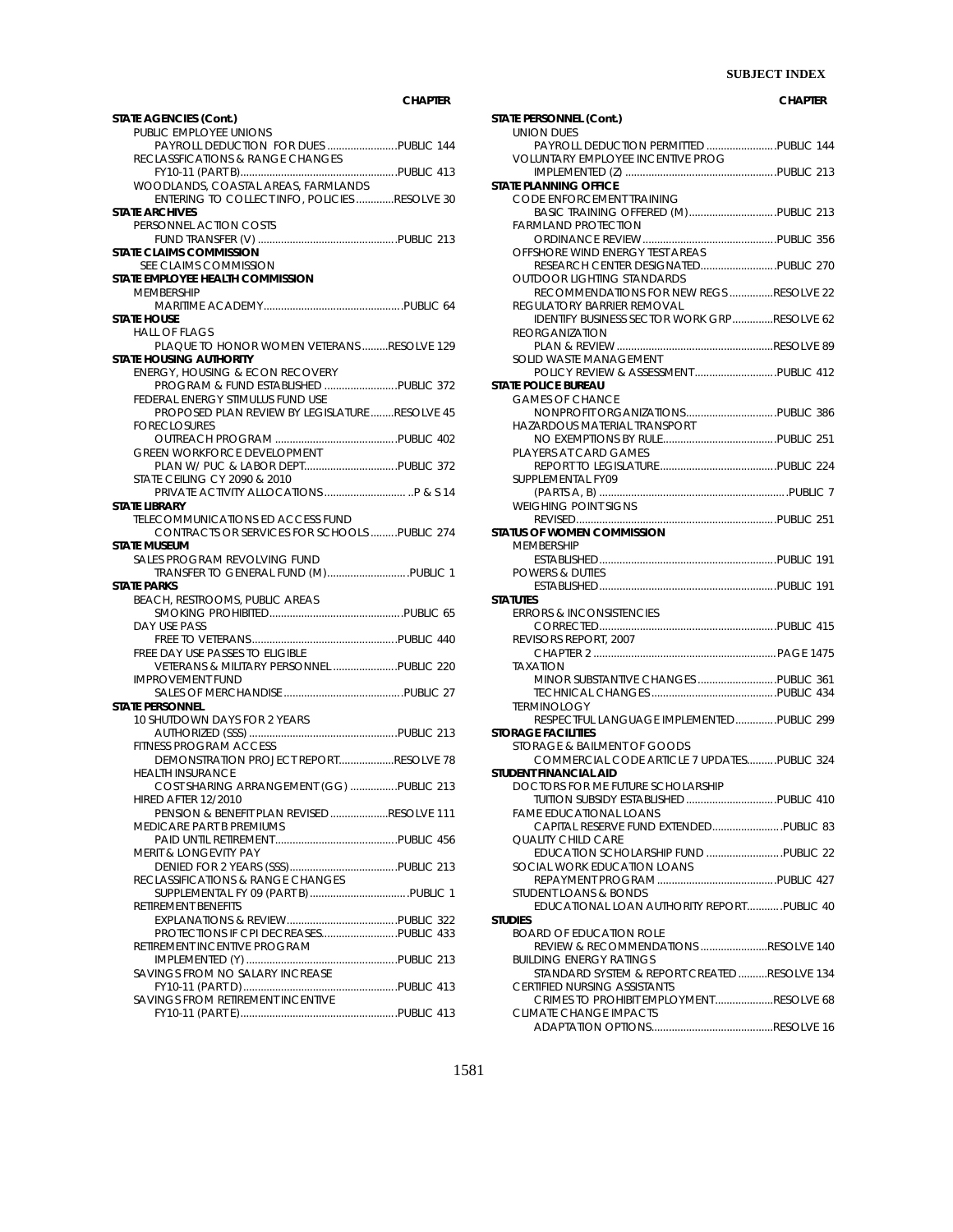| <b>STATE AGENCIES (Cont.)</b>                                           |  |
|-------------------------------------------------------------------------|--|
| PUBLIC EMPLOYEE UNIONS                                                  |  |
| PAYROLL DEDUCTION FOR DUES  PUBLIC 144                                  |  |
| RECLASSFICATIONS & RANGE CHANGES                                        |  |
| WOODLANDS, COASTAL AREAS, FARMLANDS                                     |  |
| <b>ENTERING TO COLLECT INFO, POLICIES RESOLVE 30</b>                    |  |
| <b><i>STATE ARCHIVES</i></b>                                            |  |
| PERSONNEL ACTION COSTS                                                  |  |
|                                                                         |  |
| STATE CLAIMS COMMISSION                                                 |  |
| SEE CLAIMS COMMISSION                                                   |  |
| STATE EMPLOYEE HEALTH COMMISSION<br><b>MEMBERSHIP</b>                   |  |
|                                                                         |  |
| STATE HOUSE                                                             |  |
| <b>HALL OF FLAGS</b>                                                    |  |
| PLAQUE TO HONOR WOMEN VETERANS RESOLVE 129                              |  |
| State Housing Authority                                                 |  |
| ENERGY, HOUSING & ECON RECOVERY                                         |  |
| PROGRAM & FUND ESTABLISHED  PUBLIC 372                                  |  |
| FEDERAL ENERGY STIMULUS FUND USE                                        |  |
| PROPOSED PLAN REVIEW BY LEGISLATURE RESOLVE 45                          |  |
| <b>FORECLOSURES</b>                                                     |  |
| <b>GREEN WORKFORCE DEVELOPMENT</b>                                      |  |
|                                                                         |  |
| STATE CEILING CY 2090 & 2010                                            |  |
|                                                                         |  |
| <b>STATE LIBRARY</b>                                                    |  |
| TELECOMMUNICATIONS ED ACCESS FUND                                       |  |
| CONTRACTS OR SERVICES FOR SCHOOLS  PUBLIC 274                           |  |
| STATE MUSEUM                                                            |  |
| SALES PROGRAM REVOLVING FUND                                            |  |
|                                                                         |  |
| <b>STATE PARKS</b>                                                      |  |
| <b>BEACH, RESTROOMS, PUBLIC AREAS</b>                                   |  |
| DAY USE PASS                                                            |  |
|                                                                         |  |
| FREE DAY USE PASSES TO ELIGIBLE                                         |  |
| VETERANS & MILITARY PERSONNEL  PUBLIC 220                               |  |
| <b>IMPROVEMENT FUND</b>                                                 |  |
|                                                                         |  |
| <b><i>STATE PERSONNEL</i></b>                                           |  |
| 10 SHUTDOWN DAYS FOR 2 YEARS                                            |  |
|                                                                         |  |
| <b>FITNESS PROGRAM ACCESS</b>                                           |  |
| DEMONSTRATION PROJECT REPORTRESOLVE 78                                  |  |
| <b>HEALTH INSURANCE</b><br>COST SHARING ARRANGEMENT (GG)  PUBLIC 213    |  |
| HIRED AFTER 12/2010                                                     |  |
| PENSION & BENEFIT PLAN REVISED  RESOLVE 111                             |  |
| MEDICARE PART B PREMIUMS                                                |  |
|                                                                         |  |
| MERIT & LONGEVITY PAY                                                   |  |
|                                                                         |  |
| RECLASSIFICATIONS & RANGE CHANGES                                       |  |
|                                                                         |  |
| RETIREMENT BENEFITS                                                     |  |
|                                                                         |  |
| PROTECTIONS IF CPI DECREASES PUBLIC 433<br>RETIREMENT INCENTIVE PROGRAM |  |
|                                                                         |  |
| SAVINGS FROM NO SALARY INCREASE                                         |  |
|                                                                         |  |
| SAVINGS FROM RETIREMENT INCENTIVE                                       |  |

| <b>CHAPTER</b>                                                                       | <b>CHAPTER</b>                                                           |
|--------------------------------------------------------------------------------------|--------------------------------------------------------------------------|
| <b>STATE AGENCIES (Cont.)</b>                                                        | STATE PERSONNEL (Cont.)                                                  |
| PUBLIC EMPLOYEE UNIONS                                                               | <b>UNION DUES</b>                                                        |
| PAYROLL DEDUCTION FOR DUES  PUBLIC 144                                               | PAYROLL DEDUCTION PERMITTED  PUBLIC 144                                  |
| RECLASSFICATIONS & RANGE CHANGES                                                     | <b>VOLUNTARY EMPLOYEE INCENTIVE PROG</b>                                 |
|                                                                                      |                                                                          |
| WOODLANDS, COASTAL AREAS, FARMLANDS<br>ENTERING TO COLLECT INFO, POLICIES RESOLVE 30 | STATE PLANNING OFFICE                                                    |
| <b>STATE ARCHIVES</b>                                                                | CODE ENFORCEMENT TRAINING                                                |
| PERSONNEL ACTION COSTS                                                               | <b>FARMLAND PROTECTION</b>                                               |
|                                                                                      |                                                                          |
| <b>STATE CLAIMS COMMISSION</b>                                                       | OFFSHORE WIND ENERGY TEST AREAS                                          |
| SEE CLAIMS COMMISSION                                                                |                                                                          |
| STATE EMPLOYEE HEALTH COMMISSION                                                     | OUTDOOR LIGHTING STANDARDS                                               |
| MEMBERSHIP                                                                           | RECOMMENDATIONS FOR NEW REGS RESOLVE 22                                  |
|                                                                                      | REGULATORY BARRIER REMOVAL                                               |
| <b>STATE HOUSE</b>                                                                   | IDENTIFY BUSINESS SECTOR WORK GRPRESOLVE 62                              |
| <b>HALL OF FLAGS</b>                                                                 | <b>REORGANIZATION</b>                                                    |
| PLAQUE TO HONOR WOMEN VETERANS RESOLVE 129                                           |                                                                          |
| state housing authority                                                              | SOLID WASTE MANAGEMENT                                                   |
| <b>ENERGY, HOUSING &amp; ECON RECOVERY</b>                                           |                                                                          |
| PROGRAM & FUND ESTABLISHED  PUBLIC 372                                               | STATE POLICE BUREAU                                                      |
| FEDERAL ENERGY STIMULUS FUND USE                                                     | <b>GAMES OF CHANCE</b>                                                   |
| PROPOSED PLAN REVIEW BY LEGISLATURE RESOLVE 45                                       |                                                                          |
| <b>FORECLOSURES</b>                                                                  | HAZARDOUS MATERIAL TRANSPORT                                             |
|                                                                                      |                                                                          |
| <b>GREEN WORKFORCE DEVELOPMENT</b>                                                   | PLAYERS AT CARD GAMES                                                    |
|                                                                                      |                                                                          |
| STATE CEILING CY 2090 & 2010                                                         | SUPPLEMENTAL FY09                                                        |
| STATE LIBRARY                                                                        | <b>WEIGHING POINT SIGNS</b>                                              |
| TELECOMMUNICATIONS ED ACCESS FUND                                                    |                                                                          |
| CONTRACTS OR SERVICES FOR SCHOOLS  PUBLIC 274                                        | STATUS OF WOMEN COMMISSION                                               |
| state museum                                                                         | <b>MFMBFRSHIP</b>                                                        |
| SALES PROGRAM REVOLVING FUND                                                         |                                                                          |
|                                                                                      | POWERS & DUTIES                                                          |
| <b>STATE PARKS</b>                                                                   |                                                                          |
| BEACH, RESTROOMS, PUBLIC AREAS                                                       | <b>STATUTES</b>                                                          |
|                                                                                      | <b>ERRORS &amp; INCONSISTENCIES</b>                                      |
| DAY USE PASS                                                                         |                                                                          |
|                                                                                      | REVISORS REPORT, 2007                                                    |
| FREE DAY USE PASSES TO ELIGIBLE                                                      |                                                                          |
| VETERANS & MILITARY PERSONNEL  PUBLIC 220                                            | <b>TAXATION</b>                                                          |
| <b>IMPROVEMENT FUND</b>                                                              | MINOR SUBSTANTIVE CHANGES  PUBLIC 361                                    |
|                                                                                      |                                                                          |
| <b>STATE PERSONNEL</b>                                                               | <b>TERMINOLOGY</b>                                                       |
| 10 SHUTDOWN DAYS FOR 2 YEARS                                                         | RESPECTFUL LANGUAGE IMPLEMENTED PUBLIC 299                               |
|                                                                                      | <b>STORAGE FACILITIES</b>                                                |
| FITNESS PROGRAM ACCESS                                                               | STORAGE & BAILMENT OF GOODS                                              |
| DEMONSTRATION PROJECT REPORTRESOLVE 78                                               | COMMERCIAL CODE ARTICLE 7 UPDATES PUBLIC 324                             |
| <b>HEALTH INSURANCE</b>                                                              | STUDENT FINANCIAL AID                                                    |
| COST SHARING ARRANGEMENT (GG)  PUBLIC 213                                            | DOCTORS FOR ME FUTURE SCHOLARSHIP                                        |
| HIRED AFTER 12/2010                                                                  |                                                                          |
| PENSION & BENEFIT PLAN REVISED  RESOLVE 111                                          | <b>FAME EDUCATIONAL LOANS</b><br>CAPITAL RESERVE FUND EXTENDED PUBLIC 83 |
| MEDICARE PART B PREMIUMS                                                             |                                                                          |
|                                                                                      | QUALITY CHILD CARE<br>EDUCATION SCHOLARSHIP FUND  PUBLIC 22              |
| <b>MERIT &amp; LONGEVITY PAY</b>                                                     | SOCIAL WORK EDUCATION LOANS                                              |
| RECLASSIFICATIONS & RANGE CHANGES                                                    |                                                                          |
|                                                                                      | STUDENT LOANS & BONDS                                                    |
| RETIREMENT BENEFITS                                                                  | EDUCATIONAL LOAN AUTHORITY REPORT PUBLIC 40                              |
|                                                                                      | <b>STUDIES</b>                                                           |
|                                                                                      | <b>BOARD OF EDUCATION ROLE</b>                                           |
| RETIREMENT INCENTIVE PROGRAM                                                         | REVIEW & RECOMMENDATIONS RESOLVE 140                                     |
|                                                                                      | <b>BUILDING ENERGY RATINGS</b>                                           |
| SAVINGS FROM NO SALARY INCREASE                                                      | STANDARD SYSTEM & REPORT CREATED RESOLVE 134                             |
|                                                                                      | CERTIFIED NURSING ASSISTANTS                                             |
| SAVINGS FROM RETIREMENT INCENTIVE                                                    | CRIMES TO PROHIBIT EMPLOYMENTRESOLVE 68                                  |
|                                                                                      | <b>CLIMATE CHANGE IMPACTS</b>                                            |
|                                                                                      |                                                                          |
|                                                                                      |                                                                          |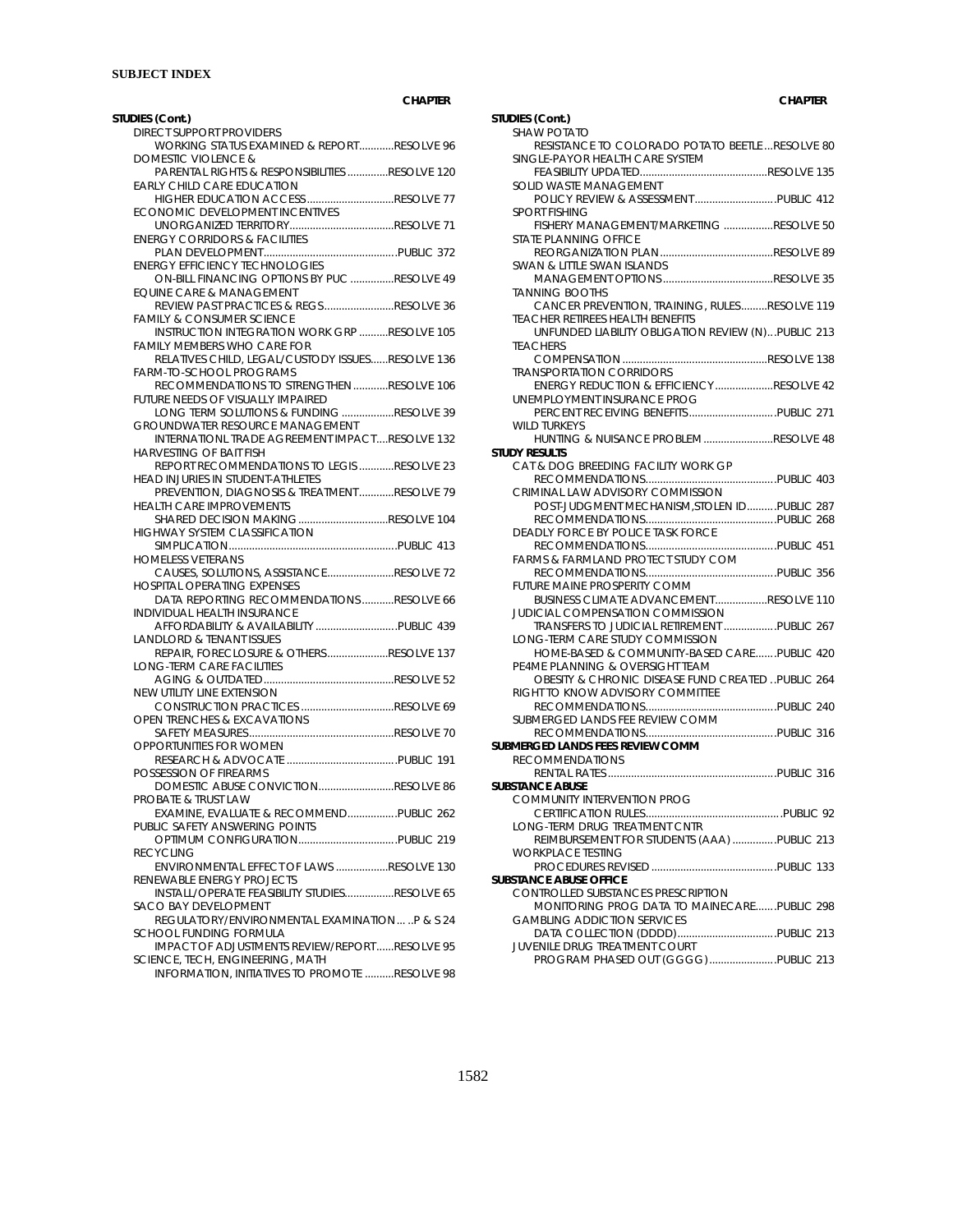| STUDIES (Cont.)                                                                           |
|-------------------------------------------------------------------------------------------|
| <b>DIRECT SUPPORT PROVIDERS</b>                                                           |
| WORKING STATUS EXAMINED & REPORTRESOLVE 96                                                |
| <b>DOMESTIC VIOLENCE &amp;</b>                                                            |
| PARENTAL RIGHTS & RESPONSIBILITIES RESOLVE 120<br><b>EARLY CHILD CARE EDUCATION</b>       |
| HIGHER EDUCATION ACCESS RESOLVE 77                                                        |
| ECONOMIC DEVELOPMENT INCENTIVES                                                           |
|                                                                                           |
| <b>ENERGY CORRIDORS &amp; FACILITIES</b>                                                  |
|                                                                                           |
| <b>ENERGY EFFICIENCY TECHNOLOGIES</b>                                                     |
| ON-BILL FINANCING OPTIONS BY PUC RESOLVE 49                                               |
| <b>EQUINE CARE &amp; MANAGEMENT</b>                                                       |
| REVIEW PAST PRACTICES & REGS RESOLVE 36                                                   |
| <b>FAMILY &amp; CONSUMER SCIENCE</b>                                                      |
| <b>INSTRUCTION INTEGRATION WORK GRP RESOLVE 105</b><br><b>FAMILY MEMBERS WHO CARE FOR</b> |
| RELATIVES CHILD, LEGAL/CUSTODY ISSUESRESOLVE 136                                          |
| FARM-TO-SCHOOL PROGRAMS                                                                   |
| RECOMMENDATIONS TO STRENGTHEN RESOLVE 106                                                 |
| FUTURE NEEDS OF VISUALLY IMPAIRED                                                         |
| LONG TERM SOLUTIONS & FUNDING RESOLVE 39                                                  |
| <b>GROUNDWATER RESOURCE MANAGEMENT</b>                                                    |
| INTERNATIONL TRADE AGREEMENT IMPACTRESOLVE 132                                            |
| HARVESTING OF BAIT FISH                                                                   |
| REPORT RECOMMENDATIONS TO LEGIS RESOLVE 23                                                |
| HEAD INJURIES IN STUDENT-ATHLETES                                                         |
| PREVENTION, DIAGNOSIS & TREATMENTRESOLVE 79                                               |
| <b>HEALTH CARE IMPROVEMENTS</b>                                                           |
| SHARED DECISION MAKINGRESOLVE 104                                                         |
| <b>HIGHWAY SYSTEM CLASSIFICATION</b>                                                      |
| <b>HOMELESS VETERANS</b>                                                                  |
| CAUSES, SOLUTIONS, ASSISTANCERESOLVE 72                                                   |
| <b>HOSPITAL OPERATING EXPENSES</b>                                                        |
| DATA REPORTING RECOMMENDATIONSRESOLVE 66                                                  |
| INDIVIDUAL HEALTH INSURANCE                                                               |
| AFFORDABILITY & AVAILABILITY  PUBLIC 439                                                  |
| LANDLORD & TENANT ISSUES                                                                  |
| REPAIR, FORECLOSURE & OTHERSRESOLVE 137                                                   |
| LONG-TERM CARE FACILITIES                                                                 |
|                                                                                           |
| NEW UTILITY LINE EXTENSION                                                                |
| <b>OPEN TRENCHES &amp; EXCAVATIONS</b>                                                    |
|                                                                                           |
| OPPORTUNITIES FOR WOMEN                                                                   |
|                                                                                           |
| POSSESSION OF FIREARMS                                                                    |
|                                                                                           |
| PROBATE & TRUST LAW                                                                       |
| EXAMINE, EVALUATE & RECOMMENDPUBLIC 262                                                   |
| PUBLIC SAFETY ANSWERING POINTS                                                            |
|                                                                                           |
| <b>RECYCLING</b>                                                                          |
| ENVIRONMENTAL EFFECT OF LAWS RESOLVE 130                                                  |
| RENEWABLE ENERGY PROJECTS                                                                 |
| INSTALL/OPERATE FEASIBILITY STUDIESRESOLVE 65<br>SACO BAY DEVELOPMENT                     |
| REGULATORY/ENVIRONMENTAL EXAMINATION   P & S 24                                           |
| SCHOOL FUNDING FORMULA                                                                    |
| IMPACT OF ADJUSTMENTS REVIEW/REPORT RESOLVE 95                                            |
| SCIENCE, TECH, ENGINEERING, MATH                                                          |
| INFORMATION, INITIATIVES TO PROMOTE RESOLVE 98                                            |

| STUDIES (Cont.)                                                             |
|-----------------------------------------------------------------------------|
| <b>SHAW POTATO</b>                                                          |
| RESISTANCE TO COLORADO POTATO BEETLE  RESOLVE 80                            |
| SINGLE-PAYOR HEALTH CARE SYSTEM                                             |
|                                                                             |
| SOLID WASTE MANAGEMENT                                                      |
| POLICY REVIEW & ASSESSMENT PUBLIC 412                                       |
| <b>SPORT FISHING</b>                                                        |
| FISHERY MANAGEMENT/MARKETING RESOLVE 50                                     |
| STATE PLANNING OFFICE                                                       |
|                                                                             |
| SWAN & LITTLE SWAN ISLANDS                                                  |
|                                                                             |
| <b>TANNING BOOTHS</b><br>CANCER PREVENTION, TRAINING, RULESRESOLVE 119      |
|                                                                             |
| <b>TEACHER RETIREES HEALTH BENEFITS</b>                                     |
| UNFUNDED LIABILITY OBLIGATION REVIEW (N) PUBLIC 213                         |
| <b>TEACHERS</b>                                                             |
|                                                                             |
| <b>TRANSPORTATION CORRIDORS</b><br>ENERGY REDUCTION & EFFICIENCY RESOLVE 42 |
|                                                                             |
| UNEMPLOYMENT INSURANCE PROG<br>PERCENT RECEIVING BENEFITS  PUBLIC 271       |
| <b>WILD TURKEYS</b>                                                         |
| HUNTING & NUISANCE PROBLEM RESOLVE 48                                       |
| <b>STUDY RESULTS</b>                                                        |
| CAT & DOG BREEDING FACILITY WORK GP                                         |
|                                                                             |
| CRIMINAL LAW ADVISORY COMMISSION                                            |
| POST-JUDGMENT MECHANISM, STOLEN ID PUBLIC 287                               |
|                                                                             |
| DEADLY FORCE BY POLICE TASK FORCE                                           |
|                                                                             |
| FARMS & FARMLAND PROTECT STUDY COM                                          |
|                                                                             |
| FUTURE MAINE PROSPERITY COMM                                                |
| BUSINESS CLIMATE ADVANCEMENTRESOLVE 110                                     |
| <b>JUDICIAL COMPENSATION COMMISSION</b>                                     |
| TRANSFERS TO JUDICIAL RETIREMENT  PUBLIC 267                                |
| LONG-TERM CARE STUDY COMMISSION                                             |
| HOME-BASED & COMMUNITY-BASED CAREPUBLIC 420                                 |
| PE4ME PLANNING & OVERSIGHT TEAM                                             |
| <b>OBESITY &amp; CHRONIC DISEASE FUND CREATED . PUBLIC 264</b>              |
| RIGHT TO KNOW ADVISORY COMMITTEE                                            |
|                                                                             |
| SUBMERGED LANDS FEE REVIEW COMM                                             |
|                                                                             |
| SUBMERGED LANDS FEES REVIEW COMM                                            |
| <b>RECOMMENDATIONS</b>                                                      |
|                                                                             |
| <b>SUBSTANCE ABUSE</b>                                                      |
| COMMUNITY INTERVENTION PROG                                                 |
|                                                                             |
| LONG-TERM DRUG TREATMENT CNTR                                               |
| REIMBURSEMENT FOR STUDENTS (AAA)  PUBLIC 213                                |
| <b>WORKPLACE TESTING</b>                                                    |
|                                                                             |
| <b>SUBSTANCE ABUSE OFFICE</b>                                               |
| CONTROLLED SUBSTANCES PRESCRIPTION                                          |
| MONITORING PROG DATA TO MAINECAREPUBLIC 298                                 |
| <b>GAMBLING ADDICTION SERVICES</b>                                          |
|                                                                             |
| JUVENILE DRUG TREATMENT COURT                                               |
|                                                                             |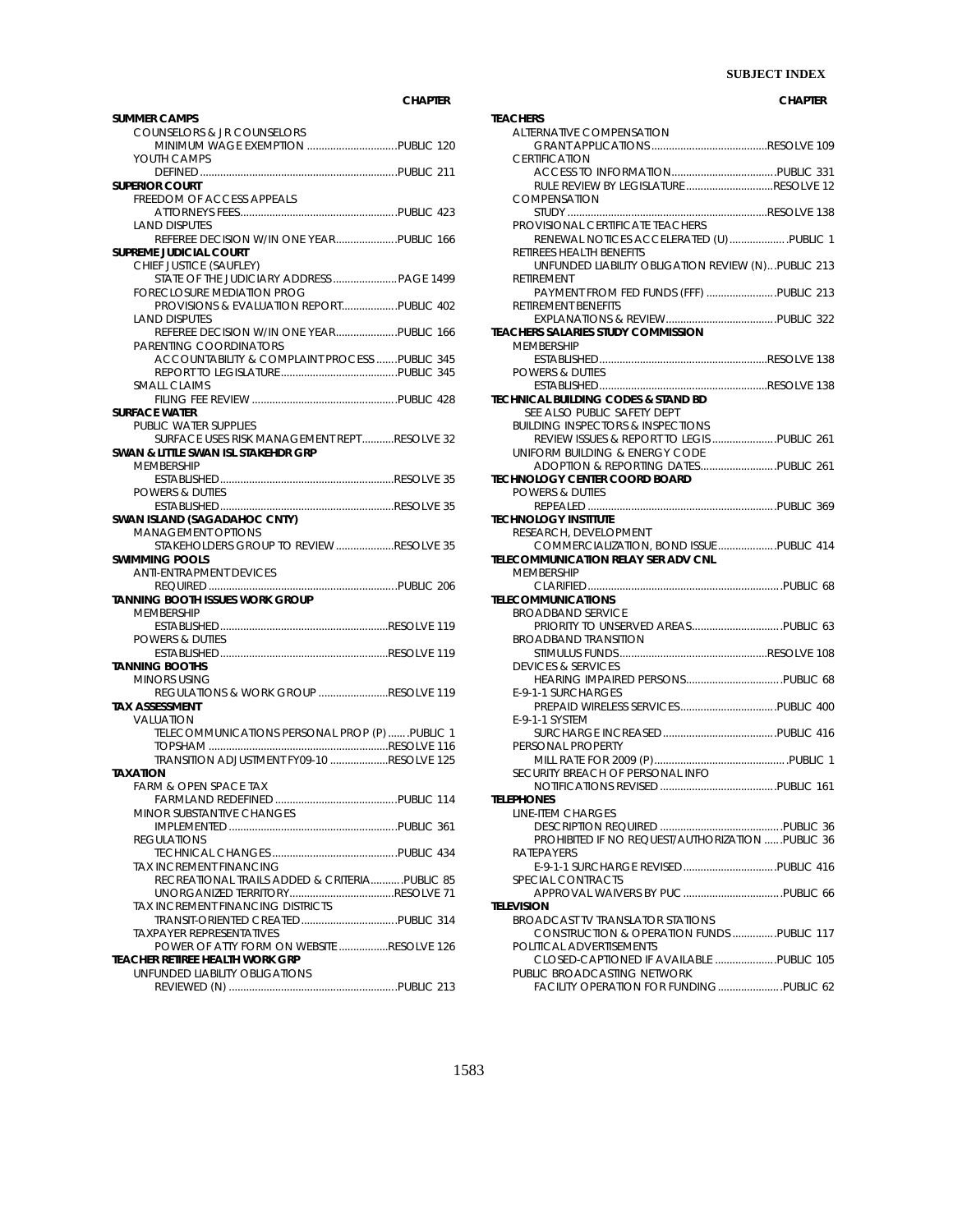| <b>SUMMER CAMPS</b>                                |  |
|----------------------------------------------------|--|
| COUNSELORS & JR COUNSELORS                         |  |
|                                                    |  |
| YOUTH CAMPS                                        |  |
|                                                    |  |
| <b>SUPERIOR COURT</b><br>FREEDOM OF ACCESS APPEALS |  |
|                                                    |  |
| <b>LAND DISPUTES</b>                               |  |
|                                                    |  |
| SUPREME JUDICIAL COURT                             |  |
| CHIEF JUSTICE (SAUFLEY)                            |  |
| STATE OF THE JUDICIARY ADDRESS  PAGE 1499          |  |
| FORECLOSURE MEDIATION PROG                         |  |
| PROVISIONS & EVALUATION REPORT PUBLIC 402          |  |
| <b>LAND DISPUTES</b>                               |  |
| REFEREE DECISION W/IN ONE YEAR PUBLIC 166          |  |
| PARENTING COORDINATORS                             |  |
| ACCOUNTABILITY & COMPLAINT PROCESS PUBLIC 345      |  |
|                                                    |  |
| SMALL CLAIMS                                       |  |
| <b>SURFACE WATER</b>                               |  |
| PUBLIC WATER SUPPLIES                              |  |
| SURFACE USES RISK MANAGEMENT REPTRESOLVE 32        |  |
| SWAN & LITTLE SWAN ISL STAKEHDR GRP                |  |
| MEMBERSHIP                                         |  |
|                                                    |  |
| <b>POWERS &amp; DUTIES</b>                         |  |
|                                                    |  |
| SWAN ISLAND (SAGADAHOC CNTY)                       |  |
| <b>MANAGEMENT OPTIONS</b>                          |  |
| STAKEHOLDERS GROUP TO REVIEW RESOLVE 35            |  |
| <b>SWIMMING POOLS</b>                              |  |
|                                                    |  |
| <b>ANTI-ENTRAPMENT DEVICES</b>                     |  |
|                                                    |  |
| <b>TANNING BOOTH ISSUES WORK GROUP</b>             |  |
| <b>MEMBERSHIP</b>                                  |  |
| <b>POWERS &amp; DUTIES</b>                         |  |
|                                                    |  |
| <b>TANNING BOOTHS</b>                              |  |
| <b>MINORS USING</b>                                |  |
| REGULATIONS & WORK GROUP RESOLVE 119               |  |
| <b>TAX ASSESSMENT</b>                              |  |
| VALUATION                                          |  |
| TELECOMMUNICATIONS PERSONAL PROP (P)  PUBLIC 1     |  |
|                                                    |  |
|                                                    |  |
| <b><i>TAXATION</i></b>                             |  |
| <b>FARM &amp; OPFN SPACE TAX</b>                   |  |
| MINOR SUBSTANTIVE CHANGES                          |  |
|                                                    |  |
| <b>REGULATIONS</b>                                 |  |
|                                                    |  |
| TAX INCREMENT FINANCING                            |  |
| RECREATIONAL TRAILS ADDED & CRITERIA PUBLIC 85     |  |
|                                                    |  |
| TAX INCREMENT FINANCING DISTRICTS                  |  |
|                                                    |  |
| <b>TAXPAYER REPRESENTATIVES</b>                    |  |
| POWER OF ATTY FORM ON WEBSITE RESOLVE 126          |  |
| <b>TEACHER RETIREE HEALTH WORK GRP</b>             |  |
| <b>UNFUNDED LIABILITY OBLIGATIONS</b>              |  |

|                                                                                  | <b>CHAPTER</b> |                                                                    | <b>CHAPTER</b> |
|----------------------------------------------------------------------------------|----------------|--------------------------------------------------------------------|----------------|
| SUMMER CAMPS                                                                     |                | <b>TEACHERS</b>                                                    |                |
| COUNSELORS & JR COUNSELORS                                                       |                | <b>ALTERNATIVE COMPENSATION</b>                                    |                |
|                                                                                  |                |                                                                    |                |
| YOUTH CAMPS                                                                      |                | <b>CERTIFICATION</b>                                               |                |
|                                                                                  |                |                                                                    |                |
| <b>SUPERIOR COURT</b>                                                            |                | RULE REVIEW BY LEGISLATURE RESOLVE 12                              |                |
| FREEDOM OF ACCESS APPEALS                                                        |                | COMPENSATION                                                       |                |
|                                                                                  |                |                                                                    |                |
| <b>LAND DISPUTES</b>                                                             |                | PROVISIONAL CERTIFICATE TEACHERS                                   |                |
| REFEREE DECISION W/IN ONE YEAR PUBLIC 166                                        |                | RENEWAL NOTICES ACCELERATED (U)  PUBLIC 1                          |                |
| SUPREME JUDICIAL COURT                                                           |                | RETIREES HEALTH BENEFITS                                           |                |
| CHIEF JUSTICE (SAUFLEY)                                                          |                | UNFUNDED LIABILITY OBLIGATION REVIEW (N) PUBLIC 213                |                |
| STATE OF THE JUDICIARY ADDRESS  PAGE 1499                                        |                | <b>RETIREMENT</b>                                                  |                |
| <b>FORECLOSURE MEDIATION PROG</b>                                                |                | PAYMENT FROM FED FUNDS (FFF)  PUBLIC 213                           |                |
| PROVISIONS & EVALUATION REPORT PUBLIC 402                                        |                | RETIREMENT BENEFITS                                                |                |
| <b>LAND DISPUTES</b>                                                             |                |                                                                    |                |
| REFEREE DECISION W/IN ONE YEAR PUBLIC 166                                        |                | <b>TEACHERS SALARIES STUDY COMMISSION</b>                          |                |
| PARENTING COORDINATORS                                                           |                | <b>MEMBERSHIP</b>                                                  |                |
| ACCOUNTABILITY & COMPLAINT PROCESS  PUBLIC 345                                   |                |                                                                    |                |
|                                                                                  |                | <b>POWERS &amp; DUTIES</b>                                         |                |
| <b>SMALL CLAIMS</b>                                                              |                |                                                                    |                |
|                                                                                  |                | TECHNICAL BUILDING CODES & STAND BD                                |                |
| <b>SURFACE WATER</b>                                                             |                | SEE ALSO PUBLIC SAFETY DEPT                                        |                |
| PUBLIC WATER SUPPLIES                                                            |                | <b>BUILDING INSPECTORS &amp; INSPECTIONS</b>                       |                |
| SURFACE USES RISK MANAGEMENT REPTRESOLVE 32                                      |                |                                                                    |                |
| SWAN & LITTLE SWAN ISL STAKEHDR GRP                                              |                | UNIFORM BUILDING & ENERGY CODE                                     |                |
|                                                                                  |                | ADOPTION & REPORTING DATES PUBLIC 261                              |                |
| <b>MEMBERSHIP</b>                                                                |                |                                                                    |                |
| <b>POWERS &amp; DUTIES</b>                                                       |                | <b>TECHNOLOGY CENTER COORD BOARD</b><br><b>POWERS &amp; DUTIES</b> |                |
|                                                                                  |                |                                                                    |                |
| SWAN ISLAND (SAGADAHOC CNTY)                                                     |                |                                                                    |                |
| <b>MANAGEMENT OPTIONS</b>                                                        |                | <b>TECHNOLOGY INSTITUTE</b><br>RESEARCH, DEVELOPMENT               |                |
| STAKEHOLDERS GROUP TO REVIEW RESOLVE 35                                          |                | COMMERCIALIZATION, BOND ISSUE  PUBLIC 414                          |                |
|                                                                                  |                | TELECOMMUNICATION RELAY SER ADV CNL                                |                |
| SWIMMING POOLS<br>ANTI-ENTRAPMENT DEVICES                                        |                | <b>MEMBERSHIP</b>                                                  |                |
|                                                                                  |                |                                                                    |                |
| tanning booth issues work group                                                  |                | <b>TELECOMMUNICATIONS</b>                                          |                |
|                                                                                  |                | <b>BROADBAND SERVICE</b>                                           |                |
| MEMBERSHIP                                                                       |                |                                                                    |                |
| POWERS & DUTIES                                                                  |                | <b>BROADBAND TRANSITION</b>                                        |                |
|                                                                                  |                |                                                                    |                |
| <b>TANNING BOOTHS</b>                                                            |                | <b>DEVICES &amp; SERVICES</b>                                      |                |
| <b>MINORS USING</b>                                                              |                |                                                                    |                |
| REGULATIONS & WORK GROUP RESOLVE 119                                             |                | E-9-1-1 SURCHARGES                                                 |                |
| TAX ASSESSMENT                                                                   |                |                                                                    |                |
| VALUATION                                                                        |                | E-9-1-1 SYSTEM                                                     |                |
| TELECOMMUNICATIONS PERSONAL PROP (P)  PUBLIC 1                                   |                |                                                                    |                |
|                                                                                  |                | PERSONAL PROPERTY                                                  |                |
| TRANSITION ADJUSTMENT FY09-10 RESOLVE 125                                        |                |                                                                    |                |
| <b><i>TAXATION</i></b>                                                           |                | SECURITY BREACH OF PERSONAL INFO                                   |                |
| FARM & OPEN SPACE TAX                                                            |                |                                                                    |                |
|                                                                                  |                | <b>TELEPHONES</b>                                                  |                |
| MINOR SUBSTANTIVE CHANGES                                                        |                | LINE-ITEM CHARGES                                                  |                |
|                                                                                  |                |                                                                    |                |
|                                                                                  |                | PROHIBITED IF NO REQUEST/AUTHORIZATION  PUBLIC 36                  |                |
| <b>REGULATIONS</b>                                                               |                |                                                                    |                |
|                                                                                  |                | RATEPAYERS                                                         |                |
| <b>TAX INCREMENT FINANCING</b><br>RECREATIONAL TRAILS ADDED & CRITERIA PUBLIC 85 |                |                                                                    |                |
|                                                                                  |                | SPECIAL CONTRACTS                                                  |                |
|                                                                                  |                |                                                                    |                |
| TAX INCREMENT FINANCING DISTRICTS                                                |                | <b>TELEVISION</b>                                                  |                |
|                                                                                  |                | <b>BROADCAST TV TRANSLATOR STATIONS</b>                            |                |
| <b>TAXPAYER REPRESENTATIVES</b>                                                  |                | CONSTRUCTION & OPERATION FUNDS  PUBLIC 117                         |                |
| POWER OF ATTY FORM ON WEBSITE RESOLVE 126                                        |                | POLITICAL ADVERTISEMENTS                                           |                |
| teacher retiree health work Grp                                                  |                | CLOSED-CAPTIONED IF AVAILABLE  PUBLIC 105                          |                |
| UNFUNDED LIABILITY OBLIGATIONS                                                   |                | PUBLIC BROADCASTING NETWORK                                        |                |
|                                                                                  |                | FACILITY OPERATION FOR FUNDING PUBLIC 62                           |                |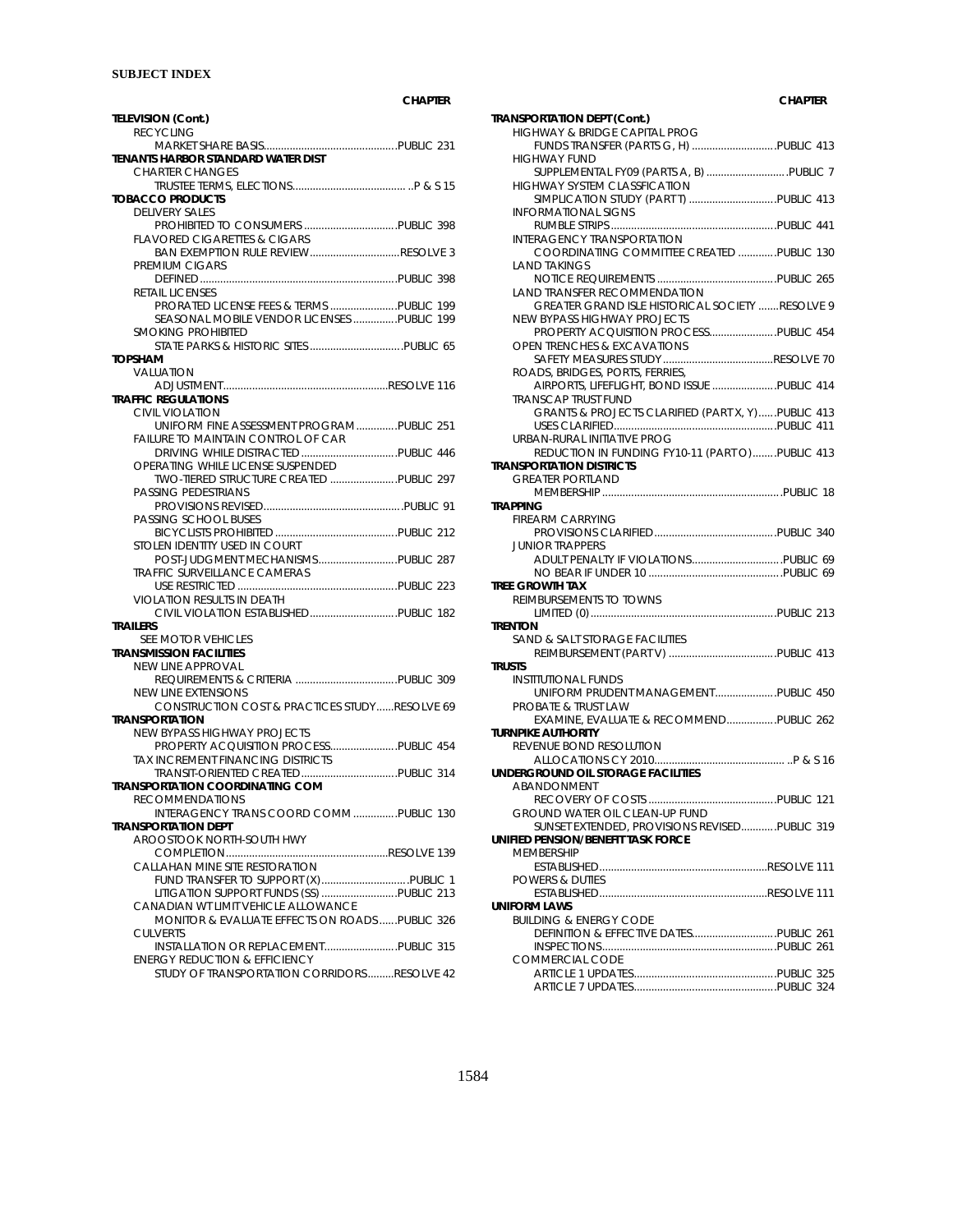| TELEVISION (Cont.)                                                              |  |
|---------------------------------------------------------------------------------|--|
| <b>RECYCLING</b>                                                                |  |
|                                                                                 |  |
| TENANTS HARBOR STANDARD WATER DIST                                              |  |
| <b>CHARTER CHANGES</b>                                                          |  |
|                                                                                 |  |
| <b>TOBACCO PRODUCTS</b>                                                         |  |
| <b>DELIVERY SALES</b>                                                           |  |
|                                                                                 |  |
| FLAVORED CIGARETTES & CIGARS                                                    |  |
| BAN EXEMPTION RULE REVIEW RESOLVE 3                                             |  |
| PREMIUM CIGARS                                                                  |  |
|                                                                                 |  |
| <b>RETAIL LICENSES</b>                                                          |  |
| PRORATED LICENSE FEES & TERMS  PUBLIC 199                                       |  |
| SEASONAL MOBILE VENDOR LICENSES  PUBLIC 199<br>SMOKING PROHIBITED               |  |
|                                                                                 |  |
|                                                                                 |  |
| <b>TOPSHAM</b>                                                                  |  |
| VALUATION                                                                       |  |
|                                                                                 |  |
| <b>TRAFFIC REGULATIONS</b>                                                      |  |
| CIVIL VIOLATION                                                                 |  |
| UNIFORM FINE ASSESSMENT PROGRAMPUBLIC 251<br>FAILURE TO MAINTAIN CONTROL OF CAR |  |
|                                                                                 |  |
|                                                                                 |  |
| OPERATING WHILE LICENSE SUSPENDED                                               |  |
| TWO-TIERED STRUCTURE CREATED  PUBLIC 297                                        |  |
| PASSING PEDESTRIANS                                                             |  |
|                                                                                 |  |
| PASSING SCHOOL BUSES                                                            |  |
|                                                                                 |  |
| STOLEN IDENTITY USED IN COURT                                                   |  |
| POST-JUDGMENT MECHANISMS PUBLIC 287                                             |  |
| <b>TRAFFIC SURVEILLANCE CAMERAS</b>                                             |  |
|                                                                                 |  |
| VIOLATION RESULTS IN DEATH                                                      |  |
|                                                                                 |  |
| <b>TRAILERS</b>                                                                 |  |
| <b>SEE MOTOR VEHICLES</b>                                                       |  |
| <b>TRANSMISSION FACILITIES</b>                                                  |  |
| NEW LINE APPROVAL                                                               |  |
|                                                                                 |  |
| NEW LINE EXTENSIONS                                                             |  |
| CONSTRUCTION COST & PRACTICES STUDYRESOLVE 69                                   |  |
| <b>TRANSPORTATION</b>                                                           |  |
| NEW BYPASS HIGHWAY PROJECTS                                                     |  |
| PROPERTY ACQUISITION PROCESS PUBLIC 454                                         |  |
| TAX INCREMENT FINANCING DISTRICTS                                               |  |
|                                                                                 |  |
| <b>TRANSPORTATION COORDINATING COM</b>                                          |  |
| <b>RECOMMENDATIONS</b>                                                          |  |
| INTERAGENCY TRANS COORD COMM  PUBLIC 130                                        |  |
| <b>TRANSPORTATION DEPT</b><br><b>AROOSTOOK NORTH-SOUTH HWY</b>                  |  |
|                                                                                 |  |
| CALLAHAN MINE SITE RESTORATION                                                  |  |
|                                                                                 |  |
|                                                                                 |  |
| CANADIAN WT LIMIT VEHICLE ALLOWANCE                                             |  |
| MONITOR & EVALUATE EFFECTS ON ROADS PUBLIC 326                                  |  |
| <b>CULVERTS</b>                                                                 |  |
|                                                                                 |  |
| <b>ENERGY REDUCTION &amp; EFFICIENCY</b>                                        |  |
| STUDY OF TRANSPORTATION CORRIDORSRESOLVE 42                                     |  |
|                                                                                 |  |

| <b>TRANSPORTATION DEPT (Cont.)</b>                |            |
|---------------------------------------------------|------------|
| HIGHWAY & BRIDGE CAPITAL PROG                     |            |
|                                                   |            |
| HIGHWAY FUND                                      |            |
|                                                   |            |
|                                                   |            |
| HIGHWAY SYSTEM CLASSFICATION                      |            |
| SIMPLICATION STUDY (PART T)  PUBLIC 413           |            |
| <b>INFORMATIONAL SIGNS</b>                        |            |
|                                                   |            |
| <b>INTERAGENCY TRANSPORTATION</b>                 |            |
| COORDINATING COMMITTEE CREATED  PUBLIC 130        |            |
|                                                   |            |
| <b>LAND TAKINGS</b>                               |            |
|                                                   |            |
| <b>LAND TRANSFER RECOMMENDATION</b>               |            |
| GREATER GRAND ISLE HISTORICAL SOCIETY RESOLVE 9   |            |
| NEW BYPASS HIGHWAY PROJECTS                       |            |
| PROPERTY ACQUISITION PROCESS PUBLIC 454           |            |
|                                                   |            |
| <b>OPEN TRENCHES &amp; EXCAVATIONS</b>            |            |
|                                                   |            |
| ROADS, BRIDGES, PORTS, FERRIES,                   |            |
| AIRPORTS, LIFEFLIGHT, BOND ISSUE  PUBLIC 414      |            |
| <b>TRANSCAP TRUST FUND</b>                        |            |
| GRANTS & PROJECTS CLARIFIED (PART X, Y)PUBLIC 413 |            |
|                                                   |            |
|                                                   |            |
| URBAN-RURAL INITIATIVE PROG                       |            |
| REDUCTION IN FUNDING FY10-11 (PART O)PUBLIC 413   |            |
| <b>TRANSPORTATION DISTRICTS</b>                   |            |
| <b>GREATER PORTLAND</b>                           |            |
|                                                   |            |
|                                                   |            |
| <b>TRAPPING</b>                                   |            |
| <b>FIREARM CARRYING</b>                           |            |
|                                                   |            |
| <b>JUNIOR TRAPPERS</b>                            |            |
|                                                   |            |
|                                                   |            |
|                                                   |            |
| <b>TREE GROWTH TAX</b>                            |            |
| REIMBURSEMENTS TO TOWNS                           |            |
|                                                   |            |
| <b>TRENTON</b>                                    |            |
| SAND & SALT STORAGE FACILITIES                    |            |
|                                                   |            |
|                                                   |            |
| <b>TRUSTS</b>                                     |            |
| <b>INSTITUTIONAL FUNDS</b>                        |            |
| UNIFORM PRUDENT MANAGEMENT PUBLIC 450             |            |
| PROBATE & TRUST LAW                               |            |
| EXAMINE, EVALUATE & RECOMMENDPUBLIC 262           |            |
| <b>TURNPIKE AUTHORITY</b>                         |            |
|                                                   |            |
| REVENUE BOND RESOLUTION                           |            |
|                                                   |            |
| UNDERGROUND OIL STORAGE FACILITIES                |            |
| ABANDONMENT                                       |            |
| RECOVERY OF COSTS                                 | PUBLIC 121 |
|                                                   |            |
| <b>GROUND WATER OIL CLEAN-UP FUND</b>             |            |
| SUNSET EXTENDED. PROVISIONS REVISEDPUBLIC 319     |            |
| <b>UNIFIED PENSION/BENEFIT TASK FORCE</b>         |            |
| <b>MEMBERSHIP</b>                                 |            |
|                                                   |            |
| POWERS & DUTIES                                   |            |
|                                                   |            |
|                                                   |            |
| <b>UNIFORM LAWS</b>                               |            |
| <b>BUILDING &amp; ENERGY CODE</b>                 |            |
| DEFINITION & EFFECTIVE DATES PUBLIC 261           |            |
|                                                   |            |
| <b>COMMERCIAL CODE</b>                            |            |
|                                                   |            |
|                                                   |            |
|                                                   |            |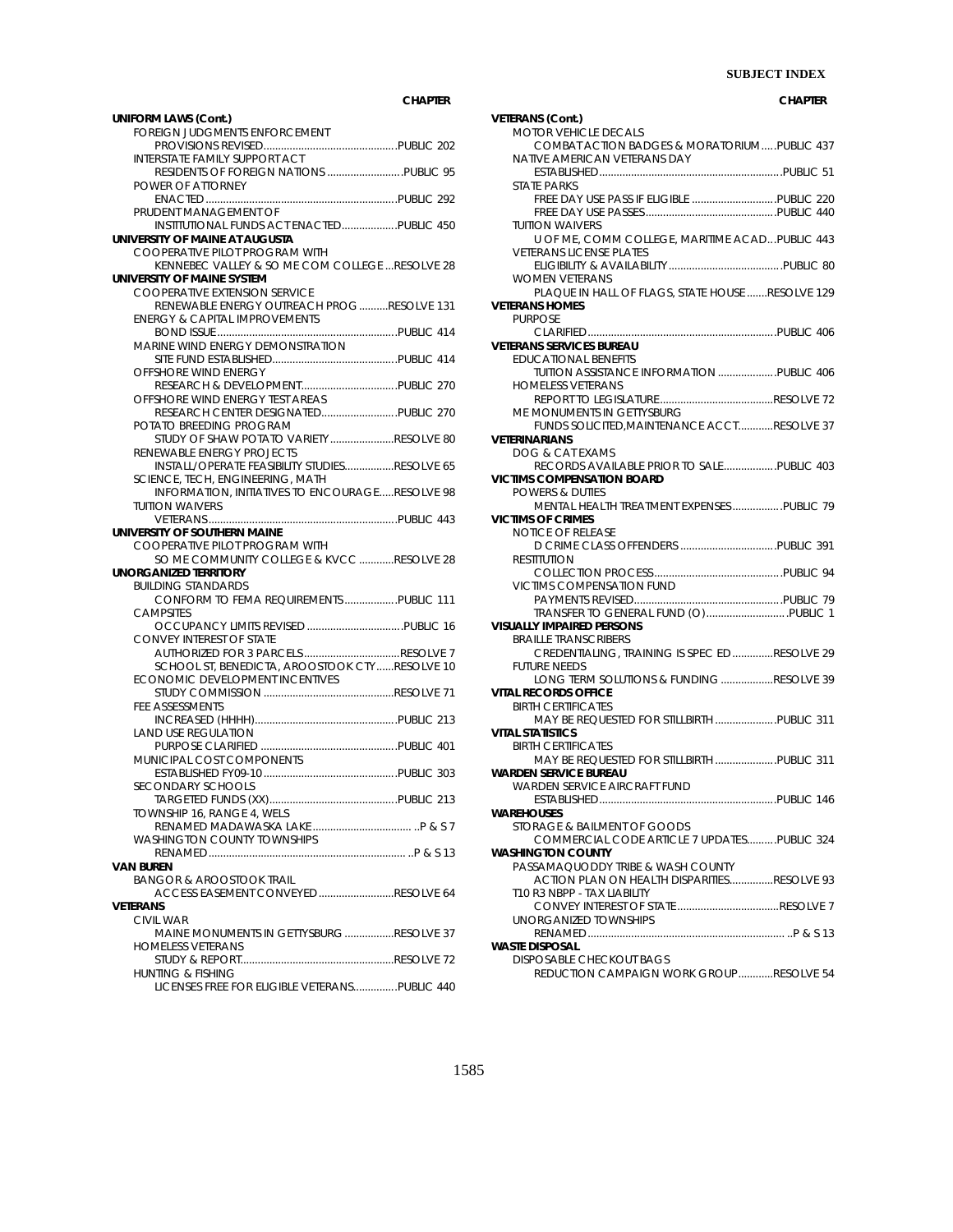| <b>UNIFORM LAWS (Cont.)</b>                                                       |  |
|-----------------------------------------------------------------------------------|--|
| FOREIGN JUDGMENTS ENFORCEMENT                                                     |  |
|                                                                                   |  |
| INTERSTATE FAMILY SUPPORT ACT<br>RESIDENTS OF FOREIGN NATIONS  PUBLIC 95          |  |
| POWER OF ATTORNEY                                                                 |  |
|                                                                                   |  |
| PRUDENT MANAGEMENT OF                                                             |  |
| INSTITUTIONAL FUNDS ACT ENACTED PUBLIC 450                                        |  |
| UNIVERSITY OF MAINE AT AUGUSTA                                                    |  |
| COOPERATIVE PILOT PROGRAM WITH<br>KENNEBEC VALLEY & SO ME COM COLLEGE  RESOLVE 28 |  |
| UNIVERSITY OF MAINE SYSTEM                                                        |  |
| <b>COOPERATIVE EXTENSION SERVICE</b>                                              |  |
| RENEWABLE ENERGY OUTREACH PROGRESOLVE 131                                         |  |
| <b>ENERGY &amp; CAPITAL IMPROVEMENTS</b>                                          |  |
| MARINE WIND ENERGY DEMONSTRATION                                                  |  |
|                                                                                   |  |
| OFFSHORE WIND ENERGY                                                              |  |
|                                                                                   |  |
| OFFSHORE WIND ENERGY TEST AREAS                                                   |  |
| RESEARCH CENTER DESIGNATED PUBLIC 270                                             |  |
| POTATO BREEDING PROGRAM                                                           |  |
| STUDY OF SHAW POTATO VARIETY RESOLVE 80<br>RENEWABLE ENERGY PROJECTS              |  |
| INSTALL/OPERATE FEASIBILITY STUDIESRESOLVE 65                                     |  |
| SCIENCE, TECH, ENGINEERING, MATH                                                  |  |
| INFORMATION, INITIATIVES TO ENCOURAGERESOLVE 98                                   |  |
| <b>TUITION WAIVERS</b>                                                            |  |
|                                                                                   |  |
| UNIVERSITY OF SOUTHERN MAINE                                                      |  |
| COOPERATIVE PILOT PROGRAM WITH                                                    |  |
| SO ME COMMUNITY COLLEGE & KVCC RESOLVE 28<br><b>UNORGANIZED TERRITORY</b>         |  |
| <b>BUILDING STANDARDS</b>                                                         |  |
| CONFORM TO FEMA REQUIREMENTS  PUBLIC 111                                          |  |
| <b>CAMPSITES</b>                                                                  |  |
| OCCUPANCY LIMITS REVISED  PUBLIC 16                                               |  |
| <b>CONVEY INTEREST OF STATE</b>                                                   |  |
|                                                                                   |  |
| SCHOOL ST, BENEDICTA, AROOSTOOK CTYRESOLVE 10                                     |  |
| ECONOMIC DEVELOPMENT INCENTIVES                                                   |  |
| FEE ASSESSMENTS                                                                   |  |
|                                                                                   |  |
| <b>LAND USE REGULATION</b>                                                        |  |
|                                                                                   |  |
| MUNICIPAL COST COMPONENTS                                                         |  |
|                                                                                   |  |
| <b>SECONDARY SCHOOLS</b>                                                          |  |
| TOWNSHIP 16, RANGE 4, WELS                                                        |  |
|                                                                                   |  |
| <b>WASHINGTON COUNTY TOWNSHIPS</b>                                                |  |
|                                                                                   |  |
| <b>VAN BUREN</b>                                                                  |  |
| <b>BANGOR &amp; AROOSTOOK TRAIL</b>                                               |  |
| ACCESS EASEMENT CONVEYEDRESOLVE 64<br><b>VETERANS</b>                             |  |
| <b>CIVIL WAR</b>                                                                  |  |
| MAINE MONUMENTS IN GETTYSBURGRESOLVE 37                                           |  |
| <b>HOMELESS VETERANS</b>                                                          |  |
|                                                                                   |  |
| HUNTING & FISHING<br>LICENSES FREE FOR ELIGIBLE VETERANS PUBLIC 440               |  |
|                                                                                   |  |

| <b>CHAPTER</b>                                  | <b>CHAPTER</b>                                   |
|-------------------------------------------------|--------------------------------------------------|
| <b>UNIFORM LAWS (Cont.)</b>                     | <b>VETERANS (Cont.)</b>                          |
| FOREIGN JUDGMENTS ENFORCEMENT                   | <b>MOTOR VEHICLE DECALS</b>                      |
|                                                 | COMBAT ACTION BADGES & MORATORIUMPUBLIC 437      |
| <b>INTERSTATE FAMILY SUPPORT ACT</b>            | NATIVE AMERICAN VETERANS DAY                     |
|                                                 |                                                  |
| POWER OF ATTORNEY                               | <b>STATE PARKS</b>                               |
|                                                 |                                                  |
| PRUDENT MANAGEMENT OF                           |                                                  |
| INSTITUTIONAL FUNDS ACT ENACTED PUBLIC 450      | <b>TUITION WAIVERS</b>                           |
|                                                 | U OF ME, COMM COLLEGE, MARITIME ACAD PUBLIC 443  |
| university of maine at Augusta                  |                                                  |
| COOPERATIVE PILOT PROGRAM WITH                  | <b>VETERANS LICENSE PLATES</b>                   |
| KENNEBEC VALLEY & SO ME COM COLLEGE  RESOLVE 28 |                                                  |
| university of maine system                      | <b>WOMEN VETERANS</b>                            |
| <b>COOPERATIVE EXTENSION SERVICE</b>            | PLAQUE IN HALL OF FLAGS, STATE HOUSE RESOLVE 129 |
| RENEWABLE ENERGY OUTREACH PROG RESOLVE 131      | <b>VETERANS HOMES</b>                            |
| <b>ENERGY &amp; CAPITAL IMPROVEMENTS</b>        | <b>PURPOSE</b>                                   |
|                                                 |                                                  |
| MARINE WIND ENERGY DEMONSTRATION                | <b>VETERANS SERVICES BUREAU</b>                  |
|                                                 | <b>EDUCATIONAL BENEFITS</b>                      |
| OFFSHORE WIND ENERGY                            | TUITION ASSISTANCE INFORMATION  PUBLIC 406       |
|                                                 | <b>HOMELESS VETERANS</b>                         |
| OFFSHORE WIND ENERGY TEST AREAS                 |                                                  |
|                                                 | ME MONUMENTS IN GETTYSBURG                       |
| POTATO BREEDING PROGRAM                         | FUNDS SOLICITED, MAINTENANCE ACCTRESOLVE 37      |
|                                                 | <b>VETERINARIANS</b>                             |
| RENEWABLE ENERGY PROJECTS                       | DOG & CAT EXAMS                                  |
| INSTALL/OPERATE FEASIBILITY STUDIESRESOLVE 65   | RECORDS AVAILABLE PRIOR TO SALE PUBLIC 403       |
| SCIENCE, TECH, ENGINEERING, MATH                | <b>VICTIMS COMPENSATION BOARD</b>                |
| INFORMATION, INITIATIVES TO ENCOURAGERESOLVE 98 | POWERS & DUTIES                                  |
| <b>TUITION WAIVERS</b>                          | MENTAL HEALTH TREATMENT EXPENSES  PUBLIC 79      |
|                                                 | <b>VICTIMS OF CRIMES</b>                         |
| university of Southern Maine                    | <b>NOTICE OF RELEASE</b>                         |
| COOPERATIVE PILOT PROGRAM WITH                  |                                                  |
| SO ME COMMUNITY COLLEGE & KVCC RESOLVE 28       | <b>RESTITUTION</b>                               |
| UNORGANIZED TERRITORY                           |                                                  |
| <b>BUILDING STANDARDS</b>                       | <b>VICTIMS COMPENSATION FUND</b>                 |
| CONFORM TO FEMA REQUIREMENTS  PUBLIC 111        |                                                  |
| <b>CAMPSITES</b>                                | TRANSFER TO GENERAL FUND (O) PUBLIC 1            |
|                                                 |                                                  |
|                                                 | <b>VISUALLY IMPAIRED PERSONS</b>                 |
| <b>CONVEY INTEREST OF STATE</b>                 | <b>BRAILLE TRANSCRIBERS</b>                      |
|                                                 | CREDENTIALING, TRAINING IS SPEC ED RESOLVE 29    |
| SCHOOL ST, BENEDICTA, AROOSTOOK CTYRESOLVE 10   | <b>FUTURE NEEDS</b>                              |
| ECONOMIC DEVELOPMENT INCENTIVES                 | LONG TERM SOLUTIONS & FUNDING RESOLVE 39         |
|                                                 | <b>VITAL RECORDS OFFICE</b>                      |
| FEE ASSESSMENTS                                 | <b>BIRTH CERTIFICATES</b>                        |
|                                                 | MAY BE REQUESTED FOR STILLBIRTH  PUBLIC 311      |
| <b>LAND USE REGULATION</b>                      | <b>VITAL STATISTICS</b>                          |
|                                                 | <b>BIRTH CERTIFICATES</b>                        |
| MUNICIPAL COST COMPONENTS                       | MAY BE REQUESTED FOR STILLBIRTH  PUBLIC 311      |
|                                                 | <b>WARDEN SERVICE BUREAU</b>                     |
| SECONDARY SCHOOLS                               | WARDEN SERVICE AIRCRAFT FUND                     |
|                                                 |                                                  |
| TOWNSHIP 16, RANGE 4, WELS                      | <b>WAREHOUSES</b>                                |
|                                                 | STORAGE & BAILMENT OF GOODS                      |
| <b>WASHINGTON COUNTY TOWNSHIPS</b>              | COMMERCIAL CODE ARTICLE 7 UPDATES PUBLIC 324     |
|                                                 | <b>WASHINGTON COUNTY</b>                         |
| van Buren                                       | PASSAMAQUODDY TRIBE & WASH COUNTY                |
| <b>BANGOR &amp; AROOSTOOK TRAIL</b>             | ACTION PLAN ON HEALTH DISPARITIESRESOLVE 93      |
| ACCESS EASEMENT CONVEYEDRESOLVE 64              | T10 R3 NBPP - TAX LIABILITY                      |
| VETERANS                                        |                                                  |
| <b>CIVIL WAR</b>                                | UNORGANIZED TOWNSHIPS                            |
| MAINE MONUMENTS IN GETTYSBURG RESOLVE 37        |                                                  |
| <b>HOMELESS VETERANS</b>                        | <b>WASTE DISPOSAL</b>                            |
|                                                 | <b>DISPOSABLE CHECKOUT BAGS</b>                  |
| <b>HUNTING &amp; FISHING</b>                    | REDUCTION CAMPAIGN WORK GROUPRESOLVE 54          |
| LICENSES FREE FOR ELIGIBLE VETERANS PUBLIC 440  |                                                  |
|                                                 |                                                  |